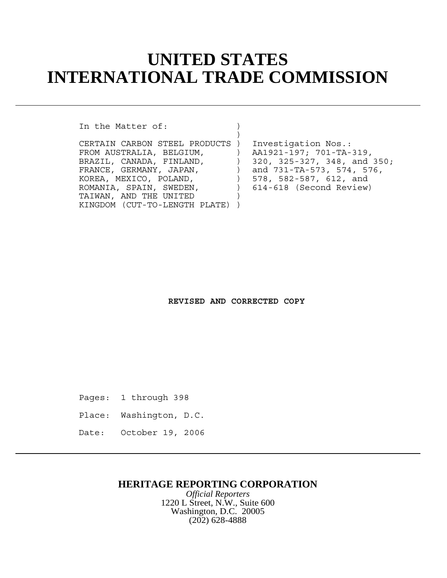# **UNITED STATES INTERNATIONAL TRADE COMMISSION**

In the Matter of:

 $)$ CERTAIN CARBON STEEL PRODUCTS ) Investigation Nos.: FROM AUSTRALIA, BELGIUM, ) AA1921-197; 701-TA-319, BRAZIL, CANADA, FINLAND, (320, 325-327, 348, and 350; FRANCE, GERMANY, JAPAN, (and 731-TA-573, 574, 576, KOREA, MEXICO, POLAND, (578, 582-587, 612, and ROMANIA, SPAIN, SWEDEN, ) 614-618 (Second Review) TAIWAN, AND THE UNITED KINGDOM (CUT-TO-LENGTH PLATE) )

**REVISED AND CORRECTED COPY**

Pages: 1 through 398

Place: Washington, D.C.

Date: October 19, 2006

#### **HERITAGE REPORTING CORPORATION**

*Official Reporters* 1220 L Street, N.W., Suite 600 Washington, D.C. 20005 (202) 628-4888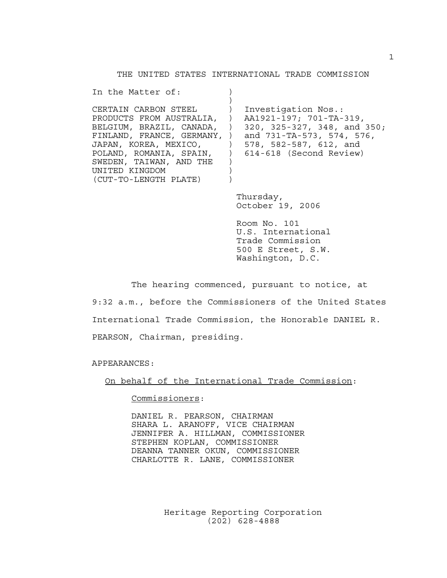THE UNITED STATES INTERNATIONAL TRADE COMMISSION

| Investigation Nos.:<br>AA1921-197; 701-TA-319,<br>320, 325-327, 348, and 350;<br>BELGIUM, BRAZIL, CANADA, )<br>FINLAND, FRANCE, GERMANY, )<br>and 731-TA-573, 574, 576,<br>578, 582-587, 612, and<br>POLAND, ROMANIA, SPAIN, ) 614-618 (Second Review) |
|--------------------------------------------------------------------------------------------------------------------------------------------------------------------------------------------------------------------------------------------------------|
| Thursday,<br>October 19, 2006                                                                                                                                                                                                                          |
|                                                                                                                                                                                                                                                        |

Room No. 101 U.S. International Trade Commission 500 E Street, S.W. Washington, D.C.

The hearing commenced, pursuant to notice, at 9:32 a.m., before the Commissioners of the United States International Trade Commission, the Honorable DANIEL R. PEARSON, Chairman, presiding.

APPEARANCES:

On behalf of the International Trade Commission:

Commissioners:

DANIEL R. PEARSON, CHAIRMAN SHARA L. ARANOFF, VICE CHAIRMAN JENNIFER A. HILLMAN, COMMISSIONER STEPHEN KOPLAN, COMMISSIONER DEANNA TANNER OKUN, COMMISSIONER CHARLOTTE R. LANE, COMMISSIONER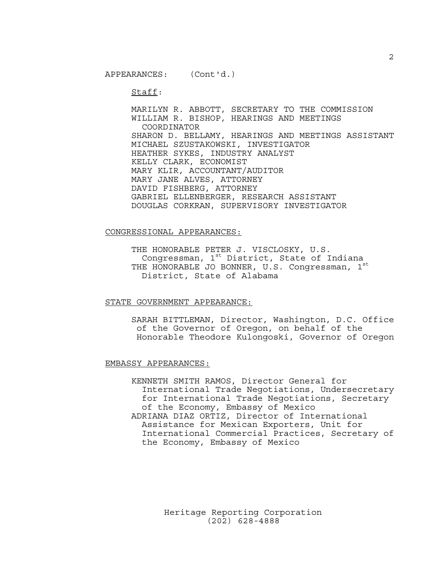Staff:

MARILYN R. ABBOTT, SECRETARY TO THE COMMISSION WILLIAM R. BISHOP, HEARINGS AND MEETINGS COORDINATOR SHARON D. BELLAMY, HEARINGS AND MEETINGS ASSISTANT MICHAEL SZUSTAKOWSKI, INVESTIGATOR HEATHER SYKES, INDUSTRY ANALYST KELLY CLARK, ECONOMIST MARY KLIR, ACCOUNTANT/AUDITOR MARY JANE ALVES, ATTORNEY DAVID FISHBERG, ATTORNEY GABRIEL ELLENBERGER, RESEARCH ASSISTANT DOUGLAS CORKRAN, SUPERVISORY INVESTIGATOR

#### CONGRESSIONAL APPEARANCES:

THE HONORABLE PETER J. VISCLOSKY, U.S. Congressman, 1st District, State of Indiana THE HONORABLE JO BONNER, U.S. Congressman,  $1<sup>s</sup>$ District, State of Alabama

STATE GOVERNMENT APPEARANCE:

SARAH BITTLEMAN, Director, Washington, D.C. Office of the Governor of Oregon, on behalf of the Honorable Theodore Kulongoski, Governor of Oregon

#### EMBASSY APPEARANCES:

KENNETH SMITH RAMOS, Director General for International Trade Negotiations, Undersecretary for International Trade Negotiations, Secretary of the Economy, Embassy of Mexico ADRIANA DIAZ ORTIZ, Director of International Assistance for Mexican Exporters, Unit for International Commercial Practices, Secretary of the Economy, Embassy of Mexico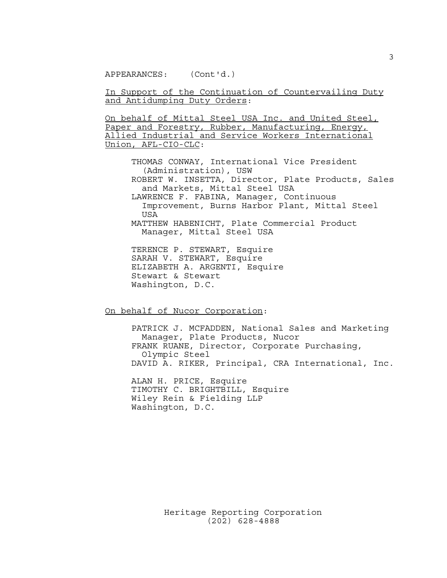In Support of the Continuation of Countervailing Duty and Antidumping Duty Orders:

On behalf of Mittal Steel USA Inc. and United Steel, Paper and Forestry, Rubber, Manufacturing, Energy, Allied Industrial and Service Workers International Union, AFL-CIO-CLC:

THOMAS CONWAY, International Vice President (Administration), USW ROBERT W. INSETTA, Director, Plate Products, Sales and Markets, Mittal Steel USA LAWRENCE F. FABINA, Manager, Continuous Improvement, Burns Harbor Plant, Mittal Steel USA MATTHEW HABENICHT, Plate Commercial Product Manager, Mittal Steel USA TERENCE P. STEWART, Esquire

SARAH V. STEWART, Esquire ELIZABETH A. ARGENTI, Esquire Stewart & Stewart Washington, D.C.

On behalf of Nucor Corporation:

PATRICK J. MCFADDEN, National Sales and Marketing Manager, Plate Products, Nucor FRANK RUANE, Director, Corporate Purchasing, Olympic Steel DAVID A. RIKER, Principal, CRA International, Inc.

ALAN H. PRICE, Esquire TIMOTHY C. BRIGHTBILL, Esquire Wiley Rein & Fielding LLP Washington, D.C.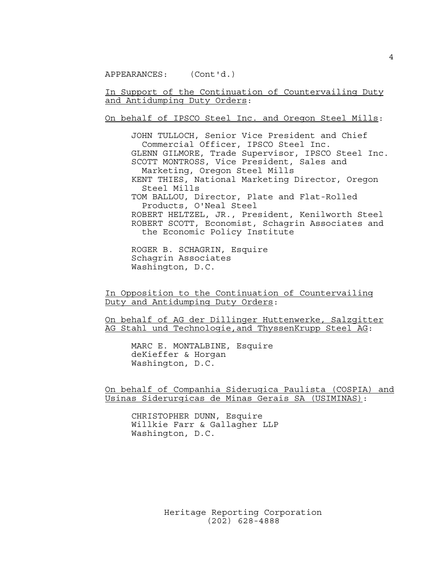In Support of the Continuation of Countervailing Duty and Antidumping Duty Orders:

On behalf of IPSCO Steel Inc. and Oregon Steel Mills:

JOHN TULLOCH, Senior Vice President and Chief Commercial Officer, IPSCO Steel Inc. GLENN GILMORE, Trade Supervisor, IPSCO Steel Inc. SCOTT MONTROSS, Vice President, Sales and Marketing, Oregon Steel Mills KENT THIES, National Marketing Director, Oregon Steel Mills TOM BALLOU, Director, Plate and Flat-Rolled Products, O'Neal Steel ROBERT HELTZEL, JR., President, Kenilworth Steel ROBERT SCOTT, Economist, Schagrin Associates and the Economic Policy Institute

ROGER B. SCHAGRIN, Esquire Schagrin Associates Washington, D.C.

In Opposition to the Continuation of Countervailing Duty and Antidumping Duty Orders:

On behalf of AG der Dillinger Huttenwerke, Salzgitter AG Stahl und Technologie,and ThyssenKrupp Steel AG:

MARC E. MONTALBINE, Esquire deKieffer & Horgan Washington, D.C.

On behalf of Companhia Siderugica Paulista (COSPIA) and Usinas Siderurgicas de Minas Gerais SA (USIMINAS):

CHRISTOPHER DUNN, Esquire Willkie Farr & Gallagher LLP Washington, D.C.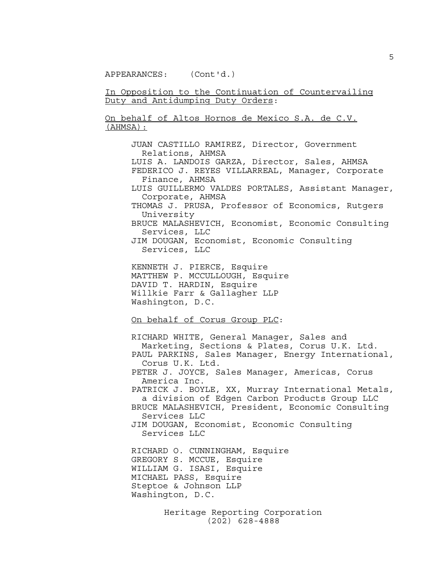In Opposition to the Continuation of Countervailing Duty and Antidumping Duty Orders:

On behalf of Altos Hornos de Mexico S.A. de C.V. (AHMSA):

> JUAN CASTILLO RAMIREZ, Director, Government Relations, AHMSA LUIS A. LANDOIS GARZA, Director, Sales, AHMSA FEDERICO J. REYES VILLARREAL, Manager, Corporate Finance, AHMSA LUIS GUILLERMO VALDES PORTALES, Assistant Manager, Corporate, AHMSA THOMAS J. PRUSA, Professor of Economics, Rutgers University BRUCE MALASHEVICH, Economist, Economic Consulting Services, LLC JIM DOUGAN, Economist, Economic Consulting Services, LLC KENNETH J. PIERCE, Esquire MATTHEW P. MCCULLOUGH, Esquire DAVID T. HARDIN, Esquire Willkie Farr & Gallagher LLP Washington, D.C. On behalf of Corus Group PLC: RICHARD WHITE, General Manager, Sales and Marketing, Sections & Plates, Corus U.K. Ltd. PAUL PARKINS, Sales Manager, Energy International, Corus U.K. Ltd. PETER J. JOYCE, Sales Manager, Americas, Corus

> America Inc. PATRICK J. BOYLE, XX, Murray International Metals, a division of Edgen Carbon Products Group LLC BRUCE MALASHEVICH, President, Economic Consulting Services LLC

JIM DOUGAN, Economist, Economic Consulting Services LLC

RICHARD O. CUNNINGHAM, Esquire GREGORY S. MCCUE, Esquire WILLIAM G. ISASI, Esquire MICHAEL PASS, Esquire Steptoe & Johnson LLP Washington, D.C.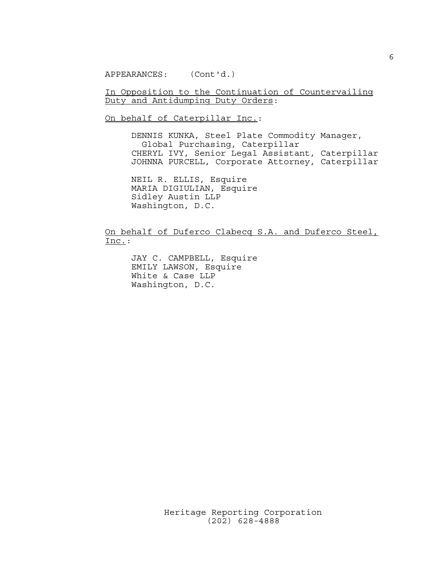In Opposition to the Continuation of Countervailing Duty and Antidumping Duty Orders:

On behalf of Caterpillar Inc.:

DENNIS KUNKA, Steel Plate Commodity Manager, Global Purchasing, Caterpillar CHERYL IVY, Senior Legal Assistant, Caterpillar JOHNNA PURCELL, Corporate Attorney, Caterpillar

NEIL R. ELLIS, Esquire MARIA DIGIULIAN, Esquire Sidley Austin LLP Washington, D.C.

On behalf of Duferco Clabecq S.A. and Duferco Steel, Inc.:

JAY C. CAMPBELL, Esquire EMILY LAWSON, Esquire White & Case LLP Washington, D.C.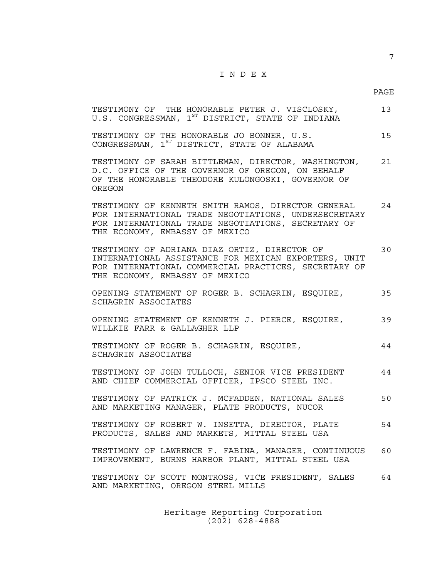## I N D E X

7

| TESTIMONY OF THE HONORABLE PETER J. VISCLOSKY,<br>U.S. CONGRESSMAN, 1ST DISTRICT, STATE OF INDIANA                                                                                                 | 13 |
|----------------------------------------------------------------------------------------------------------------------------------------------------------------------------------------------------|----|
| TESTIMONY OF THE HONORABLE JO BONNER, U.S.<br>CONGRESSMAN, 1ST DISTRICT, STATE OF ALABAMA                                                                                                          | 15 |
| TESTIMONY OF SARAH BITTLEMAN, DIRECTOR, WASHINGTON,<br>D.C. OFFICE OF THE GOVERNOR OF OREGON, ON BEHALF<br>OF THE HONORABLE THEODORE KULONGOSKI, GOVERNOR OF<br>OREGON                             | 21 |
| TESTIMONY OF KENNETH SMITH RAMOS, DIRECTOR GENERAL<br>FOR INTERNATIONAL TRADE NEGOTIATIONS, UNDERSECRETARY<br>FOR INTERNATIONAL TRADE NEGOTIATIONS, SECRETARY OF<br>THE ECONOMY, EMBASSY OF MEXICO | 24 |
| TESTIMONY OF ADRIANA DIAZ ORTIZ, DIRECTOR OF<br>INTERNATIONAL ASSISTANCE FOR MEXICAN EXPORTERS, UNIT<br>FOR INTERNATIONAL COMMERCIAL PRACTICES, SECRETARY OF<br>THE ECONOMY, EMBASSY OF MEXICO     | 30 |
| OPENING STATEMENT OF ROGER B. SCHAGRIN, ESQUIRE,<br>SCHAGRIN ASSOCIATES                                                                                                                            | 35 |
| OPENING STATEMENT OF KENNETH J. PIERCE, ESQUIRE,<br>WILLKIE FARR & GALLAGHER LLP                                                                                                                   | 39 |
| TESTIMONY OF ROGER B. SCHAGRIN, ESQUIRE,<br>SCHAGRIN ASSOCIATES                                                                                                                                    | 44 |
| TESTIMONY OF JOHN TULLOCH, SENIOR VICE PRESIDENT<br>AND CHIEF COMMERCIAL OFFICER, IPSCO STEEL INC.                                                                                                 | 44 |
| TESTIMONY OF PATRICK J. MCFADDEN, NATIONAL SALES<br>AND MARKETING MANAGER, PLATE PRODUCTS, NUCOR                                                                                                   | 50 |
| TESTIMONY OF ROBERT W. INSETTA, DIRECTOR, PLATE<br>PRODUCTS, SALES AND MARKETS, MITTAL STEEL USA                                                                                                   | 54 |
| TESTIMONY OF LAWRENCE F. FABINA, MANAGER, CONTINUOUS<br>IMPROVEMENT, BURNS HARBOR PLANT, MITTAL STEEL USA                                                                                          | 60 |
| TESTIMONY OF SCOTT MONTROSS, VICE PRESIDENT, SALES<br>AND MARKETING, OREGON STEEL MILLS                                                                                                            | 64 |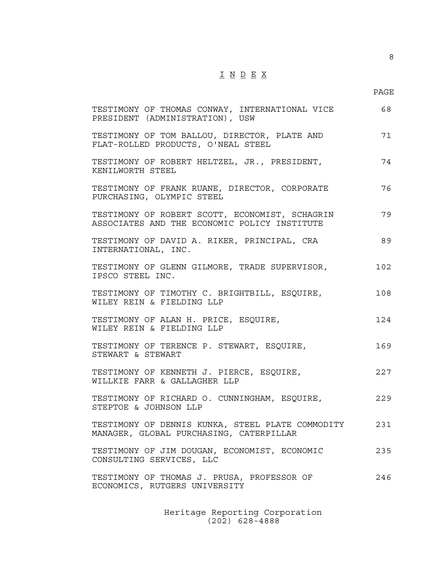# $\underline{\texttt{I}} \ \underline{\texttt{N}} \ \underline{\texttt{D}} \ \underline{\texttt{E}} \ \underline{\texttt{X}}$

PAGE

8

| TESTIMONY OF THOMAS CONWAY, INTERNATIONAL VICE<br>PRESIDENT (ADMINISTRATION), USW              | 68  |
|------------------------------------------------------------------------------------------------|-----|
| TESTIMONY OF TOM BALLOU, DIRECTOR, PLATE AND<br>FLAT-ROLLED PRODUCTS, O'NEAL STEEL             | 71  |
| TESTIMONY OF ROBERT HELTZEL, JR., PRESIDENT,<br>KENILWORTH STEEL                               | 74  |
| TESTIMONY OF FRANK RUANE, DIRECTOR, CORPORATE<br>PURCHASING, OLYMPIC STEEL                     | 76  |
| TESTIMONY OF ROBERT SCOTT, ECONOMIST, SCHAGRIN<br>ASSOCIATES AND THE ECONOMIC POLICY INSTITUTE | 79  |
| TESTIMONY OF DAVID A. RIKER, PRINCIPAL, CRA<br>INTERNATIONAL, INC.                             | 89  |
| TESTIMONY OF GLENN GILMORE, TRADE SUPERVISOR,<br>IPSCO STEEL INC.                              | 102 |
| TESTIMONY OF TIMOTHY C. BRIGHTBILL, ESQUIRE,<br>WILEY REIN & FIELDING LLP                      | 108 |
| TESTIMONY OF ALAN H. PRICE, ESQUIRE,<br>WILEY REIN & FIELDING LLP                              | 124 |
| TESTIMONY OF TERENCE P. STEWART, ESQUIRE,<br>STEWART & STEWART                                 | 169 |
| TESTIMONY OF KENNETH J. PIERCE, ESQUIRE,<br>WILLKIE FARR & GALLAGHER LLP                       | 227 |
| TESTIMONY OF RICHARD O. CUNNINGHAM, ESQUIRE,<br>STEPTOE & JOHNSON LLP                          | 229 |
| TESTIMONY OF DENNIS KUNKA, STEEL PLATE COMMODITY<br>MANAGER, GLOBAL PURCHASING, CATERPILLAR    | 231 |
| TESTIMONY OF JIM DOUGAN, ECONOMIST, ECONOMIC<br>CONSULTING SERVICES, LLC                       | 235 |
| TESTIMONY OF THOMAS J. PRUSA, PROFESSOR OF<br>ECONOMICS, RUTGERS UNIVERSITY                    | 246 |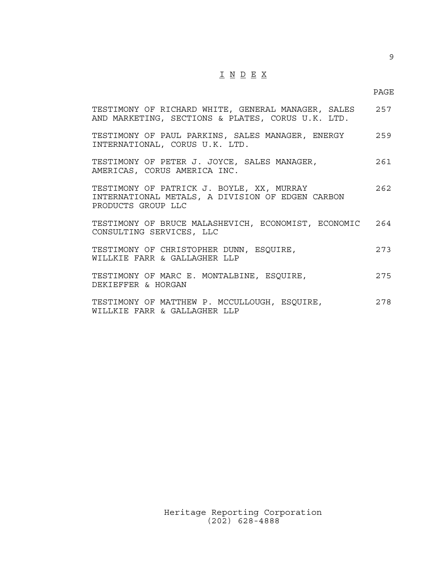# $\underline{\texttt{I}} \underline{\texttt{N}} \underline{\texttt{D}} \underline{\texttt{E}} \underline{\texttt{X}}$

9

| TESTIMONY OF RICHARD WHITE, GENERAL MANAGER, SALES<br>AND MARKETING, SECTIONS & PLATES, CORUS U.K. LTD.             | 257 |
|---------------------------------------------------------------------------------------------------------------------|-----|
| TESTIMONY OF PAUL PARKINS, SALES MANAGER, ENERGY 259<br>INTERNATIONAL, CORUS U.K. LTD.                              |     |
| TESTIMONY OF PETER J. JOYCE, SALES MANAGER,<br>AMERICAS, CORUS AMERICA INC.                                         | 261 |
| TESTIMONY OF PATRICK J. BOYLE, XX, MURRAY<br>INTERNATIONAL METALS, A DIVISION OF EDGEN CARBON<br>PRODUCTS GROUP LLC | 262 |
| TESTIMONY OF BRUCE MALASHEVICH, ECONOMIST, ECONOMIC 264<br>CONSULTING SERVICES, LLC                                 |     |
| TESTIMONY OF CHRISTOPHER DUNN, ESQUIRE,<br>WILLKIE FARR & GALLAGHER LLP                                             | 273 |
| TESTIMONY OF MARC E. MONTALBINE, ESQUIRE,<br>DEKIEFFER & HORGAN                                                     | 275 |
| TESTIMONY OF MATTHEW P. MCCULLOUGH, ESQUIRE,<br>WILLKIE FARR & GALLAGHER LLP                                        | 278 |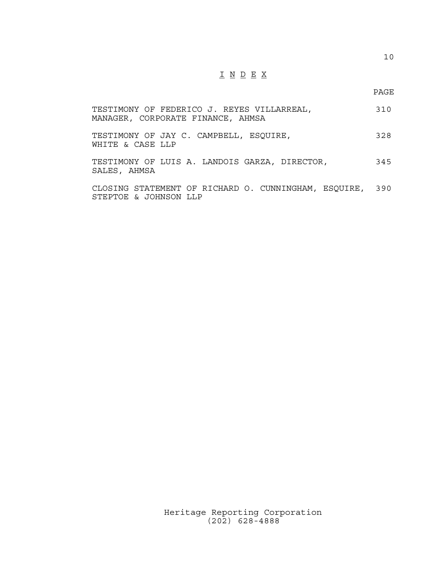## I N D E X

10

| TESTIMONY OF FEDERICO J. REYES VILLARREAL,<br>MANAGER, CORPORATE FINANCE, AHMSA   | 310 |
|-----------------------------------------------------------------------------------|-----|
| TESTIMONY OF JAY C. CAMPBELL, ESQUIRE,<br>WHITE & CASE LLP                        | 328 |
| TESTIMONY OF LUIS A. LANDOIS GARZA, DIRECTOR,<br>SALES, AHMSA                     | 345 |
| CLOSING STATEMENT OF RICHARD O. CUNNINGHAM, ESQUIRE, 390<br>STEPTOE & JOHNSON LLP |     |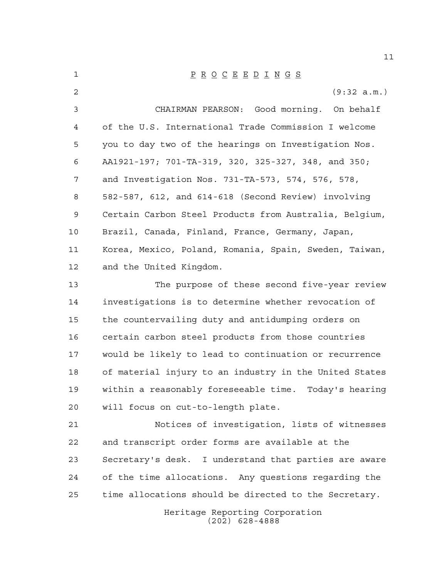| 1  | $\underline{P} \underline{R} \underline{O} \underline{C} \underline{E} \underline{E} \underline{D} \underline{I} \underline{N} \underline{G} \underline{S}$ |
|----|-------------------------------------------------------------------------------------------------------------------------------------------------------------|
| 2  | (9:32 a.m.)                                                                                                                                                 |
| 3  | CHAIRMAN PEARSON: Good morning. On behalf                                                                                                                   |
| 4  | of the U.S. International Trade Commission I welcome                                                                                                        |
| 5  | you to day two of the hearings on Investigation Nos.                                                                                                        |
| 6  | AA1921-197; 701-TA-319, 320, 325-327, 348, and 350;                                                                                                         |
| 7  | and Investigation Nos. 731-TA-573, 574, 576, 578,                                                                                                           |
| 8  | 582-587, 612, and 614-618 (Second Review) involving                                                                                                         |
| 9  | Certain Carbon Steel Products from Australia, Belgium,                                                                                                      |
| 10 | Brazil, Canada, Finland, France, Germany, Japan,                                                                                                            |
| 11 | Korea, Mexico, Poland, Romania, Spain, Sweden, Taiwan,                                                                                                      |
| 12 | and the United Kingdom.                                                                                                                                     |
| 13 | The purpose of these second five-year review                                                                                                                |
| 14 | investigations is to determine whether revocation of                                                                                                        |
| 15 | the countervailing duty and antidumping orders on                                                                                                           |
| 16 | certain carbon steel products from those countries                                                                                                          |
| 17 | would be likely to lead to continuation or recurrence                                                                                                       |
| 18 | of material injury to an industry in the United States                                                                                                      |
| 19 | within a reasonably foreseeable time. Today's hearing                                                                                                       |
| 20 | will focus on cut-to-length plate.                                                                                                                          |
| 21 | Notices of investigation, lists of witnesses                                                                                                                |
| 22 | and transcript order forms are available at the                                                                                                             |
| 23 | Secretary's desk. I understand that parties are aware                                                                                                       |
| 24 | of the time allocations. Any questions regarding the                                                                                                        |
| 25 | time allocations should be directed to the Secretary.                                                                                                       |
|    | Heritage Reporting Corporation                                                                                                                              |

(202) 628-4888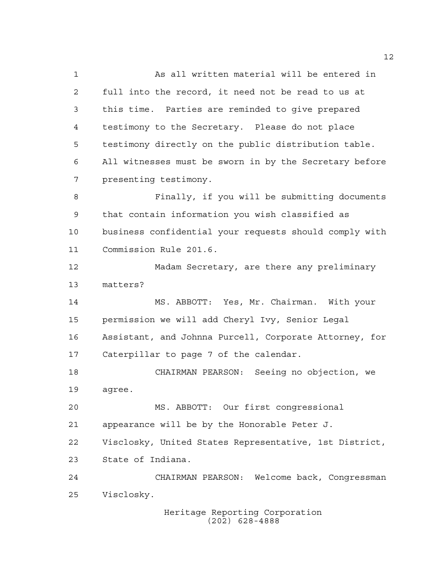As all written material will be entered in full into the record, it need not be read to us at this time. Parties are reminded to give prepared testimony to the Secretary. Please do not place testimony directly on the public distribution table. All witnesses must be sworn in by the Secretary before presenting testimony. Finally, if you will be submitting documents that contain information you wish classified as business confidential your requests should comply with Commission Rule 201.6. Madam Secretary, are there any preliminary matters? MS. ABBOTT: Yes, Mr. Chairman. With your permission we will add Cheryl Ivy, Senior Legal Assistant, and Johnna Purcell, Corporate Attorney, for Caterpillar to page 7 of the calendar. CHAIRMAN PEARSON: Seeing no objection, we agree. MS. ABBOTT: Our first congressional appearance will be by the Honorable Peter J. Visclosky, United States Representative, 1st District, State of Indiana. CHAIRMAN PEARSON: Welcome back, Congressman Visclosky.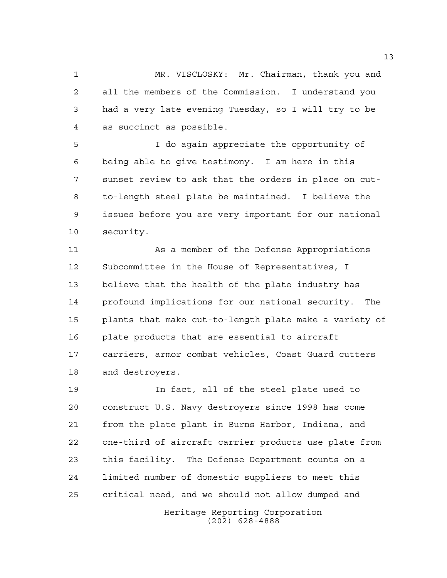MR. VISCLOSKY: Mr. Chairman, thank you and all the members of the Commission. I understand you had a very late evening Tuesday, so I will try to be as succinct as possible.

 I do again appreciate the opportunity of being able to give testimony. I am here in this sunset review to ask that the orders in place on cut- to-length steel plate be maintained. I believe the issues before you are very important for our national security.

 As a member of the Defense Appropriations Subcommittee in the House of Representatives, I believe that the health of the plate industry has profound implications for our national security. The plants that make cut-to-length plate make a variety of plate products that are essential to aircraft carriers, armor combat vehicles, Coast Guard cutters and destroyers.

 In fact, all of the steel plate used to construct U.S. Navy destroyers since 1998 has come from the plate plant in Burns Harbor, Indiana, and one-third of aircraft carrier products use plate from this facility. The Defense Department counts on a limited number of domestic suppliers to meet this critical need, and we should not allow dumped and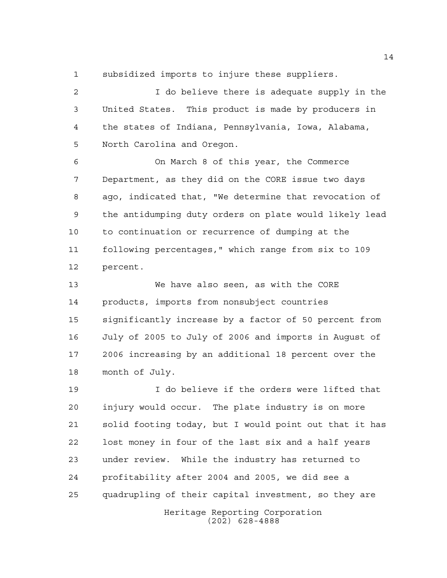subsidized imports to injure these suppliers.

 I do believe there is adequate supply in the United States. This product is made by producers in the states of Indiana, Pennsylvania, Iowa, Alabama, North Carolina and Oregon.

 On March 8 of this year, the Commerce Department, as they did on the CORE issue two days ago, indicated that, "We determine that revocation of the antidumping duty orders on plate would likely lead to continuation or recurrence of dumping at the following percentages," which range from six to 109 percent.

 We have also seen, as with the CORE products, imports from nonsubject countries significantly increase by a factor of 50 percent from July of 2005 to July of 2006 and imports in August of 2006 increasing by an additional 18 percent over the month of July.

Heritage Reporting Corporation I do believe if the orders were lifted that injury would occur. The plate industry is on more solid footing today, but I would point out that it has lost money in four of the last six and a half years under review. While the industry has returned to profitability after 2004 and 2005, we did see a quadrupling of their capital investment, so they are

(202) 628-4888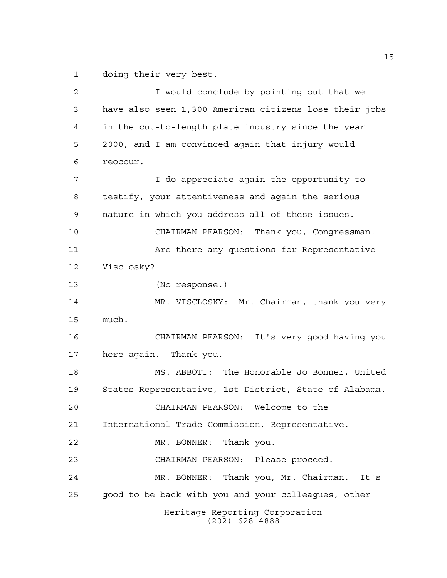doing their very best.

Heritage Reporting Corporation (202) 628-4888 I would conclude by pointing out that we have also seen 1,300 American citizens lose their jobs in the cut-to-length plate industry since the year 2000, and I am convinced again that injury would reoccur. I do appreciate again the opportunity to testify, your attentiveness and again the serious nature in which you address all of these issues. CHAIRMAN PEARSON: Thank you, Congressman. 11 Are there any questions for Representative Visclosky? (No response.) MR. VISCLOSKY: Mr. Chairman, thank you very much. CHAIRMAN PEARSON: It's very good having you here again. Thank you. MS. ABBOTT: The Honorable Jo Bonner, United States Representative, 1st District, State of Alabama. CHAIRMAN PEARSON: Welcome to the International Trade Commission, Representative. MR. BONNER: Thank you. CHAIRMAN PEARSON: Please proceed. MR. BONNER: Thank you, Mr. Chairman. It's good to be back with you and your colleagues, other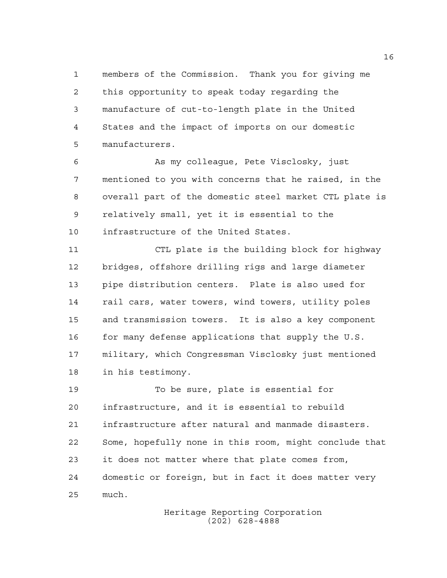members of the Commission. Thank you for giving me this opportunity to speak today regarding the manufacture of cut-to-length plate in the United States and the impact of imports on our domestic manufacturers.

 As my colleague, Pete Visclosky, just mentioned to you with concerns that he raised, in the overall part of the domestic steel market CTL plate is relatively small, yet it is essential to the infrastructure of the United States.

 CTL plate is the building block for highway bridges, offshore drilling rigs and large diameter pipe distribution centers. Plate is also used for 14 rail cars, water towers, wind towers, utility poles and transmission towers. It is also a key component 16 for many defense applications that supply the U.S. military, which Congressman Visclosky just mentioned in his testimony.

 To be sure, plate is essential for infrastructure, and it is essential to rebuild infrastructure after natural and manmade disasters. Some, hopefully none in this room, might conclude that it does not matter where that plate comes from, domestic or foreign, but in fact it does matter very much.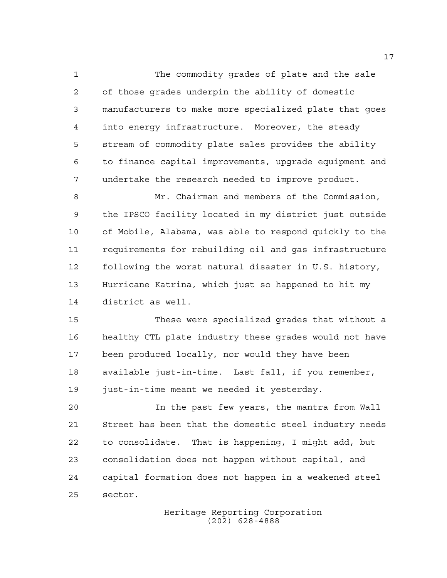The commodity grades of plate and the sale of those grades underpin the ability of domestic manufacturers to make more specialized plate that goes into energy infrastructure. Moreover, the steady stream of commodity plate sales provides the ability to finance capital improvements, upgrade equipment and undertake the research needed to improve product.

 Mr. Chairman and members of the Commission, the IPSCO facility located in my district just outside of Mobile, Alabama, was able to respond quickly to the requirements for rebuilding oil and gas infrastructure following the worst natural disaster in U.S. history, Hurricane Katrina, which just so happened to hit my district as well.

 These were specialized grades that without a healthy CTL plate industry these grades would not have been produced locally, nor would they have been available just-in-time. Last fall, if you remember, 19 just-in-time meant we needed it yesterday.

 In the past few years, the mantra from Wall Street has been that the domestic steel industry needs to consolidate. That is happening, I might add, but consolidation does not happen without capital, and capital formation does not happen in a weakened steel sector.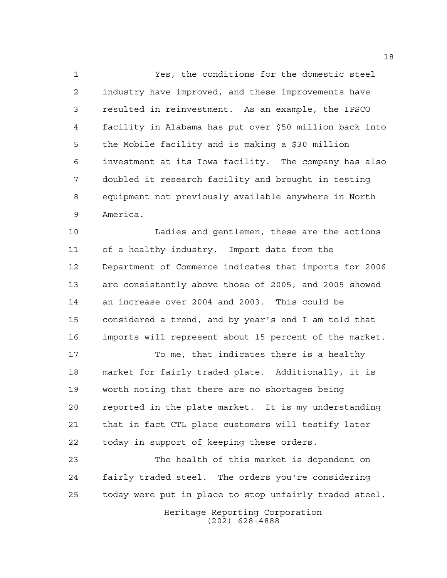Yes, the conditions for the domestic steel industry have improved, and these improvements have resulted in reinvestment. As an example, the IPSCO facility in Alabama has put over \$50 million back into the Mobile facility and is making a \$30 million investment at its Iowa facility. The company has also doubled it research facility and brought in testing equipment not previously available anywhere in North America.

 Ladies and gentlemen, these are the actions of a healthy industry. Import data from the Department of Commerce indicates that imports for 2006 are consistently above those of 2005, and 2005 showed an increase over 2004 and 2003. This could be considered a trend, and by year's end I am told that imports will represent about 15 percent of the market.

 To me, that indicates there is a healthy market for fairly traded plate. Additionally, it is worth noting that there are no shortages being reported in the plate market. It is my understanding that in fact CTL plate customers will testify later today in support of keeping these orders.

 The health of this market is dependent on fairly traded steel. The orders you're considering today were put in place to stop unfairly traded steel.

> Heritage Reporting Corporation (202) 628-4888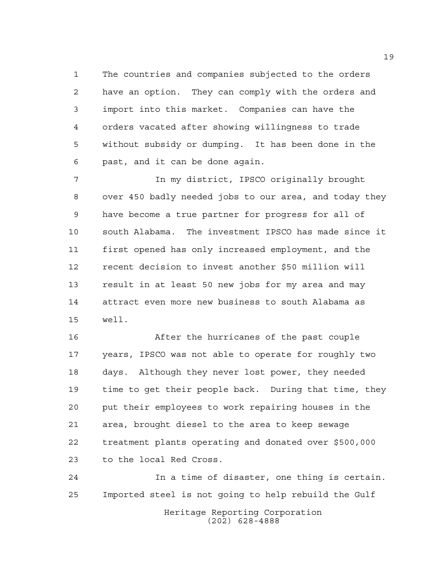The countries and companies subjected to the orders have an option. They can comply with the orders and import into this market. Companies can have the orders vacated after showing willingness to trade without subsidy or dumping. It has been done in the past, and it can be done again.

 In my district, IPSCO originally brought over 450 badly needed jobs to our area, and today they have become a true partner for progress for all of south Alabama. The investment IPSCO has made since it first opened has only increased employment, and the recent decision to invest another \$50 million will result in at least 50 new jobs for my area and may attract even more new business to south Alabama as well.

 After the hurricanes of the past couple years, IPSCO was not able to operate for roughly two days. Although they never lost power, they needed time to get their people back. During that time, they put their employees to work repairing houses in the area, brought diesel to the area to keep sewage treatment plants operating and donated over \$500,000 to the local Red Cross.

Heritage Reporting Corporation (202) 628-4888 In a time of disaster, one thing is certain. Imported steel is not going to help rebuild the Gulf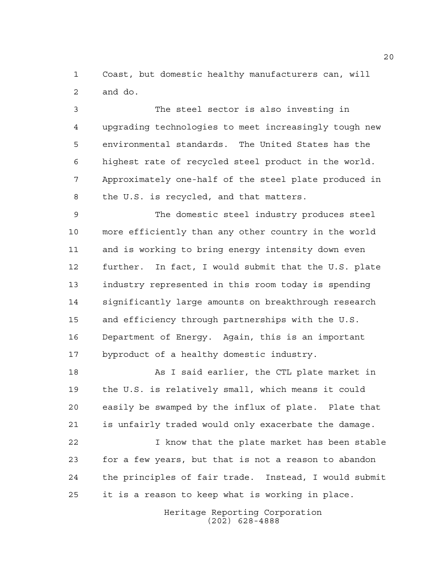Coast, but domestic healthy manufacturers can, will and do.

 The steel sector is also investing in upgrading technologies to meet increasingly tough new environmental standards. The United States has the highest rate of recycled steel product in the world. Approximately one-half of the steel plate produced in the U.S. is recycled, and that matters.

 The domestic steel industry produces steel more efficiently than any other country in the world and is working to bring energy intensity down even further. In fact, I would submit that the U.S. plate industry represented in this room today is spending significantly large amounts on breakthrough research and efficiency through partnerships with the U.S. Department of Energy. Again, this is an important byproduct of a healthy domestic industry.

18 As I said earlier, the CTL plate market in the U.S. is relatively small, which means it could easily be swamped by the influx of plate. Plate that is unfairly traded would only exacerbate the damage.

 I know that the plate market has been stable for a few years, but that is not a reason to abandon the principles of fair trade. Instead, I would submit it is a reason to keep what is working in place.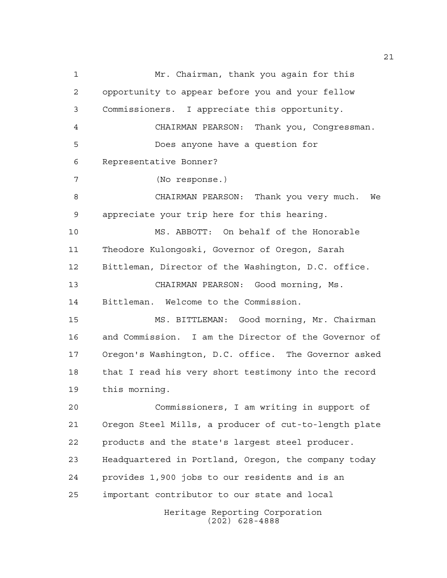Heritage Reporting Corporation (202) 628-4888 Mr. Chairman, thank you again for this opportunity to appear before you and your fellow Commissioners. I appreciate this opportunity. CHAIRMAN PEARSON: Thank you, Congressman. Does anyone have a question for Representative Bonner? (No response.) CHAIRMAN PEARSON: Thank you very much. We appreciate your trip here for this hearing. MS. ABBOTT: On behalf of the Honorable Theodore Kulongoski, Governor of Oregon, Sarah Bittleman, Director of the Washington, D.C. office. CHAIRMAN PEARSON: Good morning, Ms. Bittleman. Welcome to the Commission. MS. BITTLEMAN: Good morning, Mr. Chairman and Commission. I am the Director of the Governor of Oregon's Washington, D.C. office. The Governor asked that I read his very short testimony into the record this morning. Commissioners, I am writing in support of Oregon Steel Mills, a producer of cut-to-length plate products and the state's largest steel producer. Headquartered in Portland, Oregon, the company today provides 1,900 jobs to our residents and is an important contributor to our state and local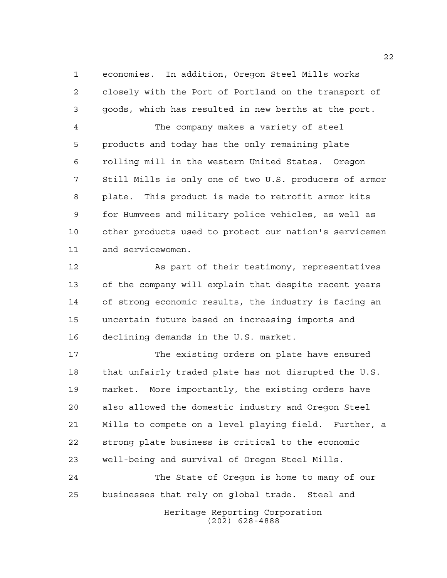economies. In addition, Oregon Steel Mills works closely with the Port of Portland on the transport of goods, which has resulted in new berths at the port.

 The company makes a variety of steel products and today has the only remaining plate rolling mill in the western United States. Oregon Still Mills is only one of two U.S. producers of armor plate. This product is made to retrofit armor kits for Humvees and military police vehicles, as well as other products used to protect our nation's servicemen and servicewomen.

 As part of their testimony, representatives of the company will explain that despite recent years of strong economic results, the industry is facing an uncertain future based on increasing imports and declining demands in the U.S. market.

 The existing orders on plate have ensured that unfairly traded plate has not disrupted the U.S. market. More importantly, the existing orders have also allowed the domestic industry and Oregon Steel Mills to compete on a level playing field. Further, a strong plate business is critical to the economic well-being and survival of Oregon Steel Mills.

Heritage Reporting Corporation (202) 628-4888 The State of Oregon is home to many of our businesses that rely on global trade. Steel and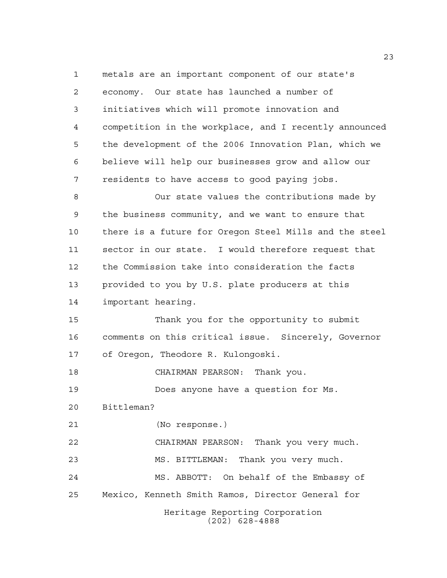Heritage Reporting Corporation (202) 628-4888 metals are an important component of our state's economy. Our state has launched a number of initiatives which will promote innovation and competition in the workplace, and I recently announced the development of the 2006 Innovation Plan, which we believe will help our businesses grow and allow our residents to have access to good paying jobs. Our state values the contributions made by the business community, and we want to ensure that there is a future for Oregon Steel Mills and the steel sector in our state. I would therefore request that the Commission take into consideration the facts provided to you by U.S. plate producers at this important hearing. Thank you for the opportunity to submit comments on this critical issue. Sincerely, Governor of Oregon, Theodore R. Kulongoski. CHAIRMAN PEARSON: Thank you. Does anyone have a question for Ms. Bittleman? (No response.) CHAIRMAN PEARSON: Thank you very much. MS. BITTLEMAN: Thank you very much. MS. ABBOTT: On behalf of the Embassy of Mexico, Kenneth Smith Ramos, Director General for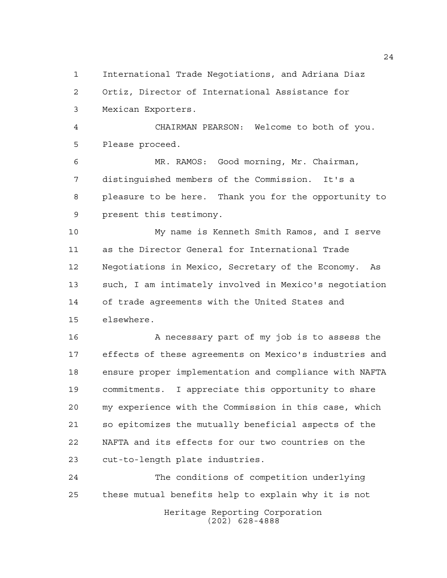International Trade Negotiations, and Adriana Diaz

Ortiz, Director of International Assistance for

Mexican Exporters.

 CHAIRMAN PEARSON: Welcome to both of you. Please proceed.

 MR. RAMOS: Good morning, Mr. Chairman, distinguished members of the Commission. It's a pleasure to be here. Thank you for the opportunity to present this testimony.

 My name is Kenneth Smith Ramos, and I serve as the Director General for International Trade Negotiations in Mexico, Secretary of the Economy. As such, I am intimately involved in Mexico's negotiation of trade agreements with the United States and elsewhere.

16 A necessary part of my job is to assess the effects of these agreements on Mexico's industries and ensure proper implementation and compliance with NAFTA commitments. I appreciate this opportunity to share my experience with the Commission in this case, which so epitomizes the mutually beneficial aspects of the NAFTA and its effects for our two countries on the cut-to-length plate industries.

Heritage Reporting Corporation (202) 628-4888 The conditions of competition underlying these mutual benefits help to explain why it is not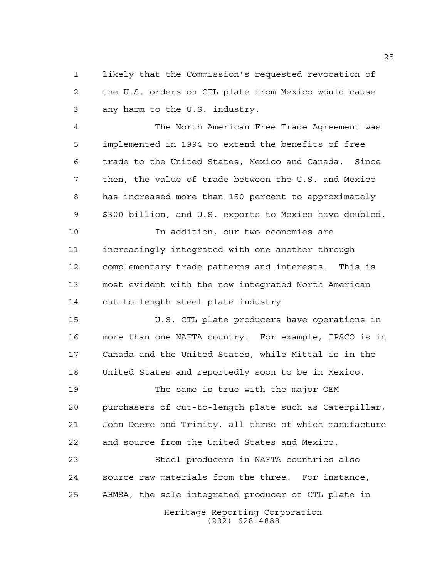likely that the Commission's requested revocation of the U.S. orders on CTL plate from Mexico would cause any harm to the U.S. industry.

 The North American Free Trade Agreement was implemented in 1994 to extend the benefits of free trade to the United States, Mexico and Canada. Since then, the value of trade between the U.S. and Mexico has increased more than 150 percent to approximately \$300 billion, and U.S. exports to Mexico have doubled.

 In addition, our two economies are increasingly integrated with one another through complementary trade patterns and interests. This is most evident with the now integrated North American cut-to-length steel plate industry

 U.S. CTL plate producers have operations in more than one NAFTA country. For example, IPSCO is in Canada and the United States, while Mittal is in the United States and reportedly soon to be in Mexico.

 The same is true with the major OEM purchasers of cut-to-length plate such as Caterpillar, John Deere and Trinity, all three of which manufacture and source from the United States and Mexico.

 Steel producers in NAFTA countries also source raw materials from the three. For instance, AHMSA, the sole integrated producer of CTL plate in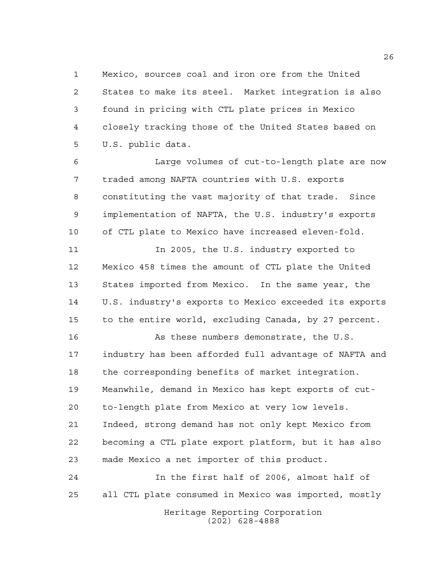Mexico, sources coal and iron ore from the United States to make its steel. Market integration is also found in pricing with CTL plate prices in Mexico closely tracking those of the United States based on U.S. public data.

 Large volumes of cut-to-length plate are now traded among NAFTA countries with U.S. exports constituting the vast majority of that trade. Since implementation of NAFTA, the U.S. industry's exports of CTL plate to Mexico have increased eleven-fold.

 In 2005, the U.S. industry exported to Mexico 458 times the amount of CTL plate the United States imported from Mexico. In the same year, the U.S. industry's exports to Mexico exceeded its exports to the entire world, excluding Canada, by 27 percent.

 As these numbers demonstrate, the U.S. industry has been afforded full advantage of NAFTA and the corresponding benefits of market integration. Meanwhile, demand in Mexico has kept exports of cut- to-length plate from Mexico at very low levels. Indeed, strong demand has not only kept Mexico from becoming a CTL plate export platform, but it has also made Mexico a net importer of this product.

Heritage Reporting Corporation (202) 628-4888 In the first half of 2006, almost half of all CTL plate consumed in Mexico was imported, mostly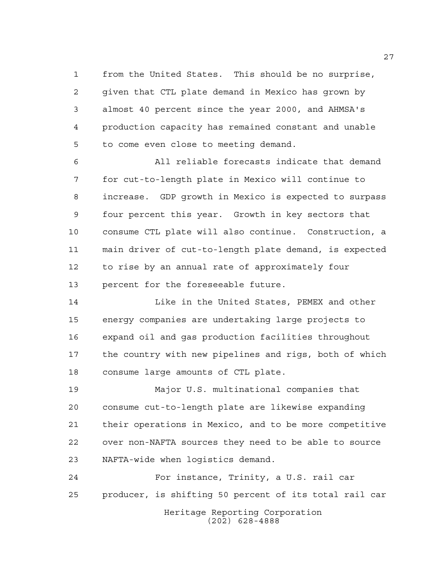from the United States. This should be no surprise, given that CTL plate demand in Mexico has grown by almost 40 percent since the year 2000, and AHMSA's production capacity has remained constant and unable to come even close to meeting demand.

 All reliable forecasts indicate that demand for cut-to-length plate in Mexico will continue to increase. GDP growth in Mexico is expected to surpass four percent this year. Growth in key sectors that consume CTL plate will also continue. Construction, a main driver of cut-to-length plate demand, is expected to rise by an annual rate of approximately four percent for the foreseeable future.

**Like in the United States, PEMEX and other**  energy companies are undertaking large projects to expand oil and gas production facilities throughout the country with new pipelines and rigs, both of which consume large amounts of CTL plate.

 Major U.S. multinational companies that consume cut-to-length plate are likewise expanding their operations in Mexico, and to be more competitive over non-NAFTA sources they need to be able to source NAFTA-wide when logistics demand.

Heritage Reporting Corporation (202) 628-4888 For instance, Trinity, a U.S. rail car producer, is shifting 50 percent of its total rail car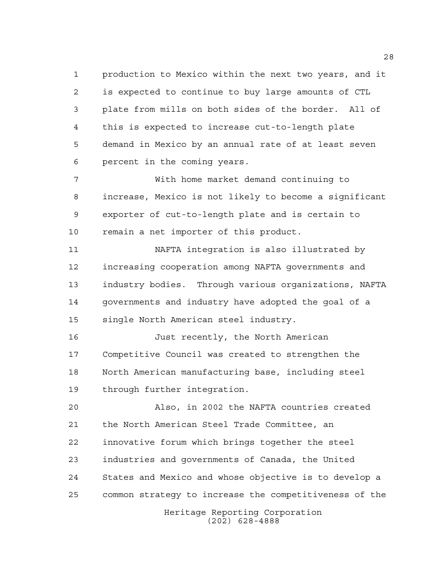production to Mexico within the next two years, and it is expected to continue to buy large amounts of CTL plate from mills on both sides of the border. All of this is expected to increase cut-to-length plate demand in Mexico by an annual rate of at least seven percent in the coming years.

 With home market demand continuing to increase, Mexico is not likely to become a significant exporter of cut-to-length plate and is certain to remain a net importer of this product.

 NAFTA integration is also illustrated by increasing cooperation among NAFTA governments and industry bodies. Through various organizations, NAFTA governments and industry have adopted the goal of a single North American steel industry.

 Just recently, the North American Competitive Council was created to strengthen the North American manufacturing base, including steel through further integration.

 Also, in 2002 the NAFTA countries created the North American Steel Trade Committee, an innovative forum which brings together the steel industries and governments of Canada, the United States and Mexico and whose objective is to develop a common strategy to increase the competitiveness of the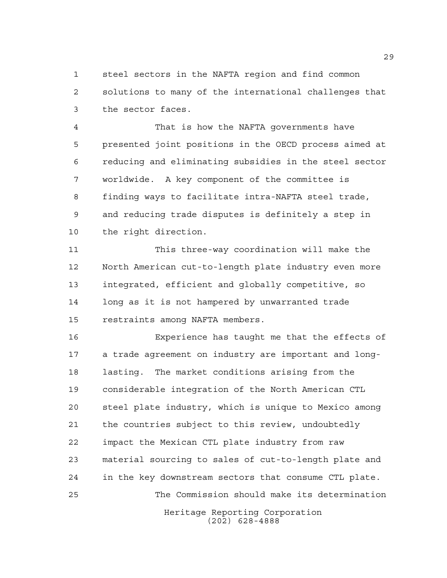steel sectors in the NAFTA region and find common solutions to many of the international challenges that the sector faces.

 That is how the NAFTA governments have presented joint positions in the OECD process aimed at reducing and eliminating subsidies in the steel sector worldwide. A key component of the committee is finding ways to facilitate intra-NAFTA steel trade, and reducing trade disputes is definitely a step in the right direction.

 This three-way coordination will make the North American cut-to-length plate industry even more integrated, efficient and globally competitive, so long as it is not hampered by unwarranted trade restraints among NAFTA members.

Heritage Reporting Corporation Experience has taught me that the effects of a trade agreement on industry are important and long- lasting. The market conditions arising from the considerable integration of the North American CTL steel plate industry, which is unique to Mexico among the countries subject to this review, undoubtedly impact the Mexican CTL plate industry from raw material sourcing to sales of cut-to-length plate and in the key downstream sectors that consume CTL plate. The Commission should make its determination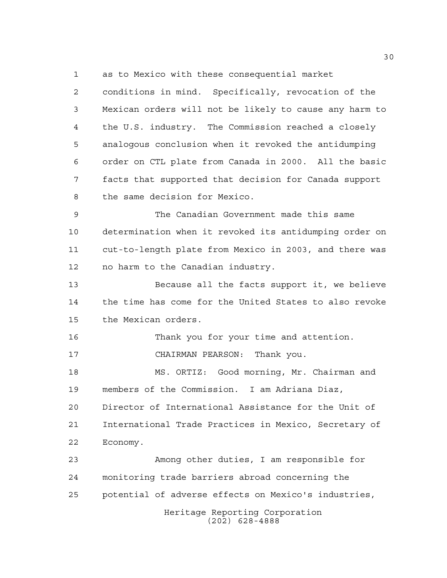as to Mexico with these consequential market

 conditions in mind. Specifically, revocation of the Mexican orders will not be likely to cause any harm to the U.S. industry. The Commission reached a closely analogous conclusion when it revoked the antidumping order on CTL plate from Canada in 2000. All the basic facts that supported that decision for Canada support the same decision for Mexico.

 The Canadian Government made this same determination when it revoked its antidumping order on cut-to-length plate from Mexico in 2003, and there was no harm to the Canadian industry.

 Because all the facts support it, we believe the time has come for the United States to also revoke the Mexican orders.

 Thank you for your time and attention. CHAIRMAN PEARSON: Thank you.

 MS. ORTIZ: Good morning, Mr. Chairman and members of the Commission. I am Adriana Diaz,

 Director of International Assistance for the Unit of International Trade Practices in Mexico, Secretary of Economy.

 Among other duties, I am responsible for monitoring trade barriers abroad concerning the potential of adverse effects on Mexico's industries,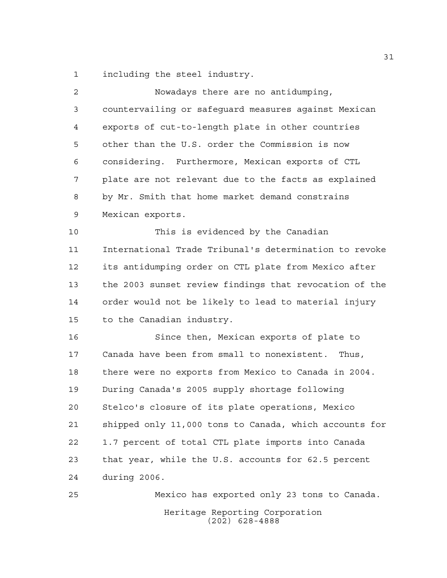including the steel industry.

| $\overline{c}$ | Nowadays there are no antidumping,                     |
|----------------|--------------------------------------------------------|
| 3              | countervailing or safeguard measures against Mexican   |
| 4              | exports of cut-to-length plate in other countries      |
| 5              | other than the U.S. order the Commission is now        |
| 6              | considering. Furthermore, Mexican exports of CTL       |
| 7              | plate are not relevant due to the facts as explained   |
| 8              | by Mr. Smith that home market demand constrains        |
| 9              | Mexican exports.                                       |
| 10             | This is evidenced by the Canadian                      |
| 11             | International Trade Tribunal's determination to revoke |
| 12             | its antidumping order on CTL plate from Mexico after   |
| 13             | the 2003 sunset review findings that revocation of the |
| 14             | order would not be likely to lead to material injury   |
| 15             | to the Canadian industry.                              |
| 16             | Since then, Mexican exports of plate to                |
| 17             | Canada have been from small to nonexistent. Thus,      |
| 18             | there were no exports from Mexico to Canada in 2004.   |
| 19             | During Canada's 2005 supply shortage following         |
| 20             | Stelco's closure of its plate operations, Mexico       |
| 21             | shipped only 11,000 tons to Canada, which accounts for |
| 22             | 1.7 percent of total CTL plate imports into Canada     |
| 23             | that year, while the U.S. accounts for 62.5 percent    |
| 24             | during 2006.                                           |
| 25             | Mexico has exported only 23 tons to Canada.            |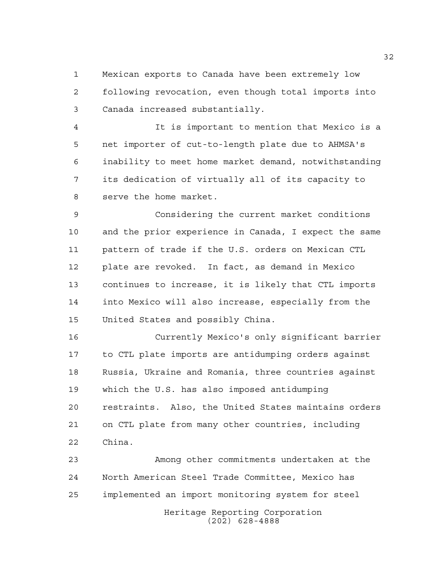Mexican exports to Canada have been extremely low following revocation, even though total imports into Canada increased substantially.

 It is important to mention that Mexico is a net importer of cut-to-length plate due to AHMSA's inability to meet home market demand, notwithstanding its dedication of virtually all of its capacity to serve the home market.

 Considering the current market conditions and the prior experience in Canada, I expect the same pattern of trade if the U.S. orders on Mexican CTL plate are revoked. In fact, as demand in Mexico continues to increase, it is likely that CTL imports into Mexico will also increase, especially from the United States and possibly China.

 Currently Mexico's only significant barrier to CTL plate imports are antidumping orders against Russia, Ukraine and Romania, three countries against which the U.S. has also imposed antidumping restraints. Also, the United States maintains orders on CTL plate from many other countries, including China.

Heritage Reporting Corporation Among other commitments undertaken at the North American Steel Trade Committee, Mexico has implemented an import monitoring system for steel

(202) 628-4888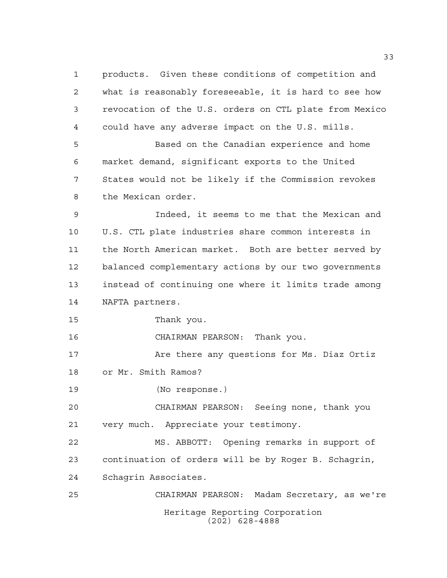Heritage Reporting Corporation (202) 628-4888 products. Given these conditions of competition and what is reasonably foreseeable, it is hard to see how revocation of the U.S. orders on CTL plate from Mexico could have any adverse impact on the U.S. mills. Based on the Canadian experience and home market demand, significant exports to the United States would not be likely if the Commission revokes the Mexican order. Indeed, it seems to me that the Mexican and U.S. CTL plate industries share common interests in the North American market. Both are better served by balanced complementary actions by our two governments instead of continuing one where it limits trade among NAFTA partners. Thank you. CHAIRMAN PEARSON: Thank you. 17 Are there any questions for Ms. Diaz Ortiz or Mr. Smith Ramos? (No response.) CHAIRMAN PEARSON: Seeing none, thank you very much. Appreciate your testimony. MS. ABBOTT: Opening remarks in support of continuation of orders will be by Roger B. Schagrin, Schagrin Associates. CHAIRMAN PEARSON: Madam Secretary, as we're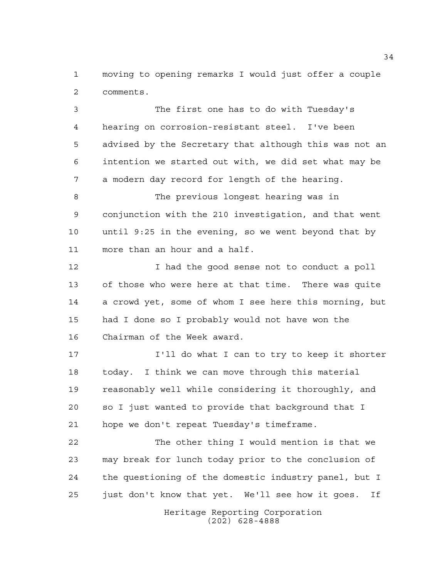moving to opening remarks I would just offer a couple comments.

 The first one has to do with Tuesday's hearing on corrosion-resistant steel. I've been advised by the Secretary that although this was not an intention we started out with, we did set what may be a modern day record for length of the hearing.

 The previous longest hearing was in conjunction with the 210 investigation, and that went until 9:25 in the evening, so we went beyond that by more than an hour and a half.

 I had the good sense not to conduct a poll of those who were here at that time. There was quite a crowd yet, some of whom I see here this morning, but had I done so I probably would not have won the Chairman of the Week award.

 I'll do what I can to try to keep it shorter today. I think we can move through this material reasonably well while considering it thoroughly, and so I just wanted to provide that background that I hope we don't repeat Tuesday's timeframe.

 The other thing I would mention is that we may break for lunch today prior to the conclusion of the questioning of the domestic industry panel, but I just don't know that yet. We'll see how it goes. If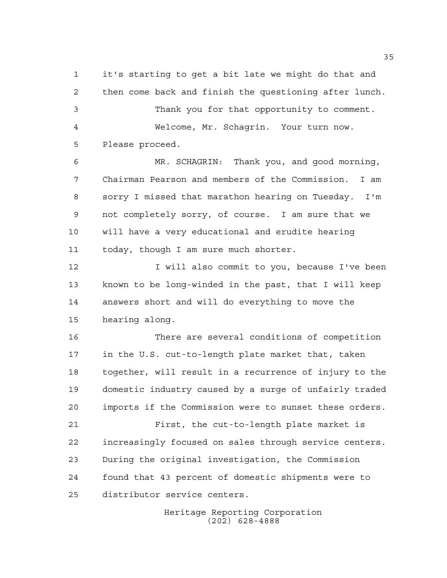it's starting to get a bit late we might do that and then come back and finish the questioning after lunch. Thank you for that opportunity to comment. Welcome, Mr. Schagrin. Your turn now. Please proceed.

 MR. SCHAGRIN: Thank you, and good morning, Chairman Pearson and members of the Commission. I am sorry I missed that marathon hearing on Tuesday. I'm not completely sorry, of course. I am sure that we will have a very educational and erudite hearing today, though I am sure much shorter.

12 I will also commit to you, because I've been known to be long-winded in the past, that I will keep answers short and will do everything to move the hearing along.

 There are several conditions of competition in the U.S. cut-to-length plate market that, taken together, will result in a recurrence of injury to the domestic industry caused by a surge of unfairly traded imports if the Commission were to sunset these orders.

 First, the cut-to-length plate market is increasingly focused on sales through service centers. During the original investigation, the Commission found that 43 percent of domestic shipments were to distributor service centers.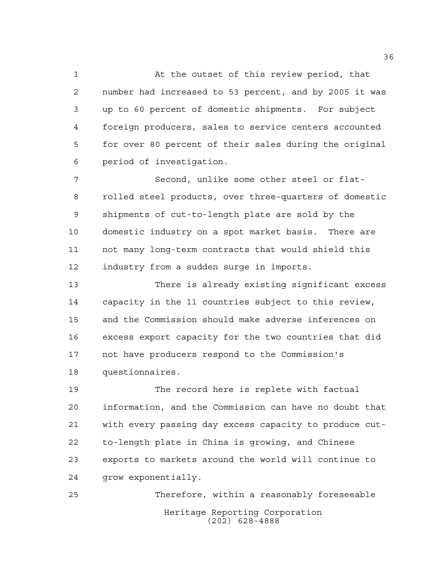At the outset of this review period, that number had increased to 53 percent, and by 2005 it was up to 60 percent of domestic shipments. For subject foreign producers, sales to service centers accounted for over 80 percent of their sales during the original period of investigation.

 Second, unlike some other steel or flat- rolled steel products, over three-quarters of domestic shipments of cut-to-length plate are sold by the domestic industry on a spot market basis. There are not many long-term contracts that would shield this industry from a sudden surge in imports.

 There is already existing significant excess capacity in the 11 countries subject to this review, and the Commission should make adverse inferences on excess export capacity for the two countries that did not have producers respond to the Commission's questionnaires.

 The record here is replete with factual information, and the Commission can have no doubt that with every passing day excess capacity to produce cut- to-length plate in China is growing, and Chinese exports to markets around the world will continue to grow exponentially.

Heritage Reporting Corporation (202) 628-4888 Therefore, within a reasonably foreseeable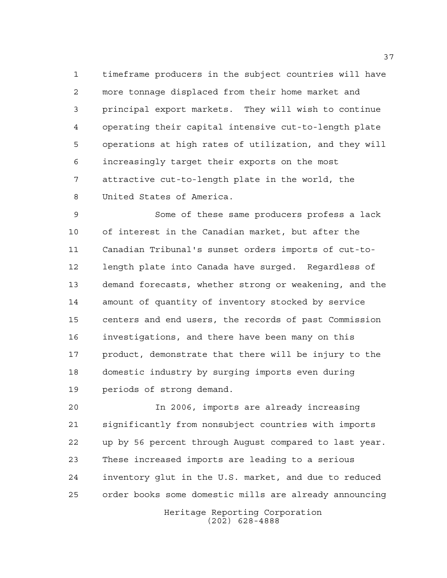timeframe producers in the subject countries will have more tonnage displaced from their home market and principal export markets. They will wish to continue operating their capital intensive cut-to-length plate operations at high rates of utilization, and they will increasingly target their exports on the most attractive cut-to-length plate in the world, the United States of America.

 Some of these same producers profess a lack of interest in the Canadian market, but after the Canadian Tribunal's sunset orders imports of cut-to- length plate into Canada have surged. Regardless of demand forecasts, whether strong or weakening, and the amount of quantity of inventory stocked by service centers and end users, the records of past Commission investigations, and there have been many on this product, demonstrate that there will be injury to the domestic industry by surging imports even during periods of strong demand.

 In 2006, imports are already increasing significantly from nonsubject countries with imports up by 56 percent through August compared to last year. These increased imports are leading to a serious inventory glut in the U.S. market, and due to reduced order books some domestic mills are already announcing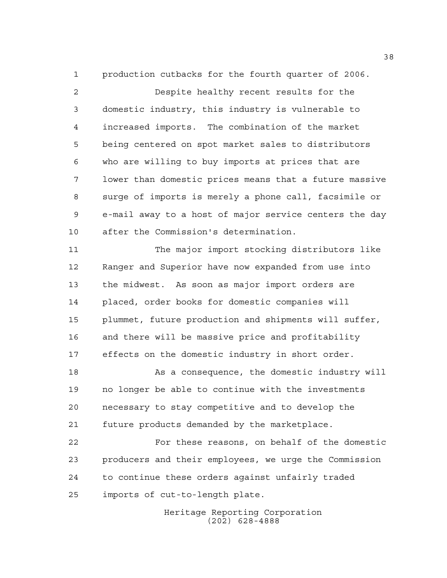production cutbacks for the fourth quarter of 2006.

 Despite healthy recent results for the domestic industry, this industry is vulnerable to increased imports. The combination of the market being centered on spot market sales to distributors who are willing to buy imports at prices that are lower than domestic prices means that a future massive surge of imports is merely a phone call, facsimile or e-mail away to a host of major service centers the day after the Commission's determination.

 The major import stocking distributors like Ranger and Superior have now expanded from use into the midwest. As soon as major import orders are placed, order books for domestic companies will plummet, future production and shipments will suffer, and there will be massive price and profitability effects on the domestic industry in short order.

 As a consequence, the domestic industry will no longer be able to continue with the investments necessary to stay competitive and to develop the future products demanded by the marketplace.

 For these reasons, on behalf of the domestic producers and their employees, we urge the Commission to continue these orders against unfairly traded imports of cut-to-length plate.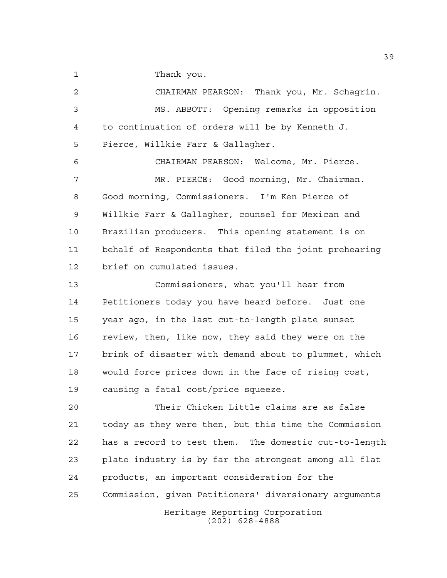Thank you.

 CHAIRMAN PEARSON: Thank you, Mr. Schagrin. MS. ABBOTT: Opening remarks in opposition to continuation of orders will be by Kenneth J. Pierce, Willkie Farr & Gallagher. CHAIRMAN PEARSON: Welcome, Mr. Pierce. MR. PIERCE: Good morning, Mr. Chairman. Good morning, Commissioners. I'm Ken Pierce of Willkie Farr & Gallagher, counsel for Mexican and Brazilian producers. This opening statement is on behalf of Respondents that filed the joint prehearing brief on cumulated issues. Commissioners, what you'll hear from Petitioners today you have heard before. Just one year ago, in the last cut-to-length plate sunset review, then, like now, they said they were on the

 brink of disaster with demand about to plummet, which would force prices down in the face of rising cost, causing a fatal cost/price squeeze.

 Their Chicken Little claims are as false today as they were then, but this time the Commission has a record to test them. The domestic cut-to-length plate industry is by far the strongest among all flat products, an important consideration for the Commission, given Petitioners' diversionary arguments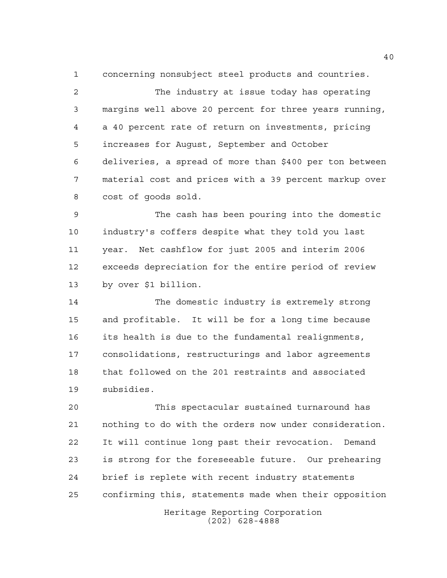concerning nonsubject steel products and countries.

 The industry at issue today has operating margins well above 20 percent for three years running, a 40 percent rate of return on investments, pricing increases for August, September and October deliveries, a spread of more than \$400 per ton between material cost and prices with a 39 percent markup over cost of goods sold.

 The cash has been pouring into the domestic industry's coffers despite what they told you last year. Net cashflow for just 2005 and interim 2006 exceeds depreciation for the entire period of review by over \$1 billion.

 The domestic industry is extremely strong and profitable. It will be for a long time because its health is due to the fundamental realignments, consolidations, restructurings and labor agreements that followed on the 201 restraints and associated subsidies.

 This spectacular sustained turnaround has nothing to do with the orders now under consideration. It will continue long past their revocation. Demand is strong for the foreseeable future. Our prehearing brief is replete with recent industry statements confirming this, statements made when their opposition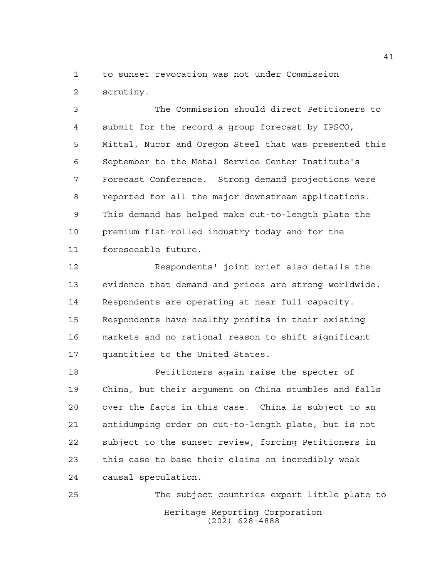to sunset revocation was not under Commission scrutiny.

 The Commission should direct Petitioners to submit for the record a group forecast by IPSCO, Mittal, Nucor and Oregon Steel that was presented this September to the Metal Service Center Institute's Forecast Conference. Strong demand projections were reported for all the major downstream applications. This demand has helped make cut-to-length plate the premium flat-rolled industry today and for the foreseeable future.

 Respondents' joint brief also details the evidence that demand and prices are strong worldwide. Respondents are operating at near full capacity. Respondents have healthy profits in their existing markets and no rational reason to shift significant quantities to the United States.

 Petitioners again raise the specter of China, but their argument on China stumbles and falls over the facts in this case. China is subject to an antidumping order on cut-to-length plate, but is not subject to the sunset review, forcing Petitioners in this case to base their claims on incredibly weak causal speculation.

Heritage Reporting Corporation (202) 628-4888 The subject countries export little plate to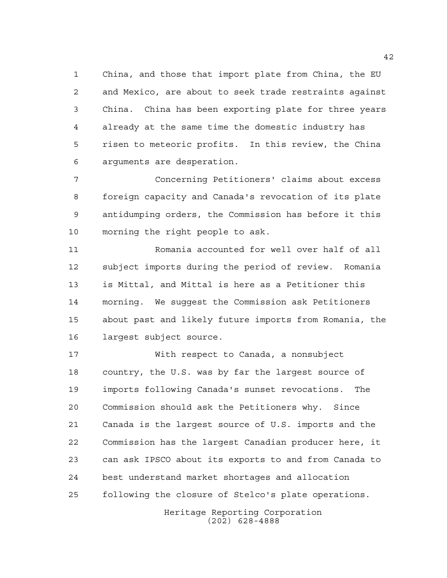China, and those that import plate from China, the EU and Mexico, are about to seek trade restraints against China. China has been exporting plate for three years already at the same time the domestic industry has risen to meteoric profits. In this review, the China arguments are desperation.

 Concerning Petitioners' claims about excess foreign capacity and Canada's revocation of its plate antidumping orders, the Commission has before it this morning the right people to ask.

 Romania accounted for well over half of all subject imports during the period of review. Romania is Mittal, and Mittal is here as a Petitioner this morning. We suggest the Commission ask Petitioners about past and likely future imports from Romania, the largest subject source.

 With respect to Canada, a nonsubject country, the U.S. was by far the largest source of imports following Canada's sunset revocations. The Commission should ask the Petitioners why. Since Canada is the largest source of U.S. imports and the Commission has the largest Canadian producer here, it can ask IPSCO about its exports to and from Canada to best understand market shortages and allocation following the closure of Stelco's plate operations.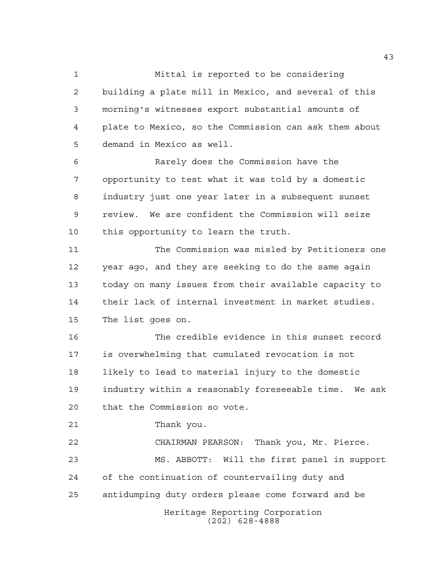Mittal is reported to be considering building a plate mill in Mexico, and several of this morning's witnesses export substantial amounts of plate to Mexico, so the Commission can ask them about demand in Mexico as well.

 Rarely does the Commission have the opportunity to test what it was told by a domestic industry just one year later in a subsequent sunset review. We are confident the Commission will seize this opportunity to learn the truth.

 The Commission was misled by Petitioners one year ago, and they are seeking to do the same again today on many issues from their available capacity to their lack of internal investment in market studies. The list goes on.

 The credible evidence in this sunset record is overwhelming that cumulated revocation is not likely to lead to material injury to the domestic industry within a reasonably foreseeable time. We ask that the Commission so vote.

Thank you.

Heritage Reporting Corporation CHAIRMAN PEARSON: Thank you, Mr. Pierce. MS. ABBOTT: Will the first panel in support of the continuation of countervailing duty and antidumping duty orders please come forward and be

(202) 628-4888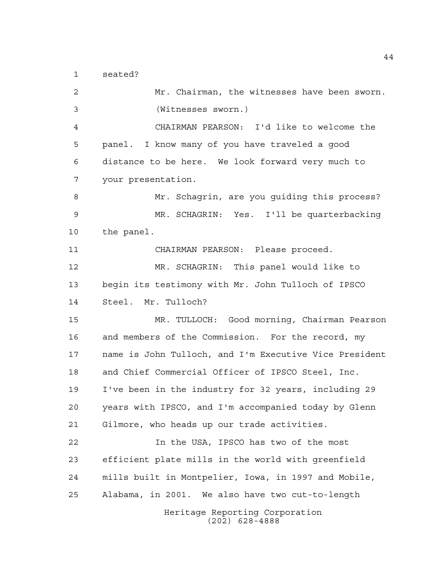seated?

Heritage Reporting Corporation (202) 628-4888 Mr. Chairman, the witnesses have been sworn. (Witnesses sworn.) CHAIRMAN PEARSON: I'd like to welcome the panel. I know many of you have traveled a good distance to be here. We look forward very much to your presentation. Mr. Schagrin, are you guiding this process? MR. SCHAGRIN: Yes. I'll be quarterbacking the panel. CHAIRMAN PEARSON: Please proceed. MR. SCHAGRIN: This panel would like to begin its testimony with Mr. John Tulloch of IPSCO Steel. Mr. Tulloch? MR. TULLOCH: Good morning, Chairman Pearson and members of the Commission. For the record, my name is John Tulloch, and I'm Executive Vice President and Chief Commercial Officer of IPSCO Steel, Inc. I've been in the industry for 32 years, including 29 years with IPSCO, and I'm accompanied today by Glenn Gilmore, who heads up our trade activities. In the USA, IPSCO has two of the most efficient plate mills in the world with greenfield mills built in Montpelier, Iowa, in 1997 and Mobile, Alabama, in 2001. We also have two cut-to-length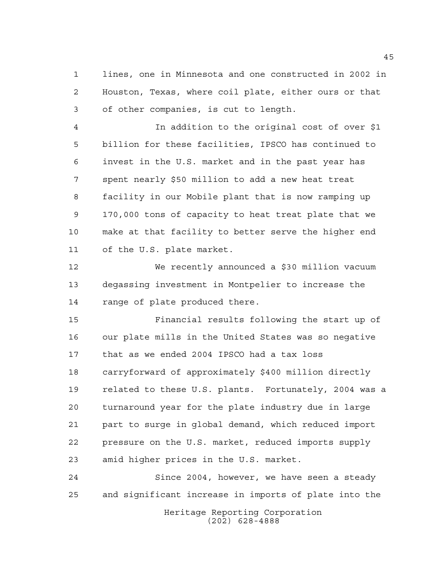lines, one in Minnesota and one constructed in 2002 in Houston, Texas, where coil plate, either ours or that of other companies, is cut to length.

 In addition to the original cost of over \$1 billion for these facilities, IPSCO has continued to invest in the U.S. market and in the past year has spent nearly \$50 million to add a new heat treat facility in our Mobile plant that is now ramping up 170,000 tons of capacity to heat treat plate that we make at that facility to better serve the higher end of the U.S. plate market.

 We recently announced a \$30 million vacuum degassing investment in Montpelier to increase the range of plate produced there.

 Financial results following the start up of our plate mills in the United States was so negative that as we ended 2004 IPSCO had a tax loss carryforward of approximately \$400 million directly related to these U.S. plants. Fortunately, 2004 was a turnaround year for the plate industry due in large part to surge in global demand, which reduced import pressure on the U.S. market, reduced imports supply amid higher prices in the U.S. market.

 Since 2004, however, we have seen a steady and significant increase in imports of plate into the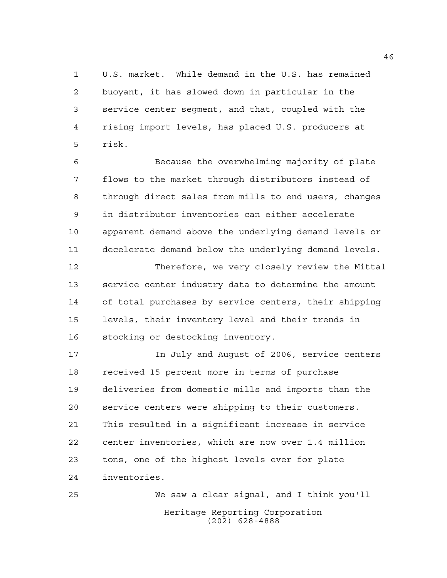U.S. market. While demand in the U.S. has remained buoyant, it has slowed down in particular in the service center segment, and that, coupled with the rising import levels, has placed U.S. producers at risk.

 Because the overwhelming majority of plate flows to the market through distributors instead of through direct sales from mills to end users, changes in distributor inventories can either accelerate apparent demand above the underlying demand levels or decelerate demand below the underlying demand levels.

 Therefore, we very closely review the Mittal service center industry data to determine the amount of total purchases by service centers, their shipping levels, their inventory level and their trends in stocking or destocking inventory.

 In July and August of 2006, service centers received 15 percent more in terms of purchase deliveries from domestic mills and imports than the service centers were shipping to their customers. This resulted in a significant increase in service center inventories, which are now over 1.4 million tons, one of the highest levels ever for plate inventories.

Heritage Reporting Corporation (202) 628-4888 We saw a clear signal, and I think you'll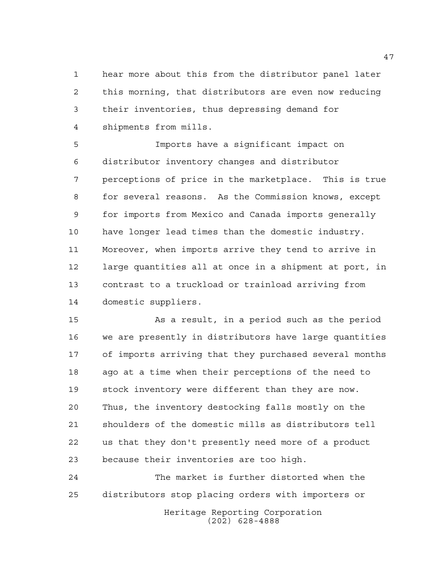hear more about this from the distributor panel later this morning, that distributors are even now reducing their inventories, thus depressing demand for shipments from mills.

 Imports have a significant impact on distributor inventory changes and distributor perceptions of price in the marketplace. This is true for several reasons. As the Commission knows, except for imports from Mexico and Canada imports generally have longer lead times than the domestic industry. Moreover, when imports arrive they tend to arrive in large quantities all at once in a shipment at port, in contrast to a truckload or trainload arriving from domestic suppliers.

 As a result, in a period such as the period we are presently in distributors have large quantities of imports arriving that they purchased several months ago at a time when their perceptions of the need to stock inventory were different than they are now. Thus, the inventory destocking falls mostly on the shoulders of the domestic mills as distributors tell us that they don't presently need more of a product because their inventories are too high.

Heritage Reporting Corporation (202) 628-4888 The market is further distorted when the distributors stop placing orders with importers or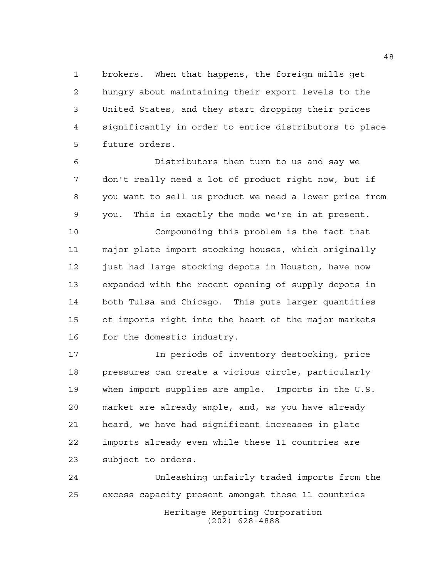brokers. When that happens, the foreign mills get hungry about maintaining their export levels to the United States, and they start dropping their prices significantly in order to entice distributors to place future orders.

 Distributors then turn to us and say we don't really need a lot of product right now, but if you want to sell us product we need a lower price from you. This is exactly the mode we're in at present.

 Compounding this problem is the fact that major plate import stocking houses, which originally 12 just had large stocking depots in Houston, have now expanded with the recent opening of supply depots in both Tulsa and Chicago. This puts larger quantities of imports right into the heart of the major markets 16 for the domestic industry.

 In periods of inventory destocking, price pressures can create a vicious circle, particularly when import supplies are ample. Imports in the U.S. market are already ample, and, as you have already heard, we have had significant increases in plate imports already even while these 11 countries are subject to orders.

Heritage Reporting Corporation (202) 628-4888 Unleashing unfairly traded imports from the excess capacity present amongst these 11 countries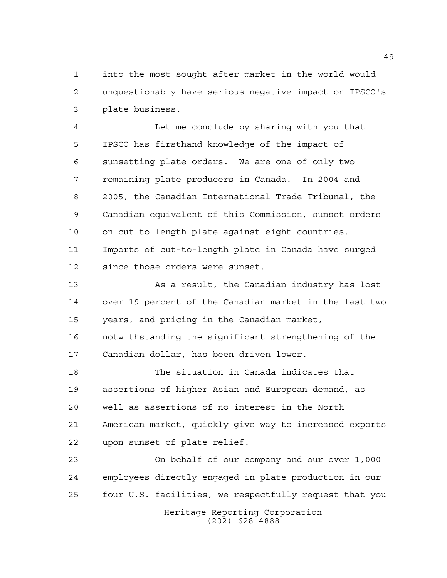into the most sought after market in the world would unquestionably have serious negative impact on IPSCO's plate business.

 Let me conclude by sharing with you that IPSCO has firsthand knowledge of the impact of sunsetting plate orders. We are one of only two remaining plate producers in Canada. In 2004 and 2005, the Canadian International Trade Tribunal, the Canadian equivalent of this Commission, sunset orders on cut-to-length plate against eight countries. Imports of cut-to-length plate in Canada have surged since those orders were sunset.

 As a result, the Canadian industry has lost over 19 percent of the Canadian market in the last two years, and pricing in the Canadian market,

 notwithstanding the significant strengthening of the Canadian dollar, has been driven lower.

 The situation in Canada indicates that assertions of higher Asian and European demand, as well as assertions of no interest in the North American market, quickly give way to increased exports upon sunset of plate relief.

 On behalf of our company and our over 1,000 employees directly engaged in plate production in our four U.S. facilities, we respectfully request that you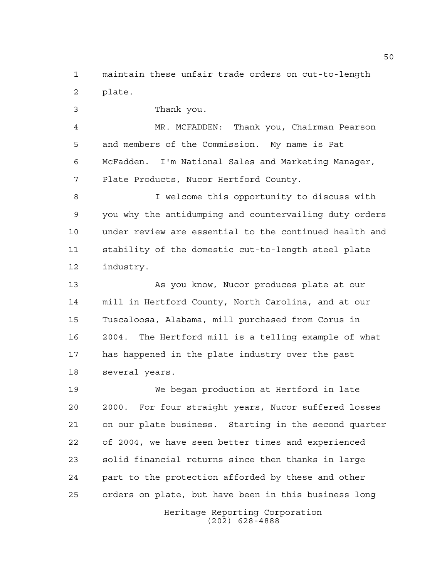maintain these unfair trade orders on cut-to-length plate.

Thank you.

 MR. MCFADDEN: Thank you, Chairman Pearson and members of the Commission. My name is Pat McFadden. I'm National Sales and Marketing Manager, Plate Products, Nucor Hertford County.

 I welcome this opportunity to discuss with you why the antidumping and countervailing duty orders under review are essential to the continued health and stability of the domestic cut-to-length steel plate industry.

 As you know, Nucor produces plate at our mill in Hertford County, North Carolina, and at our Tuscaloosa, Alabama, mill purchased from Corus in 2004. The Hertford mill is a telling example of what has happened in the plate industry over the past several years.

 We began production at Hertford in late 2000. For four straight years, Nucor suffered losses on our plate business. Starting in the second quarter of 2004, we have seen better times and experienced solid financial returns since then thanks in large part to the protection afforded by these and other orders on plate, but have been in this business long

> Heritage Reporting Corporation (202) 628-4888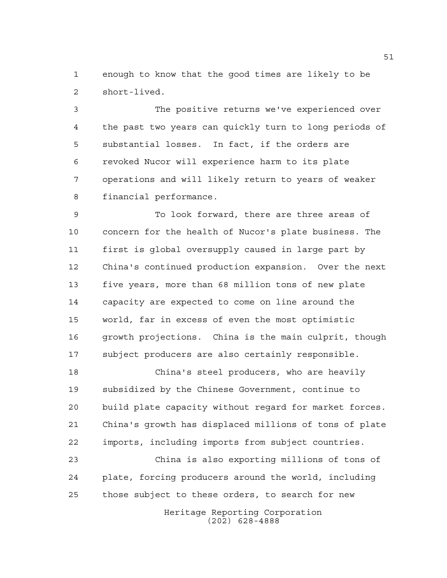enough to know that the good times are likely to be short-lived.

 The positive returns we've experienced over the past two years can quickly turn to long periods of substantial losses. In fact, if the orders are revoked Nucor will experience harm to its plate operations and will likely return to years of weaker financial performance.

 To look forward, there are three areas of concern for the health of Nucor's plate business. The first is global oversupply caused in large part by China's continued production expansion. Over the next five years, more than 68 million tons of new plate capacity are expected to come on line around the world, far in excess of even the most optimistic growth projections. China is the main culprit, though subject producers are also certainly responsible.

 China's steel producers, who are heavily subsidized by the Chinese Government, continue to build plate capacity without regard for market forces. China's growth has displaced millions of tons of plate imports, including imports from subject countries.

 China is also exporting millions of tons of plate, forcing producers around the world, including those subject to these orders, to search for new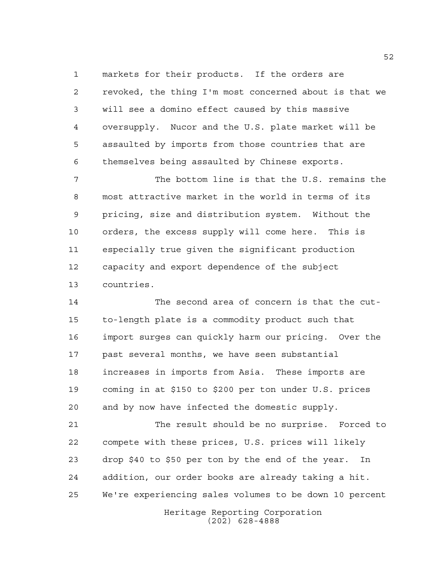markets for their products. If the orders are revoked, the thing I'm most concerned about is that we will see a domino effect caused by this massive oversupply. Nucor and the U.S. plate market will be assaulted by imports from those countries that are themselves being assaulted by Chinese exports.

 The bottom line is that the U.S. remains the most attractive market in the world in terms of its pricing, size and distribution system. Without the orders, the excess supply will come here. This is especially true given the significant production capacity and export dependence of the subject countries.

 The second area of concern is that the cut- to-length plate is a commodity product such that import surges can quickly harm our pricing. Over the past several months, we have seen substantial increases in imports from Asia. These imports are coming in at \$150 to \$200 per ton under U.S. prices and by now have infected the domestic supply.

 The result should be no surprise. Forced to compete with these prices, U.S. prices will likely drop \$40 to \$50 per ton by the end of the year. In addition, our order books are already taking a hit. We're experiencing sales volumes to be down 10 percent

Heritage Reporting Corporation (202) 628-4888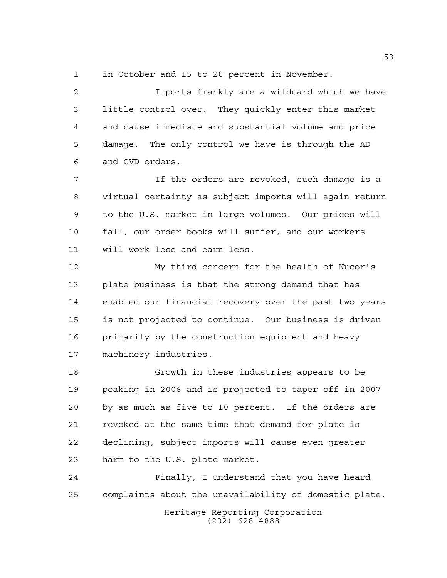in October and 15 to 20 percent in November.

 Imports frankly are a wildcard which we have little control over. They quickly enter this market and cause immediate and substantial volume and price damage. The only control we have is through the AD and CVD orders.

 If the orders are revoked, such damage is a virtual certainty as subject imports will again return to the U.S. market in large volumes. Our prices will fall, our order books will suffer, and our workers will work less and earn less.

 My third concern for the health of Nucor's plate business is that the strong demand that has enabled our financial recovery over the past two years is not projected to continue. Our business is driven primarily by the construction equipment and heavy machinery industries.

 Growth in these industries appears to be peaking in 2006 and is projected to taper off in 2007 by as much as five to 10 percent. If the orders are revoked at the same time that demand for plate is declining, subject imports will cause even greater harm to the U.S. plate market.

 Finally, I understand that you have heard complaints about the unavailability of domestic plate.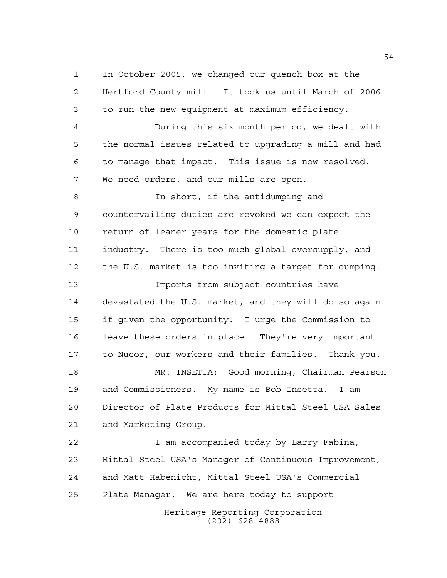In October 2005, we changed our quench box at the Hertford County mill. It took us until March of 2006 to run the new equipment at maximum efficiency.

 During this six month period, we dealt with the normal issues related to upgrading a mill and had to manage that impact. This issue is now resolved. We need orders, and our mills are open.

 In short, if the antidumping and countervailing duties are revoked we can expect the return of leaner years for the domestic plate industry. There is too much global oversupply, and the U.S. market is too inviting a target for dumping. Imports from subject countries have devastated the U.S. market, and they will do so again if given the opportunity. I urge the Commission to leave these orders in place. They're very important to Nucor, our workers and their families. Thank you. MR. INSETTA: Good morning, Chairman Pearson and Commissioners. My name is Bob Insetta. I am Director of Plate Products for Mittal Steel USA Sales and Marketing Group.

 I am accompanied today by Larry Fabina, Mittal Steel USA's Manager of Continuous Improvement, and Matt Habenicht, Mittal Steel USA's Commercial Plate Manager. We are here today to support

Heritage Reporting Corporation (202) 628-4888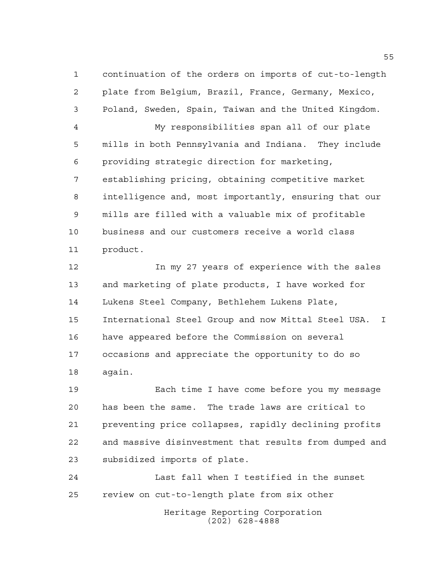continuation of the orders on imports of cut-to-length plate from Belgium, Brazil, France, Germany, Mexico, Poland, Sweden, Spain, Taiwan and the United Kingdom. My responsibilities span all of our plate mills in both Pennsylvania and Indiana. They include providing strategic direction for marketing, establishing pricing, obtaining competitive market intelligence and, most importantly, ensuring that our mills are filled with a valuable mix of profitable business and our customers receive a world class product.

 In my 27 years of experience with the sales and marketing of plate products, I have worked for Lukens Steel Company, Bethlehem Lukens Plate, International Steel Group and now Mittal Steel USA. I have appeared before the Commission on several occasions and appreciate the opportunity to do so again.

 Each time I have come before you my message has been the same. The trade laws are critical to preventing price collapses, rapidly declining profits and massive disinvestment that results from dumped and subsidized imports of plate.

Heritage Reporting Corporation (202) 628-4888 Last fall when I testified in the sunset review on cut-to-length plate from six other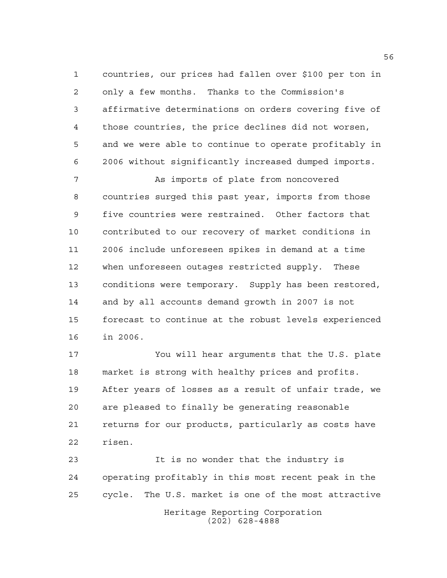countries, our prices had fallen over \$100 per ton in only a few months. Thanks to the Commission's affirmative determinations on orders covering five of those countries, the price declines did not worsen, and we were able to continue to operate profitably in 2006 without significantly increased dumped imports.

7 As imports of plate from noncovered countries surged this past year, imports from those five countries were restrained. Other factors that contributed to our recovery of market conditions in 2006 include unforeseen spikes in demand at a time when unforeseen outages restricted supply. These conditions were temporary. Supply has been restored, and by all accounts demand growth in 2007 is not forecast to continue at the robust levels experienced in 2006.

 You will hear arguments that the U.S. plate market is strong with healthy prices and profits. After years of losses as a result of unfair trade, we are pleased to finally be generating reasonable returns for our products, particularly as costs have risen.

 It is no wonder that the industry is operating profitably in this most recent peak in the cycle. The U.S. market is one of the most attractive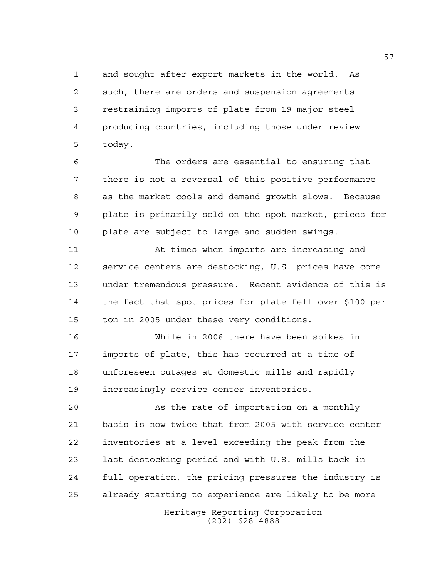and sought after export markets in the world. As such, there are orders and suspension agreements restraining imports of plate from 19 major steel producing countries, including those under review today.

 The orders are essential to ensuring that there is not a reversal of this positive performance as the market cools and demand growth slows. Because plate is primarily sold on the spot market, prices for plate are subject to large and sudden swings.

 At times when imports are increasing and service centers are destocking, U.S. prices have come under tremendous pressure. Recent evidence of this is the fact that spot prices for plate fell over \$100 per ton in 2005 under these very conditions.

 While in 2006 there have been spikes in imports of plate, this has occurred at a time of unforeseen outages at domestic mills and rapidly increasingly service center inventories.

 As the rate of importation on a monthly basis is now twice that from 2005 with service center inventories at a level exceeding the peak from the last destocking period and with U.S. mills back in full operation, the pricing pressures the industry is already starting to experience are likely to be more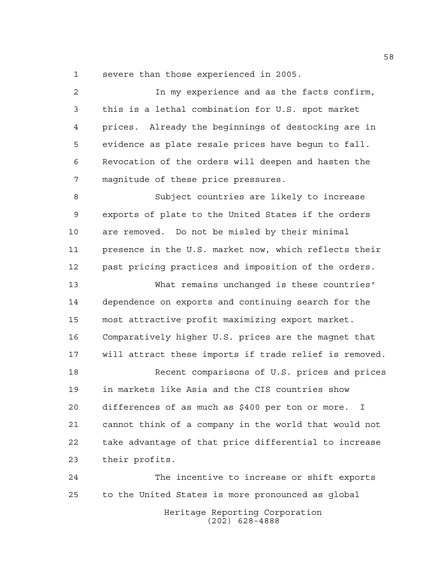severe than those experienced in 2005.

 In my experience and as the facts confirm, this is a lethal combination for U.S. spot market prices. Already the beginnings of destocking are in evidence as plate resale prices have begun to fall. Revocation of the orders will deepen and hasten the magnitude of these price pressures. Subject countries are likely to increase exports of plate to the United States if the orders are removed. Do not be misled by their minimal presence in the U.S. market now, which reflects their past pricing practices and imposition of the orders. What remains unchanged is these countries' dependence on exports and continuing search for the most attractive profit maximizing export market. Comparatively higher U.S. prices are the magnet that will attract these imports if trade relief is removed. Recent comparisons of U.S. prices and prices in markets like Asia and the CIS countries show differences of as much as \$400 per ton or more. I cannot think of a company in the world that would not take advantage of that price differential to increase their profits. The incentive to increase or shift exports to the United States is more pronounced as global

> Heritage Reporting Corporation (202) 628-4888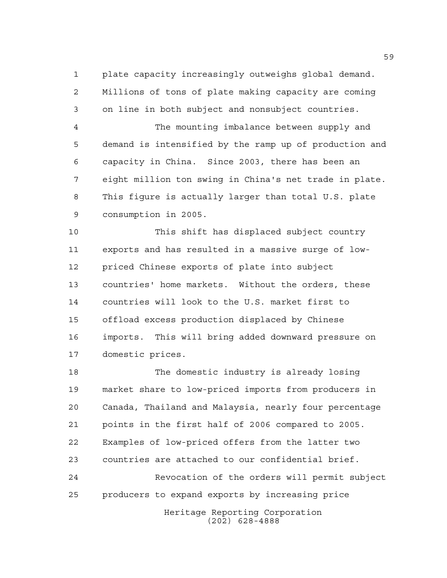plate capacity increasingly outweighs global demand. Millions of tons of plate making capacity are coming on line in both subject and nonsubject countries.

 The mounting imbalance between supply and demand is intensified by the ramp up of production and capacity in China. Since 2003, there has been an eight million ton swing in China's net trade in plate. This figure is actually larger than total U.S. plate consumption in 2005.

 This shift has displaced subject country exports and has resulted in a massive surge of low- priced Chinese exports of plate into subject countries' home markets. Without the orders, these countries will look to the U.S. market first to offload excess production displaced by Chinese imports. This will bring added downward pressure on domestic prices.

 The domestic industry is already losing market share to low-priced imports from producers in Canada, Thailand and Malaysia, nearly four percentage points in the first half of 2006 compared to 2005. Examples of low-priced offers from the latter two countries are attached to our confidential brief. Revocation of the orders will permit subject producers to expand exports by increasing price

> Heritage Reporting Corporation (202) 628-4888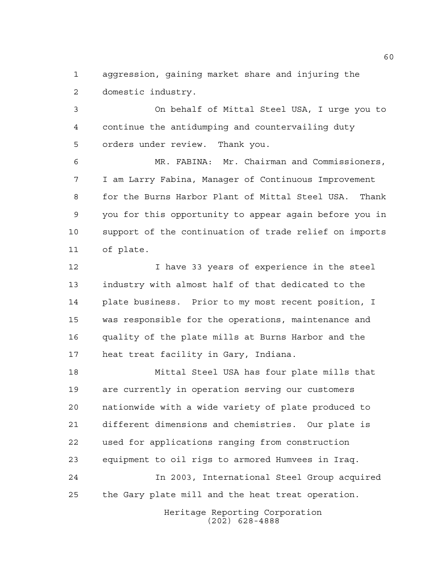aggression, gaining market share and injuring the domestic industry.

 On behalf of Mittal Steel USA, I urge you to continue the antidumping and countervailing duty orders under review. Thank you.

 MR. FABINA: Mr. Chairman and Commissioners, I am Larry Fabina, Manager of Continuous Improvement for the Burns Harbor Plant of Mittal Steel USA. Thank you for this opportunity to appear again before you in support of the continuation of trade relief on imports of plate.

 I have 33 years of experience in the steel industry with almost half of that dedicated to the plate business. Prior to my most recent position, I was responsible for the operations, maintenance and quality of the plate mills at Burns Harbor and the heat treat facility in Gary, Indiana.

 Mittal Steel USA has four plate mills that are currently in operation serving our customers nationwide with a wide variety of plate produced to different dimensions and chemistries. Our plate is used for applications ranging from construction equipment to oil rigs to armored Humvees in Iraq. In 2003, International Steel Group acquired the Gary plate mill and the heat treat operation.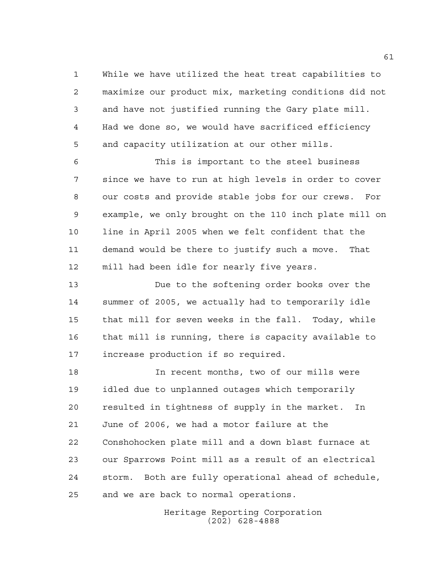While we have utilized the heat treat capabilities to maximize our product mix, marketing conditions did not and have not justified running the Gary plate mill. Had we done so, we would have sacrificed efficiency and capacity utilization at our other mills.

 This is important to the steel business since we have to run at high levels in order to cover our costs and provide stable jobs for our crews. For example, we only brought on the 110 inch plate mill on line in April 2005 when we felt confident that the demand would be there to justify such a move. That mill had been idle for nearly five years.

 Due to the softening order books over the summer of 2005, we actually had to temporarily idle that mill for seven weeks in the fall. Today, while that mill is running, there is capacity available to increase production if so required.

 In recent months, two of our mills were idled due to unplanned outages which temporarily resulted in tightness of supply in the market. In June of 2006, we had a motor failure at the Conshohocken plate mill and a down blast furnace at our Sparrows Point mill as a result of an electrical storm. Both are fully operational ahead of schedule, and we are back to normal operations.

> Heritage Reporting Corporation (202) 628-4888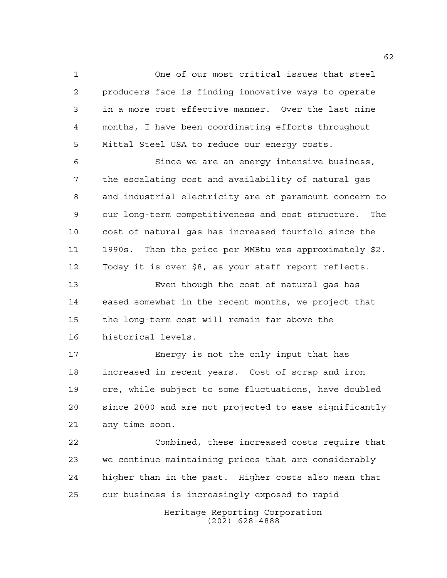One of our most critical issues that steel producers face is finding innovative ways to operate in a more cost effective manner. Over the last nine months, I have been coordinating efforts throughout Mittal Steel USA to reduce our energy costs.

 Since we are an energy intensive business, the escalating cost and availability of natural gas and industrial electricity are of paramount concern to our long-term competitiveness and cost structure. The cost of natural gas has increased fourfold since the 1990s. Then the price per MMBtu was approximately \$2. Today it is over \$8, as your staff report reflects.

 Even though the cost of natural gas has eased somewhat in the recent months, we project that the long-term cost will remain far above the historical levels.

 Energy is not the only input that has increased in recent years. Cost of scrap and iron ore, while subject to some fluctuations, have doubled since 2000 and are not projected to ease significantly any time soon.

 Combined, these increased costs require that we continue maintaining prices that are considerably higher than in the past. Higher costs also mean that our business is increasingly exposed to rapid

> Heritage Reporting Corporation (202) 628-4888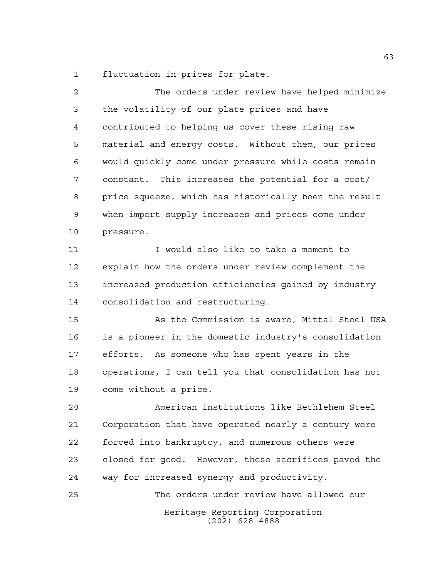fluctuation in prices for plate.

Heritage Reporting Corporation (202) 628-4888 The orders under review have helped minimize the volatility of our plate prices and have contributed to helping us cover these rising raw material and energy costs. Without them, our prices would quickly come under pressure while costs remain constant. This increases the potential for a cost/ price squeeze, which has historically been the result when import supply increases and prices come under pressure. I would also like to take a moment to explain how the orders under review complement the increased production efficiencies gained by industry consolidation and restructuring. As the Commission is aware, Mittal Steel USA is a pioneer in the domestic industry's consolidation efforts. As someone who has spent years in the operations, I can tell you that consolidation has not come without a price. American institutions like Bethlehem Steel Corporation that have operated nearly a century were forced into bankruptcy, and numerous others were closed for good. However, these sacrifices paved the way for increased synergy and productivity. The orders under review have allowed our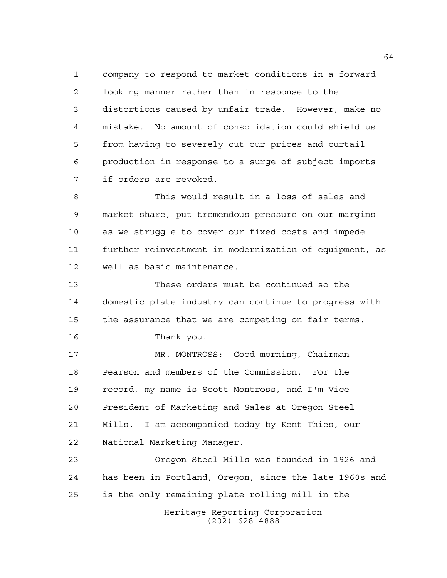company to respond to market conditions in a forward looking manner rather than in response to the distortions caused by unfair trade. However, make no mistake. No amount of consolidation could shield us from having to severely cut our prices and curtail production in response to a surge of subject imports if orders are revoked.

 This would result in a loss of sales and market share, put tremendous pressure on our margins as we struggle to cover our fixed costs and impede further reinvestment in modernization of equipment, as well as basic maintenance.

 These orders must be continued so the domestic plate industry can continue to progress with the assurance that we are competing on fair terms.

Thank you.

 MR. MONTROSS: Good morning, Chairman Pearson and members of the Commission. For the record, my name is Scott Montross, and I'm Vice President of Marketing and Sales at Oregon Steel Mills. I am accompanied today by Kent Thies, our National Marketing Manager.

 Oregon Steel Mills was founded in 1926 and has been in Portland, Oregon, since the late 1960s and is the only remaining plate rolling mill in the

> Heritage Reporting Corporation (202) 628-4888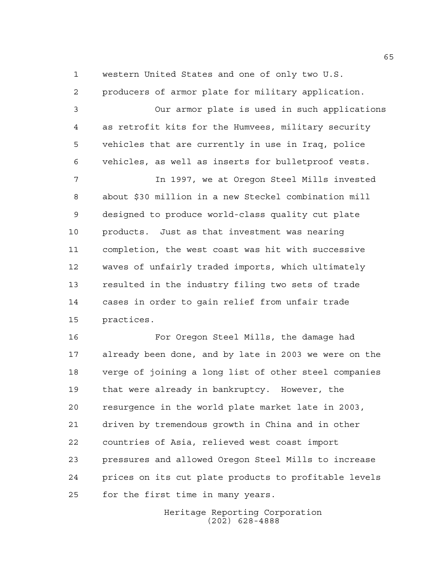western United States and one of only two U.S.

 producers of armor plate for military application. Our armor plate is used in such applications as retrofit kits for the Humvees, military security vehicles that are currently in use in Iraq, police vehicles, as well as inserts for bulletproof vests. In 1997, we at Oregon Steel Mills invested about \$30 million in a new Steckel combination mill designed to produce world-class quality cut plate products. Just as that investment was nearing completion, the west coast was hit with successive waves of unfairly traded imports, which ultimately resulted in the industry filing two sets of trade cases in order to gain relief from unfair trade practices.

 For Oregon Steel Mills, the damage had already been done, and by late in 2003 we were on the verge of joining a long list of other steel companies that were already in bankruptcy. However, the resurgence in the world plate market late in 2003, driven by tremendous growth in China and in other countries of Asia, relieved west coast import pressures and allowed Oregon Steel Mills to increase prices on its cut plate products to profitable levels for the first time in many years.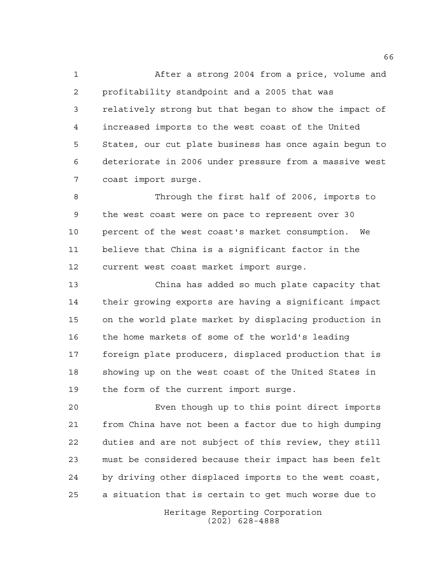After a strong 2004 from a price, volume and profitability standpoint and a 2005 that was relatively strong but that began to show the impact of increased imports to the west coast of the United States, our cut plate business has once again begun to deteriorate in 2006 under pressure from a massive west coast import surge.

 Through the first half of 2006, imports to the west coast were on pace to represent over 30 percent of the west coast's market consumption. We believe that China is a significant factor in the current west coast market import surge.

 China has added so much plate capacity that their growing exports are having a significant impact on the world plate market by displacing production in the home markets of some of the world's leading foreign plate producers, displaced production that is showing up on the west coast of the United States in the form of the current import surge.

 Even though up to this point direct imports from China have not been a factor due to high dumping duties and are not subject of this review, they still must be considered because their impact has been felt by driving other displaced imports to the west coast, a situation that is certain to get much worse due to

> Heritage Reporting Corporation (202) 628-4888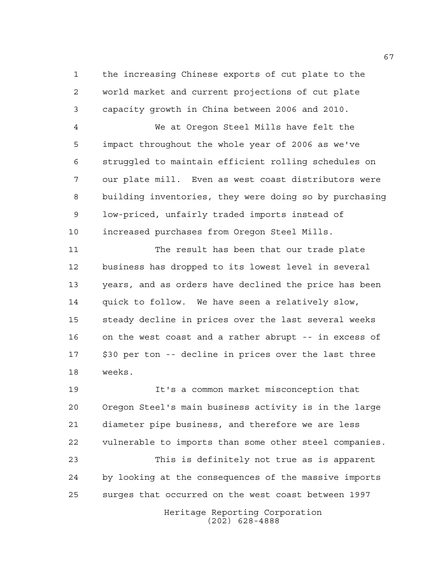the increasing Chinese exports of cut plate to the world market and current projections of cut plate capacity growth in China between 2006 and 2010.

 We at Oregon Steel Mills have felt the impact throughout the whole year of 2006 as we've struggled to maintain efficient rolling schedules on our plate mill. Even as west coast distributors were building inventories, they were doing so by purchasing low-priced, unfairly traded imports instead of increased purchases from Oregon Steel Mills.

 The result has been that our trade plate business has dropped to its lowest level in several years, and as orders have declined the price has been quick to follow. We have seen a relatively slow, steady decline in prices over the last several weeks on the west coast and a rather abrupt -- in excess of \$30 per ton -- decline in prices over the last three weeks.

 It's a common market misconception that Oregon Steel's main business activity is in the large diameter pipe business, and therefore we are less vulnerable to imports than some other steel companies. This is definitely not true as is apparent by looking at the consequences of the massive imports surges that occurred on the west coast between 1997

Heritage Reporting Corporation (202) 628-4888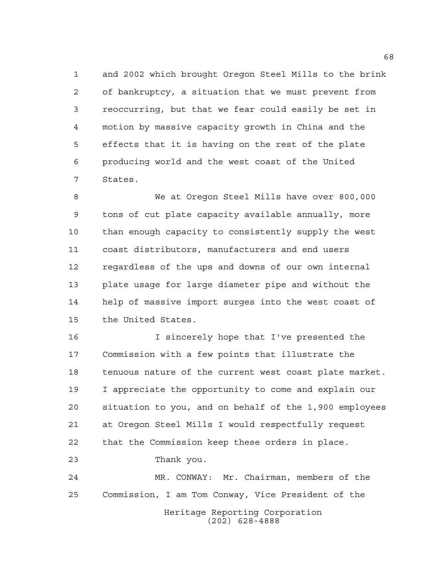and 2002 which brought Oregon Steel Mills to the brink of bankruptcy, a situation that we must prevent from reoccurring, but that we fear could easily be set in motion by massive capacity growth in China and the effects that it is having on the rest of the plate producing world and the west coast of the United States.

 We at Oregon Steel Mills have over 800,000 tons of cut plate capacity available annually, more than enough capacity to consistently supply the west coast distributors, manufacturers and end users regardless of the ups and downs of our own internal plate usage for large diameter pipe and without the help of massive import surges into the west coast of the United States.

 I sincerely hope that I've presented the Commission with a few points that illustrate the tenuous nature of the current west coast plate market. I appreciate the opportunity to come and explain our situation to you, and on behalf of the 1,900 employees at Oregon Steel Mills I would respectfully request that the Commission keep these orders in place. Thank you. MR. CONWAY: Mr. Chairman, members of the

Commission, I am Tom Conway, Vice President of the

Heritage Reporting Corporation (202) 628-4888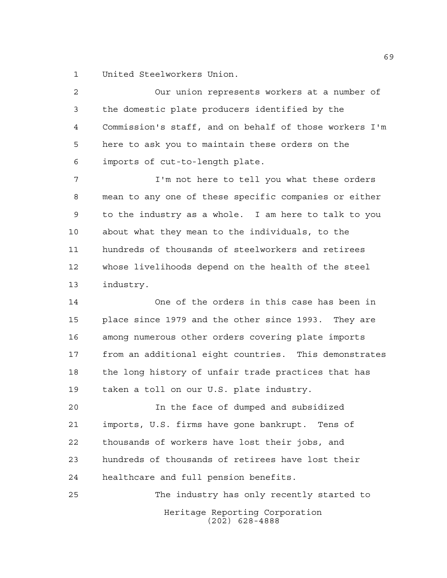United Steelworkers Union.

 Our union represents workers at a number of the domestic plate producers identified by the Commission's staff, and on behalf of those workers I'm here to ask you to maintain these orders on the imports of cut-to-length plate.

 I'm not here to tell you what these orders mean to any one of these specific companies or either to the industry as a whole. I am here to talk to you about what they mean to the individuals, to the hundreds of thousands of steelworkers and retirees whose livelihoods depend on the health of the steel industry.

 One of the orders in this case has been in place since 1979 and the other since 1993. They are among numerous other orders covering plate imports from an additional eight countries. This demonstrates the long history of unfair trade practices that has taken a toll on our U.S. plate industry.

 In the face of dumped and subsidized imports, U.S. firms have gone bankrupt. Tens of thousands of workers have lost their jobs, and hundreds of thousands of retirees have lost their healthcare and full pension benefits.

Heritage Reporting Corporation (202) 628-4888 The industry has only recently started to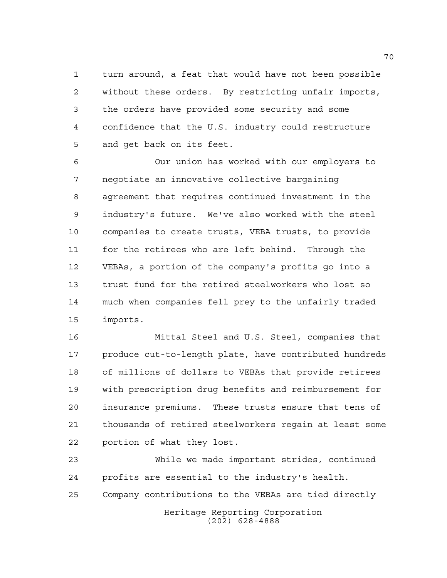turn around, a feat that would have not been possible without these orders. By restricting unfair imports, the orders have provided some security and some confidence that the U.S. industry could restructure and get back on its feet.

 Our union has worked with our employers to negotiate an innovative collective bargaining agreement that requires continued investment in the industry's future. We've also worked with the steel companies to create trusts, VEBA trusts, to provide for the retirees who are left behind. Through the VEBAs, a portion of the company's profits go into a trust fund for the retired steelworkers who lost so much when companies fell prey to the unfairly traded imports.

 Mittal Steel and U.S. Steel, companies that produce cut-to-length plate, have contributed hundreds of millions of dollars to VEBAs that provide retirees with prescription drug benefits and reimbursement for insurance premiums. These trusts ensure that tens of thousands of retired steelworkers regain at least some portion of what they lost.

Heritage Reporting Corporation (202) 628-4888 While we made important strides, continued profits are essential to the industry's health. Company contributions to the VEBAs are tied directly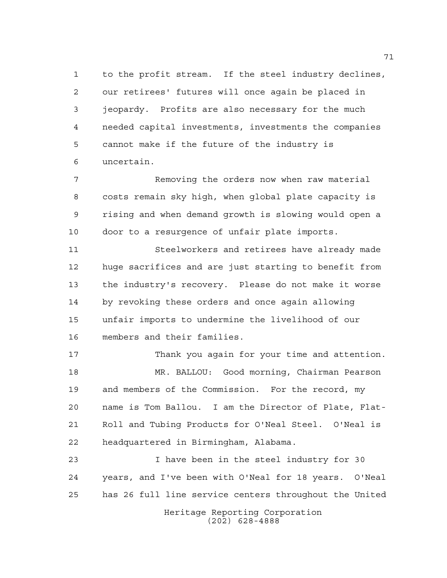to the profit stream. If the steel industry declines, our retirees' futures will once again be placed in jeopardy. Profits are also necessary for the much needed capital investments, investments the companies cannot make if the future of the industry is uncertain.

7 Removing the orders now when raw material costs remain sky high, when global plate capacity is rising and when demand growth is slowing would open a door to a resurgence of unfair plate imports.

 Steelworkers and retirees have already made huge sacrifices and are just starting to benefit from the industry's recovery. Please do not make it worse by revoking these orders and once again allowing unfair imports to undermine the livelihood of our members and their families.

 Thank you again for your time and attention. MR. BALLOU: Good morning, Chairman Pearson and members of the Commission. For the record, my name is Tom Ballou. I am the Director of Plate, Flat- Roll and Tubing Products for O'Neal Steel. O'Neal is headquartered in Birmingham, Alabama.

 I have been in the steel industry for 30 years, and I've been with O'Neal for 18 years. O'Neal has 26 full line service centers throughout the United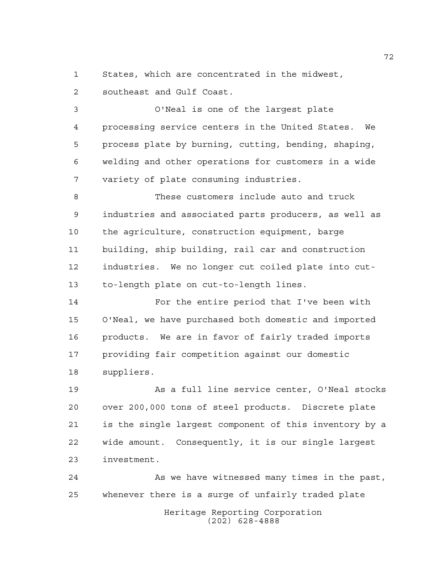States, which are concentrated in the midwest, southeast and Gulf Coast.

 O'Neal is one of the largest plate processing service centers in the United States. We process plate by burning, cutting, bending, shaping, welding and other operations for customers in a wide

variety of plate consuming industries.

 These customers include auto and truck industries and associated parts producers, as well as the agriculture, construction equipment, barge building, ship building, rail car and construction industries. We no longer cut coiled plate into cut-to-length plate on cut-to-length lines.

 For the entire period that I've been with O'Neal, we have purchased both domestic and imported products. We are in favor of fairly traded imports providing fair competition against our domestic suppliers.

 As a full line service center, O'Neal stocks over 200,000 tons of steel products. Discrete plate is the single largest component of this inventory by a wide amount. Consequently, it is our single largest investment.

Heritage Reporting Corporation (202) 628-4888 24 As we have witnessed many times in the past, whenever there is a surge of unfairly traded plate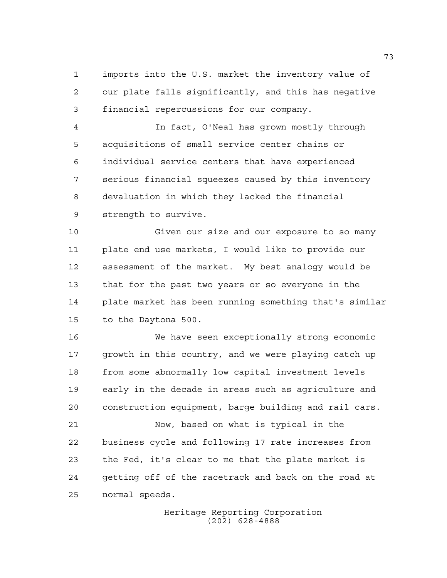imports into the U.S. market the inventory value of our plate falls significantly, and this has negative financial repercussions for our company.

 In fact, O'Neal has grown mostly through acquisitions of small service center chains or individual service centers that have experienced serious financial squeezes caused by this inventory devaluation in which they lacked the financial strength to survive.

 Given our size and our exposure to so many plate end use markets, I would like to provide our assessment of the market. My best analogy would be that for the past two years or so everyone in the plate market has been running something that's similar to the Daytona 500.

 We have seen exceptionally strong economic growth in this country, and we were playing catch up from some abnormally low capital investment levels early in the decade in areas such as agriculture and construction equipment, barge building and rail cars.

 Now, based on what is typical in the business cycle and following 17 rate increases from the Fed, it's clear to me that the plate market is getting off of the racetrack and back on the road at normal speeds.

> Heritage Reporting Corporation (202) 628-4888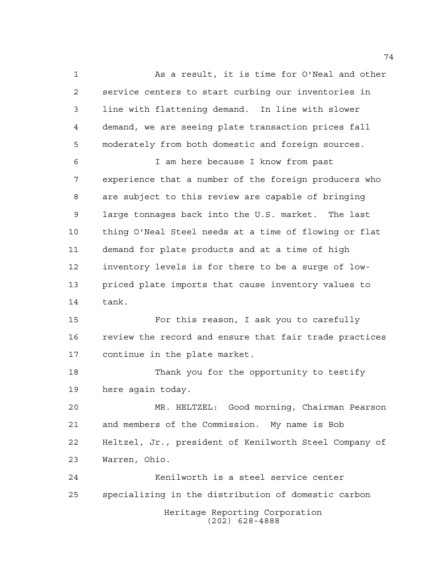As a result, it is time for O'Neal and other service centers to start curbing our inventories in line with flattening demand. In line with slower demand, we are seeing plate transaction prices fall moderately from both domestic and foreign sources. I am here because I know from past experience that a number of the foreign producers who are subject to this review are capable of bringing

 large tonnages back into the U.S. market. The last thing O'Neal Steel needs at a time of flowing or flat demand for plate products and at a time of high inventory levels is for there to be a surge of low- priced plate imports that cause inventory values to tank.

 For this reason, I ask you to carefully review the record and ensure that fair trade practices continue in the plate market.

 Thank you for the opportunity to testify here again today.

 MR. HELTZEL: Good morning, Chairman Pearson and members of the Commission. My name is Bob Heltzel, Jr., president of Kenilworth Steel Company of Warren, Ohio.

Heritage Reporting Corporation (202) 628-4888 Kenilworth is a steel service center specializing in the distribution of domestic carbon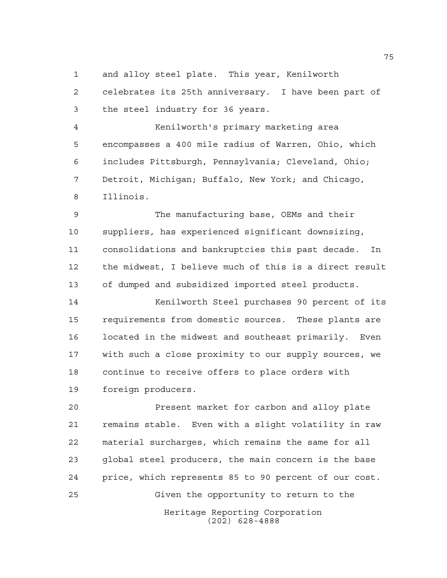and alloy steel plate. This year, Kenilworth

 celebrates its 25th anniversary. I have been part of the steel industry for 36 years.

 Kenilworth's primary marketing area encompasses a 400 mile radius of Warren, Ohio, which includes Pittsburgh, Pennsylvania; Cleveland, Ohio; Detroit, Michigan; Buffalo, New York; and Chicago, Illinois.

 The manufacturing base, OEMs and their suppliers, has experienced significant downsizing, consolidations and bankruptcies this past decade. In the midwest, I believe much of this is a direct result of dumped and subsidized imported steel products.

 Kenilworth Steel purchases 90 percent of its requirements from domestic sources. These plants are located in the midwest and southeast primarily. Even with such a close proximity to our supply sources, we continue to receive offers to place orders with foreign producers.

Heritage Reporting Corporation (202) 628-4888 Present market for carbon and alloy plate remains stable. Even with a slight volatility in raw material surcharges, which remains the same for all global steel producers, the main concern is the base price, which represents 85 to 90 percent of our cost. Given the opportunity to return to the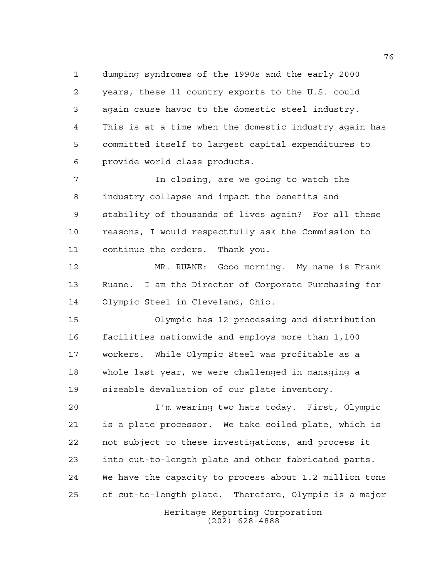dumping syndromes of the 1990s and the early 2000 years, these 11 country exports to the U.S. could again cause havoc to the domestic steel industry. This is at a time when the domestic industry again has committed itself to largest capital expenditures to provide world class products.

 In closing, are we going to watch the industry collapse and impact the benefits and stability of thousands of lives again? For all these reasons, I would respectfully ask the Commission to continue the orders. Thank you.

 MR. RUANE: Good morning. My name is Frank Ruane. I am the Director of Corporate Purchasing for Olympic Steel in Cleveland, Ohio.

 Olympic has 12 processing and distribution facilities nationwide and employs more than 1,100 workers. While Olympic Steel was profitable as a whole last year, we were challenged in managing a sizeable devaluation of our plate inventory.

 I'm wearing two hats today. First, Olympic is a plate processor. We take coiled plate, which is not subject to these investigations, and process it into cut-to-length plate and other fabricated parts. We have the capacity to process about 1.2 million tons of cut-to-length plate. Therefore, Olympic is a major

> Heritage Reporting Corporation (202) 628-4888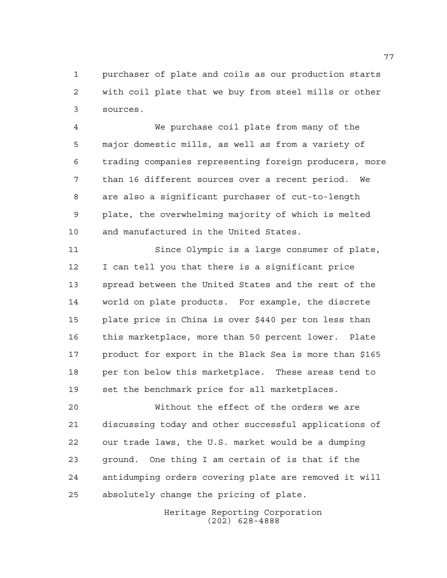purchaser of plate and coils as our production starts with coil plate that we buy from steel mills or other sources.

 We purchase coil plate from many of the major domestic mills, as well as from a variety of trading companies representing foreign producers, more than 16 different sources over a recent period. We are also a significant purchaser of cut-to-length plate, the overwhelming majority of which is melted and manufactured in the United States.

 Since Olympic is a large consumer of plate, I can tell you that there is a significant price spread between the United States and the rest of the world on plate products. For example, the discrete plate price in China is over \$440 per ton less than this marketplace, more than 50 percent lower. Plate product for export in the Black Sea is more than \$165 per ton below this marketplace. These areas tend to set the benchmark price for all marketplaces.

 Without the effect of the orders we are discussing today and other successful applications of our trade laws, the U.S. market would be a dumping ground. One thing I am certain of is that if the antidumping orders covering plate are removed it will absolutely change the pricing of plate.

> Heritage Reporting Corporation (202) 628-4888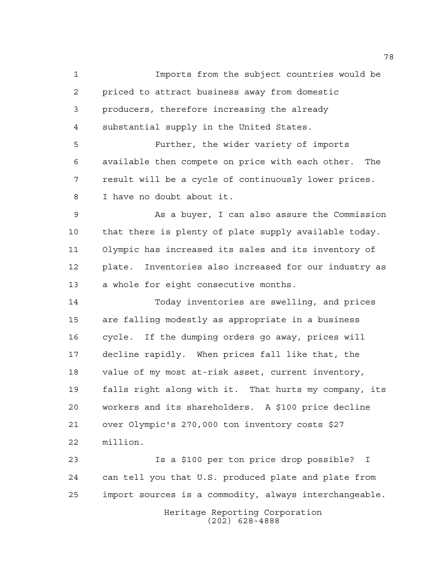Imports from the subject countries would be priced to attract business away from domestic producers, therefore increasing the already substantial supply in the United States. Further, the wider variety of imports available then compete on price with each other. The result will be a cycle of continuously lower prices. I have no doubt about it. As a buyer, I can also assure the Commission that there is plenty of plate supply available today. Olympic has increased its sales and its inventory of plate. Inventories also increased for our industry as a whole for eight consecutive months. Today inventories are swelling, and prices are falling modestly as appropriate in a business cycle. If the dumping orders go away, prices will decline rapidly. When prices fall like that, the value of my most at-risk asset, current inventory, falls right along with it. That hurts my company, its workers and its shareholders. A \$100 price decline over Olympic's 270,000 ton inventory costs \$27 million. Is a \$100 per ton price drop possible? I can tell you that U.S. produced plate and plate from import sources is a commodity, always interchangeable.

> Heritage Reporting Corporation (202) 628-4888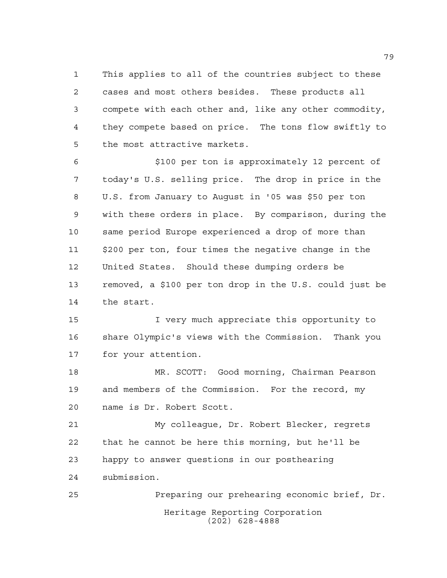This applies to all of the countries subject to these cases and most others besides. These products all compete with each other and, like any other commodity, they compete based on price. The tons flow swiftly to the most attractive markets.

 \$100 per ton is approximately 12 percent of today's U.S. selling price. The drop in price in the U.S. from January to August in '05 was \$50 per ton with these orders in place. By comparison, during the same period Europe experienced a drop of more than \$200 per ton, four times the negative change in the United States. Should these dumping orders be removed, a \$100 per ton drop in the U.S. could just be the start.

 I very much appreciate this opportunity to share Olympic's views with the Commission. Thank you for your attention.

 MR. SCOTT: Good morning, Chairman Pearson and members of the Commission. For the record, my name is Dr. Robert Scott.

 My colleague, Dr. Robert Blecker, regrets that he cannot be here this morning, but he'll be happy to answer questions in our posthearing submission.

Heritage Reporting Corporation (202) 628-4888 Preparing our prehearing economic brief, Dr.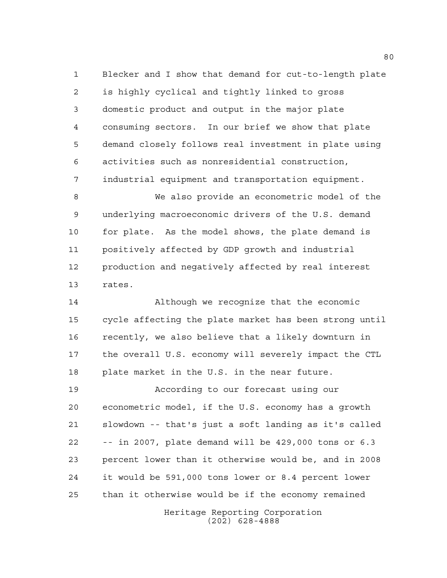Blecker and I show that demand for cut-to-length plate is highly cyclical and tightly linked to gross domestic product and output in the major plate consuming sectors. In our brief we show that plate demand closely follows real investment in plate using activities such as nonresidential construction, industrial equipment and transportation equipment.

 We also provide an econometric model of the underlying macroeconomic drivers of the U.S. demand for plate. As the model shows, the plate demand is positively affected by GDP growth and industrial production and negatively affected by real interest rates.

 Although we recognize that the economic cycle affecting the plate market has been strong until recently, we also believe that a likely downturn in the overall U.S. economy will severely impact the CTL plate market in the U.S. in the near future.

 According to our forecast using our econometric model, if the U.S. economy has a growth slowdown -- that's just a soft landing as it's called -- in 2007, plate demand will be 429,000 tons or 6.3 percent lower than it otherwise would be, and in 2008 it would be 591,000 tons lower or 8.4 percent lower than it otherwise would be if the economy remained

> Heritage Reporting Corporation (202) 628-4888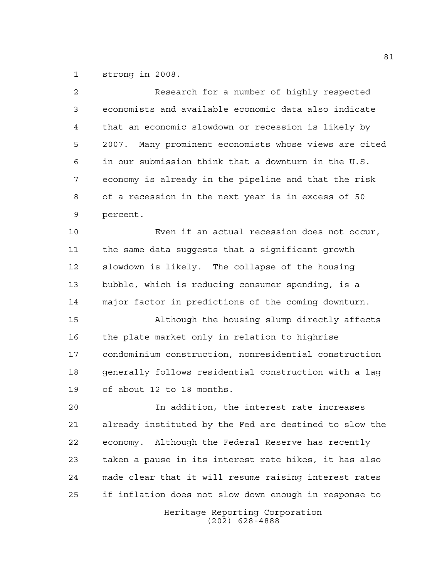strong in 2008.

| $\overline{2}$ | Research for a number of highly respected                |
|----------------|----------------------------------------------------------|
| 3              | economists and available economic data also indicate     |
| 4              | that an economic slowdown or recession is likely by      |
| 5              | Many prominent economists whose views are cited<br>2007. |
| 6              | in our submission think that a downturn in the U.S.      |
| 7              | economy is already in the pipeline and that the risk     |
| 8              | of a recession in the next year is in excess of 50       |
| 9              | percent.                                                 |
| 10             | Even if an actual recession does not occur,              |
| 11             | the same data suggests that a significant growth         |
| 12             | slowdown is likely. The collapse of the housing          |
| 13             | bubble, which is reducing consumer spending, is a        |
| 14             | major factor in predictions of the coming downturn.      |
| 15             | Although the housing slump directly affects              |
| 16             | the plate market only in relation to highrise            |
| 17             | condominium construction, nonresidential construction    |
| 18             | generally follows residential construction with a lag    |
| 19             | of about 12 to 18 months.                                |
| 20             | In addition, the interest rate increases                 |
| 21             | already instituted by the Fed are destined to slow the   |
| 22             | economy. Although the Federal Reserve has recently       |
| 23             | taken a pause in its interest rate hikes, it has also    |
| 24             | made clear that it will resume raising interest rates    |
| 25             | if inflation does not slow down enough in response to    |
|                | Heritage Reporting Corporation                           |

(202) 628-4888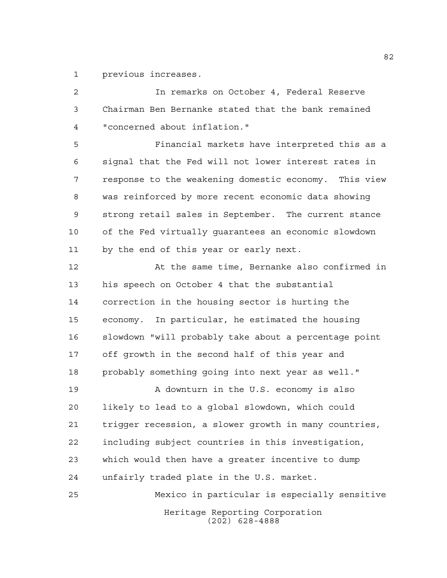previous increases.

 In remarks on October 4, Federal Reserve Chairman Ben Bernanke stated that the bank remained "concerned about inflation."

 Financial markets have interpreted this as a signal that the Fed will not lower interest rates in response to the weakening domestic economy. This view was reinforced by more recent economic data showing strong retail sales in September. The current stance of the Fed virtually guarantees an economic slowdown by the end of this year or early next.

 At the same time, Bernanke also confirmed in his speech on October 4 that the substantial correction in the housing sector is hurting the economy. In particular, he estimated the housing slowdown "will probably take about a percentage point off growth in the second half of this year and probably something going into next year as well."

 A downturn in the U.S. economy is also likely to lead to a global slowdown, which could trigger recession, a slower growth in many countries, including subject countries in this investigation, which would then have a greater incentive to dump unfairly traded plate in the U.S. market.

Heritage Reporting Corporation (202) 628-4888 Mexico in particular is especially sensitive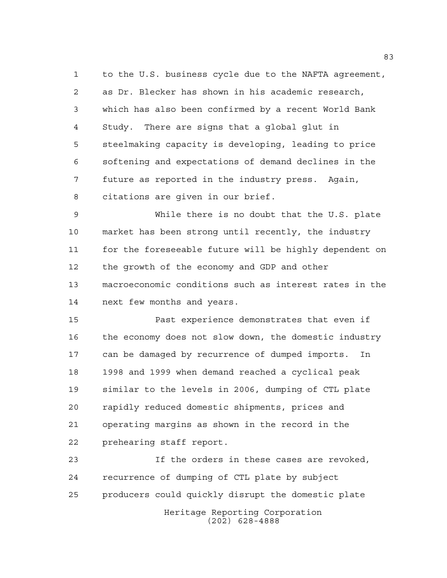to the U.S. business cycle due to the NAFTA agreement, as Dr. Blecker has shown in his academic research, which has also been confirmed by a recent World Bank Study. There are signs that a global glut in steelmaking capacity is developing, leading to price softening and expectations of demand declines in the future as reported in the industry press. Again, citations are given in our brief.

 While there is no doubt that the U.S. plate market has been strong until recently, the industry for the foreseeable future will be highly dependent on the growth of the economy and GDP and other macroeconomic conditions such as interest rates in the next few months and years.

 Past experience demonstrates that even if the economy does not slow down, the domestic industry can be damaged by recurrence of dumped imports. In 1998 and 1999 when demand reached a cyclical peak similar to the levels in 2006, dumping of CTL plate rapidly reduced domestic shipments, prices and operating margins as shown in the record in the prehearing staff report.

Heritage Reporting Corporation (202) 628-4888 If the orders in these cases are revoked, recurrence of dumping of CTL plate by subject producers could quickly disrupt the domestic plate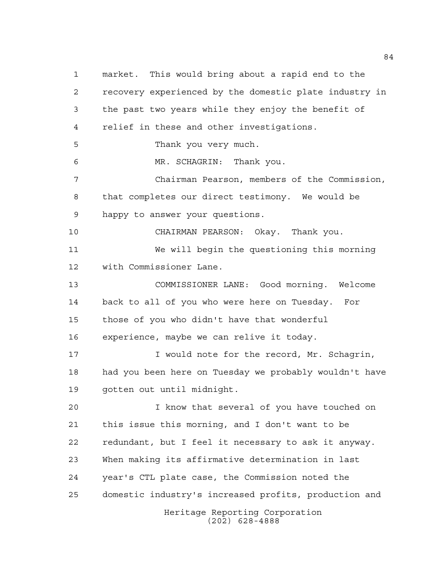Heritage Reporting Corporation (202) 628-4888 market. This would bring about a rapid end to the recovery experienced by the domestic plate industry in the past two years while they enjoy the benefit of relief in these and other investigations. Thank you very much. MR. SCHAGRIN: Thank you. Chairman Pearson, members of the Commission, that completes our direct testimony. We would be happy to answer your questions. CHAIRMAN PEARSON: Okay. Thank you. We will begin the questioning this morning with Commissioner Lane. COMMISSIONER LANE: Good morning. Welcome back to all of you who were here on Tuesday. For those of you who didn't have that wonderful experience, maybe we can relive it today. 17 Twould note for the record, Mr. Schagrin, had you been here on Tuesday we probably wouldn't have gotten out until midnight. I know that several of you have touched on this issue this morning, and I don't want to be redundant, but I feel it necessary to ask it anyway. When making its affirmative determination in last year's CTL plate case, the Commission noted the domestic industry's increased profits, production and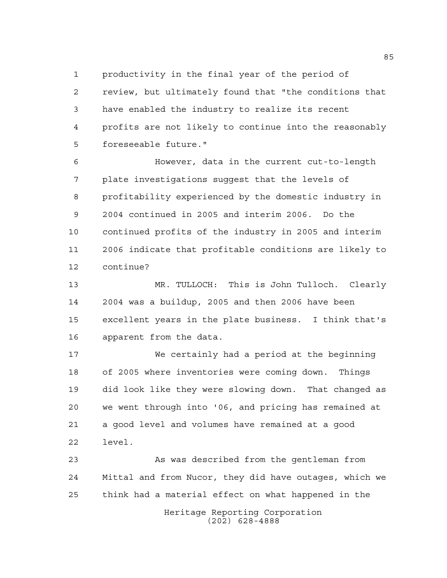productivity in the final year of the period of

 review, but ultimately found that "the conditions that have enabled the industry to realize its recent profits are not likely to continue into the reasonably foreseeable future."

 However, data in the current cut-to-length plate investigations suggest that the levels of profitability experienced by the domestic industry in 2004 continued in 2005 and interim 2006. Do the continued profits of the industry in 2005 and interim 2006 indicate that profitable conditions are likely to continue?

 MR. TULLOCH: This is John Tulloch. Clearly 2004 was a buildup, 2005 and then 2006 have been excellent years in the plate business. I think that's apparent from the data.

 We certainly had a period at the beginning of 2005 where inventories were coming down. Things did look like they were slowing down. That changed as we went through into '06, and pricing has remained at a good level and volumes have remained at a good level.

 As was described from the gentleman from Mittal and from Nucor, they did have outages, which we think had a material effect on what happened in the

> Heritage Reporting Corporation (202) 628-4888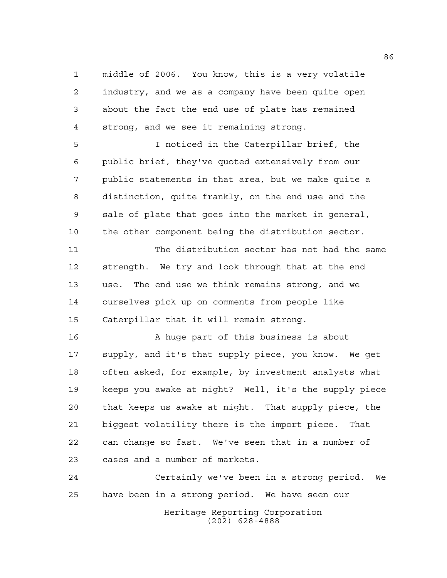middle of 2006. You know, this is a very volatile industry, and we as a company have been quite open about the fact the end use of plate has remained strong, and we see it remaining strong.

 I noticed in the Caterpillar brief, the public brief, they've quoted extensively from our public statements in that area, but we make quite a distinction, quite frankly, on the end use and the sale of plate that goes into the market in general, the other component being the distribution sector.

 The distribution sector has not had the same strength. We try and look through that at the end use. The end use we think remains strong, and we ourselves pick up on comments from people like Caterpillar that it will remain strong.

 A huge part of this business is about supply, and it's that supply piece, you know. We get often asked, for example, by investment analysts what keeps you awake at night? Well, it's the supply piece that keeps us awake at night. That supply piece, the biggest volatility there is the import piece. That can change so fast. We've seen that in a number of cases and a number of markets.

Heritage Reporting Corporation (202) 628-4888 Certainly we've been in a strong period. We have been in a strong period. We have seen our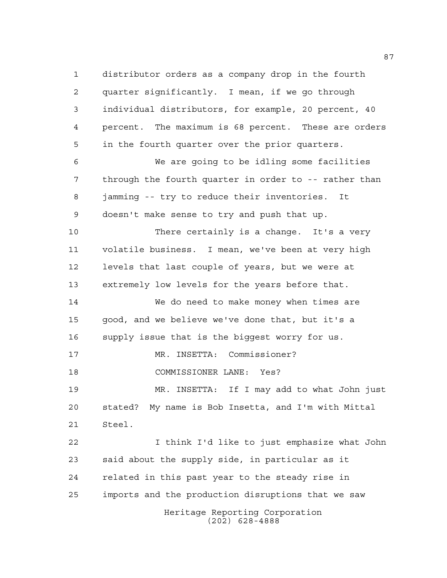Heritage Reporting Corporation (202) 628-4888 distributor orders as a company drop in the fourth quarter significantly. I mean, if we go through individual distributors, for example, 20 percent, 40 percent. The maximum is 68 percent. These are orders in the fourth quarter over the prior quarters. We are going to be idling some facilities through the fourth quarter in order to -- rather than jamming -- try to reduce their inventories. It doesn't make sense to try and push that up. There certainly is a change. It's a very volatile business. I mean, we've been at very high levels that last couple of years, but we were at extremely low levels for the years before that. We do need to make money when times are good, and we believe we've done that, but it's a supply issue that is the biggest worry for us. MR. INSETTA: Commissioner? COMMISSIONER LANE: Yes? MR. INSETTA: If I may add to what John just stated? My name is Bob Insetta, and I'm with Mittal Steel. I think I'd like to just emphasize what John said about the supply side, in particular as it related in this past year to the steady rise in imports and the production disruptions that we saw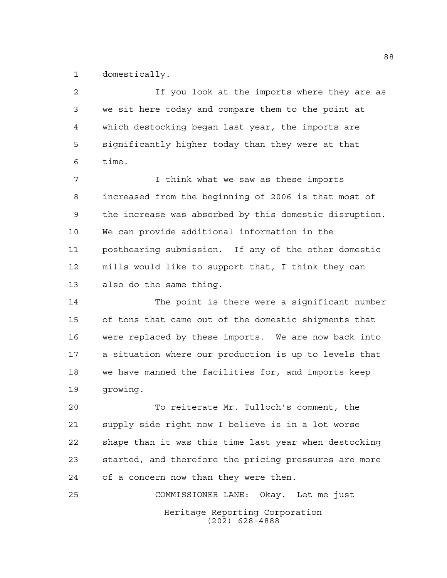domestically.

2 1f you look at the imports where they are as we sit here today and compare them to the point at which destocking began last year, the imports are significantly higher today than they were at that time.

 I think what we saw as these imports increased from the beginning of 2006 is that most of the increase was absorbed by this domestic disruption. We can provide additional information in the posthearing submission. If any of the other domestic mills would like to support that, I think they can also do the same thing.

 The point is there were a significant number of tons that came out of the domestic shipments that were replaced by these imports. We are now back into a situation where our production is up to levels that we have manned the facilities for, and imports keep growing.

 To reiterate Mr. Tulloch's comment, the supply side right now I believe is in a lot worse shape than it was this time last year when destocking started, and therefore the pricing pressures are more of a concern now than they were then.

Heritage Reporting Corporation (202) 628-4888 COMMISSIONER LANE: Okay. Let me just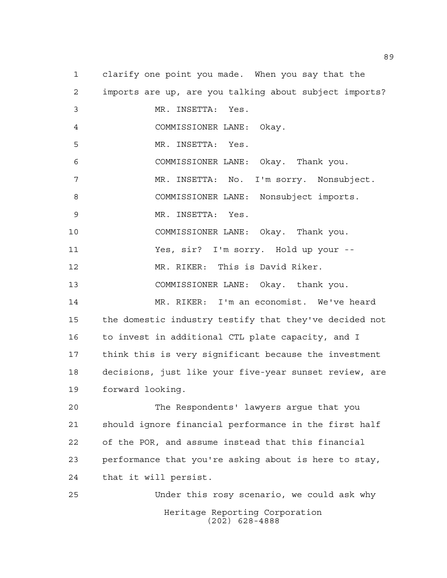Heritage Reporting Corporation (202) 628-4888 clarify one point you made. When you say that the imports are up, are you talking about subject imports? MR. INSETTA: Yes. COMMISSIONER LANE: Okay. MR. INSETTA: Yes. COMMISSIONER LANE: Okay. Thank you. MR. INSETTA: No. I'm sorry. Nonsubject. COMMISSIONER LANE: Nonsubject imports. MR. INSETTA: Yes. COMMISSIONER LANE: Okay. Thank you. Yes, sir? I'm sorry. Hold up your -- MR. RIKER: This is David Riker. COMMISSIONER LANE: Okay. thank you. MR. RIKER: I'm an economist. We've heard the domestic industry testify that they've decided not to invest in additional CTL plate capacity, and I think this is very significant because the investment decisions, just like your five-year sunset review, are forward looking. The Respondents' lawyers argue that you should ignore financial performance in the first half of the POR, and assume instead that this financial performance that you're asking about is here to stay, that it will persist. Under this rosy scenario, we could ask why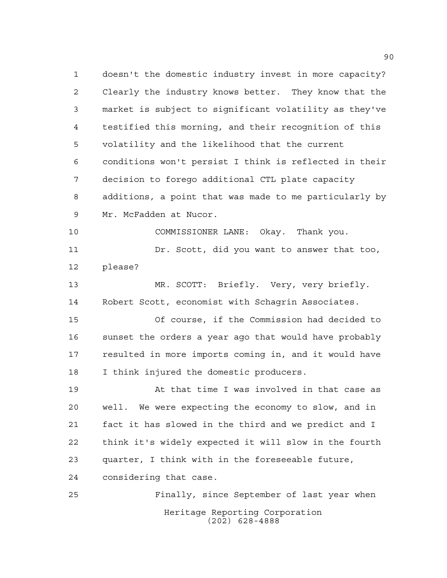Heritage Reporting Corporation (202) 628-4888 doesn't the domestic industry invest in more capacity? Clearly the industry knows better. They know that the market is subject to significant volatility as they've testified this morning, and their recognition of this volatility and the likelihood that the current conditions won't persist I think is reflected in their decision to forego additional CTL plate capacity additions, a point that was made to me particularly by Mr. McFadden at Nucor. COMMISSIONER LANE: Okay. Thank you. Dr. Scott, did you want to answer that too, please? MR. SCOTT: Briefly. Very, very briefly. Robert Scott, economist with Schagrin Associates. Of course, if the Commission had decided to sunset the orders a year ago that would have probably resulted in more imports coming in, and it would have I think injured the domestic producers. At that time I was involved in that case as well. We were expecting the economy to slow, and in fact it has slowed in the third and we predict and I think it's widely expected it will slow in the fourth quarter, I think with in the foreseeable future, considering that case. Finally, since September of last year when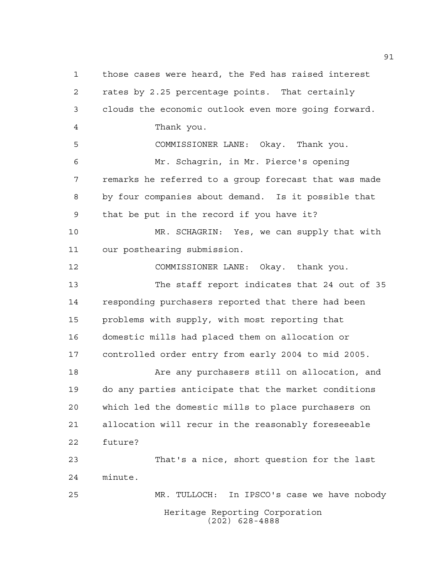Heritage Reporting Corporation (202) 628-4888 those cases were heard, the Fed has raised interest rates by 2.25 percentage points. That certainly clouds the economic outlook even more going forward. Thank you. COMMISSIONER LANE: Okay. Thank you. Mr. Schagrin, in Mr. Pierce's opening remarks he referred to a group forecast that was made by four companies about demand. Is it possible that that be put in the record if you have it? MR. SCHAGRIN: Yes, we can supply that with our posthearing submission. COMMISSIONER LANE: Okay. thank you. The staff report indicates that 24 out of 35 responding purchasers reported that there had been problems with supply, with most reporting that domestic mills had placed them on allocation or controlled order entry from early 2004 to mid 2005. 18 Are any purchasers still on allocation, and do any parties anticipate that the market conditions which led the domestic mills to place purchasers on allocation will recur in the reasonably foreseeable future? That's a nice, short question for the last minute. MR. TULLOCH: In IPSCO's case we have nobody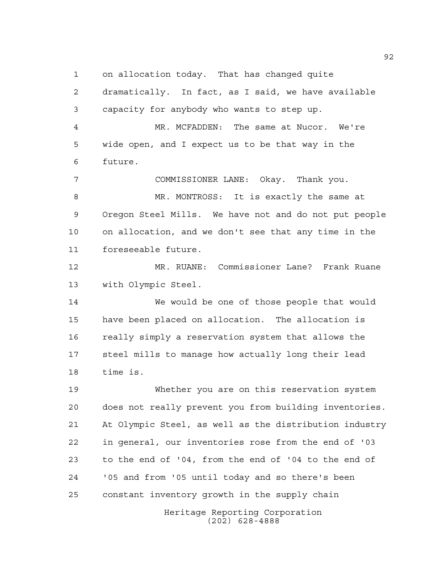on allocation today. That has changed quite

Heritage Reporting Corporation dramatically. In fact, as I said, we have available capacity for anybody who wants to step up. MR. MCFADDEN: The same at Nucor. We're wide open, and I expect us to be that way in the future. COMMISSIONER LANE: Okay. Thank you. MR. MONTROSS: It is exactly the same at Oregon Steel Mills. We have not and do not put people on allocation, and we don't see that any time in the foreseeable future. MR. RUANE: Commissioner Lane? Frank Ruane with Olympic Steel. We would be one of those people that would have been placed on allocation. The allocation is really simply a reservation system that allows the steel mills to manage how actually long their lead time is. Whether you are on this reservation system does not really prevent you from building inventories. At Olympic Steel, as well as the distribution industry in general, our inventories rose from the end of '03 to the end of '04, from the end of '04 to the end of '05 and from '05 until today and so there's been constant inventory growth in the supply chain

(202) 628-4888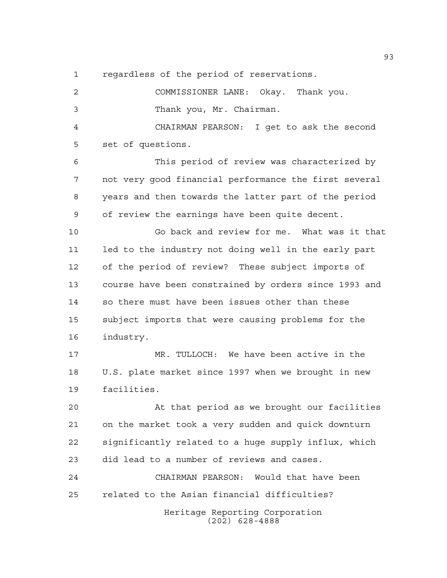regardless of the period of reservations.

Heritage Reporting Corporation (202) 628-4888 COMMISSIONER LANE: Okay. Thank you. Thank you, Mr. Chairman. CHAIRMAN PEARSON: I get to ask the second set of questions. This period of review was characterized by not very good financial performance the first several years and then towards the latter part of the period of review the earnings have been quite decent. Go back and review for me. What was it that led to the industry not doing well in the early part of the period of review? These subject imports of course have been constrained by orders since 1993 and so there must have been issues other than these subject imports that were causing problems for the industry. MR. TULLOCH: We have been active in the U.S. plate market since 1997 when we brought in new facilities. At that period as we brought our facilities on the market took a very sudden and quick downturn significantly related to a huge supply influx, which did lead to a number of reviews and cases. CHAIRMAN PEARSON: Would that have been related to the Asian financial difficulties?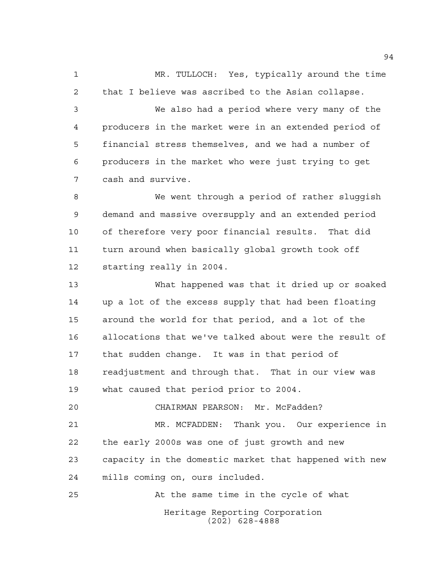MR. TULLOCH: Yes, typically around the time that I believe was ascribed to the Asian collapse. We also had a period where very many of the producers in the market were in an extended period of financial stress themselves, and we had a number of producers in the market who were just trying to get cash and survive. We went through a period of rather sluggish demand and massive oversupply and an extended period

 of therefore very poor financial results. That did turn around when basically global growth took off starting really in 2004.

 What happened was that it dried up or soaked up a lot of the excess supply that had been floating around the world for that period, and a lot of the allocations that we've talked about were the result of that sudden change. It was in that period of readjustment and through that. That in our view was what caused that period prior to 2004.

 CHAIRMAN PEARSON: Mr. McFadden? MR. MCFADDEN: Thank you. Our experience in the early 2000s was one of just growth and new capacity in the domestic market that happened with new mills coming on, ours included.

Heritage Reporting Corporation (202) 628-4888 At the same time in the cycle of what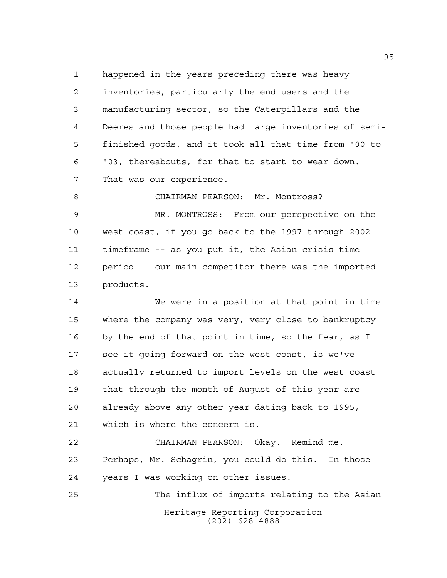happened in the years preceding there was heavy inventories, particularly the end users and the manufacturing sector, so the Caterpillars and the Deeres and those people had large inventories of semi- finished goods, and it took all that time from '00 to '03, thereabouts, for that to start to wear down. That was our experience.

8 CHAIRMAN PEARSON: Mr. Montross? MR. MONTROSS: From our perspective on the west coast, if you go back to the 1997 through 2002 timeframe -- as you put it, the Asian crisis time period -- our main competitor there was the imported products.

 We were in a position at that point in time where the company was very, very close to bankruptcy by the end of that point in time, so the fear, as I see it going forward on the west coast, is we've actually returned to import levels on the west coast that through the month of August of this year are already above any other year dating back to 1995, which is where the concern is.

 CHAIRMAN PEARSON: Okay. Remind me. Perhaps, Mr. Schagrin, you could do this. In those years I was working on other issues.

Heritage Reporting Corporation (202) 628-4888 The influx of imports relating to the Asian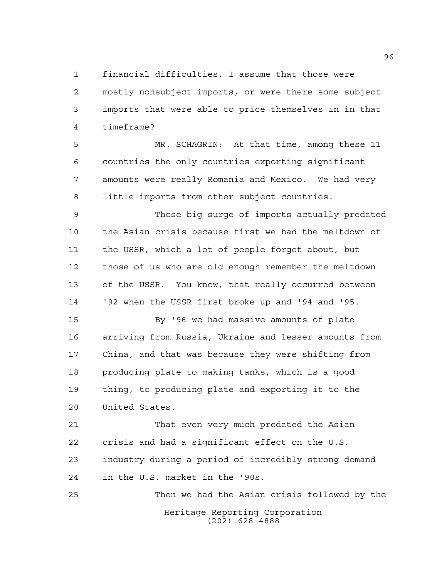financial difficulties, I assume that those were mostly nonsubject imports, or were there some subject imports that were able to price themselves in in that timeframe?

 MR. SCHAGRIN: At that time, among these 11 countries the only countries exporting significant amounts were really Romania and Mexico. We had very little imports from other subject countries.

 Those big surge of imports actually predated the Asian crisis because first we had the meltdown of the USSR, which a lot of people forget about, but those of us who are old enough remember the meltdown of the USSR. You know, that really occurred between '92 when the USSR first broke up and '94 and '95.

 By '96 we had massive amounts of plate arriving from Russia, Ukraine and lesser amounts from China, and that was because they were shifting from producing plate to making tanks, which is a good thing, to producing plate and exporting it to the United States.

 That even very much predated the Asian crisis and had a significant effect on the U.S. industry during a period of incredibly strong demand in the U.S. market in the '90s.

Heritage Reporting Corporation (202) 628-4888 Then we had the Asian crisis followed by the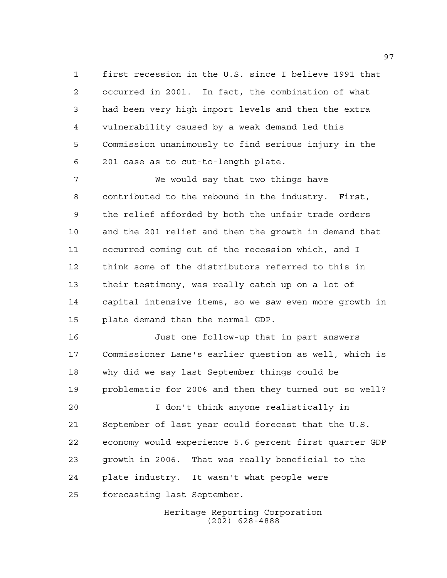first recession in the U.S. since I believe 1991 that occurred in 2001. In fact, the combination of what had been very high import levels and then the extra vulnerability caused by a weak demand led this Commission unanimously to find serious injury in the 201 case as to cut-to-length plate.

 We would say that two things have contributed to the rebound in the industry. First, the relief afforded by both the unfair trade orders and the 201 relief and then the growth in demand that occurred coming out of the recession which, and I think some of the distributors referred to this in their testimony, was really catch up on a lot of capital intensive items, so we saw even more growth in plate demand than the normal GDP.

 Just one follow-up that in part answers Commissioner Lane's earlier question as well, which is why did we say last September things could be problematic for 2006 and then they turned out so well?

 I don't think anyone realistically in September of last year could forecast that the U.S. economy would experience 5.6 percent first quarter GDP growth in 2006. That was really beneficial to the plate industry. It wasn't what people were forecasting last September.

> Heritage Reporting Corporation (202) 628-4888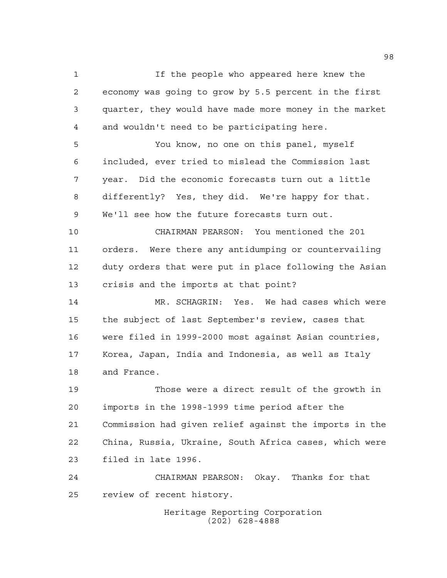If the people who appeared here knew the economy was going to grow by 5.5 percent in the first quarter, they would have made more money in the market and wouldn't need to be participating here.

 You know, no one on this panel, myself included, ever tried to mislead the Commission last year. Did the economic forecasts turn out a little differently? Yes, they did. We're happy for that. We'll see how the future forecasts turn out.

 CHAIRMAN PEARSON: You mentioned the 201 orders. Were there any antidumping or countervailing duty orders that were put in place following the Asian crisis and the imports at that point?

 MR. SCHAGRIN: Yes. We had cases which were the subject of last September's review, cases that were filed in 1999-2000 most against Asian countries, Korea, Japan, India and Indonesia, as well as Italy and France.

 Those were a direct result of the growth in imports in the 1998-1999 time period after the Commission had given relief against the imports in the China, Russia, Ukraine, South Africa cases, which were filed in late 1996.

 CHAIRMAN PEARSON: Okay. Thanks for that review of recent history.

> Heritage Reporting Corporation (202) 628-4888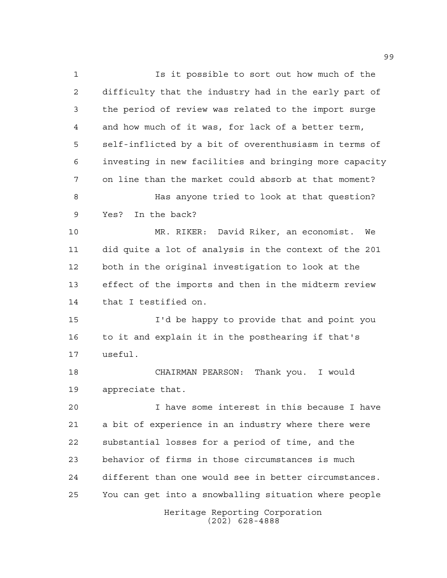Heritage Reporting Corporation (202) 628-4888 Is it possible to sort out how much of the difficulty that the industry had in the early part of the period of review was related to the import surge and how much of it was, for lack of a better term, self-inflicted by a bit of overenthusiasm in terms of investing in new facilities and bringing more capacity on line than the market could absorb at that moment? Has anyone tried to look at that question? Yes? In the back? MR. RIKER: David Riker, an economist. We did quite a lot of analysis in the context of the 201 both in the original investigation to look at the effect of the imports and then in the midterm review that I testified on. I'd be happy to provide that and point you to it and explain it in the posthearing if that's useful. CHAIRMAN PEARSON: Thank you. I would appreciate that. I have some interest in this because I have a bit of experience in an industry where there were substantial losses for a period of time, and the behavior of firms in those circumstances is much different than one would see in better circumstances. You can get into a snowballing situation where people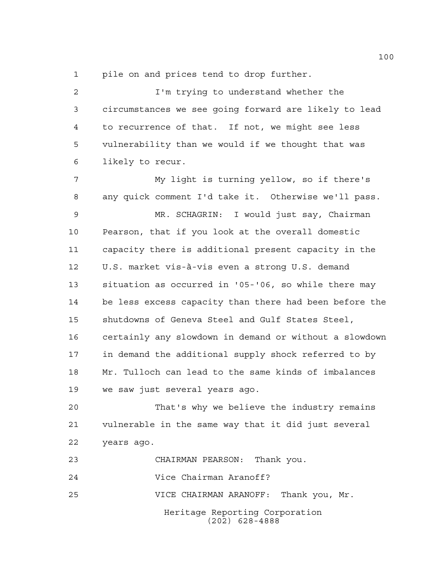pile on and prices tend to drop further.

2 I'm trying to understand whether the circumstances we see going forward are likely to lead to recurrence of that. If not, we might see less vulnerability than we would if we thought that was likely to recur. My light is turning yellow, so if there's any quick comment I'd take it. Otherwise we'll pass. MR. SCHAGRIN: I would just say, Chairman Pearson, that if you look at the overall domestic capacity there is additional present capacity in the U.S. market vis-à-vis even a strong U.S. demand situation as occurred in '05-'06, so while there may be less excess capacity than there had been before the shutdowns of Geneva Steel and Gulf States Steel, certainly any slowdown in demand or without a slowdown in demand the additional supply shock referred to by Mr. Tulloch can lead to the same kinds of imbalances we saw just several years ago. That's why we believe the industry remains

 vulnerable in the same way that it did just several years ago.

Heritage Reporting Corporation (202) 628-4888 CHAIRMAN PEARSON: Thank you. Vice Chairman Aranoff? VICE CHAIRMAN ARANOFF: Thank you, Mr.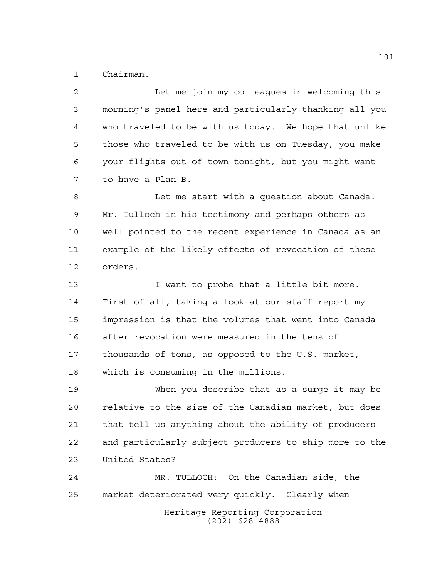Chairman.

Heritage Reporting Corporation Let me join my colleagues in welcoming this morning's panel here and particularly thanking all you who traveled to be with us today. We hope that unlike those who traveled to be with us on Tuesday, you make your flights out of town tonight, but you might want to have a Plan B. Let me start with a question about Canada. Mr. Tulloch in his testimony and perhaps others as well pointed to the recent experience in Canada as an example of the likely effects of revocation of these orders. 13 I want to probe that a little bit more. First of all, taking a look at our staff report my impression is that the volumes that went into Canada after revocation were measured in the tens of thousands of tons, as opposed to the U.S. market, which is consuming in the millions. When you describe that as a surge it may be relative to the size of the Canadian market, but does that tell us anything about the ability of producers and particularly subject producers to ship more to the United States? MR. TULLOCH: On the Canadian side, the market deteriorated very quickly. Clearly when

(202) 628-4888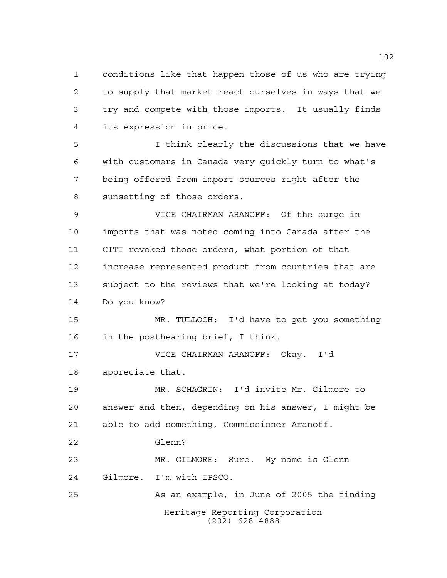conditions like that happen those of us who are trying to supply that market react ourselves in ways that we try and compete with those imports. It usually finds its expression in price.

 I think clearly the discussions that we have with customers in Canada very quickly turn to what's being offered from import sources right after the sunsetting of those orders.

 VICE CHAIRMAN ARANOFF: Of the surge in imports that was noted coming into Canada after the CITT revoked those orders, what portion of that increase represented product from countries that are subject to the reviews that we're looking at today? Do you know?

 MR. TULLOCH: I'd have to get you something in the posthearing brief, I think.

 VICE CHAIRMAN ARANOFF: Okay. I'd appreciate that.

 MR. SCHAGRIN: I'd invite Mr. Gilmore to answer and then, depending on his answer, I might be able to add something, Commissioner Aranoff.

Glenn?

 MR. GILMORE: Sure. My name is Glenn Gilmore. I'm with IPSCO.

Heritage Reporting Corporation (202) 628-4888 As an example, in June of 2005 the finding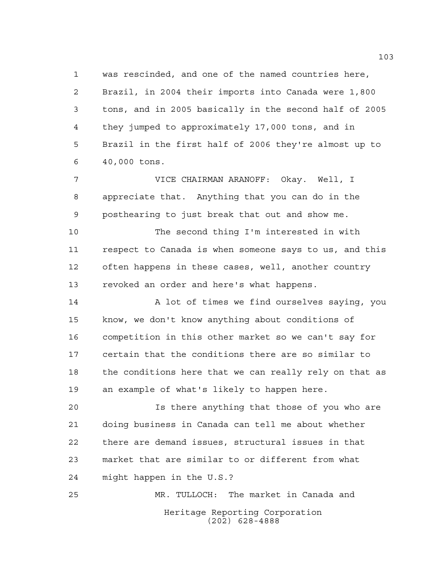was rescinded, and one of the named countries here, Brazil, in 2004 their imports into Canada were 1,800 tons, and in 2005 basically in the second half of 2005 they jumped to approximately 17,000 tons, and in Brazil in the first half of 2006 they're almost up to 40,000 tons.

 VICE CHAIRMAN ARANOFF: Okay. Well, I appreciate that. Anything that you can do in the posthearing to just break that out and show me.

 The second thing I'm interested in with respect to Canada is when someone says to us, and this often happens in these cases, well, another country revoked an order and here's what happens.

 A lot of times we find ourselves saying, you know, we don't know anything about conditions of competition in this other market so we can't say for certain that the conditions there are so similar to the conditions here that we can really rely on that as an example of what's likely to happen here.

 Is there anything that those of you who are doing business in Canada can tell me about whether there are demand issues, structural issues in that market that are similar to or different from what might happen in the U.S.?

Heritage Reporting Corporation (202) 628-4888 MR. TULLOCH: The market in Canada and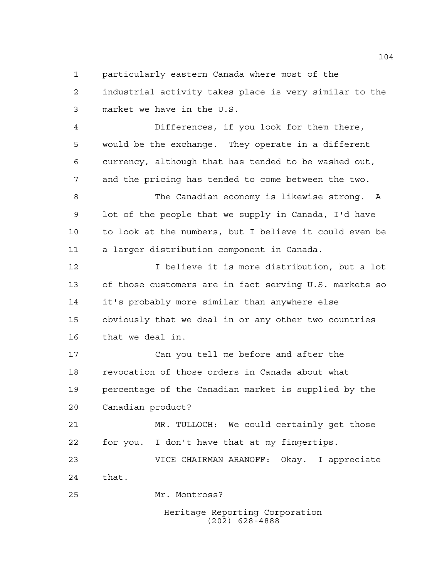particularly eastern Canada where most of the

 industrial activity takes place is very similar to the market we have in the U.S.

 Differences, if you look for them there, would be the exchange. They operate in a different currency, although that has tended to be washed out, and the pricing has tended to come between the two.

 The Canadian economy is likewise strong. A lot of the people that we supply in Canada, I'd have to look at the numbers, but I believe it could even be a larger distribution component in Canada.

 I believe it is more distribution, but a lot of those customers are in fact serving U.S. markets so it's probably more similar than anywhere else obviously that we deal in or any other two countries that we deal in.

 Can you tell me before and after the revocation of those orders in Canada about what percentage of the Canadian market is supplied by the Canadian product?

 MR. TULLOCH: We could certainly get those for you. I don't have that at my fingertips.

 VICE CHAIRMAN ARANOFF: Okay. I appreciate that.

Mr. Montross?

Heritage Reporting Corporation (202) 628-4888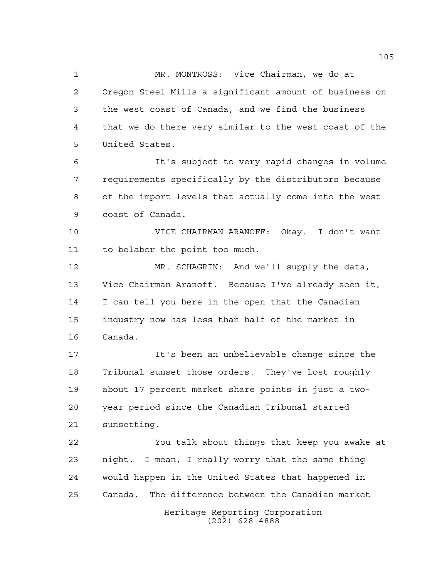MR. MONTROSS: Vice Chairman, we do at Oregon Steel Mills a significant amount of business on the west coast of Canada, and we find the business that we do there very similar to the west coast of the United States.

 It's subject to very rapid changes in volume requirements specifically by the distributors because of the import levels that actually come into the west coast of Canada.

 VICE CHAIRMAN ARANOFF: Okay. I don't want to belabor the point too much.

 MR. SCHAGRIN: And we'll supply the data, Vice Chairman Aranoff. Because I've already seen it, I can tell you here in the open that the Canadian industry now has less than half of the market in Canada.

 It's been an unbelievable change since the Tribunal sunset those orders. They've lost roughly about 17 percent market share points in just a two- year period since the Canadian Tribunal started sunsetting.

 You talk about things that keep you awake at night. I mean, I really worry that the same thing would happen in the United States that happened in Canada. The difference between the Canadian market

Heritage Reporting Corporation (202) 628-4888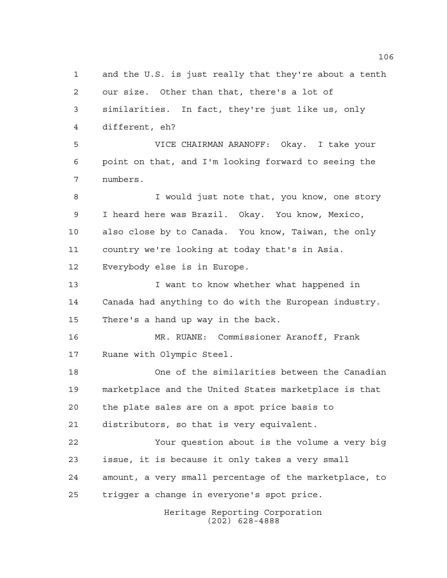Heritage Reporting Corporation and the U.S. is just really that they're about a tenth our size. Other than that, there's a lot of similarities. In fact, they're just like us, only different, eh? VICE CHAIRMAN ARANOFF: Okay. I take your point on that, and I'm looking forward to seeing the numbers. I would just note that, you know, one story I heard here was Brazil. Okay. You know, Mexico, also close by to Canada. You know, Taiwan, the only country we're looking at today that's in Asia. Everybody else is in Europe. **I** want to know whether what happened in Canada had anything to do with the European industry. There's a hand up way in the back. MR. RUANE: Commissioner Aranoff, Frank Ruane with Olympic Steel. One of the similarities between the Canadian marketplace and the United States marketplace is that the plate sales are on a spot price basis to distributors, so that is very equivalent. Your question about is the volume a very big issue, it is because it only takes a very small amount, a very small percentage of the marketplace, to trigger a change in everyone's spot price.

(202) 628-4888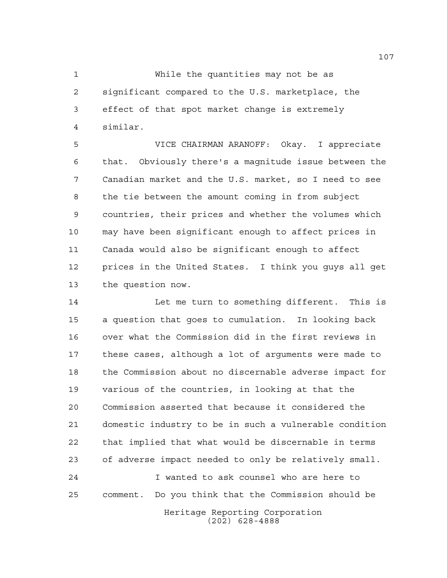While the quantities may not be as significant compared to the U.S. marketplace, the effect of that spot market change is extremely similar.

 VICE CHAIRMAN ARANOFF: Okay. I appreciate that. Obviously there's a magnitude issue between the Canadian market and the U.S. market, so I need to see the tie between the amount coming in from subject countries, their prices and whether the volumes which may have been significant enough to affect prices in Canada would also be significant enough to affect prices in the United States. I think you guys all get the question now.

 Let me turn to something different. This is a question that goes to cumulation. In looking back over what the Commission did in the first reviews in these cases, although a lot of arguments were made to the Commission about no discernable adverse impact for various of the countries, in looking at that the Commission asserted that because it considered the domestic industry to be in such a vulnerable condition that implied that what would be discernable in terms of adverse impact needed to only be relatively small. I wanted to ask counsel who are here to comment. Do you think that the Commission should be

> Heritage Reporting Corporation (202) 628-4888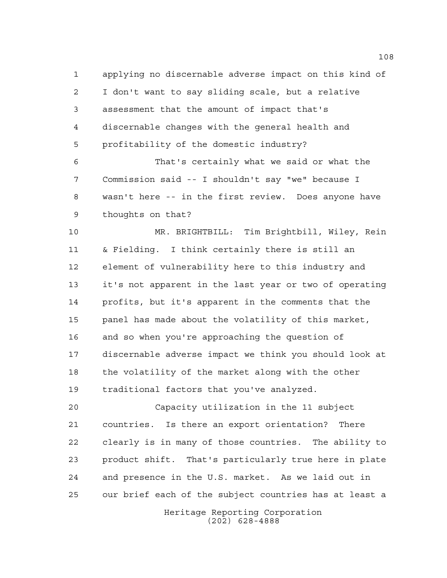applying no discernable adverse impact on this kind of I don't want to say sliding scale, but a relative assessment that the amount of impact that's discernable changes with the general health and profitability of the domestic industry?

 That's certainly what we said or what the Commission said -- I shouldn't say "we" because I wasn't here -- in the first review. Does anyone have thoughts on that?

 MR. BRIGHTBILL: Tim Brightbill, Wiley, Rein & Fielding. I think certainly there is still an element of vulnerability here to this industry and it's not apparent in the last year or two of operating profits, but it's apparent in the comments that the panel has made about the volatility of this market, and so when you're approaching the question of discernable adverse impact we think you should look at 18 the volatility of the market along with the other traditional factors that you've analyzed.

 Capacity utilization in the 11 subject countries. Is there an export orientation? There clearly is in many of those countries. The ability to product shift. That's particularly true here in plate and presence in the U.S. market. As we laid out in our brief each of the subject countries has at least a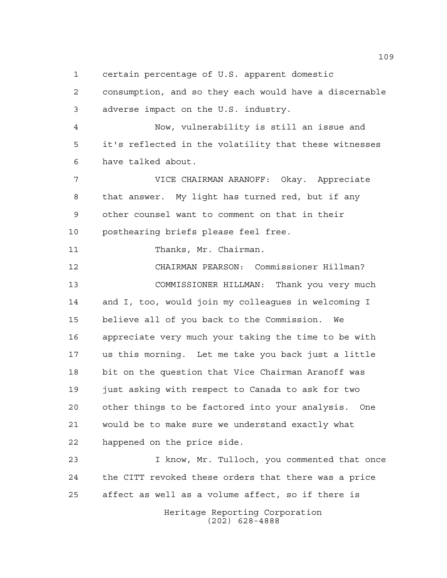certain percentage of U.S. apparent domestic

 consumption, and so they each would have a discernable adverse impact on the U.S. industry.

 Now, vulnerability is still an issue and it's reflected in the volatility that these witnesses have talked about.

 VICE CHAIRMAN ARANOFF: Okay. Appreciate that answer. My light has turned red, but if any other counsel want to comment on that in their posthearing briefs please feel free.

11 Thanks, Mr. Chairman.

 CHAIRMAN PEARSON: Commissioner Hillman? COMMISSIONER HILLMAN: Thank you very much and I, too, would join my colleagues in welcoming I believe all of you back to the Commission. We appreciate very much your taking the time to be with us this morning. Let me take you back just a little bit on the question that Vice Chairman Aranoff was 19 just asking with respect to Canada to ask for two other things to be factored into your analysis. One would be to make sure we understand exactly what happened on the price side.

 I know, Mr. Tulloch, you commented that once the CITT revoked these orders that there was a price affect as well as a volume affect, so if there is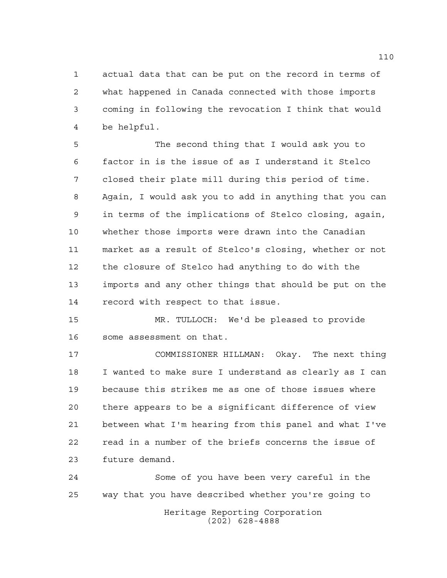actual data that can be put on the record in terms of what happened in Canada connected with those imports coming in following the revocation I think that would be helpful.

 The second thing that I would ask you to factor in is the issue of as I understand it Stelco closed their plate mill during this period of time. Again, I would ask you to add in anything that you can in terms of the implications of Stelco closing, again, whether those imports were drawn into the Canadian market as a result of Stelco's closing, whether or not the closure of Stelco had anything to do with the imports and any other things that should be put on the record with respect to that issue.

 MR. TULLOCH: We'd be pleased to provide some assessment on that.

 COMMISSIONER HILLMAN: Okay. The next thing I wanted to make sure I understand as clearly as I can because this strikes me as one of those issues where there appears to be a significant difference of view between what I'm hearing from this panel and what I've read in a number of the briefs concerns the issue of future demand.

Heritage Reporting Corporation (202) 628-4888 Some of you have been very careful in the way that you have described whether you're going to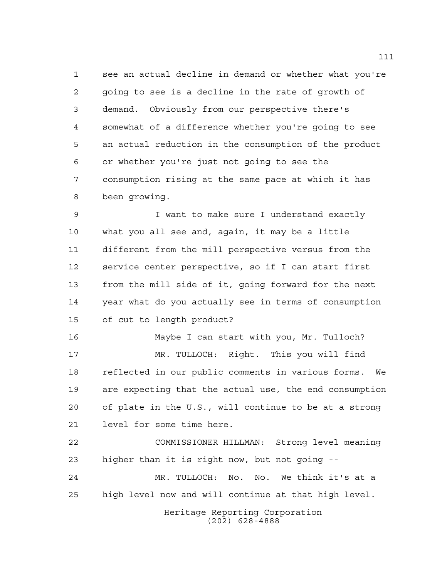see an actual decline in demand or whether what you're going to see is a decline in the rate of growth of demand. Obviously from our perspective there's somewhat of a difference whether you're going to see an actual reduction in the consumption of the product or whether you're just not going to see the consumption rising at the same pace at which it has been growing.

 I want to make sure I understand exactly what you all see and, again, it may be a little different from the mill perspective versus from the service center perspective, so if I can start first from the mill side of it, going forward for the next year what do you actually see in terms of consumption of cut to length product?

 Maybe I can start with you, Mr. Tulloch? MR. TULLOCH: Right. This you will find reflected in our public comments in various forms. We are expecting that the actual use, the end consumption of plate in the U.S., will continue to be at a strong level for some time here.

 COMMISSIONER HILLMAN: Strong level meaning higher than it is right now, but not going --

 MR. TULLOCH: No. No. We think it's at a high level now and will continue at that high level.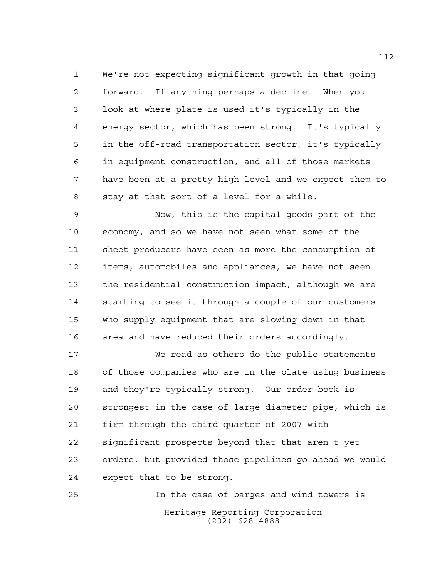We're not expecting significant growth in that going forward. If anything perhaps a decline. When you look at where plate is used it's typically in the energy sector, which has been strong. It's typically in the off-road transportation sector, it's typically in equipment construction, and all of those markets have been at a pretty high level and we expect them to stay at that sort of a level for a while.

 Now, this is the capital goods part of the economy, and so we have not seen what some of the sheet producers have seen as more the consumption of items, automobiles and appliances, we have not seen the residential construction impact, although we are starting to see it through a couple of our customers who supply equipment that are slowing down in that area and have reduced their orders accordingly.

 We read as others do the public statements of those companies who are in the plate using business and they're typically strong. Our order book is strongest in the case of large diameter pipe, which is firm through the third quarter of 2007 with significant prospects beyond that that aren't yet orders, but provided those pipelines go ahead we would expect that to be strong.

Heritage Reporting Corporation (202) 628-4888 In the case of barges and wind towers is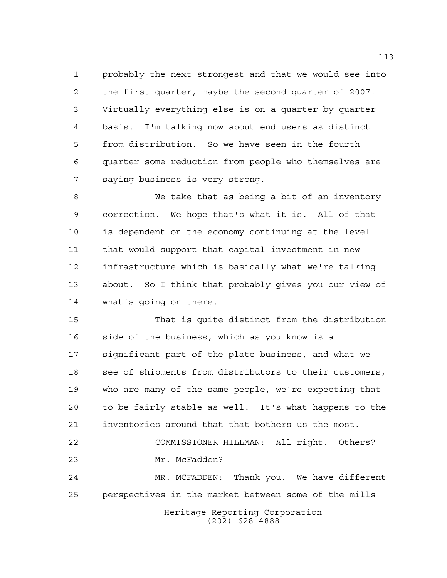probably the next strongest and that we would see into the first quarter, maybe the second quarter of 2007. Virtually everything else is on a quarter by quarter basis. I'm talking now about end users as distinct from distribution. So we have seen in the fourth quarter some reduction from people who themselves are saying business is very strong.

 We take that as being a bit of an inventory correction. We hope that's what it is. All of that is dependent on the economy continuing at the level that would support that capital investment in new infrastructure which is basically what we're talking about. So I think that probably gives you our view of what's going on there.

 That is quite distinct from the distribution side of the business, which as you know is a significant part of the plate business, and what we see of shipments from distributors to their customers, who are many of the same people, we're expecting that to be fairly stable as well. It's what happens to the inventories around that that bothers us the most. COMMISSIONER HILLMAN: All right. Others? Mr. McFadden? MR. MCFADDEN: Thank you. We have different perspectives in the market between some of the mills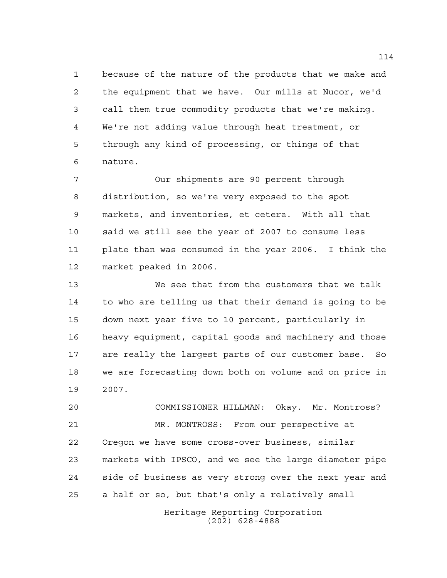because of the nature of the products that we make and the equipment that we have. Our mills at Nucor, we'd call them true commodity products that we're making. We're not adding value through heat treatment, or through any kind of processing, or things of that nature.

 Our shipments are 90 percent through distribution, so we're very exposed to the spot markets, and inventories, et cetera. With all that said we still see the year of 2007 to consume less plate than was consumed in the year 2006. I think the market peaked in 2006.

 We see that from the customers that we talk to who are telling us that their demand is going to be down next year five to 10 percent, particularly in heavy equipment, capital goods and machinery and those are really the largest parts of our customer base. So we are forecasting down both on volume and on price in 2007.

 COMMISSIONER HILLMAN: Okay. Mr. Montross? MR. MONTROSS: From our perspective at Oregon we have some cross-over business, similar markets with IPSCO, and we see the large diameter pipe side of business as very strong over the next year and a half or so, but that's only a relatively small

> Heritage Reporting Corporation (202) 628-4888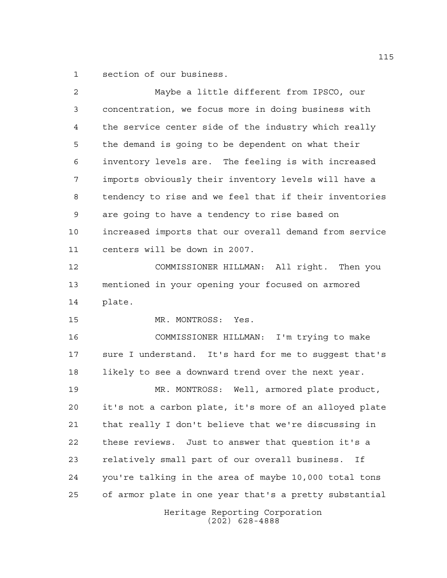section of our business.

Heritage Reporting Corporation (202) 628-4888 Maybe a little different from IPSCO, our concentration, we focus more in doing business with the service center side of the industry which really the demand is going to be dependent on what their inventory levels are. The feeling is with increased imports obviously their inventory levels will have a tendency to rise and we feel that if their inventories are going to have a tendency to rise based on increased imports that our overall demand from service centers will be down in 2007. COMMISSIONER HILLMAN: All right. Then you mentioned in your opening your focused on armored plate. 15 MR. MONTROSS: Yes. COMMISSIONER HILLMAN: I'm trying to make sure I understand. It's hard for me to suggest that's 18 likely to see a downward trend over the next year. MR. MONTROSS: Well, armored plate product, it's not a carbon plate, it's more of an alloyed plate that really I don't believe that we're discussing in these reviews. Just to answer that question it's a relatively small part of our overall business. If you're talking in the area of maybe 10,000 total tons of armor plate in one year that's a pretty substantial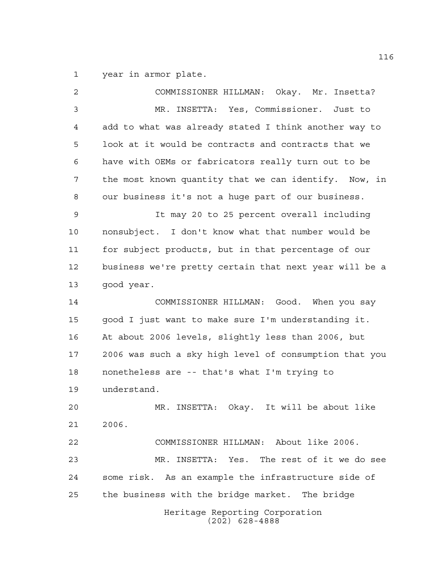year in armor plate.

Heritage Reporting Corporation (202) 628-4888 COMMISSIONER HILLMAN: Okay. Mr. Insetta? MR. INSETTA: Yes, Commissioner. Just to add to what was already stated I think another way to look at it would be contracts and contracts that we have with OEMs or fabricators really turn out to be the most known quantity that we can identify. Now, in our business it's not a huge part of our business. It may 20 to 25 percent overall including nonsubject. I don't know what that number would be for subject products, but in that percentage of our business we're pretty certain that next year will be a good year. COMMISSIONER HILLMAN: Good. When you say good I just want to make sure I'm understanding it. At about 2006 levels, slightly less than 2006, but 2006 was such a sky high level of consumption that you nonetheless are -- that's what I'm trying to understand. MR. INSETTA: Okay. It will be about like 2006. COMMISSIONER HILLMAN: About like 2006. MR. INSETTA: Yes. The rest of it we do see some risk. As an example the infrastructure side of the business with the bridge market. The bridge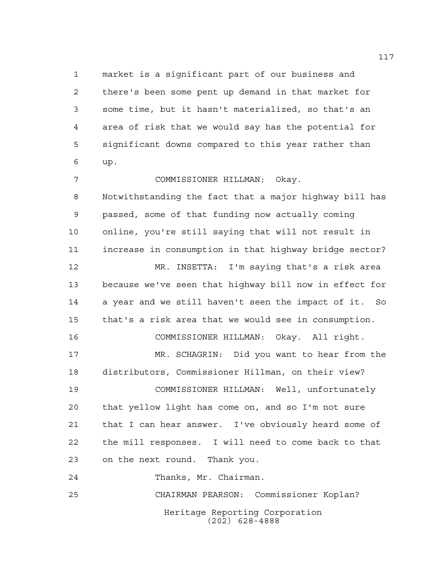market is a significant part of our business and there's been some pent up demand in that market for some time, but it hasn't materialized, so that's an area of risk that we would say has the potential for significant downs compared to this year rather than up. COMMISSIONER HILLMAN: Okay. Notwithstanding the fact that a major highway bill has passed, some of that funding now actually coming online, you're still saying that will not result in increase in consumption in that highway bridge sector? MR. INSETTA: I'm saying that's a risk area because we've seen that highway bill now in effect for a year and we still haven't seen the impact of it. So that's a risk area that we would see in consumption. COMMISSIONER HILLMAN: Okay. All right. MR. SCHAGRIN: Did you want to hear from the distributors, Commissioner Hillman, on their view? COMMISSIONER HILLMAN: Well, unfortunately that yellow light has come on, and so I'm not sure that I can hear answer. I've obviously heard some of the mill responses. I will need to come back to that on the next round. Thank you.

Thanks, Mr. Chairman.

Heritage Reporting Corporation (202) 628-4888 CHAIRMAN PEARSON: Commissioner Koplan?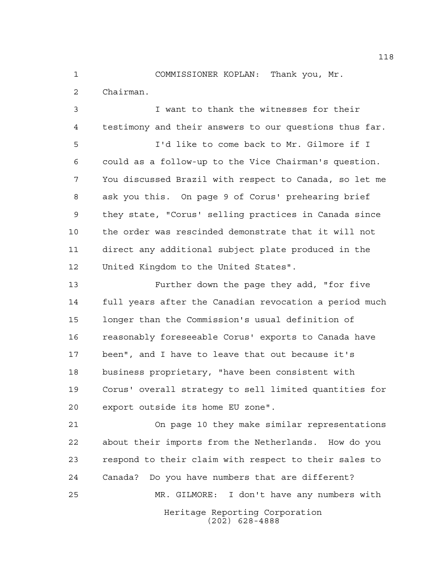COMMISSIONER KOPLAN: Thank you, Mr. Chairman.

 I want to thank the witnesses for their testimony and their answers to our questions thus far.

 I'd like to come back to Mr. Gilmore if I could as a follow-up to the Vice Chairman's question. You discussed Brazil with respect to Canada, so let me ask you this. On page 9 of Corus' prehearing brief they state, "Corus' selling practices in Canada since the order was rescinded demonstrate that it will not direct any additional subject plate produced in the United Kingdom to the United States".

 Further down the page they add, "for five full years after the Canadian revocation a period much longer than the Commission's usual definition of reasonably foreseeable Corus' exports to Canada have been", and I have to leave that out because it's business proprietary, "have been consistent with Corus' overall strategy to sell limited quantities for export outside its home EU zone".

Heritage Reporting Corporation (202) 628-4888 On page 10 they make similar representations about their imports from the Netherlands. How do you respond to their claim with respect to their sales to Canada? Do you have numbers that are different? MR. GILMORE: I don't have any numbers with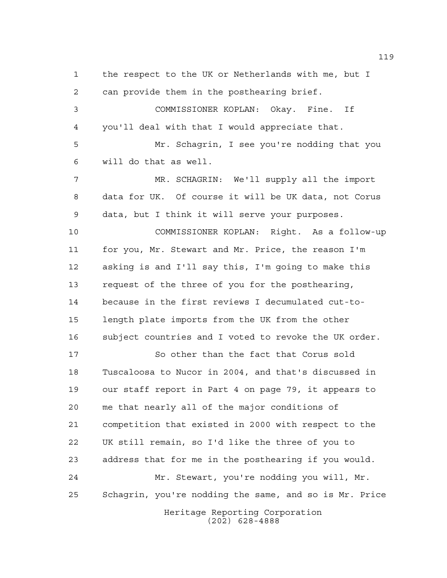the respect to the UK or Netherlands with me, but I can provide them in the posthearing brief. COMMISSIONER KOPLAN: Okay. Fine. If you'll deal with that I would appreciate that. Mr. Schagrin, I see you're nodding that you will do that as well. MR. SCHAGRIN: We'll supply all the import data for UK. Of course it will be UK data, not Corus data, but I think it will serve your purposes. COMMISSIONER KOPLAN: Right. As a follow-up for you, Mr. Stewart and Mr. Price, the reason I'm asking is and I'll say this, I'm going to make this request of the three of you for the posthearing, because in the first reviews I decumulated cut-to- length plate imports from the UK from the other subject countries and I voted to revoke the UK order. So other than the fact that Corus sold Tuscaloosa to Nucor in 2004, and that's discussed in our staff report in Part 4 on page 79, it appears to me that nearly all of the major conditions of competition that existed in 2000 with respect to the UK still remain, so I'd like the three of you to address that for me in the posthearing if you would. Mr. Stewart, you're nodding you will, Mr. Schagrin, you're nodding the same, and so is Mr. Price

Heritage Reporting Corporation (202) 628-4888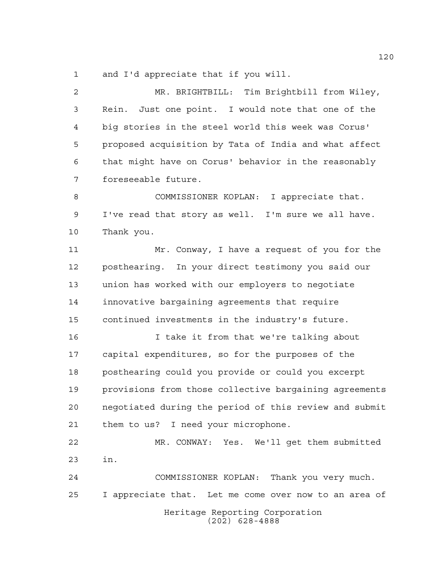and I'd appreciate that if you will.

 MR. BRIGHTBILL: Tim Brightbill from Wiley, Rein. Just one point. I would note that one of the big stories in the steel world this week was Corus' proposed acquisition by Tata of India and what affect that might have on Corus' behavior in the reasonably foreseeable future.

 COMMISSIONER KOPLAN: I appreciate that. I've read that story as well. I'm sure we all have. Thank you.

 Mr. Conway, I have a request of you for the posthearing. In your direct testimony you said our union has worked with our employers to negotiate innovative bargaining agreements that require continued investments in the industry's future.

 I take it from that we're talking about capital expenditures, so for the purposes of the posthearing could you provide or could you excerpt provisions from those collective bargaining agreements negotiated during the period of this review and submit them to us? I need your microphone.

 MR. CONWAY: Yes. We'll get them submitted in.

Heritage Reporting Corporation (202) 628-4888 COMMISSIONER KOPLAN: Thank you very much. I appreciate that. Let me come over now to an area of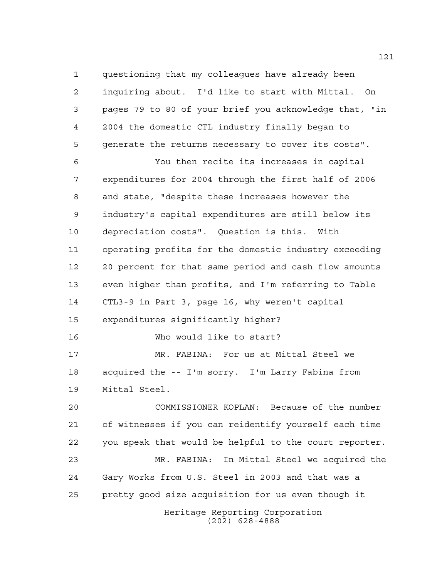questioning that my colleagues have already been inquiring about. I'd like to start with Mittal. On pages 79 to 80 of your brief you acknowledge that, "in 2004 the domestic CTL industry finally began to generate the returns necessary to cover its costs".

 You then recite its increases in capital expenditures for 2004 through the first half of 2006 and state, "despite these increases however the industry's capital expenditures are still below its depreciation costs". Question is this. With operating profits for the domestic industry exceeding 20 percent for that same period and cash flow amounts even higher than profits, and I'm referring to Table CTL3-9 in Part 3, page 16, why weren't capital expenditures significantly higher? Who would like to start?

 MR. FABINA: For us at Mittal Steel we acquired the -- I'm sorry. I'm Larry Fabina from Mittal Steel.

 COMMISSIONER KOPLAN: Because of the number of witnesses if you can reidentify yourself each time you speak that would be helpful to the court reporter. MR. FABINA: In Mittal Steel we acquired the Gary Works from U.S. Steel in 2003 and that was a pretty good size acquisition for us even though it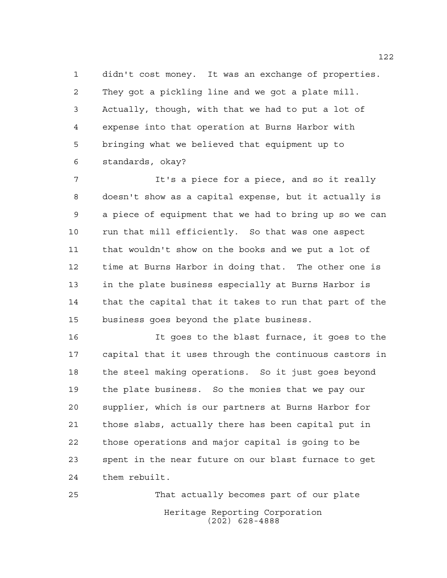didn't cost money. It was an exchange of properties. They got a pickling line and we got a plate mill. Actually, though, with that we had to put a lot of expense into that operation at Burns Harbor with bringing what we believed that equipment up to standards, okay?

 It's a piece for a piece, and so it really doesn't show as a capital expense, but it actually is a piece of equipment that we had to bring up so we can run that mill efficiently. So that was one aspect that wouldn't show on the books and we put a lot of time at Burns Harbor in doing that. The other one is in the plate business especially at Burns Harbor is that the capital that it takes to run that part of the business goes beyond the plate business.

 It goes to the blast furnace, it goes to the capital that it uses through the continuous castors in the steel making operations. So it just goes beyond the plate business. So the monies that we pay our supplier, which is our partners at Burns Harbor for those slabs, actually there has been capital put in those operations and major capital is going to be spent in the near future on our blast furnace to get them rebuilt.

Heritage Reporting Corporation (202) 628-4888 That actually becomes part of our plate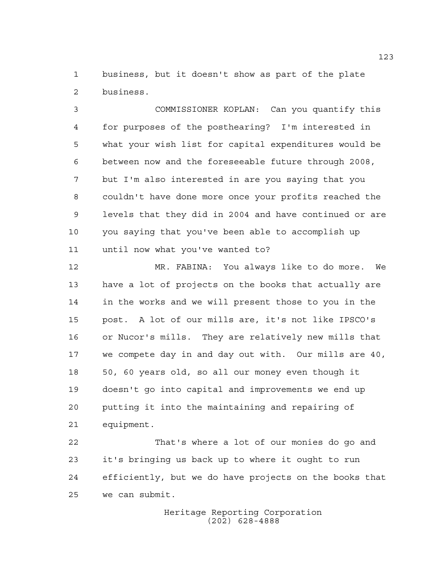business, but it doesn't show as part of the plate business.

 COMMISSIONER KOPLAN: Can you quantify this for purposes of the posthearing? I'm interested in what your wish list for capital expenditures would be between now and the foreseeable future through 2008, but I'm also interested in are you saying that you couldn't have done more once your profits reached the levels that they did in 2004 and have continued or are you saying that you've been able to accomplish up until now what you've wanted to?

 MR. FABINA: You always like to do more. We have a lot of projects on the books that actually are in the works and we will present those to you in the post. A lot of our mills are, it's not like IPSCO's or Nucor's mills. They are relatively new mills that we compete day in and day out with. Our mills are 40, 50, 60 years old, so all our money even though it doesn't go into capital and improvements we end up putting it into the maintaining and repairing of equipment.

 That's where a lot of our monies do go and it's bringing us back up to where it ought to run efficiently, but we do have projects on the books that we can submit.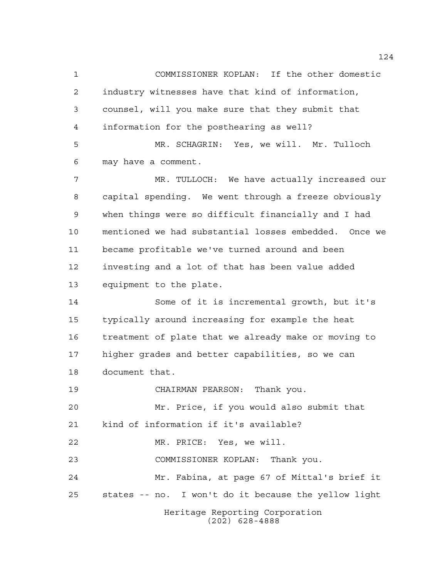Heritage Reporting Corporation (202) 628-4888 COMMISSIONER KOPLAN: If the other domestic industry witnesses have that kind of information, counsel, will you make sure that they submit that information for the posthearing as well? MR. SCHAGRIN: Yes, we will. Mr. Tulloch may have a comment. MR. TULLOCH: We have actually increased our capital spending. We went through a freeze obviously when things were so difficult financially and I had mentioned we had substantial losses embedded. Once we became profitable we've turned around and been investing and a lot of that has been value added equipment to the plate. Some of it is incremental growth, but it's typically around increasing for example the heat treatment of plate that we already make or moving to higher grades and better capabilities, so we can document that. CHAIRMAN PEARSON: Thank you. Mr. Price, if you would also submit that kind of information if it's available? MR. PRICE: Yes, we will. COMMISSIONER KOPLAN: Thank you. Mr. Fabina, at page 67 of Mittal's brief it states -- no. I won't do it because the yellow light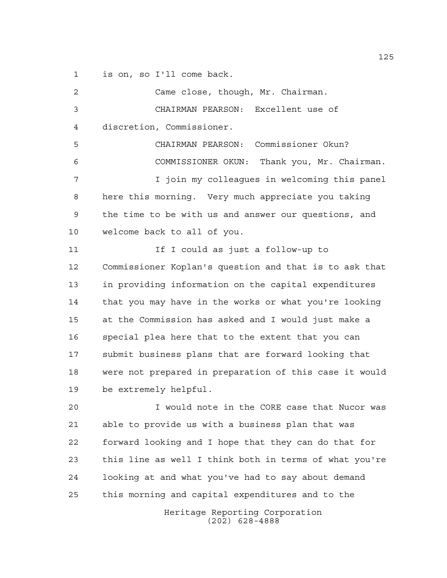is on, so I'll come back.

 Came close, though, Mr. Chairman. CHAIRMAN PEARSON: Excellent use of discretion, Commissioner. CHAIRMAN PEARSON: Commissioner Okun? COMMISSIONER OKUN: Thank you, Mr. Chairman. I join my colleagues in welcoming this panel here this morning. Very much appreciate you taking the time to be with us and answer our questions, and welcome back to all of you. **If I could as just a follow-up to**  Commissioner Koplan's question and that is to ask that in providing information on the capital expenditures that you may have in the works or what you're looking at the Commission has asked and I would just make a special plea here that to the extent that you can submit business plans that are forward looking that were not prepared in preparation of this case it would be extremely helpful.

 I would note in the CORE case that Nucor was able to provide us with a business plan that was forward looking and I hope that they can do that for this line as well I think both in terms of what you're looking at and what you've had to say about demand this morning and capital expenditures and to the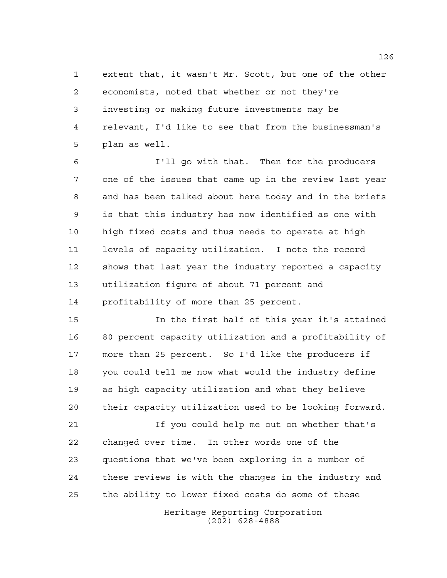extent that, it wasn't Mr. Scott, but one of the other economists, noted that whether or not they're investing or making future investments may be relevant, I'd like to see that from the businessman's plan as well.

 I'll go with that. Then for the producers one of the issues that came up in the review last year and has been talked about here today and in the briefs is that this industry has now identified as one with high fixed costs and thus needs to operate at high levels of capacity utilization. I note the record shows that last year the industry reported a capacity utilization figure of about 71 percent and profitability of more than 25 percent.

 In the first half of this year it's attained 80 percent capacity utilization and a profitability of more than 25 percent. So I'd like the producers if you could tell me now what would the industry define as high capacity utilization and what they believe their capacity utilization used to be looking forward.

 If you could help me out on whether that's changed over time. In other words one of the questions that we've been exploring in a number of these reviews is with the changes in the industry and the ability to lower fixed costs do some of these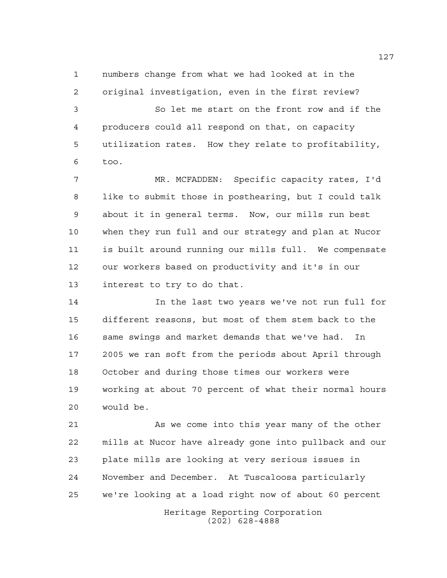numbers change from what we had looked at in the

 original investigation, even in the first review? So let me start on the front row and if the producers could all respond on that, on capacity utilization rates. How they relate to profitability, too.

 MR. MCFADDEN: Specific capacity rates, I'd like to submit those in posthearing, but I could talk about it in general terms. Now, our mills run best when they run full and our strategy and plan at Nucor is built around running our mills full. We compensate our workers based on productivity and it's in our interest to try to do that.

 In the last two years we've not run full for different reasons, but most of them stem back to the same swings and market demands that we've had. In 2005 we ran soft from the periods about April through October and during those times our workers were working at about 70 percent of what their normal hours would be.

Heritage Reporting Corporation 21 As we come into this year many of the other mills at Nucor have already gone into pullback and our plate mills are looking at very serious issues in November and December. At Tuscaloosa particularly we're looking at a load right now of about 60 percent

(202) 628-4888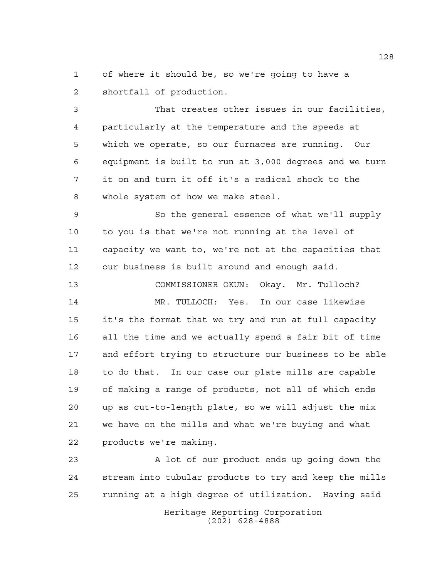of where it should be, so we're going to have a shortfall of production.

 That creates other issues in our facilities, particularly at the temperature and the speeds at which we operate, so our furnaces are running. Our equipment is built to run at 3,000 degrees and we turn it on and turn it off it's a radical shock to the whole system of how we make steel.

 So the general essence of what we'll supply to you is that we're not running at the level of capacity we want to, we're not at the capacities that our business is built around and enough said.

 COMMISSIONER OKUN: Okay. Mr. Tulloch? MR. TULLOCH: Yes. In our case likewise it's the format that we try and run at full capacity all the time and we actually spend a fair bit of time and effort trying to structure our business to be able to do that. In our case our plate mills are capable of making a range of products, not all of which ends up as cut-to-length plate, so we will adjust the mix we have on the mills and what we're buying and what products we're making.

 A lot of our product ends up going down the stream into tubular products to try and keep the mills running at a high degree of utilization. Having said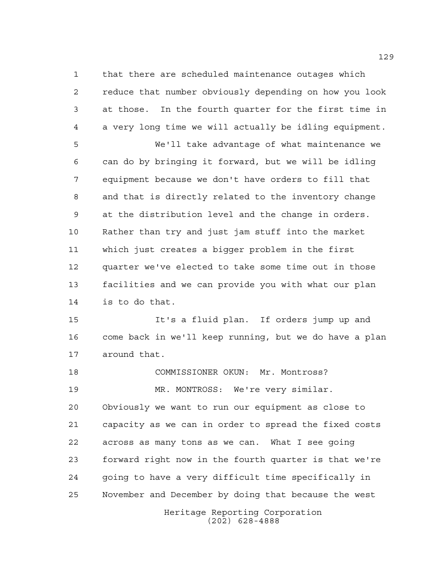that there are scheduled maintenance outages which reduce that number obviously depending on how you look at those. In the fourth quarter for the first time in a very long time we will actually be idling equipment.

 We'll take advantage of what maintenance we can do by bringing it forward, but we will be idling equipment because we don't have orders to fill that and that is directly related to the inventory change at the distribution level and the change in orders. Rather than try and just jam stuff into the market which just creates a bigger problem in the first quarter we've elected to take some time out in those facilities and we can provide you with what our plan is to do that.

 It's a fluid plan. If orders jump up and come back in we'll keep running, but we do have a plan around that.

 COMMISSIONER OKUN: Mr. Montross? MR. MONTROSS: We're very similar. Obviously we want to run our equipment as close to capacity as we can in order to spread the fixed costs across as many tons as we can. What I see going forward right now in the fourth quarter is that we're going to have a very difficult time specifically in November and December by doing that because the west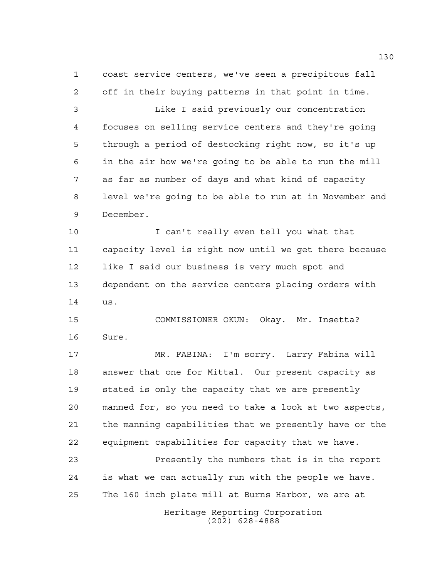coast service centers, we've seen a precipitous fall off in their buying patterns in that point in time. Like I said previously our concentration focuses on selling service centers and they're going through a period of destocking right now, so it's up in the air how we're going to be able to run the mill as far as number of days and what kind of capacity level we're going to be able to run at in November and December. I can't really even tell you what that capacity level is right now until we get there because like I said our business is very much spot and dependent on the service centers placing orders with us. COMMISSIONER OKUN: Okay. Mr. Insetta? Sure. MR. FABINA: I'm sorry. Larry Fabina will answer that one for Mittal. Our present capacity as stated is only the capacity that we are presently manned for, so you need to take a look at two aspects, the manning capabilities that we presently have or the

 equipment capabilities for capacity that we have. Presently the numbers that is in the report

 is what we can actually run with the people we have. The 160 inch plate mill at Burns Harbor, we are at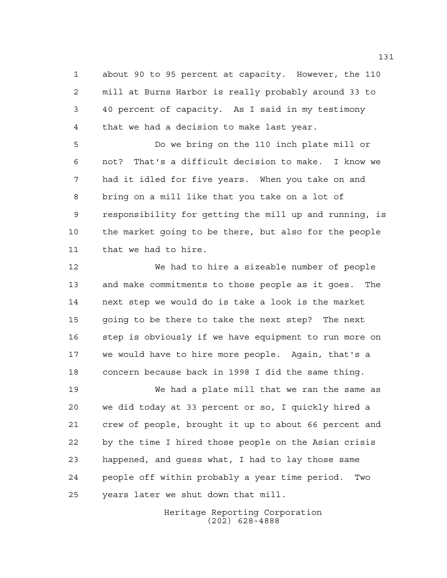about 90 to 95 percent at capacity. However, the 110 mill at Burns Harbor is really probably around 33 to 40 percent of capacity. As I said in my testimony that we had a decision to make last year.

 Do we bring on the 110 inch plate mill or not? That's a difficult decision to make. I know we had it idled for five years. When you take on and bring on a mill like that you take on a lot of responsibility for getting the mill up and running, is the market going to be there, but also for the people that we had to hire.

 We had to hire a sizeable number of people and make commitments to those people as it goes. The next step we would do is take a look is the market going to be there to take the next step? The next step is obviously if we have equipment to run more on we would have to hire more people. Again, that's a concern because back in 1998 I did the same thing.

 We had a plate mill that we ran the same as we did today at 33 percent or so, I quickly hired a crew of people, brought it up to about 66 percent and by the time I hired those people on the Asian crisis happened, and guess what, I had to lay those same people off within probably a year time period. Two years later we shut down that mill.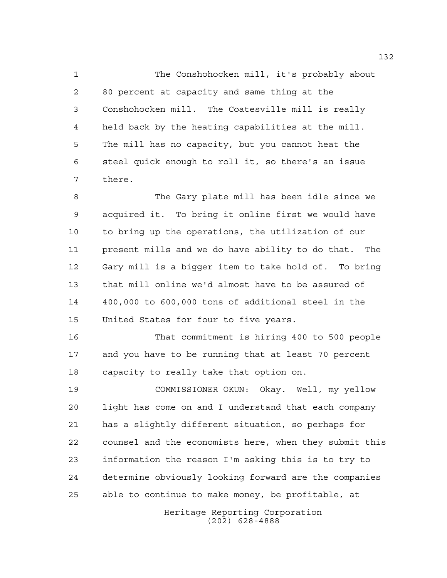The Conshohocken mill, it's probably about 80 percent at capacity and same thing at the Conshohocken mill. The Coatesville mill is really held back by the heating capabilities at the mill. The mill has no capacity, but you cannot heat the steel quick enough to roll it, so there's an issue there.

 The Gary plate mill has been idle since we acquired it. To bring it online first we would have to bring up the operations, the utilization of our present mills and we do have ability to do that. The Gary mill is a bigger item to take hold of. To bring that mill online we'd almost have to be assured of 400,000 to 600,000 tons of additional steel in the United States for four to five years.

 That commitment is hiring 400 to 500 people and you have to be running that at least 70 percent capacity to really take that option on.

 COMMISSIONER OKUN: Okay. Well, my yellow light has come on and I understand that each company has a slightly different situation, so perhaps for counsel and the economists here, when they submit this information the reason I'm asking this is to try to determine obviously looking forward are the companies able to continue to make money, be profitable, at

> Heritage Reporting Corporation (202) 628-4888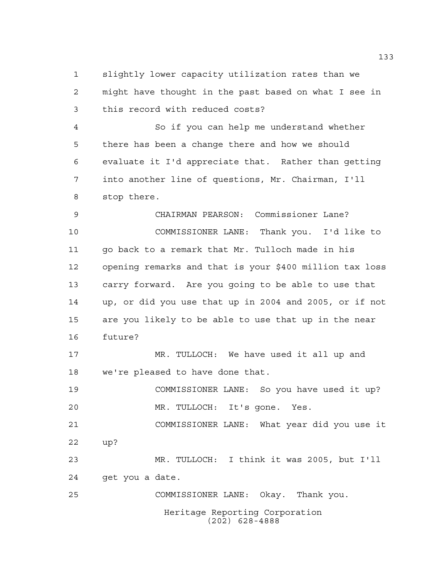slightly lower capacity utilization rates than we might have thought in the past based on what I see in this record with reduced costs?

 So if you can help me understand whether there has been a change there and how we should evaluate it I'd appreciate that. Rather than getting into another line of questions, Mr. Chairman, I'll stop there.

 CHAIRMAN PEARSON: Commissioner Lane? COMMISSIONER LANE: Thank you. I'd like to go back to a remark that Mr. Tulloch made in his opening remarks and that is your \$400 million tax loss carry forward. Are you going to be able to use that up, or did you use that up in 2004 and 2005, or if not are you likely to be able to use that up in the near future?

 MR. TULLOCH: We have used it all up and we're pleased to have done that.

 COMMISSIONER LANE: So you have used it up? MR. TULLOCH: It's gone. Yes.

 COMMISSIONER LANE: What year did you use it up?

 MR. TULLOCH: I think it was 2005, but I'll get you a date.

COMMISSIONER LANE: Okay. Thank you.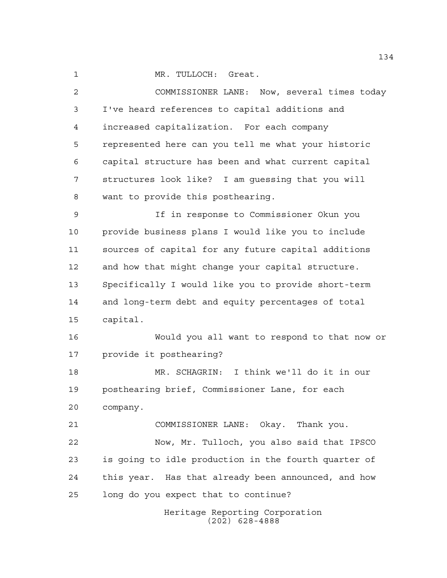MR. TULLOCH: Great.

 COMMISSIONER LANE: Now, several times today I've heard references to capital additions and increased capitalization. For each company represented here can you tell me what your historic capital structure has been and what current capital structures look like? I am guessing that you will want to provide this posthearing. If in response to Commissioner Okun you provide business plans I would like you to include sources of capital for any future capital additions and how that might change your capital structure. Specifically I would like you to provide short-term and long-term debt and equity percentages of total capital. Would you all want to respond to that now or provide it posthearing? MR. SCHAGRIN: I think we'll do it in our posthearing brief, Commissioner Lane, for each company. COMMISSIONER LANE: Okay. Thank you. Now, Mr. Tulloch, you also said that IPSCO is going to idle production in the fourth quarter of this year. Has that already been announced, and how long do you expect that to continue?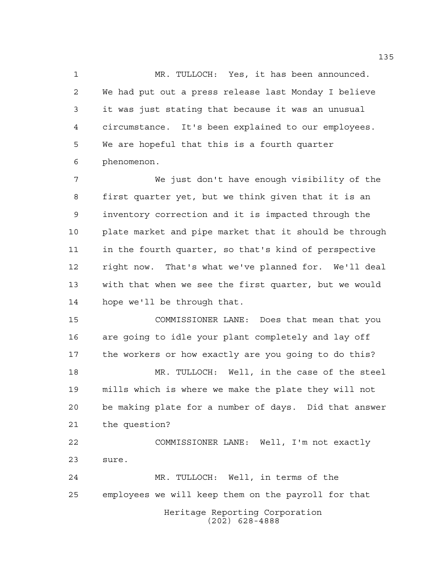MR. TULLOCH: Yes, it has been announced. We had put out a press release last Monday I believe it was just stating that because it was an unusual circumstance. It's been explained to our employees. We are hopeful that this is a fourth quarter phenomenon.

 We just don't have enough visibility of the first quarter yet, but we think given that it is an inventory correction and it is impacted through the plate market and pipe market that it should be through in the fourth quarter, so that's kind of perspective right now. That's what we've planned for. We'll deal with that when we see the first quarter, but we would hope we'll be through that.

 COMMISSIONER LANE: Does that mean that you are going to idle your plant completely and lay off the workers or how exactly are you going to do this?

 MR. TULLOCH: Well, in the case of the steel mills which is where we make the plate they will not be making plate for a number of days. Did that answer the question?

 COMMISSIONER LANE: Well, I'm not exactly sure.

Heritage Reporting Corporation (202) 628-4888 MR. TULLOCH: Well, in terms of the employees we will keep them on the payroll for that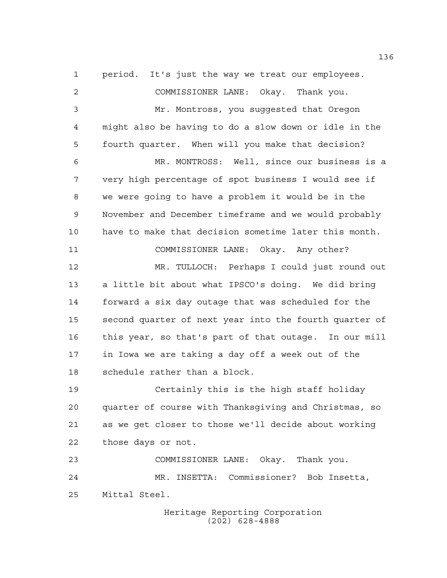period. It's just the way we treat our employees.

 COMMISSIONER LANE: Okay. Thank you. Mr. Montross, you suggested that Oregon might also be having to do a slow down or idle in the fourth quarter. When will you make that decision? MR. MONTROSS: Well, since our business is a very high percentage of spot business I would see if we were going to have a problem it would be in the November and December timeframe and we would probably have to make that decision sometime later this month. COMMISSIONER LANE: Okay. Any other? MR. TULLOCH: Perhaps I could just round out a little bit about what IPSCO's doing. We did bring forward a six day outage that was scheduled for the second quarter of next year into the fourth quarter of this year, so that's part of that outage. In our mill in Iowa we are taking a day off a week out of the schedule rather than a block.

 Certainly this is the high staff holiday quarter of course with Thanksgiving and Christmas, so as we get closer to those we'll decide about working those days or not.

 COMMISSIONER LANE: Okay. Thank you. MR. INSETTA: Commissioner? Bob Insetta, Mittal Steel.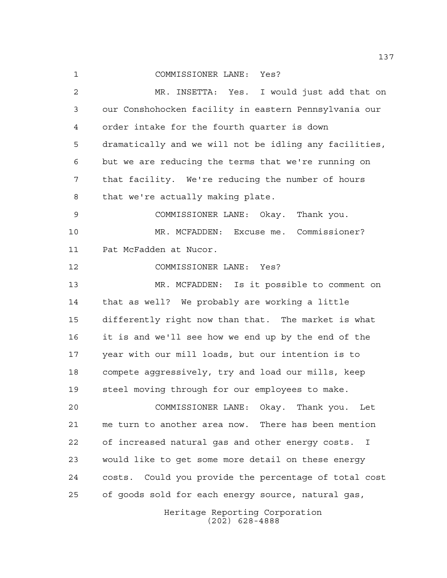COMMISSIONER LANE: Yes?

Heritage Reporting Corporation (202) 628-4888 MR. INSETTA: Yes. I would just add that on our Conshohocken facility in eastern Pennsylvania our order intake for the fourth quarter is down dramatically and we will not be idling any facilities, but we are reducing the terms that we're running on that facility. We're reducing the number of hours that we're actually making plate. COMMISSIONER LANE: Okay. Thank you. MR. MCFADDEN: Excuse me. Commissioner? Pat McFadden at Nucor. COMMISSIONER LANE: Yes? MR. MCFADDEN: Is it possible to comment on that as well? We probably are working a little differently right now than that. The market is what it is and we'll see how we end up by the end of the year with our mill loads, but our intention is to compete aggressively, try and load our mills, keep steel moving through for our employees to make. COMMISSIONER LANE: Okay. Thank you. Let me turn to another area now. There has been mention of increased natural gas and other energy costs. I would like to get some more detail on these energy costs. Could you provide the percentage of total cost of goods sold for each energy source, natural gas,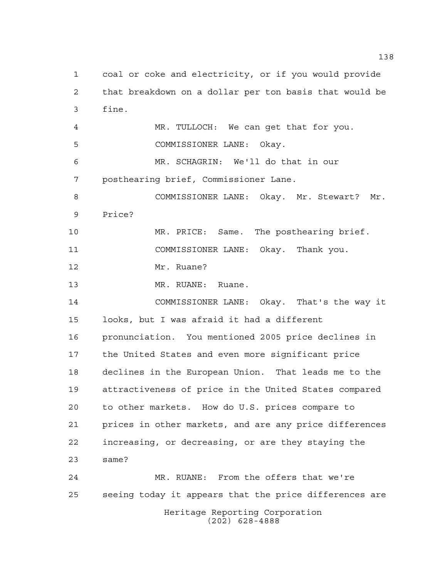Heritage Reporting Corporation (202) 628-4888 coal or coke and electricity, or if you would provide that breakdown on a dollar per ton basis that would be fine. MR. TULLOCH: We can get that for you. COMMISSIONER LANE: Okay. MR. SCHAGRIN: We'll do that in our posthearing brief, Commissioner Lane. COMMISSIONER LANE: Okay. Mr. Stewart? Mr. Price? MR. PRICE: Same. The posthearing brief. COMMISSIONER LANE: Okay. Thank you. Mr. Ruane? 13 MR. RUANE: Ruane. COMMISSIONER LANE: Okay. That's the way it looks, but I was afraid it had a different pronunciation. You mentioned 2005 price declines in the United States and even more significant price declines in the European Union. That leads me to the attractiveness of price in the United States compared to other markets. How do U.S. prices compare to prices in other markets, and are any price differences increasing, or decreasing, or are they staying the same? MR. RUANE: From the offers that we're seeing today it appears that the price differences are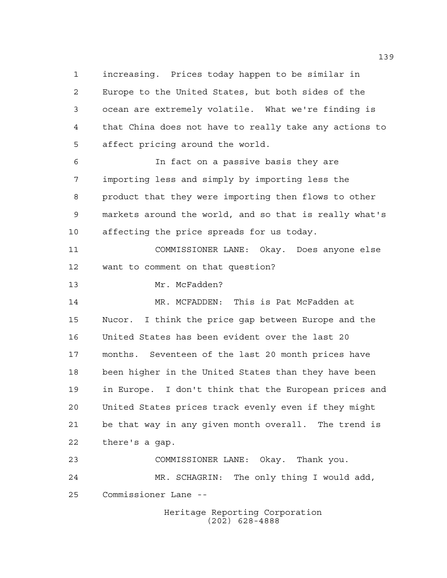increasing. Prices today happen to be similar in Europe to the United States, but both sides of the ocean are extremely volatile. What we're finding is that China does not have to really take any actions to affect pricing around the world. In fact on a passive basis they are importing less and simply by importing less the product that they were importing then flows to other

 markets around the world, and so that is really what's affecting the price spreads for us today.

 COMMISSIONER LANE: Okay. Does anyone else want to comment on that question?

Mr. McFadden?

 MR. MCFADDEN: This is Pat McFadden at Nucor. I think the price gap between Europe and the United States has been evident over the last 20 months. Seventeen of the last 20 month prices have been higher in the United States than they have been in Europe. I don't think that the European prices and United States prices track evenly even if they might be that way in any given month overall. The trend is there's a gap.

 COMMISSIONER LANE: Okay. Thank you. MR. SCHAGRIN: The only thing I would add, Commissioner Lane --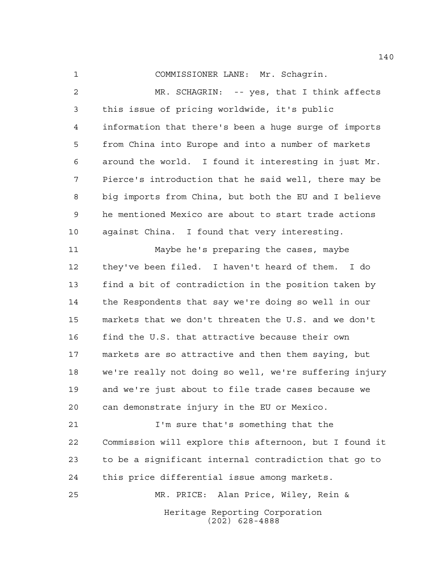COMMISSIONER LANE: Mr. Schagrin.

 MR. SCHAGRIN: -- yes, that I think affects this issue of pricing worldwide, it's public information that there's been a huge surge of imports from China into Europe and into a number of markets around the world. I found it interesting in just Mr. Pierce's introduction that he said well, there may be big imports from China, but both the EU and I believe he mentioned Mexico are about to start trade actions against China. I found that very interesting. Maybe he's preparing the cases, maybe they've been filed. I haven't heard of them. I do find a bit of contradiction in the position taken by the Respondents that say we're doing so well in our markets that we don't threaten the U.S. and we don't find the U.S. that attractive because their own markets are so attractive and then them saying, but we're really not doing so well, we're suffering injury and we're just about to file trade cases because we can demonstrate injury in the EU or Mexico. I'm sure that's something that the

 Commission will explore this afternoon, but I found it to be a significant internal contradiction that go to this price differential issue among markets.

Heritage Reporting Corporation (202) 628-4888 MR. PRICE: Alan Price, Wiley, Rein &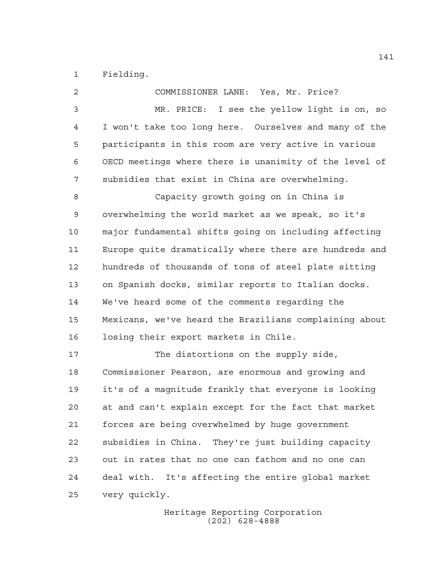Fielding.

| 2           | COMMISSIONER LANE: Yes, Mr. Price?                     |
|-------------|--------------------------------------------------------|
| 3           | MR. PRICE: I see the yellow light is on, so            |
| 4           | I won't take too long here. Ourselves and many of the  |
| 5           | participants in this room are very active in various   |
| 6           | OECD meetings where there is unanimity of the level of |
| 7           | subsidies that exist in China are overwhelming.        |
| 8           | Capacity growth going on in China is                   |
| $\mathsf 9$ | overwhelming the world market as we speak, so it's     |
| 10          | major fundamental shifts going on including affecting  |
| 11          | Europe quite dramatically where there are hundreds and |
| 12          | hundreds of thousands of tons of steel plate sitting   |
| 13          | on Spanish docks, similar reports to Italian docks.    |
| 14          | We've heard some of the comments regarding the         |
| 15          | Mexicans, we've heard the Brazilians complaining about |
| 16          | losing their export markets in Chile.                  |
| 17          | The distortions on the supply side,                    |
| 18          | Commissioner Pearson, are enormous and growing and     |
| 19          | it's of a magnitude frankly that everyone is looking   |
| 20          | at and can't explain except for the fact that market   |
| 21          | forces are being overwhelmed by huge government        |
| 22          | subsidies in China. They're just building capacity     |
| 23          | out in rates that no one can fathom and no one can     |
| 24          | deal with. It's affecting the entire global market     |
| 25          | very quickly.                                          |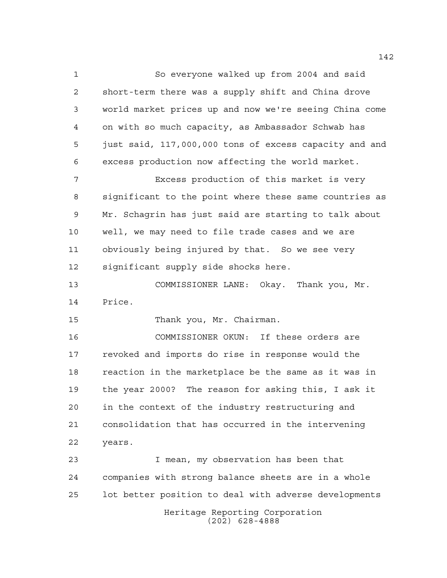So everyone walked up from 2004 and said short-term there was a supply shift and China drove world market prices up and now we're seeing China come on with so much capacity, as Ambassador Schwab has just said, 117,000,000 tons of excess capacity and and excess production now affecting the world market. Excess production of this market is very significant to the point where these same countries as Mr. Schagrin has just said are starting to talk about well, we may need to file trade cases and we are obviously being injured by that. So we see very significant supply side shocks here. COMMISSIONER LANE: Okay. Thank you, Mr. Price.

Thank you, Mr. Chairman.

 COMMISSIONER OKUN: If these orders are revoked and imports do rise in response would the reaction in the marketplace be the same as it was in the year 2000? The reason for asking this, I ask it in the context of the industry restructuring and consolidation that has occurred in the intervening years.

Heritage Reporting Corporation (202) 628-4888 I mean, my observation has been that companies with strong balance sheets are in a whole lot better position to deal with adverse developments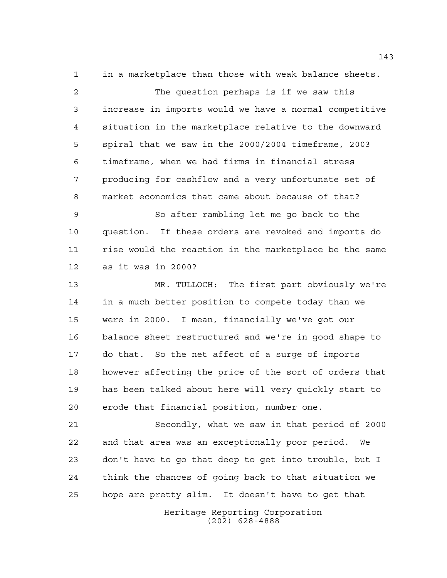in a marketplace than those with weak balance sheets.

 The question perhaps is if we saw this increase in imports would we have a normal competitive situation in the marketplace relative to the downward spiral that we saw in the 2000/2004 timeframe, 2003 timeframe, when we had firms in financial stress producing for cashflow and a very unfortunate set of market economics that came about because of that?

 So after rambling let me go back to the question. If these orders are revoked and imports do rise would the reaction in the marketplace be the same as it was in 2000?

 MR. TULLOCH: The first part obviously we're in a much better position to compete today than we were in 2000. I mean, financially we've got our balance sheet restructured and we're in good shape to do that. So the net affect of a surge of imports however affecting the price of the sort of orders that has been talked about here will very quickly start to erode that financial position, number one.

 Secondly, what we saw in that period of 2000 and that area was an exceptionally poor period. We don't have to go that deep to get into trouble, but I think the chances of going back to that situation we hope are pretty slim. It doesn't have to get that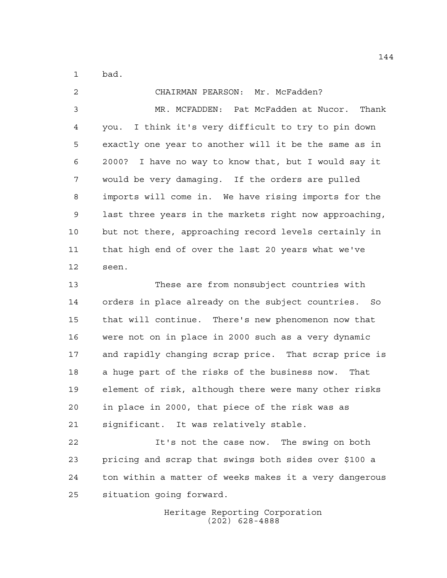bad.

 CHAIRMAN PEARSON: Mr. McFadden? MR. MCFADDEN: Pat McFadden at Nucor. Thank you. I think it's very difficult to try to pin down exactly one year to another will it be the same as in 2000? I have no way to know that, but I would say it would be very damaging. If the orders are pulled imports will come in. We have rising imports for the last three years in the markets right now approaching, but not there, approaching record levels certainly in that high end of over the last 20 years what we've seen. These are from nonsubject countries with orders in place already on the subject countries. So that will continue. There's new phenomenon now that were not on in place in 2000 such as a very dynamic and rapidly changing scrap price. That scrap price is a huge part of the risks of the business now. That element of risk, although there were many other risks

 in place in 2000, that piece of the risk was as significant. It was relatively stable.

 It's not the case now. The swing on both pricing and scrap that swings both sides over \$100 a ton within a matter of weeks makes it a very dangerous situation going forward.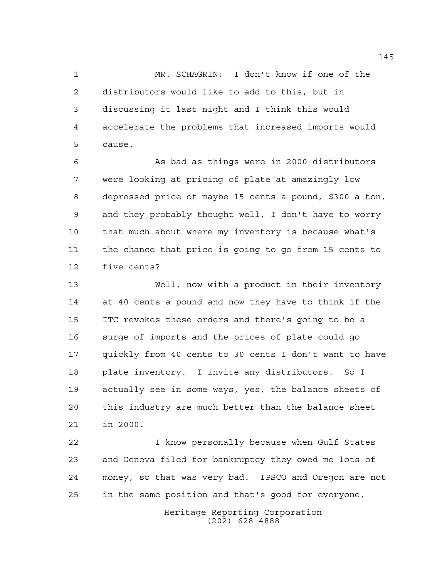MR. SCHAGRIN: I don't know if one of the distributors would like to add to this, but in discussing it last night and I think this would accelerate the problems that increased imports would cause.

 As bad as things were in 2000 distributors were looking at pricing of plate at amazingly low depressed price of maybe 15 cents a pound, \$300 a ton, and they probably thought well, I don't have to worry that much about where my inventory is because what's the chance that price is going to go from 15 cents to five cents?

 Well, now with a product in their inventory at 40 cents a pound and now they have to think if the ITC revokes these orders and there's going to be a surge of imports and the prices of plate could go quickly from 40 cents to 30 cents I don't want to have plate inventory. I invite any distributors. So I actually see in some ways, yes, the balance sheets of this industry are much better than the balance sheet in 2000.

 I know personally because when Gulf States and Geneva filed for bankruptcy they owed me lots of money, so that was very bad. IPSCO and Oregon are not in the same position and that's good for everyone,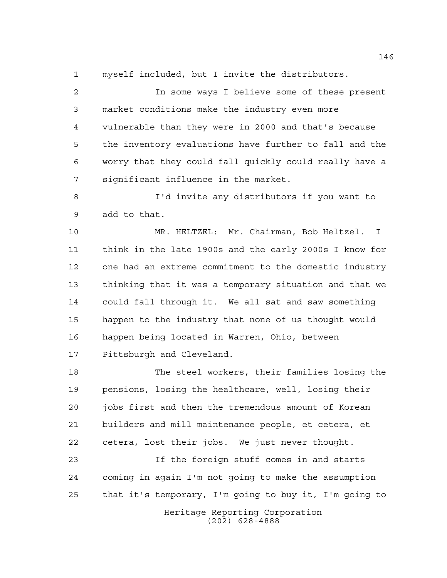myself included, but I invite the distributors.

 In some ways I believe some of these present market conditions make the industry even more vulnerable than they were in 2000 and that's because the inventory evaluations have further to fall and the worry that they could fall quickly could really have a significant influence in the market.

 I'd invite any distributors if you want to add to that.

 MR. HELTZEL: Mr. Chairman, Bob Heltzel. I think in the late 1900s and the early 2000s I know for one had an extreme commitment to the domestic industry thinking that it was a temporary situation and that we could fall through it. We all sat and saw something happen to the industry that none of us thought would happen being located in Warren, Ohio, between Pittsburgh and Cleveland.

 The steel workers, their families losing the pensions, losing the healthcare, well, losing their jobs first and then the tremendous amount of Korean builders and mill maintenance people, et cetera, et cetera, lost their jobs. We just never thought.

 If the foreign stuff comes in and starts coming in again I'm not going to make the assumption that it's temporary, I'm going to buy it, I'm going to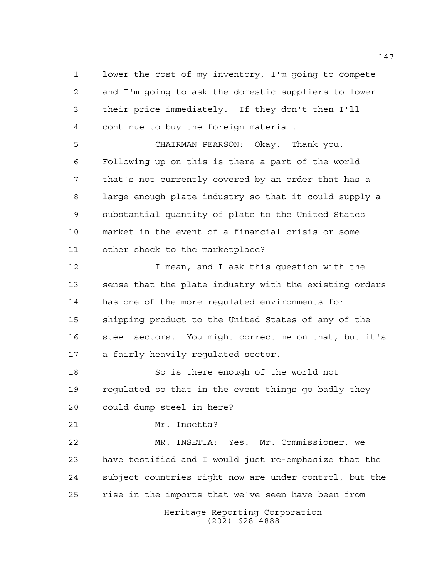lower the cost of my inventory, I'm going to compete and I'm going to ask the domestic suppliers to lower their price immediately. If they don't then I'll continue to buy the foreign material.

 CHAIRMAN PEARSON: Okay. Thank you. Following up on this is there a part of the world that's not currently covered by an order that has a large enough plate industry so that it could supply a substantial quantity of plate to the United States market in the event of a financial crisis or some other shock to the marketplace?

**I** mean, and I ask this question with the sense that the plate industry with the existing orders has one of the more regulated environments for shipping product to the United States of any of the steel sectors. You might correct me on that, but it's a fairly heavily regulated sector.

 So is there enough of the world not regulated so that in the event things go badly they could dump steel in here?

Mr. Insetta?

 MR. INSETTA: Yes. Mr. Commissioner, we have testified and I would just re-emphasize that the subject countries right now are under control, but the rise in the imports that we've seen have been from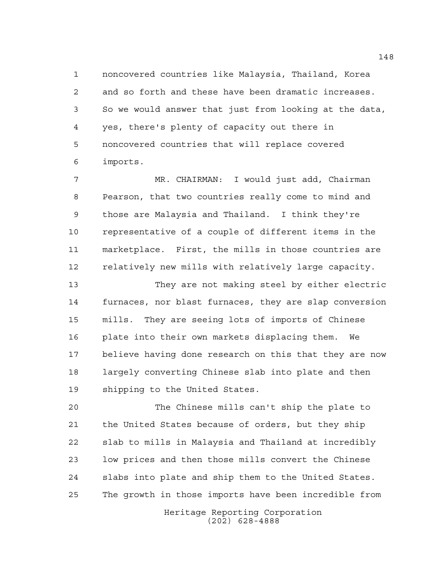noncovered countries like Malaysia, Thailand, Korea and so forth and these have been dramatic increases. So we would answer that just from looking at the data, yes, there's plenty of capacity out there in noncovered countries that will replace covered imports.

 MR. CHAIRMAN: I would just add, Chairman Pearson, that two countries really come to mind and those are Malaysia and Thailand. I think they're representative of a couple of different items in the marketplace. First, the mills in those countries are 12 relatively new mills with relatively large capacity.

 They are not making steel by either electric furnaces, nor blast furnaces, they are slap conversion mills. They are seeing lots of imports of Chinese plate into their own markets displacing them. We believe having done research on this that they are now largely converting Chinese slab into plate and then shipping to the United States.

 The Chinese mills can't ship the plate to the United States because of orders, but they ship slab to mills in Malaysia and Thailand at incredibly low prices and then those mills convert the Chinese slabs into plate and ship them to the United States. The growth in those imports have been incredible from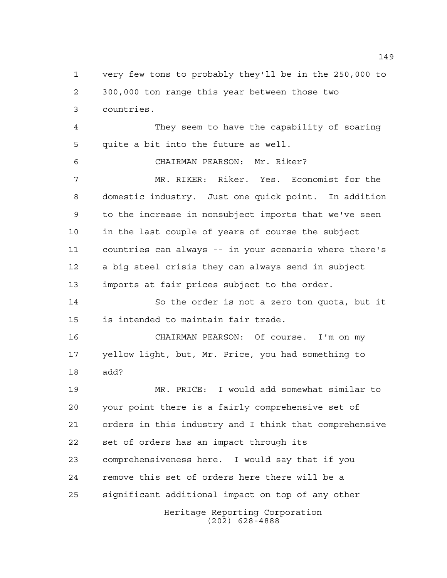very few tons to probably they'll be in the 250,000 to 300,000 ton range this year between those two countries. They seem to have the capability of soaring

quite a bit into the future as well.

CHAIRMAN PEARSON: Mr. Riker?

 MR. RIKER: Riker. Yes. Economist for the domestic industry. Just one quick point. In addition to the increase in nonsubject imports that we've seen in the last couple of years of course the subject countries can always -- in your scenario where there's a big steel crisis they can always send in subject imports at fair prices subject to the order.

 So the order is not a zero ton quota, but it is intended to maintain fair trade.

 CHAIRMAN PEARSON: Of course. I'm on my yellow light, but, Mr. Price, you had something to add?

Heritage Reporting Corporation (202) 628-4888 MR. PRICE: I would add somewhat similar to your point there is a fairly comprehensive set of orders in this industry and I think that comprehensive set of orders has an impact through its comprehensiveness here. I would say that if you remove this set of orders here there will be a significant additional impact on top of any other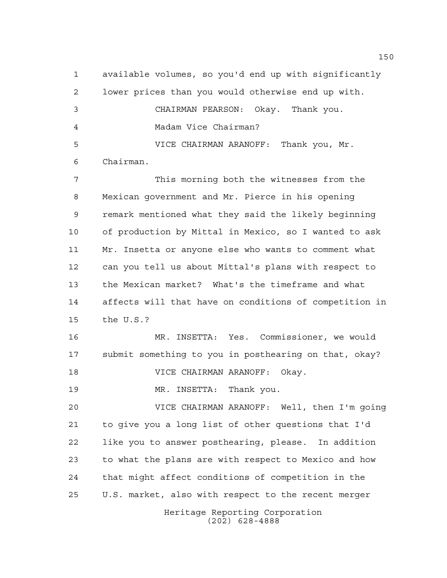available volumes, so you'd end up with significantly lower prices than you would otherwise end up with. CHAIRMAN PEARSON: Okay. Thank you. Madam Vice Chairman? VICE CHAIRMAN ARANOFF: Thank you, Mr. Chairman. This morning both the witnesses from the Mexican government and Mr. Pierce in his opening remark mentioned what they said the likely beginning of production by Mittal in Mexico, so I wanted to ask Mr. Insetta or anyone else who wants to comment what can you tell us about Mittal's plans with respect to the Mexican market? What's the timeframe and what affects will that have on conditions of competition in the U.S.? MR. INSETTA: Yes. Commissioner, we would submit something to you in posthearing on that, okay? VICE CHAIRMAN ARANOFF: Okay. MR. INSETTA: Thank you. VICE CHAIRMAN ARANOFF: Well, then I'm going to give you a long list of other questions that I'd like you to answer posthearing, please. In addition to what the plans are with respect to Mexico and how

 that might affect conditions of competition in the U.S. market, also with respect to the recent merger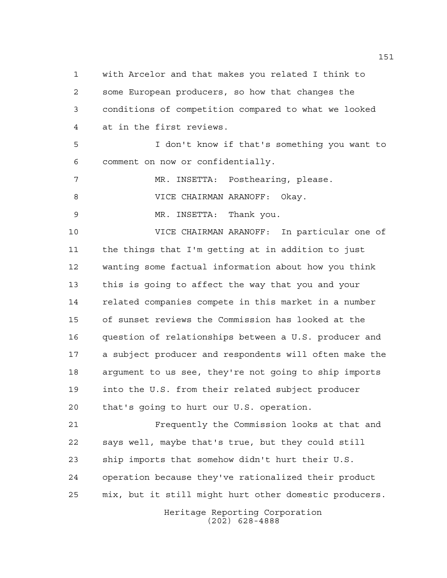with Arcelor and that makes you related I think to some European producers, so how that changes the conditions of competition compared to what we looked at in the first reviews.

 I don't know if that's something you want to comment on now or confidentially.

7 MR. INSETTA: Posthearing, please.

VICE CHAIRMAN ARANOFF: Okay.

MR. INSETTA: Thank you.

 VICE CHAIRMAN ARANOFF: In particular one of the things that I'm getting at in addition to just wanting some factual information about how you think this is going to affect the way that you and your related companies compete in this market in a number of sunset reviews the Commission has looked at the question of relationships between a U.S. producer and a subject producer and respondents will often make the argument to us see, they're not going to ship imports into the U.S. from their related subject producer that's going to hurt our U.S. operation.

 Frequently the Commission looks at that and says well, maybe that's true, but they could still ship imports that somehow didn't hurt their U.S. operation because they've rationalized their product mix, but it still might hurt other domestic producers.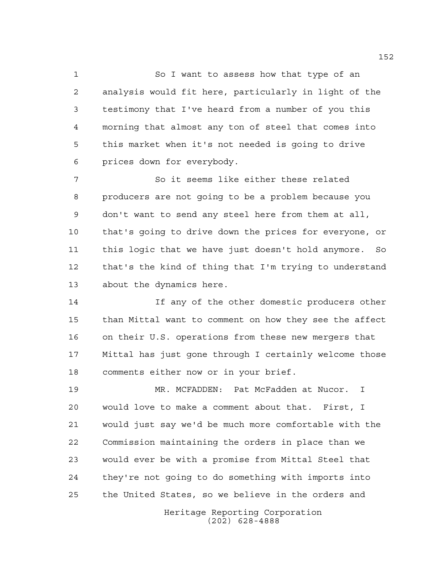So I want to assess how that type of an analysis would fit here, particularly in light of the testimony that I've heard from a number of you this morning that almost any ton of steel that comes into this market when it's not needed is going to drive prices down for everybody.

 So it seems like either these related producers are not going to be a problem because you don't want to send any steel here from them at all, that's going to drive down the prices for everyone, or this logic that we have just doesn't hold anymore. So that's the kind of thing that I'm trying to understand about the dynamics here.

 If any of the other domestic producers other than Mittal want to comment on how they see the affect on their U.S. operations from these new mergers that Mittal has just gone through I certainly welcome those comments either now or in your brief.

 MR. MCFADDEN: Pat McFadden at Nucor. I would love to make a comment about that. First, I would just say we'd be much more comfortable with the Commission maintaining the orders in place than we would ever be with a promise from Mittal Steel that they're not going to do something with imports into the United States, so we believe in the orders and

> Heritage Reporting Corporation (202) 628-4888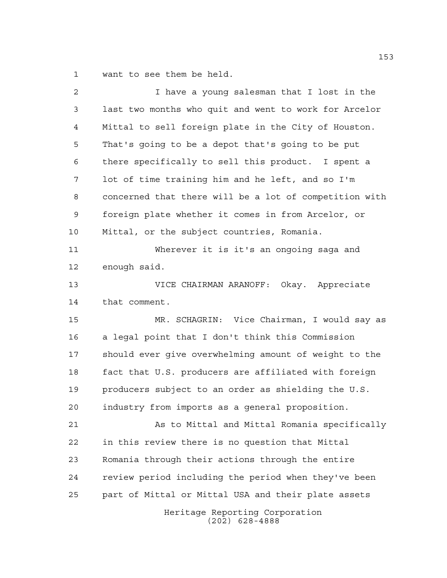want to see them be held.

| $\overline{a}$ | I have a young salesman that I lost in the             |
|----------------|--------------------------------------------------------|
| 3              | last two months who quit and went to work for Arcelor  |
| 4              | Mittal to sell foreign plate in the City of Houston.   |
| 5              | That's going to be a depot that's going to be put      |
| 6              | there specifically to sell this product. I spent a     |
| 7              | lot of time training him and he left, and so I'm       |
| 8              | concerned that there will be a lot of competition with |
| 9              | foreign plate whether it comes in from Arcelor, or     |
| 10             | Mittal, or the subject countries, Romania.             |
| 11             | Wherever it is it's an ongoing saga and                |
| 12             | enough said.                                           |
| 13             | VICE CHAIRMAN ARANOFF: Okay. Appreciate                |
| 14             | that comment.                                          |
| 15             | MR. SCHAGRIN: Vice Chairman, I would say as            |
| 16             | a legal point that I don't think this Commission       |
| 17             | should ever give overwhelming amount of weight to the  |
| 18             | fact that U.S. producers are affiliated with foreign   |
|                |                                                        |
| 19             | producers subject to an order as shielding the U.S.    |
| 20             | industry from imports as a general proposition.        |
| 21             | As to Mittal and Mittal Romania specifically           |
| 22             | in this review there is no question that Mittal        |
| 23             | Romania through their actions through the entire       |
| 24             | review period including the period when they've been   |
| 25             | part of Mittal or Mittal USA and their plate assets    |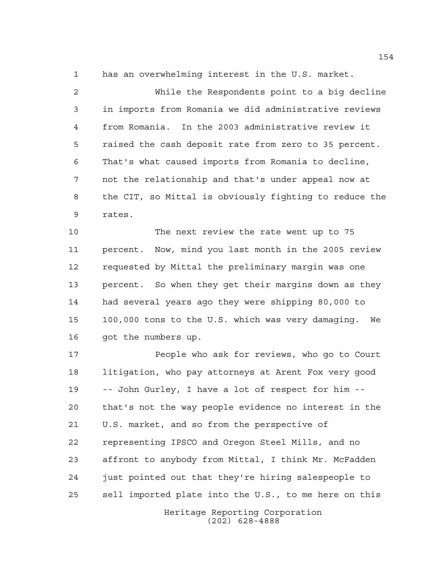has an overwhelming interest in the U.S. market.

 While the Respondents point to a big decline in imports from Romania we did administrative reviews from Romania. In the 2003 administrative review it raised the cash deposit rate from zero to 35 percent. That's what caused imports from Romania to decline, not the relationship and that's under appeal now at the CIT, so Mittal is obviously fighting to reduce the rates.

 The next review the rate went up to 75 percent. Now, mind you last month in the 2005 review requested by Mittal the preliminary margin was one percent. So when they get their margins down as they had several years ago they were shipping 80,000 to 100,000 tons to the U.S. which was very damaging. We got the numbers up.

 People who ask for reviews, who go to Court litigation, who pay attorneys at Arent Fox very good -- John Gurley, I have a lot of respect for him -- that's not the way people evidence no interest in the U.S. market, and so from the perspective of representing IPSCO and Oregon Steel Mills, and no affront to anybody from Mittal, I think Mr. McFadden just pointed out that they're hiring salespeople to sell imported plate into the U.S., to me here on this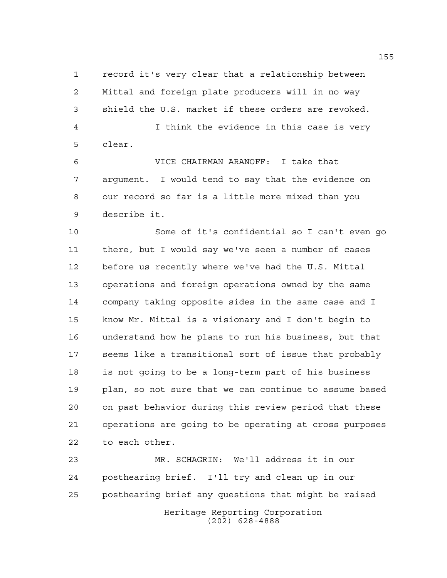record it's very clear that a relationship between Mittal and foreign plate producers will in no way shield the U.S. market if these orders are revoked. I think the evidence in this case is very clear.

 VICE CHAIRMAN ARANOFF: I take that argument. I would tend to say that the evidence on our record so far is a little more mixed than you describe it.

 Some of it's confidential so I can't even go there, but I would say we've seen a number of cases before us recently where we've had the U.S. Mittal operations and foreign operations owned by the same company taking opposite sides in the same case and I know Mr. Mittal is a visionary and I don't begin to understand how he plans to run his business, but that seems like a transitional sort of issue that probably is not going to be a long-term part of his business plan, so not sure that we can continue to assume based on past behavior during this review period that these operations are going to be operating at cross purposes to each other.

Heritage Reporting Corporation (202) 628-4888 MR. SCHAGRIN: We'll address it in our posthearing brief. I'll try and clean up in our posthearing brief any questions that might be raised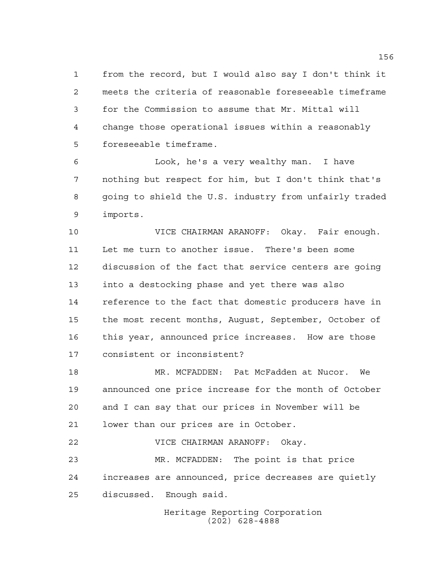from the record, but I would also say I don't think it meets the criteria of reasonable foreseeable timeframe for the Commission to assume that Mr. Mittal will change those operational issues within a reasonably foreseeable timeframe.

 Look, he's a very wealthy man. I have nothing but respect for him, but I don't think that's going to shield the U.S. industry from unfairly traded imports.

 VICE CHAIRMAN ARANOFF: Okay. Fair enough. Let me turn to another issue. There's been some discussion of the fact that service centers are going into a destocking phase and yet there was also reference to the fact that domestic producers have in the most recent months, August, September, October of this year, announced price increases. How are those consistent or inconsistent?

 MR. MCFADDEN: Pat McFadden at Nucor. We announced one price increase for the month of October and I can say that our prices in November will be lower than our prices are in October.

 VICE CHAIRMAN ARANOFF: Okay. MR. MCFADDEN: The point is that price increases are announced, price decreases are quietly discussed. Enough said.

> Heritage Reporting Corporation (202) 628-4888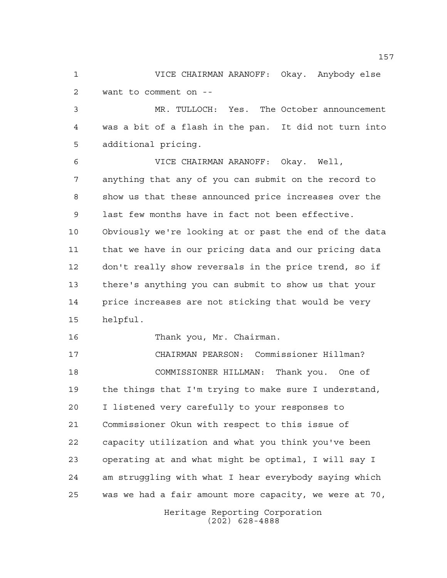VICE CHAIRMAN ARANOFF: Okay. Anybody else want to comment on --

 MR. TULLOCH: Yes. The October announcement was a bit of a flash in the pan. It did not turn into additional pricing.

 VICE CHAIRMAN ARANOFF: Okay. Well, anything that any of you can submit on the record to show us that these announced price increases over the last few months have in fact not been effective. Obviously we're looking at or past the end of the data that we have in our pricing data and our pricing data don't really show reversals in the price trend, so if there's anything you can submit to show us that your price increases are not sticking that would be very helpful.

Thank you, Mr. Chairman.

 CHAIRMAN PEARSON: Commissioner Hillman? COMMISSIONER HILLMAN: Thank you. One of the things that I'm trying to make sure I understand, I listened very carefully to your responses to Commissioner Okun with respect to this issue of capacity utilization and what you think you've been operating at and what might be optimal, I will say I am struggling with what I hear everybody saying which was we had a fair amount more capacity, we were at 70,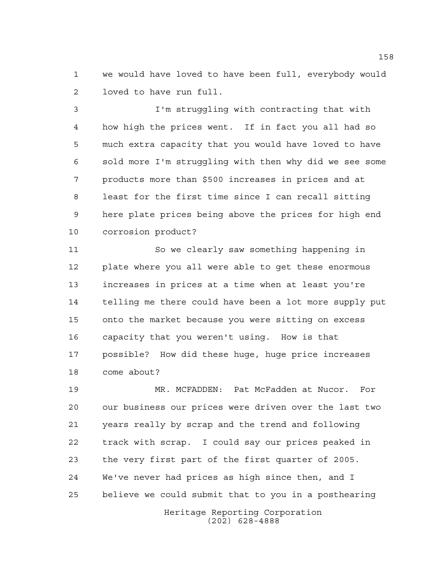we would have loved to have been full, everybody would loved to have run full.

 I'm struggling with contracting that with how high the prices went. If in fact you all had so much extra capacity that you would have loved to have sold more I'm struggling with then why did we see some products more than \$500 increases in prices and at least for the first time since I can recall sitting here plate prices being above the prices for high end corrosion product?

 So we clearly saw something happening in plate where you all were able to get these enormous increases in prices at a time when at least you're telling me there could have been a lot more supply put onto the market because you were sitting on excess capacity that you weren't using. How is that possible? How did these huge, huge price increases come about?

Heritage Reporting Corporation MR. MCFADDEN: Pat McFadden at Nucor. For our business our prices were driven over the last two years really by scrap and the trend and following track with scrap. I could say our prices peaked in the very first part of the first quarter of 2005. We've never had prices as high since then, and I believe we could submit that to you in a posthearing

(202) 628-4888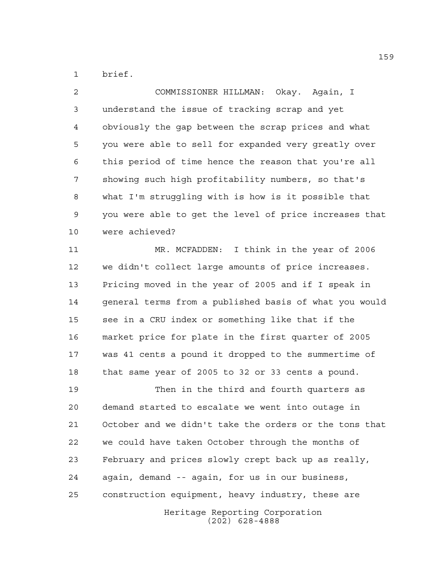brief.

 COMMISSIONER HILLMAN: Okay. Again, I understand the issue of tracking scrap and yet obviously the gap between the scrap prices and what you were able to sell for expanded very greatly over this period of time hence the reason that you're all showing such high profitability numbers, so that's what I'm struggling with is how is it possible that you were able to get the level of price increases that were achieved?

 MR. MCFADDEN: I think in the year of 2006 we didn't collect large amounts of price increases. Pricing moved in the year of 2005 and if I speak in general terms from a published basis of what you would see in a CRU index or something like that if the market price for plate in the first quarter of 2005 was 41 cents a pound it dropped to the summertime of that same year of 2005 to 32 or 33 cents a pound.

Heritage Reporting Corporation Then in the third and fourth quarters as demand started to escalate we went into outage in October and we didn't take the orders or the tons that we could have taken October through the months of February and prices slowly crept back up as really, again, demand -- again, for us in our business, construction equipment, heavy industry, these are

(202) 628-4888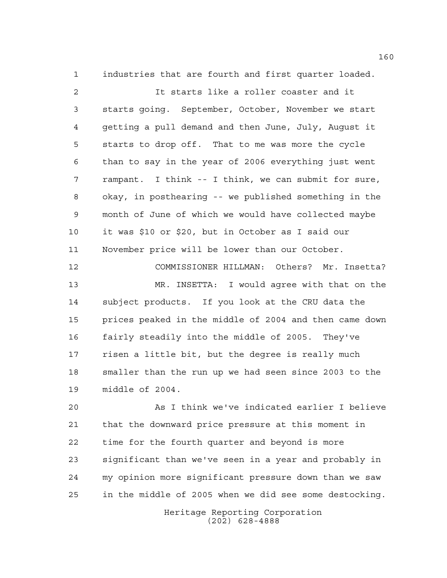industries that are fourth and first quarter loaded.

 It starts like a roller coaster and it starts going. September, October, November we start getting a pull demand and then June, July, August it starts to drop off. That to me was more the cycle than to say in the year of 2006 everything just went rampant. I think -- I think, we can submit for sure, okay, in posthearing -- we published something in the month of June of which we would have collected maybe it was \$10 or \$20, but in October as I said our November price will be lower than our October.

 COMMISSIONER HILLMAN: Others? Mr. Insetta? MR. INSETTA: I would agree with that on the subject products. If you look at the CRU data the prices peaked in the middle of 2004 and then came down fairly steadily into the middle of 2005. They've risen a little bit, but the degree is really much smaller than the run up we had seen since 2003 to the middle of 2004.

 As I think we've indicated earlier I believe that the downward price pressure at this moment in time for the fourth quarter and beyond is more significant than we've seen in a year and probably in my opinion more significant pressure down than we saw in the middle of 2005 when we did see some destocking.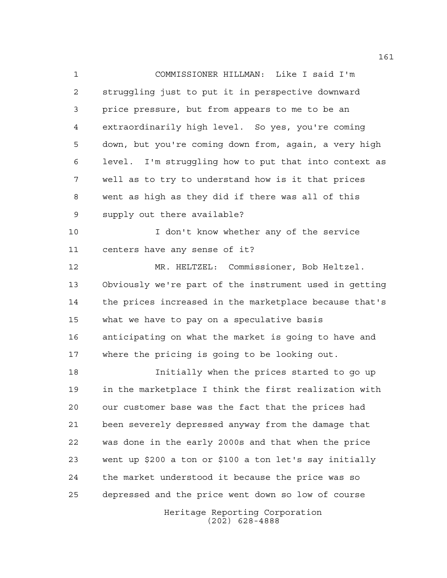COMMISSIONER HILLMAN: Like I said I'm struggling just to put it in perspective downward price pressure, but from appears to me to be an extraordinarily high level. So yes, you're coming down, but you're coming down from, again, a very high level. I'm struggling how to put that into context as well as to try to understand how is it that prices went as high as they did if there was all of this supply out there available? I don't know whether any of the service centers have any sense of it? MR. HELTZEL: Commissioner, Bob Heltzel. Obviously we're part of the instrument used in getting the prices increased in the marketplace because that's what we have to pay on a speculative basis anticipating on what the market is going to have and where the pricing is going to be looking out. Initially when the prices started to go up in the marketplace I think the first realization with our customer base was the fact that the prices had been severely depressed anyway from the damage that

 was done in the early 2000s and that when the price went up \$200 a ton or \$100 a ton let's say initially the market understood it because the price was so depressed and the price went down so low of course

> Heritage Reporting Corporation (202) 628-4888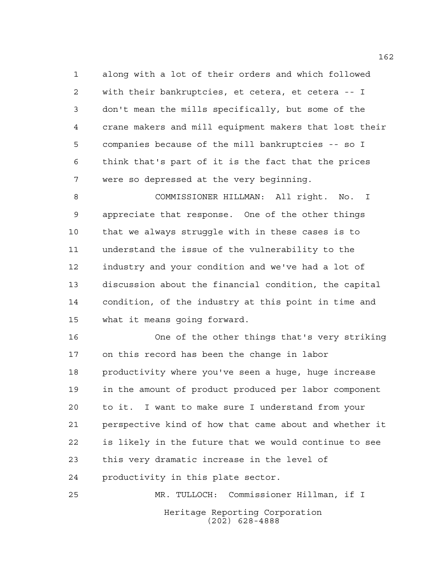along with a lot of their orders and which followed with their bankruptcies, et cetera, et cetera -- I don't mean the mills specifically, but some of the crane makers and mill equipment makers that lost their companies because of the mill bankruptcies -- so I think that's part of it is the fact that the prices were so depressed at the very beginning.

 COMMISSIONER HILLMAN: All right. No. I appreciate that response. One of the other things that we always struggle with in these cases is to understand the issue of the vulnerability to the industry and your condition and we've had a lot of discussion about the financial condition, the capital condition, of the industry at this point in time and what it means going forward.

 One of the other things that's very striking on this record has been the change in labor productivity where you've seen a huge, huge increase in the amount of product produced per labor component to it. I want to make sure I understand from your perspective kind of how that came about and whether it is likely in the future that we would continue to see this very dramatic increase in the level of productivity in this plate sector.

Heritage Reporting Corporation (202) 628-4888 MR. TULLOCH: Commissioner Hillman, if I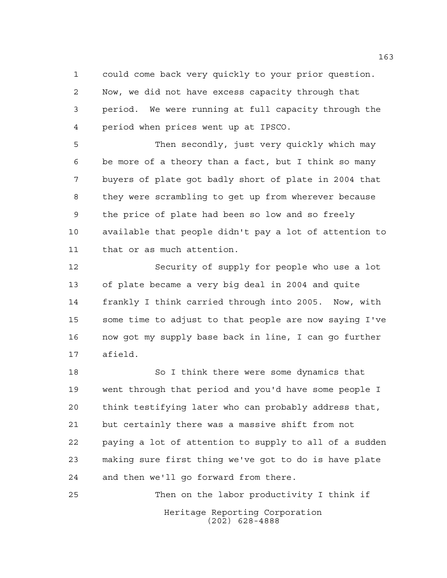could come back very quickly to your prior question. Now, we did not have excess capacity through that period. We were running at full capacity through the period when prices went up at IPSCO.

 Then secondly, just very quickly which may be more of a theory than a fact, but I think so many buyers of plate got badly short of plate in 2004 that they were scrambling to get up from wherever because the price of plate had been so low and so freely available that people didn't pay a lot of attention to that or as much attention.

 Security of supply for people who use a lot of plate became a very big deal in 2004 and quite frankly I think carried through into 2005. Now, with some time to adjust to that people are now saying I've now got my supply base back in line, I can go further afield.

 So I think there were some dynamics that went through that period and you'd have some people I think testifying later who can probably address that, but certainly there was a massive shift from not paying a lot of attention to supply to all of a sudden making sure first thing we've got to do is have plate and then we'll go forward from there.

Heritage Reporting Corporation (202) 628-4888 Then on the labor productivity I think if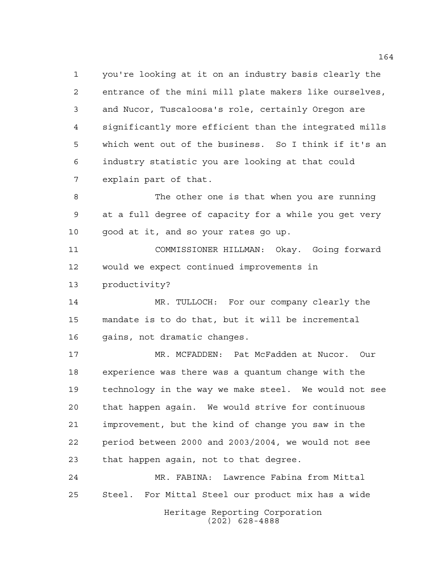you're looking at it on an industry basis clearly the entrance of the mini mill plate makers like ourselves, and Nucor, Tuscaloosa's role, certainly Oregon are significantly more efficient than the integrated mills which went out of the business. So I think if it's an industry statistic you are looking at that could explain part of that.

 The other one is that when you are running at a full degree of capacity for a while you get very good at it, and so your rates go up.

 COMMISSIONER HILLMAN: Okay. Going forward would we expect continued improvements in productivity?

 MR. TULLOCH: For our company clearly the mandate is to do that, but it will be incremental gains, not dramatic changes.

 MR. MCFADDEN: Pat McFadden at Nucor. Our experience was there was a quantum change with the technology in the way we make steel. We would not see that happen again. We would strive for continuous improvement, but the kind of change you saw in the period between 2000 and 2003/2004, we would not see that happen again, not to that degree.

Heritage Reporting Corporation (202) 628-4888 MR. FABINA: Lawrence Fabina from Mittal Steel. For Mittal Steel our product mix has a wide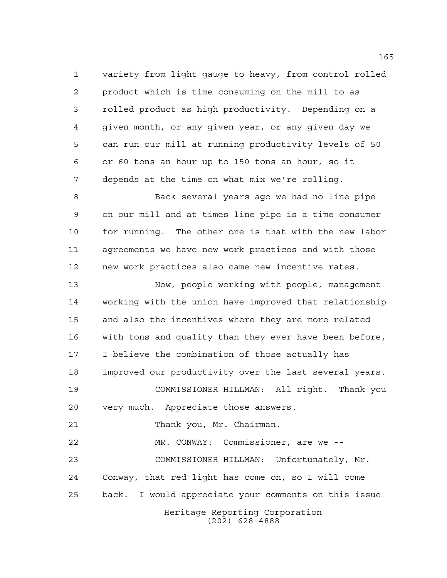variety from light gauge to heavy, from control rolled product which is time consuming on the mill to as rolled product as high productivity. Depending on a given month, or any given year, or any given day we can run our mill at running productivity levels of 50 or 60 tons an hour up to 150 tons an hour, so it depends at the time on what mix we're rolling.

 Back several years ago we had no line pipe on our mill and at times line pipe is a time consumer 10 for running. The other one is that with the new labor agreements we have new work practices and with those new work practices also came new incentive rates.

 Now, people working with people, management working with the union have improved that relationship and also the incentives where they are more related with tons and quality than they ever have been before, I believe the combination of those actually has improved our productivity over the last several years. COMMISSIONER HILLMAN: All right. Thank you very much. Appreciate those answers. Thank you, Mr. Chairman.

Heritage Reporting Corporation (202) 628-4888 MR. CONWAY: Commissioner, are we -- COMMISSIONER HILLMAN: Unfortunately, Mr. Conway, that red light has come on, so I will come back. I would appreciate your comments on this issue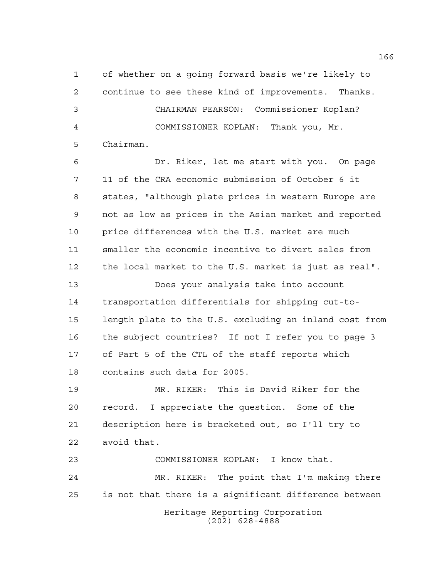of whether on a going forward basis we're likely to continue to see these kind of improvements. Thanks. CHAIRMAN PEARSON: Commissioner Koplan? COMMISSIONER KOPLAN: Thank you, Mr. Chairman.

 Dr. Riker, let me start with you. On page 11 of the CRA economic submission of October 6 it states, "although plate prices in western Europe are not as low as prices in the Asian market and reported price differences with the U.S. market are much smaller the economic incentive to divert sales from the local market to the U.S. market is just as real".

 Does your analysis take into account transportation differentials for shipping cut-to- length plate to the U.S. excluding an inland cost from the subject countries? If not I refer you to page 3 of Part 5 of the CTL of the staff reports which contains such data for 2005.

 MR. RIKER: This is David Riker for the record. I appreciate the question. Some of the description here is bracketed out, so I'll try to avoid that.

Heritage Reporting Corporation COMMISSIONER KOPLAN: I know that. MR. RIKER: The point that I'm making there is not that there is a significant difference between

(202) 628-4888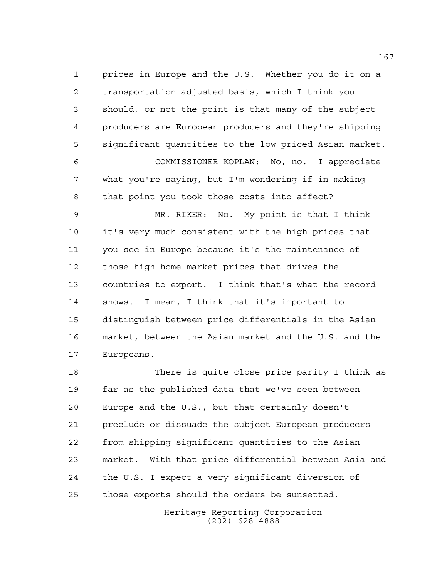prices in Europe and the U.S. Whether you do it on a transportation adjusted basis, which I think you should, or not the point is that many of the subject producers are European producers and they're shipping significant quantities to the low priced Asian market. COMMISSIONER KOPLAN: No, no. I appreciate what you're saying, but I'm wondering if in making that point you took those costs into affect?

 MR. RIKER: No. My point is that I think it's very much consistent with the high prices that you see in Europe because it's the maintenance of those high home market prices that drives the countries to export. I think that's what the record shows. I mean, I think that it's important to distinguish between price differentials in the Asian market, between the Asian market and the U.S. and the Europeans.

 There is quite close price parity I think as far as the published data that we've seen between Europe and the U.S., but that certainly doesn't preclude or dissuade the subject European producers from shipping significant quantities to the Asian market. With that price differential between Asia and the U.S. I expect a very significant diversion of those exports should the orders be sunsetted.

> Heritage Reporting Corporation (202) 628-4888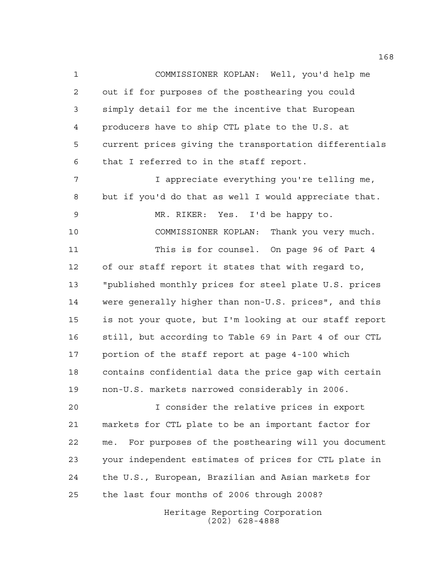COMMISSIONER KOPLAN: Well, you'd help me out if for purposes of the posthearing you could simply detail for me the incentive that European producers have to ship CTL plate to the U.S. at current prices giving the transportation differentials that I referred to in the staff report.

 I appreciate everything you're telling me, but if you'd do that as well I would appreciate that. MR. RIKER: Yes. I'd be happy to. COMMISSIONER KOPLAN: Thank you very much. This is for counsel. On page 96 of Part 4 of our staff report it states that with regard to, "published monthly prices for steel plate U.S. prices were generally higher than non-U.S. prices", and this is not your quote, but I'm looking at our staff report still, but according to Table 69 in Part 4 of our CTL portion of the staff report at page 4-100 which contains confidential data the price gap with certain non-U.S. markets narrowed considerably in 2006.

 I consider the relative prices in export markets for CTL plate to be an important factor for me. For purposes of the posthearing will you document your independent estimates of prices for CTL plate in the U.S., European, Brazilian and Asian markets for the last four months of 2006 through 2008?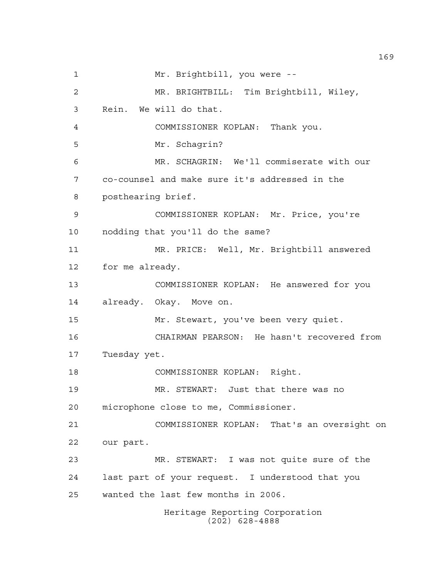Heritage Reporting Corporation Mr. Brightbill, you were -- MR. BRIGHTBILL: Tim Brightbill, Wiley, Rein. We will do that. COMMISSIONER KOPLAN: Thank you. Mr. Schagrin? MR. SCHAGRIN: We'll commiserate with our co-counsel and make sure it's addressed in the posthearing brief. COMMISSIONER KOPLAN: Mr. Price, you're nodding that you'll do the same? MR. PRICE: Well, Mr. Brightbill answered for me already. COMMISSIONER KOPLAN: He answered for you already. Okay. Move on. Mr. Stewart, you've been very quiet. CHAIRMAN PEARSON: He hasn't recovered from Tuesday yet. COMMISSIONER KOPLAN: Right. MR. STEWART: Just that there was no microphone close to me, Commissioner. COMMISSIONER KOPLAN: That's an oversight on our part. MR. STEWART: I was not quite sure of the last part of your request. I understood that you wanted the last few months in 2006.

(202) 628-4888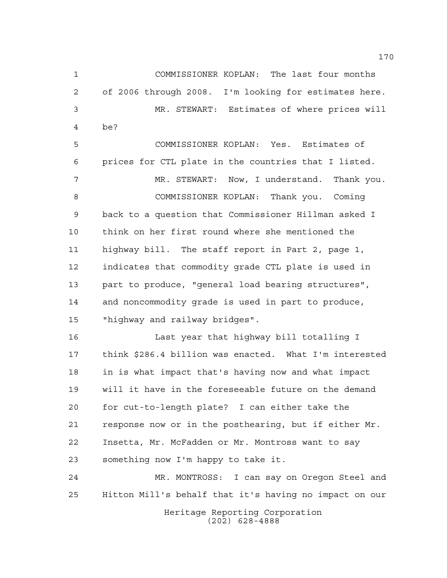COMMISSIONER KOPLAN: The last four months of 2006 through 2008. I'm looking for estimates here. MR. STEWART: Estimates of where prices will be? COMMISSIONER KOPLAN: Yes. Estimates of prices for CTL plate in the countries that I listed. MR. STEWART: Now, I understand. Thank you. COMMISSIONER KOPLAN: Thank you. Coming back to a question that Commissioner Hillman asked I think on her first round where she mentioned the highway bill. The staff report in Part 2, page 1, indicates that commodity grade CTL plate is used in part to produce, "general load bearing structures", and noncommodity grade is used in part to produce, "highway and railway bridges". Last year that highway bill totalling I think \$286.4 billion was enacted. What I'm interested

Heritage Reporting Corporation something now I'm happy to take it. MR. MONTROSS: I can say on Oregon Steel and Hitton Mill's behalf that it's having no impact on our

in is what impact that's having now and what impact

will it have in the foreseeable future on the demand

response now or in the posthearing, but if either Mr.

for cut-to-length plate? I can either take the

Insetta, Mr. McFadden or Mr. Montross want to say

(202) 628-4888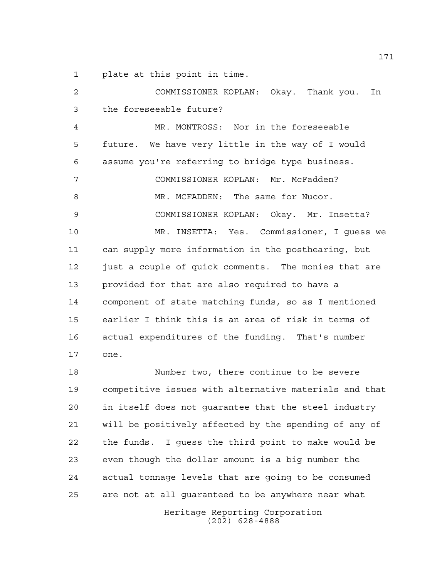plate at this point in time.

 COMMISSIONER KOPLAN: Okay. Thank you. In the foreseeable future? MR. MONTROSS: Nor in the foreseeable future. We have very little in the way of I would assume you're referring to bridge type business. COMMISSIONER KOPLAN: Mr. McFadden? 8 MR. MCFADDEN: The same for Nucor. COMMISSIONER KOPLAN: Okay. Mr. Insetta? MR. INSETTA: Yes. Commissioner, I guess we can supply more information in the posthearing, but just a couple of quick comments. The monies that are provided for that are also required to have a component of state matching funds, so as I mentioned earlier I think this is an area of risk in terms of actual expenditures of the funding. That's number one. Number two, there continue to be severe competitive issues with alternative materials and that

 in itself does not guarantee that the steel industry will be positively affected by the spending of any of the funds. I guess the third point to make would be even though the dollar amount is a big number the actual tonnage levels that are going to be consumed are not at all guaranteed to be anywhere near what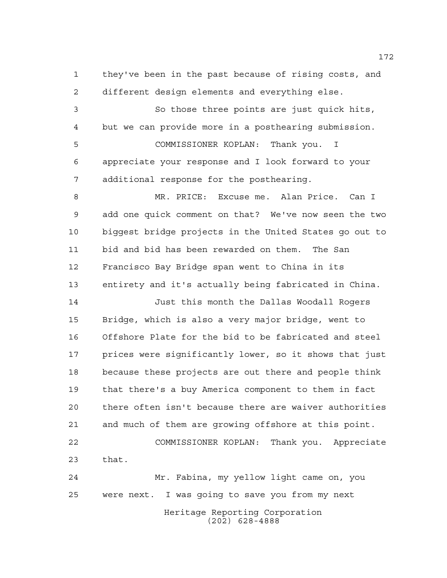they've been in the past because of rising costs, and different design elements and everything else.

 So those three points are just quick hits, but we can provide more in a posthearing submission.

 COMMISSIONER KOPLAN: Thank you. I appreciate your response and I look forward to your additional response for the posthearing.

 MR. PRICE: Excuse me. Alan Price. Can I add one quick comment on that? We've now seen the two biggest bridge projects in the United States go out to bid and bid has been rewarded on them. The San Francisco Bay Bridge span went to China in its entirety and it's actually being fabricated in China.

 Just this month the Dallas Woodall Rogers Bridge, which is also a very major bridge, went to Offshore Plate for the bid to be fabricated and steel prices were significantly lower, so it shows that just because these projects are out there and people think that there's a buy America component to them in fact there often isn't because there are waiver authorities and much of them are growing offshore at this point. COMMISSIONER KOPLAN: Thank you. Appreciate that.

Heritage Reporting Corporation (202) 628-4888 Mr. Fabina, my yellow light came on, you were next. I was going to save you from my next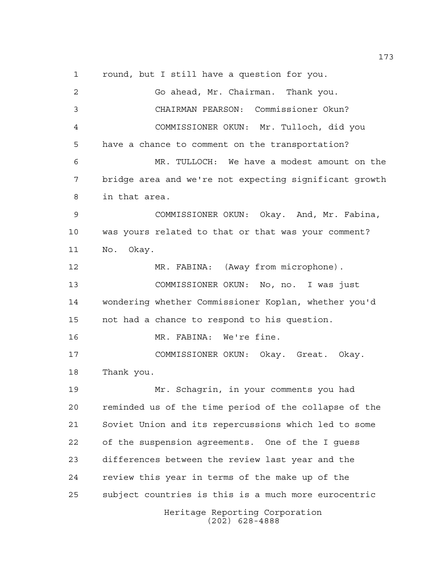round, but I still have a question for you.

Heritage Reporting Corporation (202) 628-4888 Go ahead, Mr. Chairman. Thank you. CHAIRMAN PEARSON: Commissioner Okun? COMMISSIONER OKUN: Mr. Tulloch, did you have a chance to comment on the transportation? MR. TULLOCH: We have a modest amount on the bridge area and we're not expecting significant growth in that area. COMMISSIONER OKUN: Okay. And, Mr. Fabina, was yours related to that or that was your comment? No. Okay. MR. FABINA: (Away from microphone). COMMISSIONER OKUN: No, no. I was just wondering whether Commissioner Koplan, whether you'd not had a chance to respond to his question. MR. FABINA: We're fine. COMMISSIONER OKUN: Okay. Great. Okay. Thank you. Mr. Schagrin, in your comments you had reminded us of the time period of the collapse of the Soviet Union and its repercussions which led to some of the suspension agreements. One of the I guess differences between the review last year and the review this year in terms of the make up of the subject countries is this is a much more eurocentric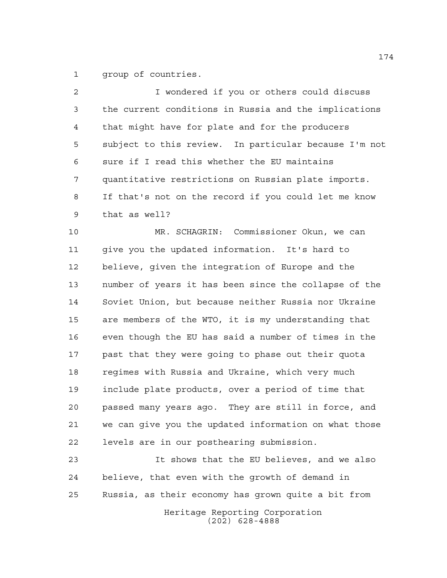group of countries.

 I wondered if you or others could discuss the current conditions in Russia and the implications that might have for plate and for the producers subject to this review. In particular because I'm not sure if I read this whether the EU maintains quantitative restrictions on Russian plate imports. If that's not on the record if you could let me know that as well? MR. SCHAGRIN: Commissioner Okun, we can

 give you the updated information. It's hard to believe, given the integration of Europe and the number of years it has been since the collapse of the Soviet Union, but because neither Russia nor Ukraine are members of the WTO, it is my understanding that even though the EU has said a number of times in the past that they were going to phase out their quota regimes with Russia and Ukraine, which very much include plate products, over a period of time that passed many years ago. They are still in force, and we can give you the updated information on what those levels are in our posthearing submission.

 It shows that the EU believes, and we also believe, that even with the growth of demand in Russia, as their economy has grown quite a bit from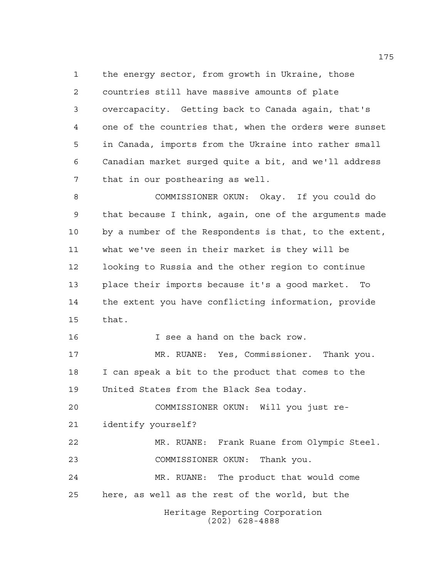the energy sector, from growth in Ukraine, those countries still have massive amounts of plate overcapacity. Getting back to Canada again, that's one of the countries that, when the orders were sunset in Canada, imports from the Ukraine into rather small Canadian market surged quite a bit, and we'll address that in our posthearing as well.

 COMMISSIONER OKUN: Okay. If you could do that because I think, again, one of the arguments made by a number of the Respondents is that, to the extent, what we've seen in their market is they will be looking to Russia and the other region to continue place their imports because it's a good market. To the extent you have conflicting information, provide that.

**I** see a hand on the back row.

 MR. RUANE: Yes, Commissioner. Thank you. I can speak a bit to the product that comes to the United States from the Black Sea today.

 COMMISSIONER OKUN: Will you just re-identify yourself?

 MR. RUANE: Frank Ruane from Olympic Steel. COMMISSIONER OKUN: Thank you.

 MR. RUANE: The product that would come here, as well as the rest of the world, but the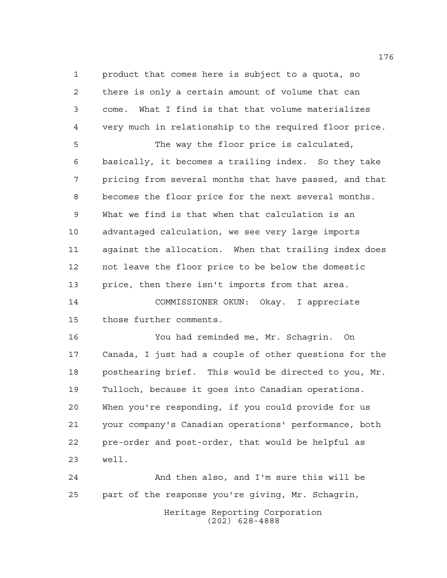product that comes here is subject to a quota, so there is only a certain amount of volume that can come. What I find is that that volume materializes very much in relationship to the required floor price.

 The way the floor price is calculated, basically, it becomes a trailing index. So they take pricing from several months that have passed, and that becomes the floor price for the next several months. What we find is that when that calculation is an advantaged calculation, we see very large imports against the allocation. When that trailing index does not leave the floor price to be below the domestic price, then there isn't imports from that area.

 COMMISSIONER OKUN: Okay. I appreciate those further comments.

 You had reminded me, Mr. Schagrin. On Canada, I just had a couple of other questions for the posthearing brief. This would be directed to you, Mr. Tulloch, because it goes into Canadian operations. When you're responding, if you could provide for us your company's Canadian operations' performance, both pre-order and post-order, that would be helpful as well.

Heritage Reporting Corporation (202) 628-4888 And then also, and I'm sure this will be part of the response you're giving, Mr. Schagrin,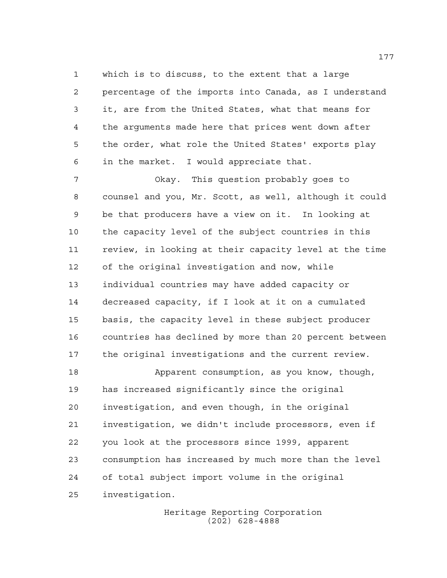which is to discuss, to the extent that a large percentage of the imports into Canada, as I understand it, are from the United States, what that means for the arguments made here that prices went down after the order, what role the United States' exports play in the market. I would appreciate that.

 Okay. This question probably goes to counsel and you, Mr. Scott, as well, although it could be that producers have a view on it. In looking at the capacity level of the subject countries in this review, in looking at their capacity level at the time of the original investigation and now, while individual countries may have added capacity or decreased capacity, if I look at it on a cumulated basis, the capacity level in these subject producer countries has declined by more than 20 percent between the original investigations and the current review.

18 Apparent consumption, as you know, though, has increased significantly since the original investigation, and even though, in the original investigation, we didn't include processors, even if you look at the processors since 1999, apparent consumption has increased by much more than the level of total subject import volume in the original investigation.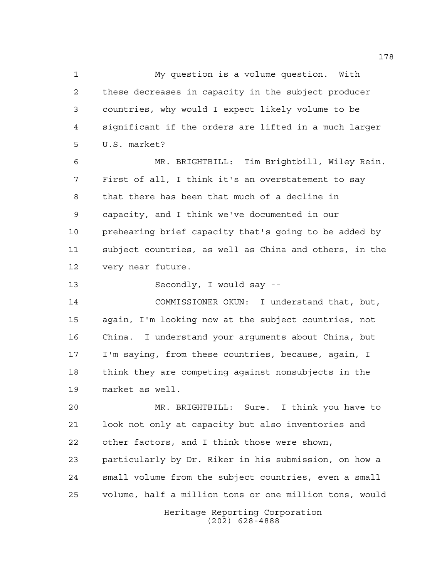My question is a volume question. With these decreases in capacity in the subject producer countries, why would I expect likely volume to be significant if the orders are lifted in a much larger U.S. market? MR. BRIGHTBILL: Tim Brightbill, Wiley Rein. First of all, I think it's an overstatement to say that there has been that much of a decline in capacity, and I think we've documented in our prehearing brief capacity that's going to be added by subject countries, as well as China and others, in the very near future. Secondly, I would say -- COMMISSIONER OKUN: I understand that, but, again, I'm looking now at the subject countries, not

 China. I understand your arguments about China, but I'm saying, from these countries, because, again, I think they are competing against nonsubjects in the market as well.

 MR. BRIGHTBILL: Sure. I think you have to look not only at capacity but also inventories and other factors, and I think those were shown, particularly by Dr. Riker in his submission, on how a small volume from the subject countries, even a small

volume, half a million tons or one million tons, would

Heritage Reporting Corporation (202) 628-4888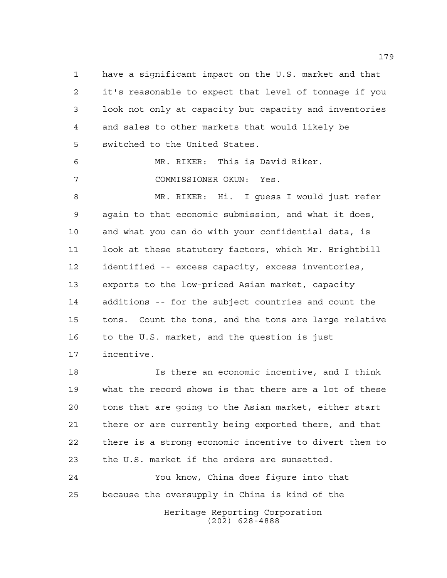have a significant impact on the U.S. market and that it's reasonable to expect that level of tonnage if you look not only at capacity but capacity and inventories and sales to other markets that would likely be switched to the United States.

 MR. RIKER: This is David Riker. COMMISSIONER OKUN: Yes.

 MR. RIKER: Hi. I guess I would just refer again to that economic submission, and what it does, and what you can do with your confidential data, is look at these statutory factors, which Mr. Brightbill identified -- excess capacity, excess inventories, exports to the low-priced Asian market, capacity additions -- for the subject countries and count the tons. Count the tons, and the tons are large relative to the U.S. market, and the question is just incentive.

 Is there an economic incentive, and I think what the record shows is that there are a lot of these tons that are going to the Asian market, either start there or are currently being exported there, and that there is a strong economic incentive to divert them to the U.S. market if the orders are sunsetted.

Heritage Reporting Corporation You know, China does figure into that because the oversupply in China is kind of the

(202) 628-4888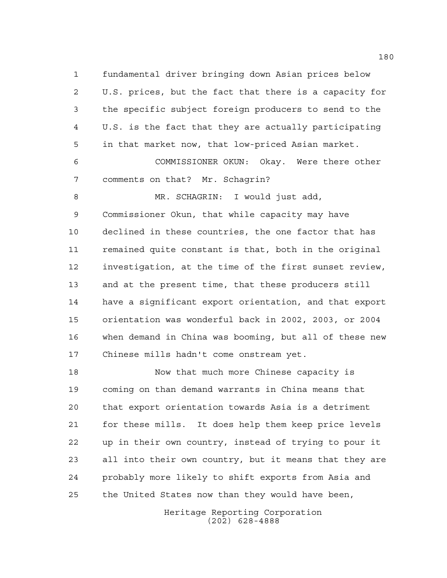fundamental driver bringing down Asian prices below U.S. prices, but the fact that there is a capacity for the specific subject foreign producers to send to the U.S. is the fact that they are actually participating in that market now, that low-priced Asian market.

 COMMISSIONER OKUN: Okay. Were there other comments on that? Mr. Schagrin?

8 MR. SCHAGRIN: I would just add, Commissioner Okun, that while capacity may have declined in these countries, the one factor that has remained quite constant is that, both in the original investigation, at the time of the first sunset review, and at the present time, that these producers still have a significant export orientation, and that export orientation was wonderful back in 2002, 2003, or 2004 when demand in China was booming, but all of these new Chinese mills hadn't come onstream yet.

 Now that much more Chinese capacity is coming on than demand warrants in China means that that export orientation towards Asia is a detriment for these mills. It does help them keep price levels up in their own country, instead of trying to pour it all into their own country, but it means that they are probably more likely to shift exports from Asia and the United States now than they would have been,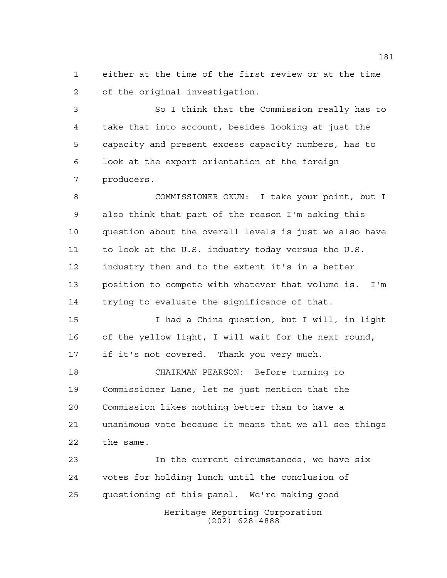either at the time of the first review or at the time of the original investigation.

 So I think that the Commission really has to take that into account, besides looking at just the capacity and present excess capacity numbers, has to look at the export orientation of the foreign producers.

 COMMISSIONER OKUN: I take your point, but I also think that part of the reason I'm asking this question about the overall levels is just we also have to look at the U.S. industry today versus the U.S. industry then and to the extent it's in a better position to compete with whatever that volume is. I'm trying to evaluate the significance of that.

 I had a China question, but I will, in light of the yellow light, I will wait for the next round, if it's not covered. Thank you very much.

 CHAIRMAN PEARSON: Before turning to Commissioner Lane, let me just mention that the Commission likes nothing better than to have a unanimous vote because it means that we all see things the same.

Heritage Reporting Corporation (202) 628-4888 In the current circumstances, we have six votes for holding lunch until the conclusion of questioning of this panel. We're making good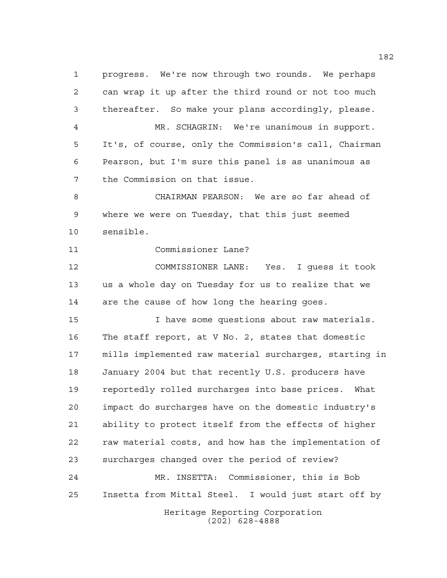progress. We're now through two rounds. We perhaps can wrap it up after the third round or not too much thereafter. So make your plans accordingly, please. MR. SCHAGRIN: We're unanimous in support. It's, of course, only the Commission's call, Chairman Pearson, but I'm sure this panel is as unanimous as the Commission on that issue. CHAIRMAN PEARSON: We are so far ahead of where we were on Tuesday, that this just seemed sensible. Commissioner Lane? COMMISSIONER LANE: Yes. I guess it took us a whole day on Tuesday for us to realize that we are the cause of how long the hearing goes. I have some questions about raw materials. The staff report, at V No. 2, states that domestic mills implemented raw material surcharges, starting in January 2004 but that recently U.S. producers have reportedly rolled surcharges into base prices. What impact do surcharges have on the domestic industry's ability to protect itself from the effects of higher raw material costs, and how has the implementation of surcharges changed over the period of review? MR. INSETTA: Commissioner, this is Bob Insetta from Mittal Steel. I would just start off by

> Heritage Reporting Corporation (202) 628-4888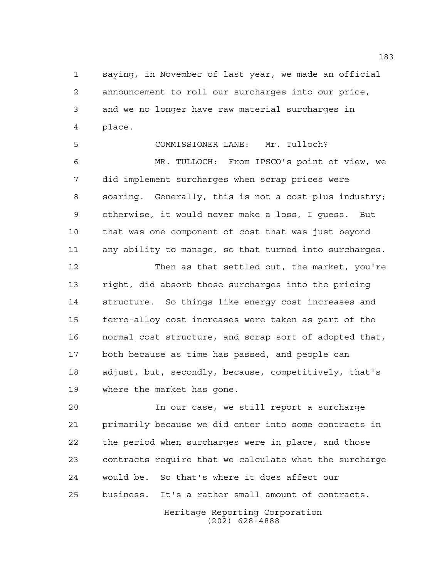saying, in November of last year, we made an official announcement to roll our surcharges into our price, and we no longer have raw material surcharges in place.

 COMMISSIONER LANE: Mr. Tulloch? MR. TULLOCH: From IPSCO's point of view, we did implement surcharges when scrap prices were soaring. Generally, this is not a cost-plus industry; otherwise, it would never make a loss, I guess. But that was one component of cost that was just beyond any ability to manage, so that turned into surcharges.

 Then as that settled out, the market, you're right, did absorb those surcharges into the pricing structure. So things like energy cost increases and ferro-alloy cost increases were taken as part of the normal cost structure, and scrap sort of adopted that, both because as time has passed, and people can adjust, but, secondly, because, competitively, that's where the market has gone.

 In our case, we still report a surcharge primarily because we did enter into some contracts in the period when surcharges were in place, and those contracts require that we calculate what the surcharge would be. So that's where it does affect our business. It's a rather small amount of contracts.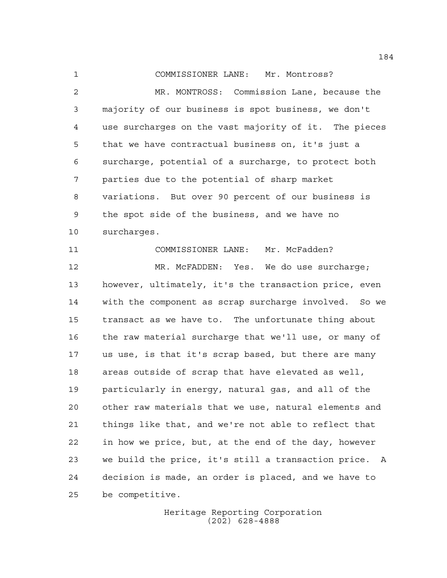COMMISSIONER LANE: Mr. Montross?

 MR. MONTROSS: Commission Lane, because the majority of our business is spot business, we don't use surcharges on the vast majority of it. The pieces that we have contractual business on, it's just a surcharge, potential of a surcharge, to protect both parties due to the potential of sharp market variations. But over 90 percent of our business is the spot side of the business, and we have no surcharges. COMMISSIONER LANE: Mr. McFadden? 12 MR. McFADDEN: Yes. We do use surcharge; however, ultimately, it's the transaction price, even with the component as scrap surcharge involved. So we transact as we have to. The unfortunate thing about the raw material surcharge that we'll use, or many of us use, is that it's scrap based, but there are many areas outside of scrap that have elevated as well, particularly in energy, natural gas, and all of the other raw materials that we use, natural elements and things like that, and we're not able to reflect that in how we price, but, at the end of the day, however we build the price, it's still a transaction price. A decision is made, an order is placed, and we have to be competitive.

> Heritage Reporting Corporation (202) 628-4888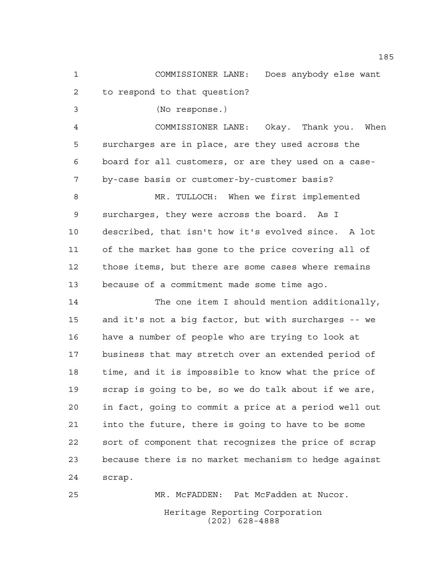COMMISSIONER LANE: Does anybody else want to respond to that question?

(No response.)

 COMMISSIONER LANE: Okay. Thank you. When surcharges are in place, are they used across the board for all customers, or are they used on a case-by-case basis or customer-by-customer basis?

 MR. TULLOCH: When we first implemented surcharges, they were across the board. As I described, that isn't how it's evolved since. A lot of the market has gone to the price covering all of those items, but there are some cases where remains because of a commitment made some time ago.

 The one item I should mention additionally, and it's not a big factor, but with surcharges -- we have a number of people who are trying to look at business that may stretch over an extended period of time, and it is impossible to know what the price of scrap is going to be, so we do talk about if we are, in fact, going to commit a price at a period well out into the future, there is going to have to be some sort of component that recognizes the price of scrap because there is no market mechanism to hedge against scrap.

Heritage Reporting Corporation (202) 628-4888 MR. McFADDEN: Pat McFadden at Nucor.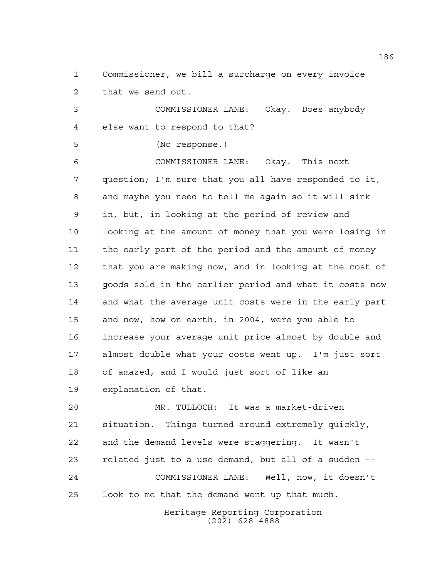Commissioner, we bill a surcharge on every invoice that we send out.

 COMMISSIONER LANE: Okay. Does anybody else want to respond to that?

(No response.)

 COMMISSIONER LANE: Okay. This next question; I'm sure that you all have responded to it, and maybe you need to tell me again so it will sink in, but, in looking at the period of review and looking at the amount of money that you were losing in the early part of the period and the amount of money that you are making now, and in looking at the cost of goods sold in the earlier period and what it costs now and what the average unit costs were in the early part and now, how on earth, in 2004, were you able to increase your average unit price almost by double and almost double what your costs went up. I'm just sort of amazed, and I would just sort of like an explanation of that.

 MR. TULLOCH: It was a market-driven situation. Things turned around extremely quickly, and the demand levels were staggering. It wasn't related just to a use demand, but all of a sudden -- COMMISSIONER LANE: Well, now, it doesn't look to me that the demand went up that much.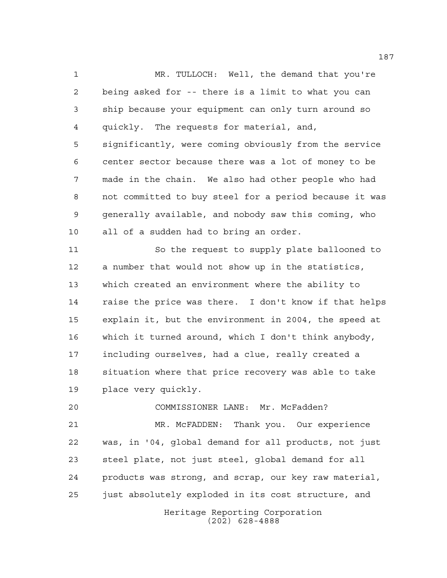MR. TULLOCH: Well, the demand that you're being asked for -- there is a limit to what you can ship because your equipment can only turn around so quickly. The requests for material, and, significantly, were coming obviously from the service center sector because there was a lot of money to be made in the chain. We also had other people who had not committed to buy steel for a period because it was generally available, and nobody saw this coming, who all of a sudden had to bring an order.

 So the request to supply plate ballooned to a number that would not show up in the statistics, which created an environment where the ability to raise the price was there. I don't know if that helps explain it, but the environment in 2004, the speed at which it turned around, which I don't think anybody, including ourselves, had a clue, really created a situation where that price recovery was able to take place very quickly.

 COMMISSIONER LANE: Mr. McFadden? MR. McFADDEN: Thank you. Our experience was, in '04, global demand for all products, not just steel plate, not just steel, global demand for all products was strong, and scrap, our key raw material, just absolutely exploded in its cost structure, and

Heritage Reporting Corporation (202) 628-4888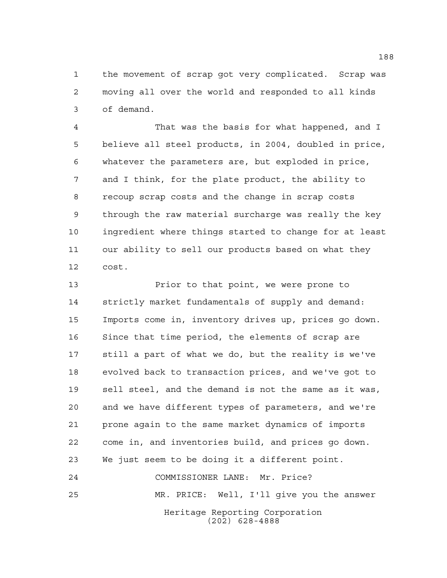the movement of scrap got very complicated. Scrap was moving all over the world and responded to all kinds of demand.

 That was the basis for what happened, and I believe all steel products, in 2004, doubled in price, whatever the parameters are, but exploded in price, and I think, for the plate product, the ability to recoup scrap costs and the change in scrap costs through the raw material surcharge was really the key ingredient where things started to change for at least our ability to sell our products based on what they cost.

 Prior to that point, we were prone to strictly market fundamentals of supply and demand: Imports come in, inventory drives up, prices go down. Since that time period, the elements of scrap are still a part of what we do, but the reality is we've evolved back to transaction prices, and we've got to sell steel, and the demand is not the same as it was, and we have different types of parameters, and we're prone again to the same market dynamics of imports come in, and inventories build, and prices go down. We just seem to be doing it a different point. COMMISSIONER LANE: Mr. Price?

Heritage Reporting Corporation (202) 628-4888 MR. PRICE: Well, I'll give you the answer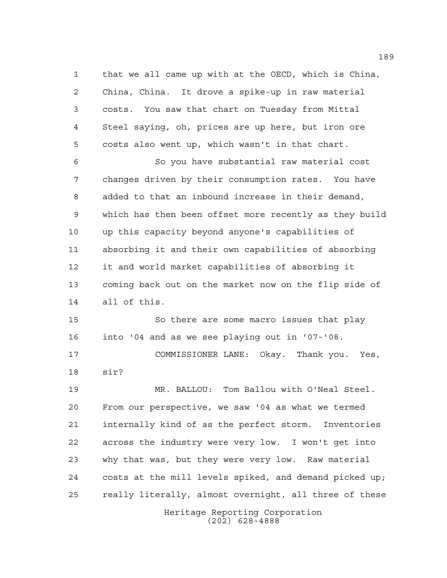that we all came up with at the OECD, which is China, China, China. It drove a spike-up in raw material costs. You saw that chart on Tuesday from Mittal Steel saying, oh, prices are up here, but iron ore costs also went up, which wasn't in that chart.

 So you have substantial raw material cost changes driven by their consumption rates. You have added to that an inbound increase in their demand, which has then been offset more recently as they build up this capacity beyond anyone's capabilities of absorbing it and their own capabilities of absorbing it and world market capabilities of absorbing it coming back out on the market now on the flip side of all of this.

 So there are some macro issues that play into '04 and as we see playing out in '07-'08.

 COMMISSIONER LANE: Okay. Thank you. Yes, sir?

Heritage Reporting Corporation (202) 628-4888 MR. BALLOU: Tom Ballou with O'Neal Steel. From our perspective, we saw '04 as what we termed internally kind of as the perfect storm. Inventories across the industry were very low. I won't get into why that was, but they were very low. Raw material costs at the mill levels spiked, and demand picked up; really literally, almost overnight, all three of these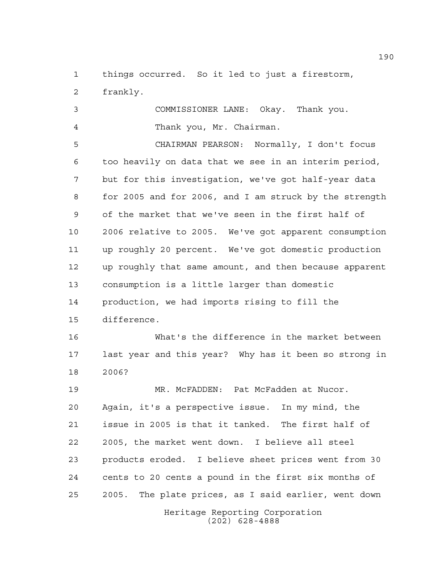things occurred. So it led to just a firestorm, frankly.

 COMMISSIONER LANE: Okay. Thank you. Thank you, Mr. Chairman.

 CHAIRMAN PEARSON: Normally, I don't focus too heavily on data that we see in an interim period, but for this investigation, we've got half-year data for 2005 and for 2006, and I am struck by the strength of the market that we've seen in the first half of 2006 relative to 2005. We've got apparent consumption up roughly 20 percent. We've got domestic production up roughly that same amount, and then because apparent consumption is a little larger than domestic production, we had imports rising to fill the difference.

 What's the difference in the market between last year and this year? Why has it been so strong in 2006?

Heritage Reporting Corporation MR. McFADDEN: Pat McFadden at Nucor. Again, it's a perspective issue. In my mind, the issue in 2005 is that it tanked. The first half of 2005, the market went down. I believe all steel products eroded. I believe sheet prices went from 30 cents to 20 cents a pound in the first six months of 2005. The plate prices, as I said earlier, went down

(202) 628-4888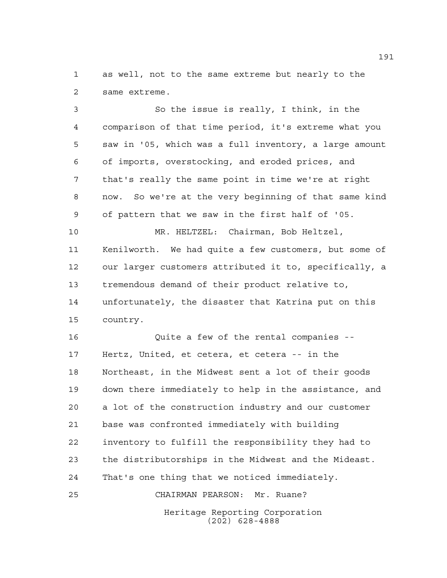as well, not to the same extreme but nearly to the same extreme.

 So the issue is really, I think, in the comparison of that time period, it's extreme what you saw in '05, which was a full inventory, a large amount of imports, overstocking, and eroded prices, and that's really the same point in time we're at right now. So we're at the very beginning of that same kind of pattern that we saw in the first half of '05. MR. HELTZEL: Chairman, Bob Heltzel, Kenilworth. We had quite a few customers, but some of our larger customers attributed it to, specifically, a tremendous demand of their product relative to, unfortunately, the disaster that Katrina put on this country. Quite a few of the rental companies -- Hertz, United, et cetera, et cetera -- in the Northeast, in the Midwest sent a lot of their goods down there immediately to help in the assistance, and a lot of the construction industry and our customer

 base was confronted immediately with building inventory to fulfill the responsibility they had to the distributorships in the Midwest and the Mideast. That's one thing that we noticed immediately. CHAIRMAN PEARSON: Mr. Ruane?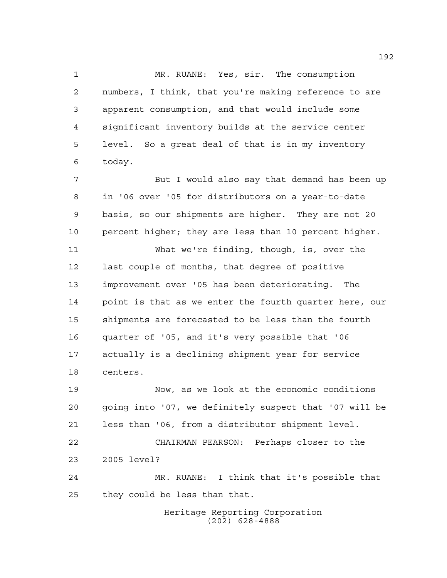MR. RUANE: Yes, sir. The consumption numbers, I think, that you're making reference to are apparent consumption, and that would include some significant inventory builds at the service center level. So a great deal of that is in my inventory today.

 But I would also say that demand has been up in '06 over '05 for distributors on a year-to-date basis, so our shipments are higher. They are not 20 percent higher; they are less than 10 percent higher.

 What we're finding, though, is, over the last couple of months, that degree of positive improvement over '05 has been deteriorating. The point is that as we enter the fourth quarter here, our shipments are forecasted to be less than the fourth quarter of '05, and it's very possible that '06 actually is a declining shipment year for service centers.

 Now, as we look at the economic conditions going into '07, we definitely suspect that '07 will be less than '06, from a distributor shipment level. CHAIRMAN PEARSON: Perhaps closer to the 2005 level? MR. RUANE: I think that it's possible that they could be less than that.

> Heritage Reporting Corporation (202) 628-4888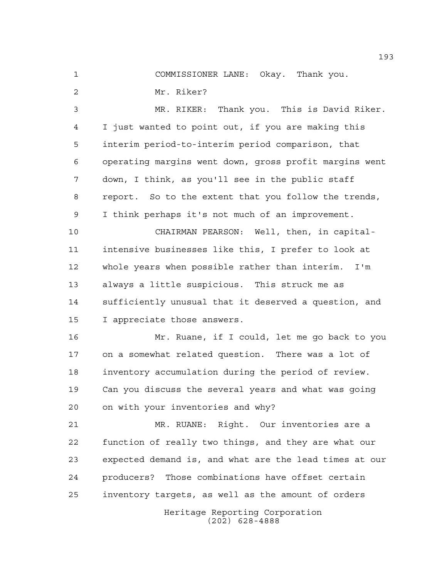COMMISSIONER LANE: Okay. Thank you.

Mr. Riker?

 MR. RIKER: Thank you. This is David Riker. I just wanted to point out, if you are making this interim period-to-interim period comparison, that operating margins went down, gross profit margins went down, I think, as you'll see in the public staff report. So to the extent that you follow the trends, I think perhaps it's not much of an improvement.

 CHAIRMAN PEARSON: Well, then, in capital- intensive businesses like this, I prefer to look at whole years when possible rather than interim. I'm always a little suspicious. This struck me as sufficiently unusual that it deserved a question, and I appreciate those answers.

 Mr. Ruane, if I could, let me go back to you on a somewhat related question. There was a lot of inventory accumulation during the period of review. Can you discuss the several years and what was going on with your inventories and why?

 MR. RUANE: Right. Our inventories are a function of really two things, and they are what our expected demand is, and what are the lead times at our producers? Those combinations have offset certain inventory targets, as well as the amount of orders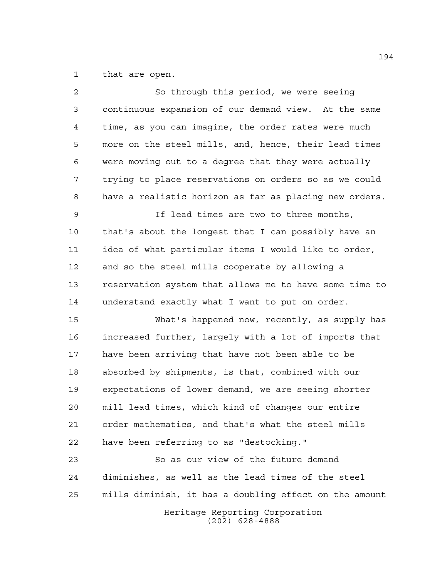that are open.

| $\overline{2}$ | So through this period, we were seeing                 |
|----------------|--------------------------------------------------------|
| 3              | continuous expansion of our demand view. At the same   |
| 4              | time, as you can imagine, the order rates were much    |
| 5              | more on the steel mills, and, hence, their lead times  |
| 6              | were moving out to a degree that they were actually    |
| 7              | trying to place reservations on orders so as we could  |
| 8              | have a realistic horizon as far as placing new orders. |
| 9              | If lead times are two to three months,                 |
| 10             | that's about the longest that I can possibly have an   |
| 11             | idea of what particular items I would like to order,   |
| 12             | and so the steel mills cooperate by allowing a         |
| 13             | reservation system that allows me to have some time to |
| 14             | understand exactly what I want to put on order.        |
| 15             | What's happened now, recently, as supply has           |
| 16             | increased further, largely with a lot of imports that  |
| 17             | have been arriving that have not been able to be       |
| 18             | absorbed by shipments, is that, combined with our      |
| 19             | expectations of lower demand, we are seeing shorter    |
| 20             | mill lead times, which kind of changes our entire      |
| 21             | order mathematics, and that's what the steel mills     |
| 22             | have been referring to as "destocking."                |
| 23             | So as our view of the future demand                    |
| 24             | diminishes, as well as the lead times of the steel     |
| 25             | mills diminish, it has a doubling effect on the amount |
|                | Heritage Reporting Corporation<br>$(202)$ 628-4888     |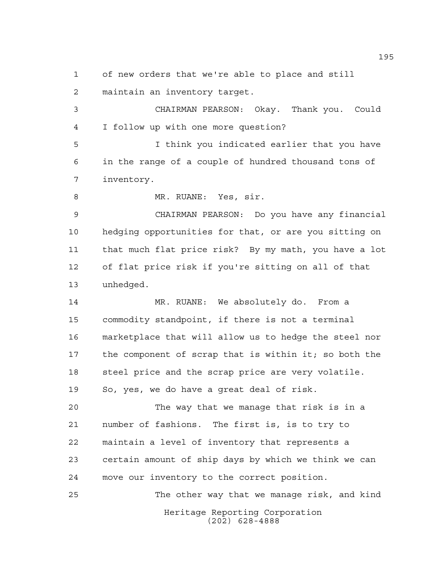of new orders that we're able to place and still

maintain an inventory target.

 CHAIRMAN PEARSON: Okay. Thank you. Could I follow up with one more question?

 I think you indicated earlier that you have in the range of a couple of hundred thousand tons of inventory.

8 MR. RUANE: Yes, sir.

 CHAIRMAN PEARSON: Do you have any financial hedging opportunities for that, or are you sitting on that much flat price risk? By my math, you have a lot of flat price risk if you're sitting on all of that unhedged.

 MR. RUANE: We absolutely do. From a commodity standpoint, if there is not a terminal marketplace that will allow us to hedge the steel nor the component of scrap that is within it; so both the 18 steel price and the scrap price are very volatile. So, yes, we do have a great deal of risk.

 The way that we manage that risk is in a number of fashions. The first is, is to try to maintain a level of inventory that represents a certain amount of ship days by which we think we can move our inventory to the correct position.

Heritage Reporting Corporation (202) 628-4888 The other way that we manage risk, and kind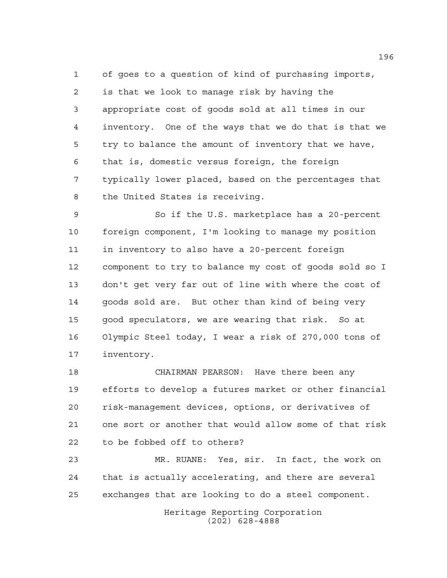of goes to a question of kind of purchasing imports, is that we look to manage risk by having the appropriate cost of goods sold at all times in our inventory. One of the ways that we do that is that we try to balance the amount of inventory that we have, that is, domestic versus foreign, the foreign typically lower placed, based on the percentages that the United States is receiving.

 So if the U.S. marketplace has a 20-percent foreign component, I'm looking to manage my position in inventory to also have a 20-percent foreign component to try to balance my cost of goods sold so I don't get very far out of line with where the cost of goods sold are. But other than kind of being very good speculators, we are wearing that risk. So at Olympic Steel today, I wear a risk of 270,000 tons of inventory.

 CHAIRMAN PEARSON: Have there been any efforts to develop a futures market or other financial risk-management devices, options, or derivatives of one sort or another that would allow some of that risk to be fobbed off to others?

 MR. RUANE: Yes, sir. In fact, the work on that is actually accelerating, and there are several exchanges that are looking to do a steel component.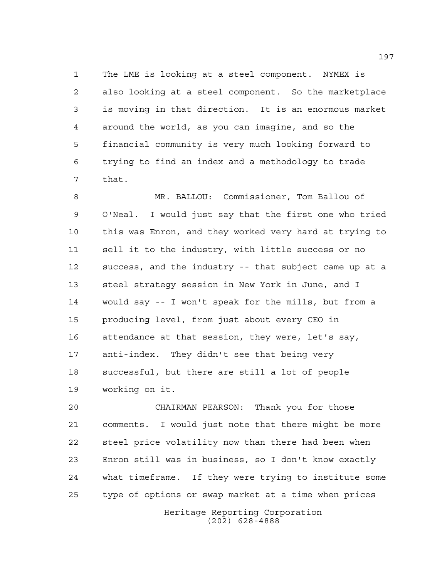The LME is looking at a steel component. NYMEX is also looking at a steel component. So the marketplace is moving in that direction. It is an enormous market around the world, as you can imagine, and so the financial community is very much looking forward to trying to find an index and a methodology to trade that.

 MR. BALLOU: Commissioner, Tom Ballou of O'Neal. I would just say that the first one who tried this was Enron, and they worked very hard at trying to sell it to the industry, with little success or no success, and the industry -- that subject came up at a steel strategy session in New York in June, and I would say -- I won't speak for the mills, but from a producing level, from just about every CEO in attendance at that session, they were, let's say, anti-index. They didn't see that being very successful, but there are still a lot of people working on it.

 CHAIRMAN PEARSON: Thank you for those comments. I would just note that there might be more steel price volatility now than there had been when Enron still was in business, so I don't know exactly what timeframe. If they were trying to institute some type of options or swap market at a time when prices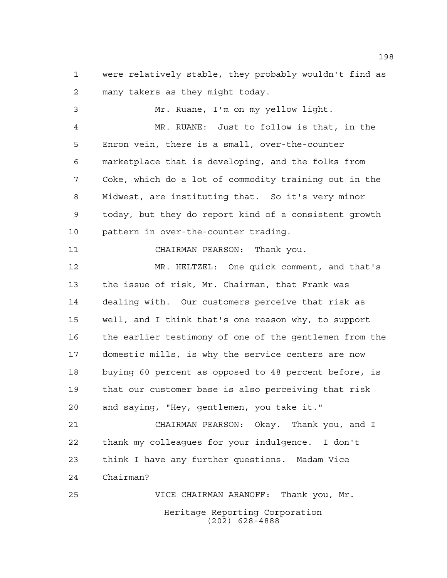were relatively stable, they probably wouldn't find as many takers as they might today.

 Mr. Ruane, I'm on my yellow light. MR. RUANE: Just to follow is that, in the Enron vein, there is a small, over-the-counter marketplace that is developing, and the folks from Coke, which do a lot of commodity training out in the Midwest, are instituting that. So it's very minor today, but they do report kind of a consistent growth pattern in over-the-counter trading. CHAIRMAN PEARSON: Thank you. MR. HELTZEL: One quick comment, and that's the issue of risk, Mr. Chairman, that Frank was dealing with. Our customers perceive that risk as well, and I think that's one reason why, to support the earlier testimony of one of the gentlemen from the domestic mills, is why the service centers are now buying 60 percent as opposed to 48 percent before, is that our customer base is also perceiving that risk and saying, "Hey, gentlemen, you take it." CHAIRMAN PEARSON: Okay. Thank you, and I thank my colleagues for your indulgence. I don't think I have any further questions. Madam Vice Chairman? VICE CHAIRMAN ARANOFF: Thank you, Mr.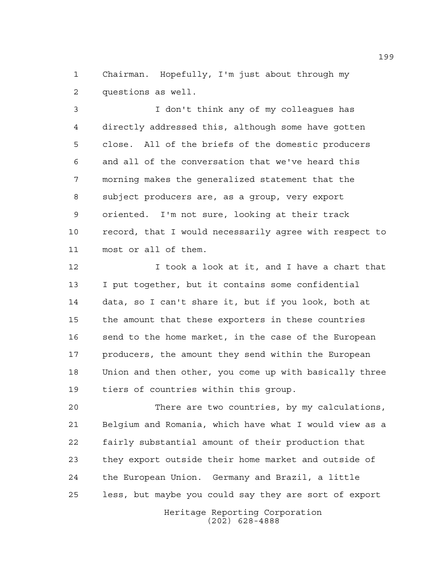Chairman. Hopefully, I'm just about through my questions as well.

 I don't think any of my colleagues has directly addressed this, although some have gotten close. All of the briefs of the domestic producers and all of the conversation that we've heard this morning makes the generalized statement that the subject producers are, as a group, very export oriented. I'm not sure, looking at their track record, that I would necessarily agree with respect to most or all of them.

 I took a look at it, and I have a chart that I put together, but it contains some confidential data, so I can't share it, but if you look, both at the amount that these exporters in these countries send to the home market, in the case of the European 17 producers, the amount they send within the European Union and then other, you come up with basically three tiers of countries within this group.

 There are two countries, by my calculations, Belgium and Romania, which have what I would view as a fairly substantial amount of their production that they export outside their home market and outside of the European Union. Germany and Brazil, a little less, but maybe you could say they are sort of export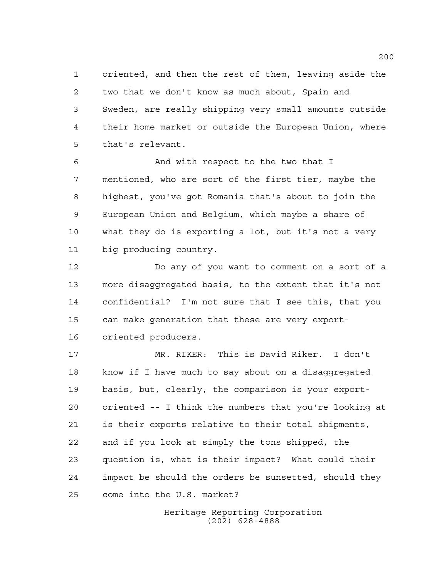oriented, and then the rest of them, leaving aside the two that we don't know as much about, Spain and Sweden, are really shipping very small amounts outside their home market or outside the European Union, where that's relevant.

 And with respect to the two that I mentioned, who are sort of the first tier, maybe the highest, you've got Romania that's about to join the European Union and Belgium, which maybe a share of what they do is exporting a lot, but it's not a very big producing country.

 Do any of you want to comment on a sort of a more disaggregated basis, to the extent that it's not confidential? I'm not sure that I see this, that you can make generation that these are very export-oriented producers.

 MR. RIKER: This is David Riker. I don't know if I have much to say about on a disaggregated basis, but, clearly, the comparison is your export- oriented -- I think the numbers that you're looking at is their exports relative to their total shipments, and if you look at simply the tons shipped, the question is, what is their impact? What could their impact be should the orders be sunsetted, should they come into the U.S. market?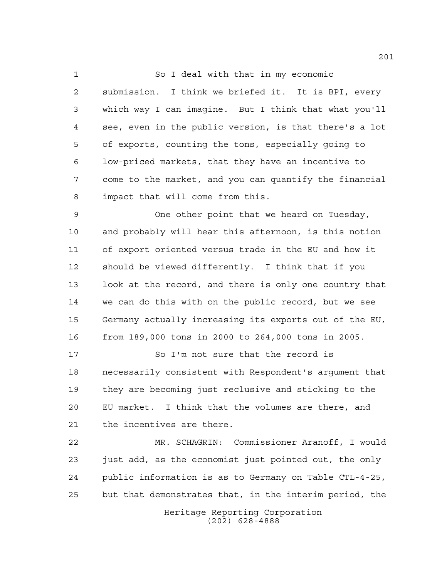So I deal with that in my economic

 submission. I think we briefed it. It is BPI, every which way I can imagine. But I think that what you'll see, even in the public version, is that there's a lot of exports, counting the tons, especially going to low-priced markets, that they have an incentive to come to the market, and you can quantify the financial impact that will come from this.

 One other point that we heard on Tuesday, and probably will hear this afternoon, is this notion of export oriented versus trade in the EU and how it should be viewed differently. I think that if you look at the record, and there is only one country that we can do this with on the public record, but we see Germany actually increasing its exports out of the EU, from 189,000 tons in 2000 to 264,000 tons in 2005.

 So I'm not sure that the record is necessarily consistent with Respondent's argument that they are becoming just reclusive and sticking to the EU market. I think that the volumes are there, and the incentives are there.

 MR. SCHAGRIN: Commissioner Aranoff, I would just add, as the economist just pointed out, the only public information is as to Germany on Table CTL-4-25, but that demonstrates that, in the interim period, the

> Heritage Reporting Corporation (202) 628-4888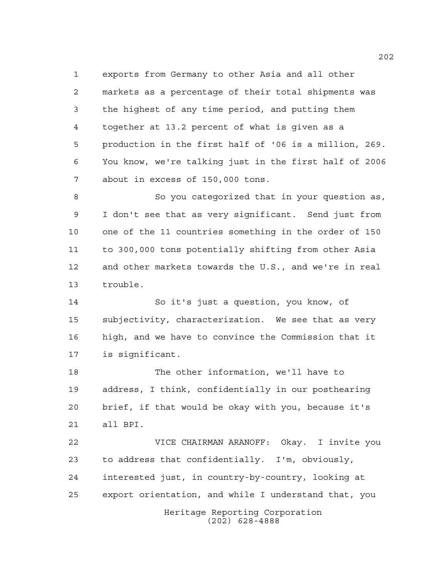exports from Germany to other Asia and all other markets as a percentage of their total shipments was the highest of any time period, and putting them together at 13.2 percent of what is given as a production in the first half of '06 is a million, 269. You know, we're talking just in the first half of 2006 about in excess of 150,000 tons.

 So you categorized that in your question as, I don't see that as very significant. Send just from one of the 11 countries something in the order of 150 to 300,000 tons potentially shifting from other Asia and other markets towards the U.S., and we're in real trouble.

 So it's just a question, you know, of subjectivity, characterization. We see that as very high, and we have to convince the Commission that it is significant.

 The other information, we'll have to address, I think, confidentially in our posthearing brief, if that would be okay with you, because it's all BPI.

Heritage Reporting Corporation (202) 628-4888 VICE CHAIRMAN ARANOFF: Okay. I invite you to address that confidentially. I'm, obviously, interested just, in country-by-country, looking at export orientation, and while I understand that, you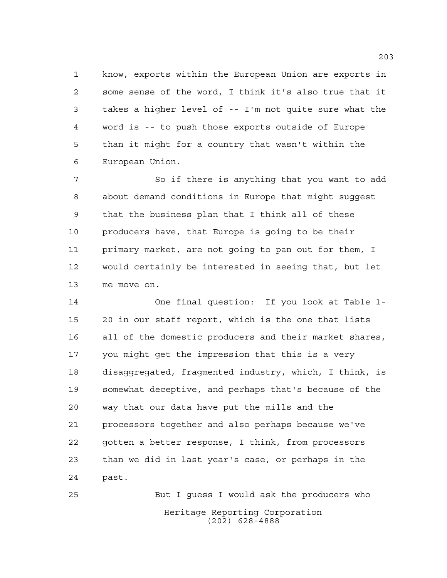know, exports within the European Union are exports in some sense of the word, I think it's also true that it takes a higher level of -- I'm not quite sure what the word is -- to push those exports outside of Europe than it might for a country that wasn't within the European Union.

 So if there is anything that you want to add about demand conditions in Europe that might suggest that the business plan that I think all of these producers have, that Europe is going to be their primary market, are not going to pan out for them, I would certainly be interested in seeing that, but let me move on.

 One final question: If you look at Table 1- 20 in our staff report, which is the one that lists all of the domestic producers and their market shares, you might get the impression that this is a very disaggregated, fragmented industry, which, I think, is somewhat deceptive, and perhaps that's because of the way that our data have put the mills and the processors together and also perhaps because we've gotten a better response, I think, from processors than we did in last year's case, or perhaps in the past.

Heritage Reporting Corporation (202) 628-4888 But I guess I would ask the producers who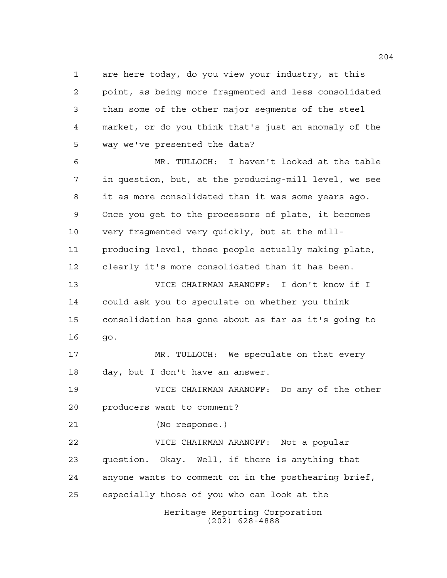Heritage Reporting Corporation are here today, do you view your industry, at this point, as being more fragmented and less consolidated than some of the other major segments of the steel market, or do you think that's just an anomaly of the way we've presented the data? MR. TULLOCH: I haven't looked at the table in question, but, at the producing-mill level, we see it as more consolidated than it was some years ago. Once you get to the processors of plate, it becomes very fragmented very quickly, but at the mill- producing level, those people actually making plate, clearly it's more consolidated than it has been. VICE CHAIRMAN ARANOFF: I don't know if I could ask you to speculate on whether you think consolidation has gone about as far as it's going to go. MR. TULLOCH: We speculate on that every day, but I don't have an answer. VICE CHAIRMAN ARANOFF: Do any of the other producers want to comment? (No response.) VICE CHAIRMAN ARANOFF: Not a popular question. Okay. Well, if there is anything that anyone wants to comment on in the posthearing brief, especially those of you who can look at the

(202) 628-4888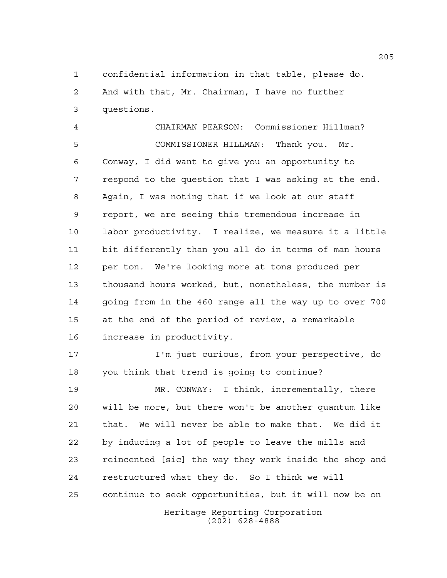confidential information in that table, please do. And with that, Mr. Chairman, I have no further questions.

 CHAIRMAN PEARSON: Commissioner Hillman? COMMISSIONER HILLMAN: Thank you. Mr. Conway, I did want to give you an opportunity to respond to the question that I was asking at the end. Again, I was noting that if we look at our staff report, we are seeing this tremendous increase in labor productivity. I realize, we measure it a little bit differently than you all do in terms of man hours per ton. We're looking more at tons produced per thousand hours worked, but, nonetheless, the number is going from in the 460 range all the way up to over 700 at the end of the period of review, a remarkable increase in productivity. I'm just curious, from your perspective, do

you think that trend is going to continue?

 MR. CONWAY: I think, incrementally, there will be more, but there won't be another quantum like that. We will never be able to make that. We did it by inducing a lot of people to leave the mills and reincented [sic] the way they work inside the shop and restructured what they do. So I think we will continue to seek opportunities, but it will now be on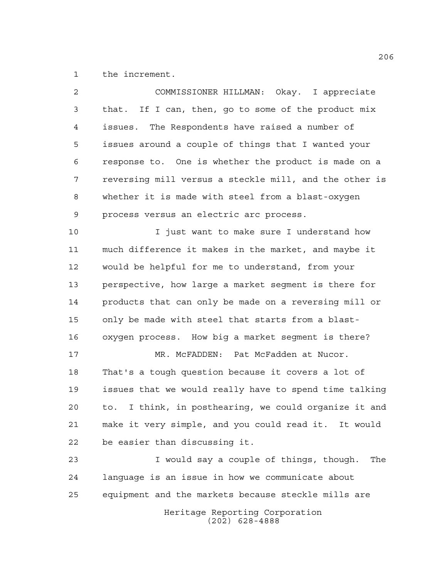the increment.

| 2  | COMMISSIONER HILLMAN: Okay. I appreciate                 |
|----|----------------------------------------------------------|
| 3  | that. If I can, then, go to some of the product mix      |
| 4  | issues. The Respondents have raised a number of          |
| 5  | issues around a couple of things that I wanted your      |
| 6  | response to. One is whether the product is made on a     |
| 7  | reversing mill versus a steckle mill, and the other is   |
| 8  | whether it is made with steel from a blast-oxygen        |
| 9  | process versus an electric arc process.                  |
| 10 | I just want to make sure I understand how                |
| 11 | much difference it makes in the market, and maybe it     |
| 12 | would be helpful for me to understand, from your         |
| 13 | perspective, how large a market segment is there for     |
| 14 | products that can only be made on a reversing mill or    |
| 15 | only be made with steel that starts from a blast-        |
| 16 | oxygen process. How big a market segment is there?       |
| 17 | MR. MCFADDEN: Pat McFadden at Nucor.                     |
| 18 | That's a tough question because it covers a lot of       |
| 19 | issues that we would really have to spend time talking   |
| 20 | I think, in posthearing, we could organize it and<br>to. |
| 21 | make it very simple, and you could read it. It would     |
| 22 | be easier than discussing it.                            |
| 23 | I would say a couple of things, though.<br>The           |
| 24 | language is an issue in how we communicate about         |
| 25 | equipment and the markets because steckle mills are      |
|    | Heritage Reporting Corporation<br>$(202)$ 628-4888       |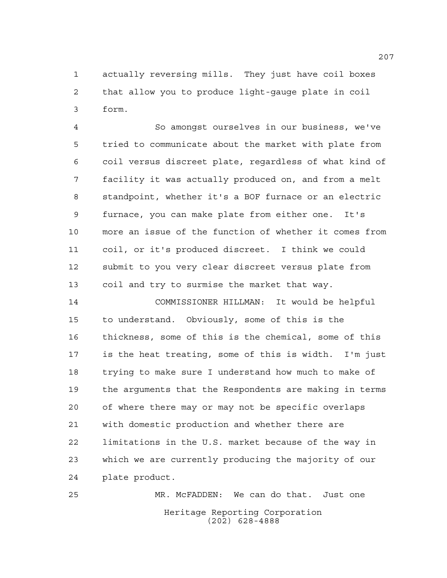actually reversing mills. They just have coil boxes that allow you to produce light-gauge plate in coil form.

 So amongst ourselves in our business, we've tried to communicate about the market with plate from coil versus discreet plate, regardless of what kind of facility it was actually produced on, and from a melt standpoint, whether it's a BOF furnace or an electric furnace, you can make plate from either one. It's more an issue of the function of whether it comes from coil, or it's produced discreet. I think we could submit to you very clear discreet versus plate from coil and try to surmise the market that way.

 COMMISSIONER HILLMAN: It would be helpful to understand. Obviously, some of this is the thickness, some of this is the chemical, some of this is the heat treating, some of this is width. I'm just trying to make sure I understand how much to make of the arguments that the Respondents are making in terms of where there may or may not be specific overlaps with domestic production and whether there are limitations in the U.S. market because of the way in which we are currently producing the majority of our plate product.

Heritage Reporting Corporation (202) 628-4888 MR. McFADDEN: We can do that. Just one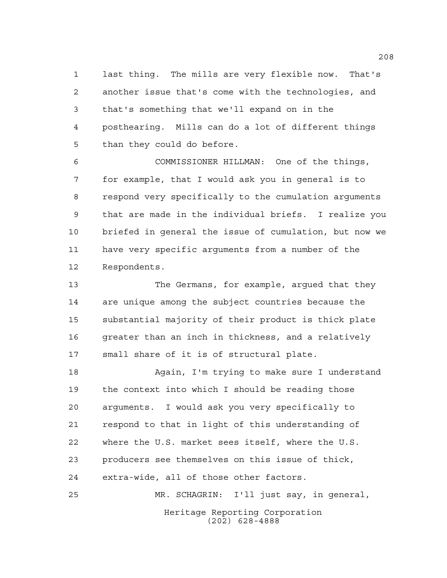last thing. The mills are very flexible now. That's another issue that's come with the technologies, and that's something that we'll expand on in the posthearing. Mills can do a lot of different things than they could do before.

 COMMISSIONER HILLMAN: One of the things, for example, that I would ask you in general is to respond very specifically to the cumulation arguments that are made in the individual briefs. I realize you briefed in general the issue of cumulation, but now we have very specific arguments from a number of the Respondents.

 The Germans, for example, argued that they are unique among the subject countries because the substantial majority of their product is thick plate 16 greater than an inch in thickness, and a relatively small share of it is of structural plate.

 Again, I'm trying to make sure I understand the context into which I should be reading those arguments. I would ask you very specifically to respond to that in light of this understanding of where the U.S. market sees itself, where the U.S. producers see themselves on this issue of thick, extra-wide, all of those other factors. MR. SCHAGRIN: I'll just say, in general,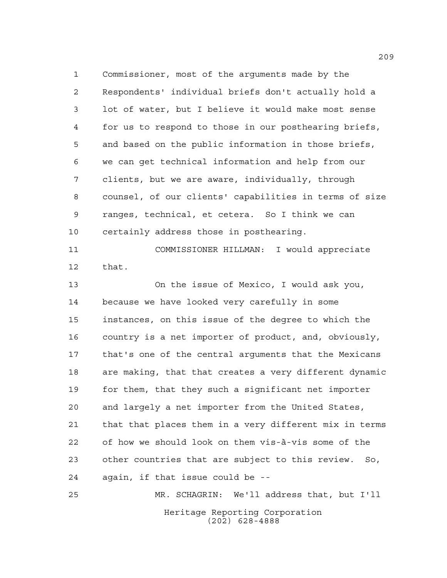Commissioner, most of the arguments made by the Respondents' individual briefs don't actually hold a lot of water, but I believe it would make most sense for us to respond to those in our posthearing briefs, and based on the public information in those briefs, we can get technical information and help from our clients, but we are aware, individually, through counsel, of our clients' capabilities in terms of size ranges, technical, et cetera. So I think we can certainly address those in posthearing.

 COMMISSIONER HILLMAN: I would appreciate that.

 On the issue of Mexico, I would ask you, because we have looked very carefully in some instances, on this issue of the degree to which the country is a net importer of product, and, obviously, that's one of the central arguments that the Mexicans are making, that that creates a very different dynamic for them, that they such a significant net importer and largely a net importer from the United States, that that places them in a very different mix in terms of how we should look on them vis-à-vis some of the other countries that are subject to this review. So, again, if that issue could be --

Heritage Reporting Corporation (202) 628-4888 MR. SCHAGRIN: We'll address that, but I'll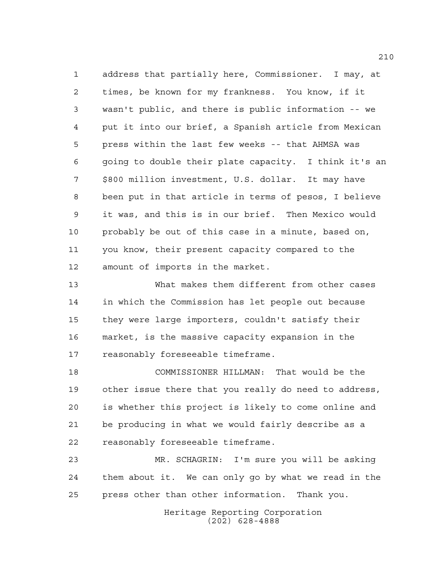address that partially here, Commissioner. I may, at times, be known for my frankness. You know, if it wasn't public, and there is public information -- we put it into our brief, a Spanish article from Mexican press within the last few weeks -- that AHMSA was going to double their plate capacity. I think it's an \$800 million investment, U.S. dollar. It may have been put in that article in terms of pesos, I believe it was, and this is in our brief. Then Mexico would probably be out of this case in a minute, based on, you know, their present capacity compared to the amount of imports in the market.

 What makes them different from other cases in which the Commission has let people out because they were large importers, couldn't satisfy their market, is the massive capacity expansion in the reasonably foreseeable timeframe.

 COMMISSIONER HILLMAN: That would be the other issue there that you really do need to address, is whether this project is likely to come online and be producing in what we would fairly describe as a reasonably foreseeable timeframe.

 MR. SCHAGRIN: I'm sure you will be asking them about it. We can only go by what we read in the press other than other information. Thank you.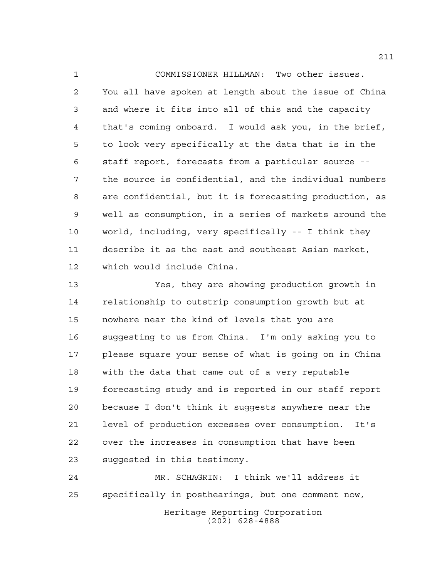COMMISSIONER HILLMAN: Two other issues. You all have spoken at length about the issue of China and where it fits into all of this and the capacity that's coming onboard. I would ask you, in the brief, to look very specifically at the data that is in the staff report, forecasts from a particular source -- the source is confidential, and the individual numbers are confidential, but it is forecasting production, as well as consumption, in a series of markets around the world, including, very specifically -- I think they describe it as the east and southeast Asian market, which would include China.

 Yes, they are showing production growth in relationship to outstrip consumption growth but at nowhere near the kind of levels that you are suggesting to us from China. I'm only asking you to please square your sense of what is going on in China with the data that came out of a very reputable forecasting study and is reported in our staff report because I don't think it suggests anywhere near the level of production excesses over consumption. It's over the increases in consumption that have been suggested in this testimony.

Heritage Reporting Corporation (202) 628-4888 MR. SCHAGRIN: I think we'll address it specifically in posthearings, but one comment now,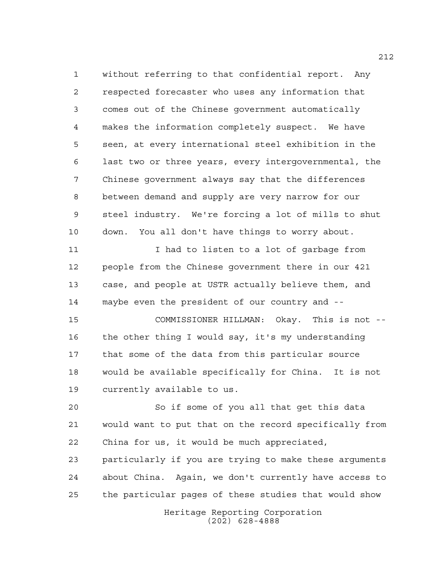without referring to that confidential report. Any respected forecaster who uses any information that comes out of the Chinese government automatically makes the information completely suspect. We have seen, at every international steel exhibition in the last two or three years, every intergovernmental, the Chinese government always say that the differences between demand and supply are very narrow for our steel industry. We're forcing a lot of mills to shut down. You all don't have things to worry about. 11 11 I had to listen to a lot of garbage from people from the Chinese government there in our 421 case, and people at USTR actually believe them, and maybe even the president of our country and -- COMMISSIONER HILLMAN: Okay. This is not -- the other thing I would say, it's my understanding that some of the data from this particular source would be available specifically for China. It is not currently available to us. So if some of you all that get this data would want to put that on the record specifically from China for us, it would be much appreciated,

 particularly if you are trying to make these arguments about China. Again, we don't currently have access to the particular pages of these studies that would show

> Heritage Reporting Corporation (202) 628-4888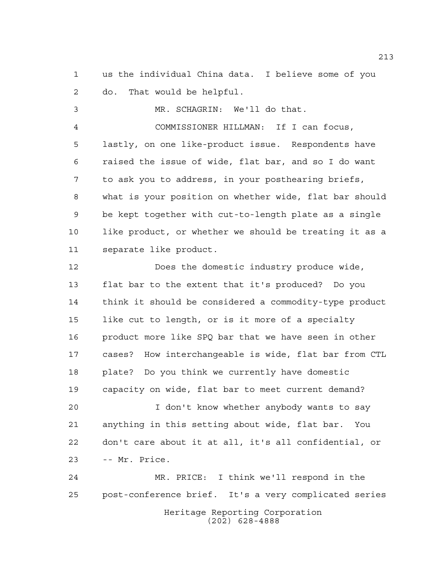us the individual China data. I believe some of you do. That would be helpful.

 MR. SCHAGRIN: We'll do that. COMMISSIONER HILLMAN: If I can focus, lastly, on one like-product issue. Respondents have raised the issue of wide, flat bar, and so I do want to ask you to address, in your posthearing briefs, what is your position on whether wide, flat bar should be kept together with cut-to-length plate as a single like product, or whether we should be treating it as a separate like product.

 Does the domestic industry produce wide, flat bar to the extent that it's produced? Do you think it should be considered a commodity-type product like cut to length, or is it more of a specialty product more like SPQ bar that we have seen in other cases? How interchangeable is wide, flat bar from CTL plate? Do you think we currently have domestic capacity on wide, flat bar to meet current demand?

 I don't know whether anybody wants to say anything in this setting about wide, flat bar. You don't care about it at all, it's all confidential, or -- Mr. Price.

Heritage Reporting Corporation (202) 628-4888 MR. PRICE: I think we'll respond in the post-conference brief. It's a very complicated series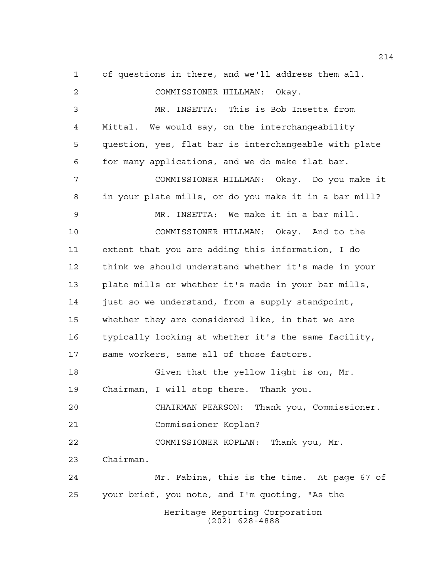Heritage Reporting Corporation (202) 628-4888 of questions in there, and we'll address them all. COMMISSIONER HILLMAN: Okay. MR. INSETTA: This is Bob Insetta from Mittal. We would say, on the interchangeability question, yes, flat bar is interchangeable with plate for many applications, and we do make flat bar. COMMISSIONER HILLMAN: Okay. Do you make it in your plate mills, or do you make it in a bar mill? MR. INSETTA: We make it in a bar mill. COMMISSIONER HILLMAN: Okay. And to the extent that you are adding this information, I do think we should understand whether it's made in your plate mills or whether it's made in your bar mills, just so we understand, from a supply standpoint, whether they are considered like, in that we are typically looking at whether it's the same facility, same workers, same all of those factors. Given that the yellow light is on, Mr. Chairman, I will stop there. Thank you. CHAIRMAN PEARSON: Thank you, Commissioner. Commissioner Koplan? COMMISSIONER KOPLAN: Thank you, Mr. Chairman. Mr. Fabina, this is the time. At page 67 of your brief, you note, and I'm quoting, "As the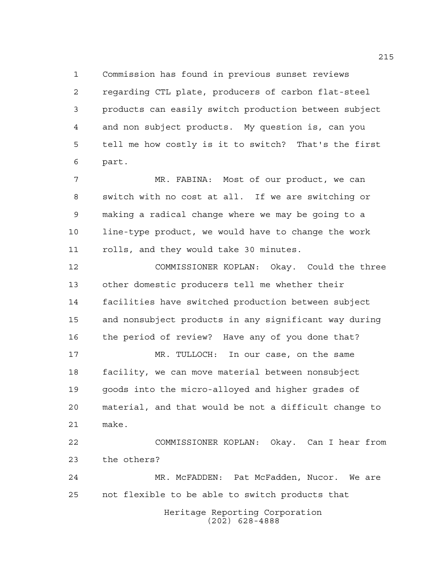Commission has found in previous sunset reviews regarding CTL plate, producers of carbon flat-steel products can easily switch production between subject and non subject products. My question is, can you tell me how costly is it to switch? That's the first part.

 MR. FABINA: Most of our product, we can switch with no cost at all. If we are switching or making a radical change where we may be going to a line-type product, we would have to change the work rolls, and they would take 30 minutes.

 COMMISSIONER KOPLAN: Okay. Could the three other domestic producers tell me whether their facilities have switched production between subject and nonsubject products in any significant way during the period of review? Have any of you done that? MR. TULLOCH: In our case, on the same

 facility, we can move material between nonsubject goods into the micro-alloyed and higher grades of material, and that would be not a difficult change to make.

 COMMISSIONER KOPLAN: Okay. Can I hear from the others?

 MR. McFADDEN: Pat McFadden, Nucor. We are not flexible to be able to switch products that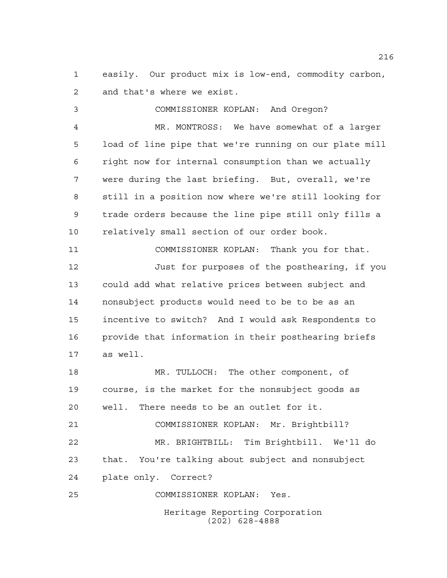easily. Our product mix is low-end, commodity carbon, and that's where we exist.

 COMMISSIONER KOPLAN: And Oregon? MR. MONTROSS: We have somewhat of a larger load of line pipe that we're running on our plate mill right now for internal consumption than we actually were during the last briefing. But, overall, we're still in a position now where we're still looking for trade orders because the line pipe still only fills a relatively small section of our order book. COMMISSIONER KOPLAN: Thank you for that. Just for purposes of the posthearing, if you could add what relative prices between subject and nonsubject products would need to be to be as an incentive to switch? And I would ask Respondents to provide that information in their posthearing briefs as well. MR. TULLOCH: The other component, of course, is the market for the nonsubject goods as well. There needs to be an outlet for it. COMMISSIONER KOPLAN: Mr. Brightbill? MR. BRIGHTBILL: Tim Brightbill. We'll do that. You're talking about subject and nonsubject plate only. Correct? COMMISSIONER KOPLAN: Yes.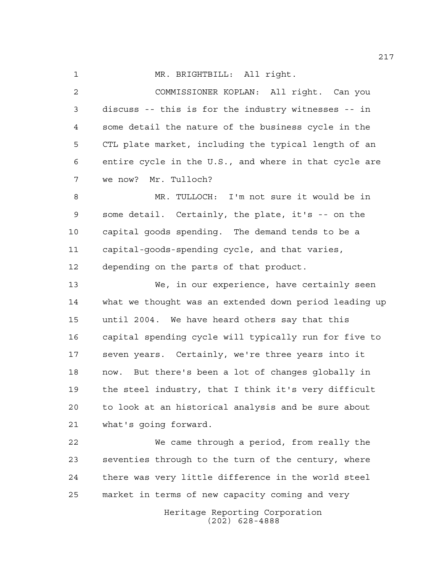MR. BRIGHTBILL: All right.

 COMMISSIONER KOPLAN: All right. Can you discuss -- this is for the industry witnesses -- in some detail the nature of the business cycle in the CTL plate market, including the typical length of an entire cycle in the U.S., and where in that cycle are we now? Mr. Tulloch?

 MR. TULLOCH: I'm not sure it would be in some detail. Certainly, the plate, it's -- on the capital goods spending. The demand tends to be a capital-goods-spending cycle, and that varies, depending on the parts of that product.

 We, in our experience, have certainly seen what we thought was an extended down period leading up until 2004. We have heard others say that this capital spending cycle will typically run for five to seven years. Certainly, we're three years into it now. But there's been a lot of changes globally in the steel industry, that I think it's very difficult to look at an historical analysis and be sure about what's going forward.

 We came through a period, from really the seventies through to the turn of the century, where there was very little difference in the world steel market in terms of new capacity coming and very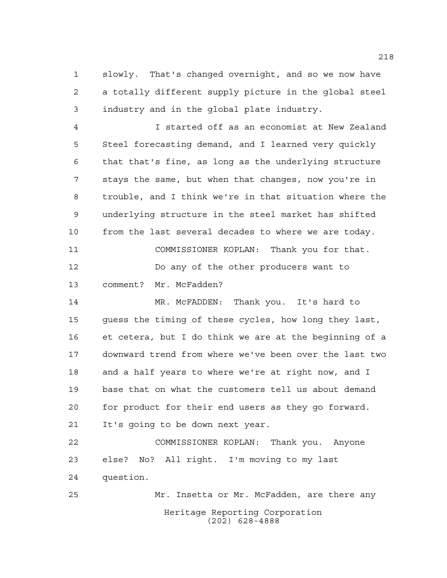slowly. That's changed overnight, and so we now have a totally different supply picture in the global steel industry and in the global plate industry.

 I started off as an economist at New Zealand Steel forecasting demand, and I learned very quickly that that's fine, as long as the underlying structure stays the same, but when that changes, now you're in trouble, and I think we're in that situation where the underlying structure in the steel market has shifted from the last several decades to where we are today. COMMISSIONER KOPLAN: Thank you for that. Do any of the other producers want to comment? Mr. McFadden? MR. McFADDEN: Thank you. It's hard to

 guess the timing of these cycles, how long they last, et cetera, but I do think we are at the beginning of a downward trend from where we've been over the last two and a half years to where we're at right now, and I base that on what the customers tell us about demand for product for their end users as they go forward. It's going to be down next year.

 COMMISSIONER KOPLAN: Thank you. Anyone else? No? All right. I'm moving to my last question.

Heritage Reporting Corporation (202) 628-4888 Mr. Insetta or Mr. McFadden, are there any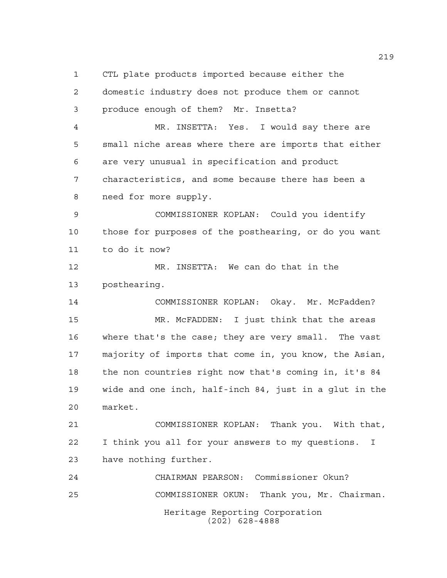CTL plate products imported because either the

 domestic industry does not produce them or cannot produce enough of them? Mr. Insetta?

 MR. INSETTA: Yes. I would say there are small niche areas where there are imports that either are very unusual in specification and product characteristics, and some because there has been a need for more supply.

 COMMISSIONER KOPLAN: Could you identify those for purposes of the posthearing, or do you want to do it now?

 MR. INSETTA: We can do that in the posthearing.

 COMMISSIONER KOPLAN: Okay. Mr. McFadden? MR. McFADDEN: I just think that the areas where that's the case; they are very small. The vast majority of imports that come in, you know, the Asian, the non countries right now that's coming in, it's 84 wide and one inch, half-inch 84, just in a glut in the market.

 COMMISSIONER KOPLAN: Thank you. With that, I think you all for your answers to my questions. I have nothing further.

Heritage Reporting Corporation (202) 628-4888 CHAIRMAN PEARSON: Commissioner Okun? COMMISSIONER OKUN: Thank you, Mr. Chairman.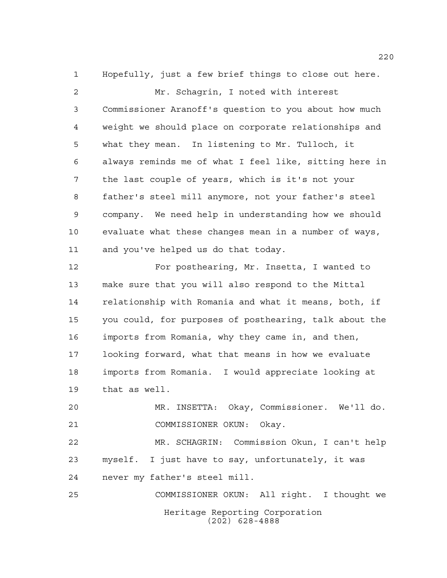Hopefully, just a few brief things to close out here. Mr. Schagrin, I noted with interest Commissioner Aranoff's question to you about how much weight we should place on corporate relationships and what they mean. In listening to Mr. Tulloch, it always reminds me of what I feel like, sitting here in the last couple of years, which is it's not your father's steel mill anymore, not your father's steel company. We need help in understanding how we should evaluate what these changes mean in a number of ways, and you've helped us do that today. For posthearing, Mr. Insetta, I wanted to

 make sure that you will also respond to the Mittal relationship with Romania and what it means, both, if you could, for purposes of posthearing, talk about the imports from Romania, why they came in, and then, looking forward, what that means in how we evaluate imports from Romania. I would appreciate looking at that as well.

 MR. INSETTA: Okay, Commissioner. We'll do. COMMISSIONER OKUN: Okay.

 MR. SCHAGRIN: Commission Okun, I can't help myself. I just have to say, unfortunately, it was never my father's steel mill.

Heritage Reporting Corporation (202) 628-4888 COMMISSIONER OKUN: All right. I thought we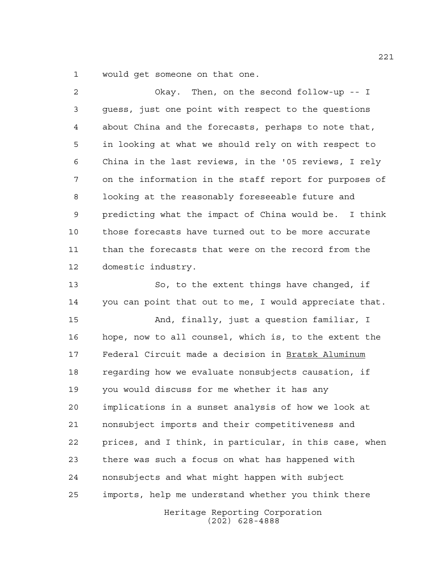would get someone on that one.

 Okay. Then, on the second follow-up -- I guess, just one point with respect to the questions about China and the forecasts, perhaps to note that, in looking at what we should rely on with respect to China in the last reviews, in the '05 reviews, I rely on the information in the staff report for purposes of looking at the reasonably foreseeable future and predicting what the impact of China would be. I think those forecasts have turned out to be more accurate than the forecasts that were on the record from the domestic industry.

 So, to the extent things have changed, if you can point that out to me, I would appreciate that.

 And, finally, just a question familiar, I hope, now to all counsel, which is, to the extent the Federal Circuit made a decision in Bratsk Aluminum regarding how we evaluate nonsubjects causation, if you would discuss for me whether it has any implications in a sunset analysis of how we look at nonsubject imports and their competitiveness and prices, and I think, in particular, in this case, when there was such a focus on what has happened with nonsubjects and what might happen with subject imports, help me understand whether you think there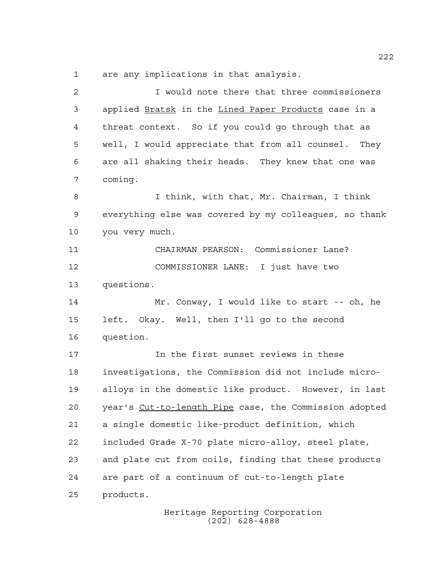are any implications in that analysis.

| 2  | I would note there that three commissioners            |
|----|--------------------------------------------------------|
| 3  | applied Bratsk in the Lined Paper Products case in a   |
| 4  | threat context. So if you could go through that as     |
| 5  | well, I would appreciate that from all counsel. They   |
| 6  | are all shaking their heads. They knew that one was    |
| 7  | coming.                                                |
| 8  | I think, with that, Mr. Chairman, I think              |
| 9  | everything else was covered by my colleagues, so thank |
| 10 | you very much.                                         |
| 11 | CHAIRMAN PEARSON: Commissioner Lane?                   |
| 12 | COMMISSIONER LANE: I just have two                     |
| 13 | questions.                                             |
| 14 | Mr. Conway, I would like to start -- oh, he            |
| 15 | left. Okay. Well, then I'll go to the second           |
| 16 | question.                                              |
| 17 | In the first sunset reviews in these                   |
| 18 | investigations, the Commission did not include micro-  |
| 19 | alloys in the domestic like product. However, in last  |
| 20 | year's Cut-to-length Pipe case, the Commission adopted |
| 21 | a single domestic like-product definition, which       |
| 22 | included Grade X-70 plate micro-alloy, steel plate,    |
| 23 | and plate cut from coils, finding that these products  |
| 24 | are part of a continuum of cut-to-length plate         |
| 25 | products.                                              |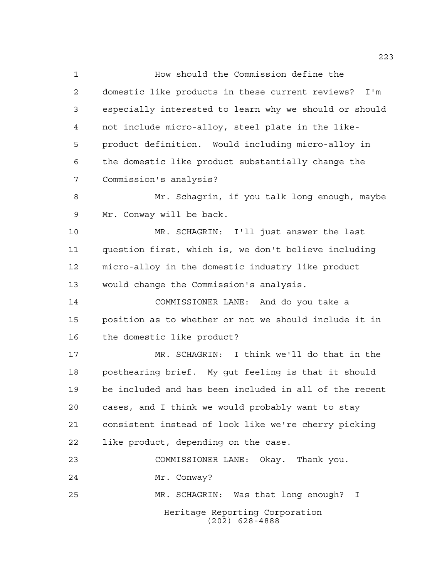Heritage Reporting Corporation (202) 628-4888 How should the Commission define the domestic like products in these current reviews? I'm especially interested to learn why we should or should not include micro-alloy, steel plate in the like- product definition. Would including micro-alloy in the domestic like product substantially change the Commission's analysis? 8 Mr. Schagrin, if you talk long enough, maybe Mr. Conway will be back. MR. SCHAGRIN: I'll just answer the last question first, which is, we don't believe including micro-alloy in the domestic industry like product would change the Commission's analysis. COMMISSIONER LANE: And do you take a position as to whether or not we should include it in the domestic like product? MR. SCHAGRIN: I think we'll do that in the posthearing brief. My gut feeling is that it should be included and has been included in all of the recent cases, and I think we would probably want to stay consistent instead of look like we're cherry picking like product, depending on the case. COMMISSIONER LANE: Okay. Thank you. Mr. Conway? MR. SCHAGRIN: Was that long enough? I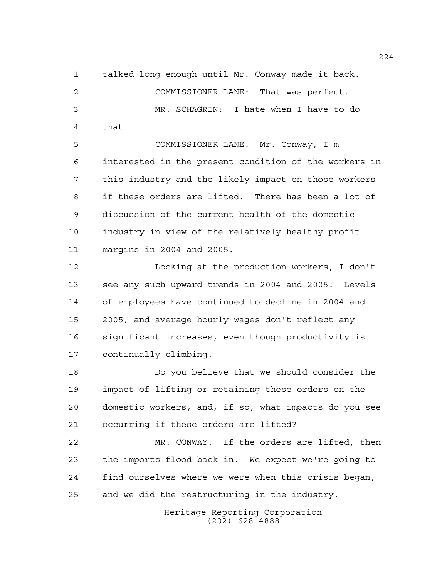talked long enough until Mr. Conway made it back.

 COMMISSIONER LANE: That was perfect. MR. SCHAGRIN: I hate when I have to do that.

 COMMISSIONER LANE: Mr. Conway, I'm interested in the present condition of the workers in this industry and the likely impact on those workers if these orders are lifted. There has been a lot of discussion of the current health of the domestic industry in view of the relatively healthy profit margins in 2004 and 2005.

 Looking at the production workers, I don't see any such upward trends in 2004 and 2005. Levels of employees have continued to decline in 2004 and 2005, and average hourly wages don't reflect any significant increases, even though productivity is continually climbing.

 Do you believe that we should consider the impact of lifting or retaining these orders on the domestic workers, and, if so, what impacts do you see occurring if these orders are lifted?

 MR. CONWAY: If the orders are lifted, then the imports flood back in. We expect we're going to find ourselves where we were when this crisis began, and we did the restructuring in the industry.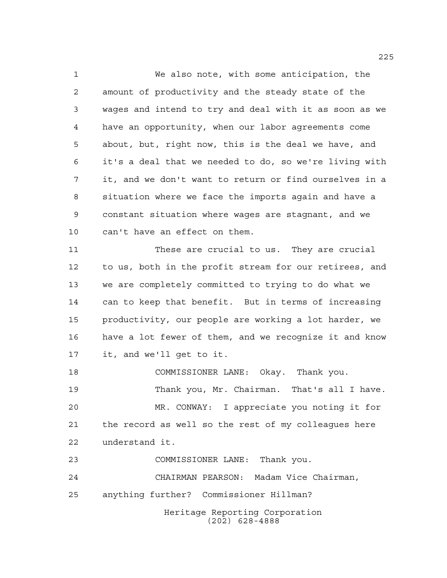We also note, with some anticipation, the amount of productivity and the steady state of the wages and intend to try and deal with it as soon as we have an opportunity, when our labor agreements come about, but, right now, this is the deal we have, and it's a deal that we needed to do, so we're living with it, and we don't want to return or find ourselves in a situation where we face the imports again and have a constant situation where wages are stagnant, and we can't have an effect on them.

 These are crucial to us. They are crucial to us, both in the profit stream for our retirees, and we are completely committed to trying to do what we can to keep that benefit. But in terms of increasing productivity, our people are working a lot harder, we have a lot fewer of them, and we recognize it and know it, and we'll get to it.

 COMMISSIONER LANE: Okay. Thank you. Thank you, Mr. Chairman. That's all I have. MR. CONWAY: I appreciate you noting it for the record as well so the rest of my colleagues here understand it.

COMMISSIONER LANE: Thank you.

CHAIRMAN PEARSON: Madam Vice Chairman,

anything further? Commissioner Hillman?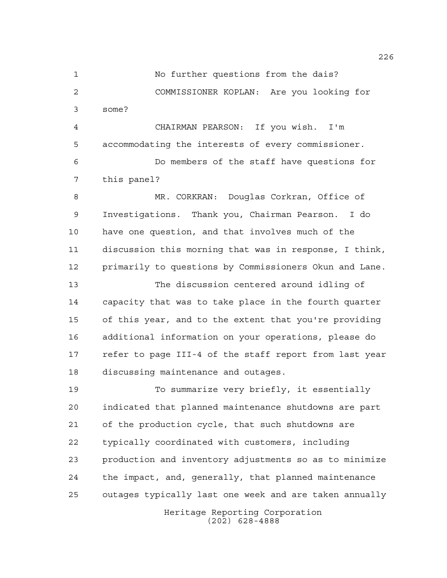No further questions from the dais? COMMISSIONER KOPLAN: Are you looking for some?

 CHAIRMAN PEARSON: If you wish. I'm accommodating the interests of every commissioner.

 Do members of the staff have questions for this panel?

 MR. CORKRAN: Douglas Corkran, Office of Investigations. Thank you, Chairman Pearson. I do have one question, and that involves much of the discussion this morning that was in response, I think, primarily to questions by Commissioners Okun and Lane.

 The discussion centered around idling of capacity that was to take place in the fourth quarter of this year, and to the extent that you're providing additional information on your operations, please do refer to page III-4 of the staff report from last year discussing maintenance and outages.

 To summarize very briefly, it essentially indicated that planned maintenance shutdowns are part of the production cycle, that such shutdowns are typically coordinated with customers, including production and inventory adjustments so as to minimize the impact, and, generally, that planned maintenance outages typically last one week and are taken annually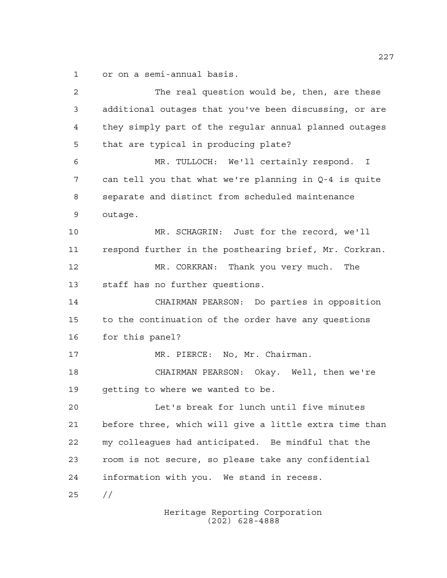or on a semi-annual basis.

 The real question would be, then, are these additional outages that you've been discussing, or are they simply part of the regular annual planned outages that are typical in producing plate? MR. TULLOCH: We'll certainly respond. I can tell you that what we're planning in Q-4 is quite separate and distinct from scheduled maintenance outage. MR. SCHAGRIN: Just for the record, we'll respond further in the posthearing brief, Mr. Corkran. MR. CORKRAN: Thank you very much. The staff has no further questions. CHAIRMAN PEARSON: Do parties in opposition to the continuation of the order have any questions for this panel? 17 MR. PIERCE: No, Mr. Chairman. CHAIRMAN PEARSON: Okay. Well, then we're getting to where we wanted to be. Let's break for lunch until five minutes before three, which will give a little extra time than my colleagues had anticipated. Be mindful that the room is not secure, so please take any confidential information with you. We stand in recess. //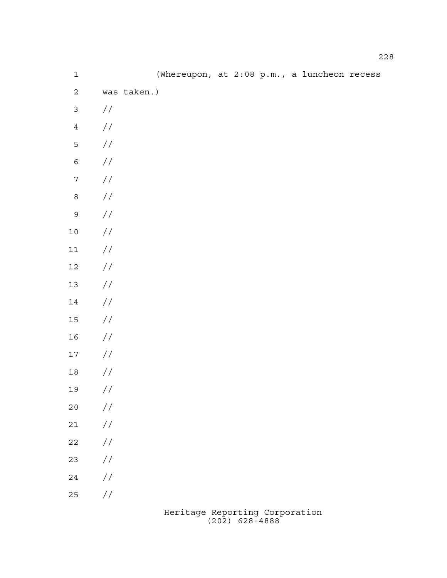| $\mathbf 1$      |                                           | (Whereupon, at 2:08 p.m., a luncheon recess |  |  |  |
|------------------|-------------------------------------------|---------------------------------------------|--|--|--|
| $\mathbf{2}$     | was taken.)                               |                                             |  |  |  |
| $\mathsf{3}$     | $\frac{1}{2}$                             |                                             |  |  |  |
| $\bf 4$          | $\frac{1}{2}$                             |                                             |  |  |  |
| 5                | $\!/\!$                                   |                                             |  |  |  |
| $\epsilon$       | $\frac{1}{2}$                             |                                             |  |  |  |
| $\boldsymbol{7}$ | $\frac{1}{2}$                             |                                             |  |  |  |
| $\,8\,$          | $\frac{1}{2}$                             |                                             |  |  |  |
| $\mathsf{S}$     | $\!/\!$                                   |                                             |  |  |  |
| $1\,0$           | $\frac{1}{2}$                             |                                             |  |  |  |
| $11\,$           | $\frac{1}{2}$                             |                                             |  |  |  |
| $12\,$           | $\frac{1}{2}$                             |                                             |  |  |  |
| $13$             | $\frac{1}{2}$                             |                                             |  |  |  |
| $14\,$           | $\frac{1}{2}$                             |                                             |  |  |  |
| $15\,$           | $\frac{1}{2}$                             |                                             |  |  |  |
| $16\,$           | $\frac{1}{2}$                             |                                             |  |  |  |
| $17\,$           | $\frac{1}{2}$                             |                                             |  |  |  |
| $1\,8$           | $\frac{1}{2}$                             |                                             |  |  |  |
| 19               | $\frac{\displaystyle /}{\displaystyle /}$ |                                             |  |  |  |
| $20$             | $\frac{1}{2}$                             |                                             |  |  |  |
| $2\sqrt{1}$      | $\frac{1}{2}$                             |                                             |  |  |  |
| $2\sqrt{2}$      | $\frac{1}{2}$                             |                                             |  |  |  |
| 23               | $\frac{1}{2}$                             |                                             |  |  |  |
| 24               | $\frac{1}{2}$                             |                                             |  |  |  |
| $25\,$           | $\frac{1}{2}$                             |                                             |  |  |  |
|                  |                                           |                                             |  |  |  |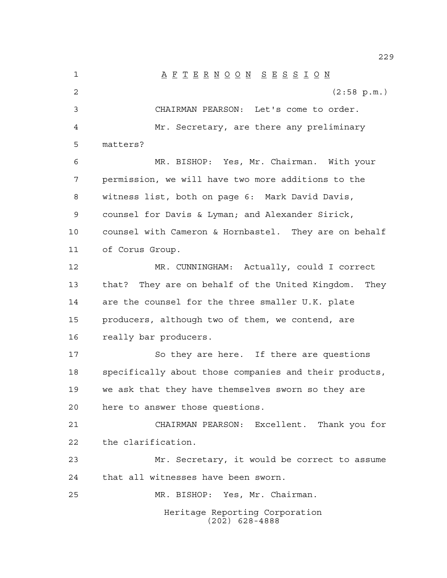Heritage Reporting Corporation (202) 628-4888 A F T E R N O O N S E S S I O N (2:58 p.m.) CHAIRMAN PEARSON: Let's come to order. Mr. Secretary, are there any preliminary matters? MR. BISHOP: Yes, Mr. Chairman. With your permission, we will have two more additions to the witness list, both on page 6: Mark David Davis, counsel for Davis & Lyman; and Alexander Sirick, counsel with Cameron & Hornbastel. They are on behalf of Corus Group. MR. CUNNINGHAM: Actually, could I correct that? They are on behalf of the United Kingdom. They are the counsel for the three smaller U.K. plate producers, although two of them, we contend, are really bar producers. 17 So they are here. If there are questions specifically about those companies and their products, we ask that they have themselves sworn so they are here to answer those questions. CHAIRMAN PEARSON: Excellent. Thank you for the clarification. Mr. Secretary, it would be correct to assume that all witnesses have been sworn. MR. BISHOP: Yes, Mr. Chairman.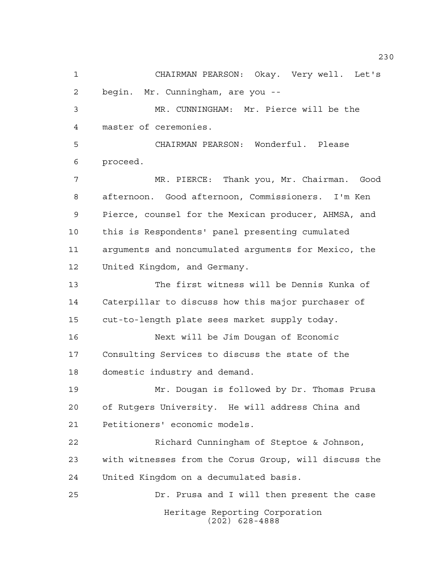Heritage Reporting Corporation (202) 628-4888 CHAIRMAN PEARSON: Okay. Very well. Let's begin. Mr. Cunningham, are you -- MR. CUNNINGHAM: Mr. Pierce will be the master of ceremonies. CHAIRMAN PEARSON: Wonderful. Please proceed. MR. PIERCE: Thank you, Mr. Chairman. Good afternoon. Good afternoon, Commissioners. I'm Ken Pierce, counsel for the Mexican producer, AHMSA, and this is Respondents' panel presenting cumulated arguments and noncumulated arguments for Mexico, the United Kingdom, and Germany. The first witness will be Dennis Kunka of Caterpillar to discuss how this major purchaser of cut-to-length plate sees market supply today. Next will be Jim Dougan of Economic Consulting Services to discuss the state of the domestic industry and demand. Mr. Dougan is followed by Dr. Thomas Prusa of Rutgers University. He will address China and Petitioners' economic models. Richard Cunningham of Steptoe & Johnson, with witnesses from the Corus Group, will discuss the United Kingdom on a decumulated basis. Dr. Prusa and I will then present the case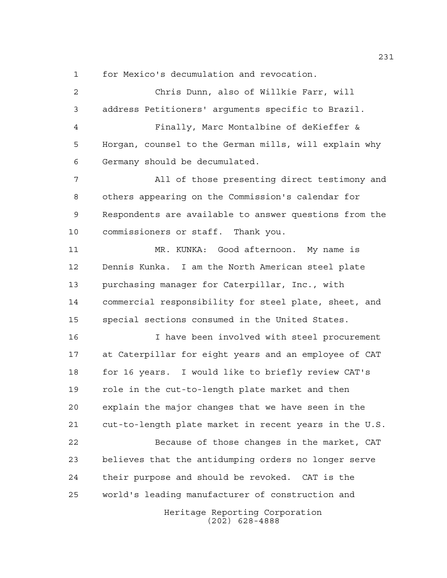for Mexico's decumulation and revocation.

Heritage Reporting Corporation (202) 628-4888 Chris Dunn, also of Willkie Farr, will address Petitioners' arguments specific to Brazil. Finally, Marc Montalbine of deKieffer & Horgan, counsel to the German mills, will explain why Germany should be decumulated. All of those presenting direct testimony and others appearing on the Commission's calendar for Respondents are available to answer questions from the commissioners or staff. Thank you. MR. KUNKA: Good afternoon. My name is Dennis Kunka. I am the North American steel plate purchasing manager for Caterpillar, Inc., with commercial responsibility for steel plate, sheet, and special sections consumed in the United States. I have been involved with steel procurement at Caterpillar for eight years and an employee of CAT for 16 years. I would like to briefly review CAT's role in the cut-to-length plate market and then explain the major changes that we have seen in the cut-to-length plate market in recent years in the U.S. Because of those changes in the market, CAT believes that the antidumping orders no longer serve their purpose and should be revoked. CAT is the world's leading manufacturer of construction and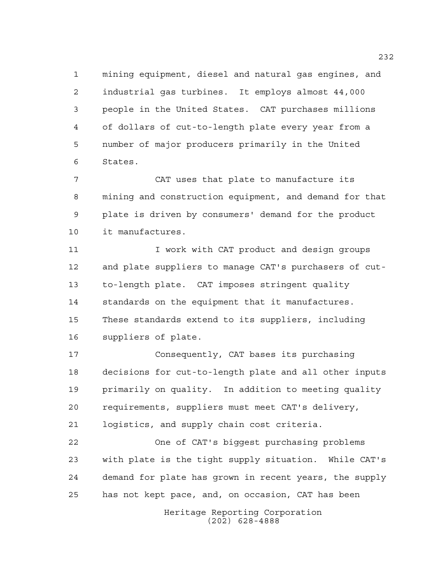mining equipment, diesel and natural gas engines, and industrial gas turbines. It employs almost 44,000 people in the United States. CAT purchases millions of dollars of cut-to-length plate every year from a number of major producers primarily in the United States.

 CAT uses that plate to manufacture its mining and construction equipment, and demand for that plate is driven by consumers' demand for the product it manufactures.

11 I work with CAT product and design groups and plate suppliers to manage CAT's purchasers of cut- to-length plate. CAT imposes stringent quality standards on the equipment that it manufactures. These standards extend to its suppliers, including suppliers of plate.

 Consequently, CAT bases its purchasing decisions for cut-to-length plate and all other inputs primarily on quality. In addition to meeting quality requirements, suppliers must meet CAT's delivery, logistics, and supply chain cost criteria.

 One of CAT's biggest purchasing problems with plate is the tight supply situation. While CAT's demand for plate has grown in recent years, the supply has not kept pace, and, on occasion, CAT has been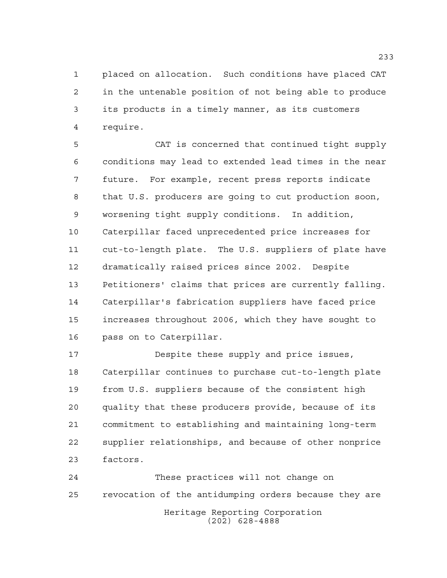placed on allocation. Such conditions have placed CAT in the untenable position of not being able to produce its products in a timely manner, as its customers require.

 CAT is concerned that continued tight supply conditions may lead to extended lead times in the near future. For example, recent press reports indicate that U.S. producers are going to cut production soon, worsening tight supply conditions. In addition, Caterpillar faced unprecedented price increases for cut-to-length plate. The U.S. suppliers of plate have dramatically raised prices since 2002. Despite Petitioners' claims that prices are currently falling. Caterpillar's fabrication suppliers have faced price increases throughout 2006, which they have sought to pass on to Caterpillar.

 Despite these supply and price issues, Caterpillar continues to purchase cut-to-length plate from U.S. suppliers because of the consistent high quality that these producers provide, because of its commitment to establishing and maintaining long-term supplier relationships, and because of other nonprice factors.

Heritage Reporting Corporation (202) 628-4888 These practices will not change on revocation of the antidumping orders because they are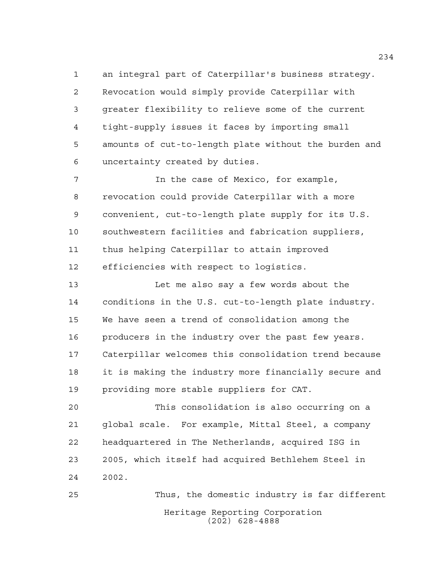an integral part of Caterpillar's business strategy. Revocation would simply provide Caterpillar with greater flexibility to relieve some of the current tight-supply issues it faces by importing small amounts of cut-to-length plate without the burden and uncertainty created by duties.

7 The case of Mexico, for example, revocation could provide Caterpillar with a more convenient, cut-to-length plate supply for its U.S. southwestern facilities and fabrication suppliers, thus helping Caterpillar to attain improved efficiencies with respect to logistics.

 Let me also say a few words about the conditions in the U.S. cut-to-length plate industry. We have seen a trend of consolidation among the producers in the industry over the past few years. Caterpillar welcomes this consolidation trend because it is making the industry more financially secure and providing more stable suppliers for CAT.

 This consolidation is also occurring on a global scale. For example, Mittal Steel, a company headquartered in The Netherlands, acquired ISG in 2005, which itself had acquired Bethlehem Steel in 2002.

Heritage Reporting Corporation (202) 628-4888 Thus, the domestic industry is far different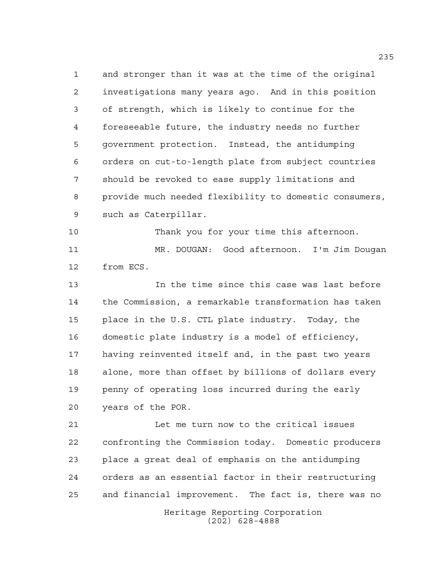and stronger than it was at the time of the original investigations many years ago. And in this position of strength, which is likely to continue for the foreseeable future, the industry needs no further government protection. Instead, the antidumping orders on cut-to-length plate from subject countries should be revoked to ease supply limitations and provide much needed flexibility to domestic consumers, such as Caterpillar.

 Thank you for your time this afternoon. MR. DOUGAN: Good afternoon. I'm Jim Dougan from ECS.

 In the time since this case was last before the Commission, a remarkable transformation has taken place in the U.S. CTL plate industry. Today, the domestic plate industry is a model of efficiency, having reinvented itself and, in the past two years alone, more than offset by billions of dollars every penny of operating loss incurred during the early years of the POR.

 Let me turn now to the critical issues confronting the Commission today. Domestic producers place a great deal of emphasis on the antidumping orders as an essential factor in their restructuring and financial improvement. The fact is, there was no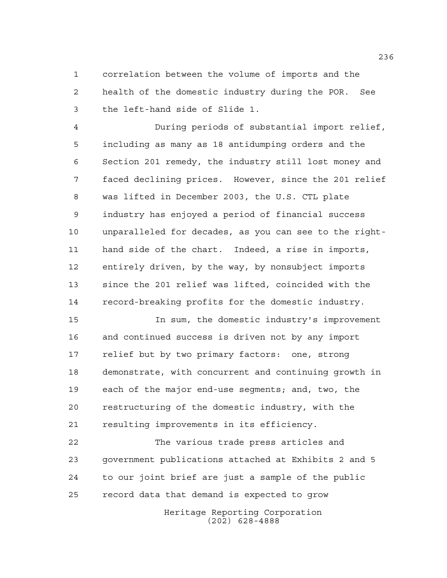correlation between the volume of imports and the health of the domestic industry during the POR. See the left-hand side of Slide 1.

 During periods of substantial import relief, including as many as 18 antidumping orders and the Section 201 remedy, the industry still lost money and faced declining prices. However, since the 201 relief was lifted in December 2003, the U.S. CTL plate industry has enjoyed a period of financial success unparalleled for decades, as you can see to the right- hand side of the chart. Indeed, a rise in imports, entirely driven, by the way, by nonsubject imports since the 201 relief was lifted, coincided with the record-breaking profits for the domestic industry.

 In sum, the domestic industry's improvement and continued success is driven not by any import relief but by two primary factors: one, strong demonstrate, with concurrent and continuing growth in each of the major end-use segments; and, two, the restructuring of the domestic industry, with the resulting improvements in its efficiency.

 The various trade press articles and government publications attached at Exhibits 2 and 5 to our joint brief are just a sample of the public record data that demand is expected to grow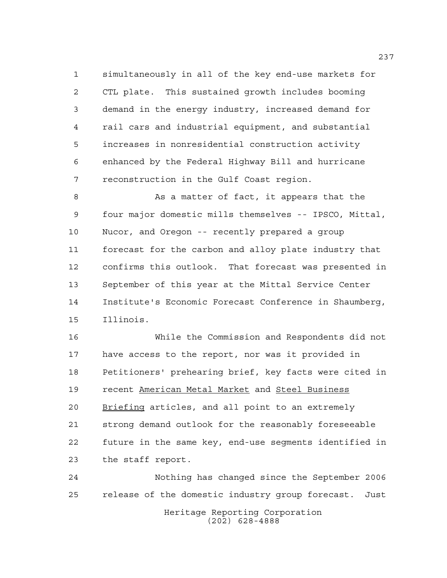simultaneously in all of the key end-use markets for CTL plate. This sustained growth includes booming demand in the energy industry, increased demand for rail cars and industrial equipment, and substantial increases in nonresidential construction activity enhanced by the Federal Highway Bill and hurricane reconstruction in the Gulf Coast region.

8 As a matter of fact, it appears that the four major domestic mills themselves -- IPSCO, Mittal, Nucor, and Oregon -- recently prepared a group forecast for the carbon and alloy plate industry that confirms this outlook. That forecast was presented in September of this year at the Mittal Service Center Institute's Economic Forecast Conference in Shaumberg, Illinois.

 While the Commission and Respondents did not have access to the report, nor was it provided in Petitioners' prehearing brief, key facts were cited in recent American Metal Market and Steel Business Briefing articles, and all point to an extremely strong demand outlook for the reasonably foreseeable future in the same key, end-use segments identified in the staff report.

Heritage Reporting Corporation (202) 628-4888 Nothing has changed since the September 2006 release of the domestic industry group forecast. Just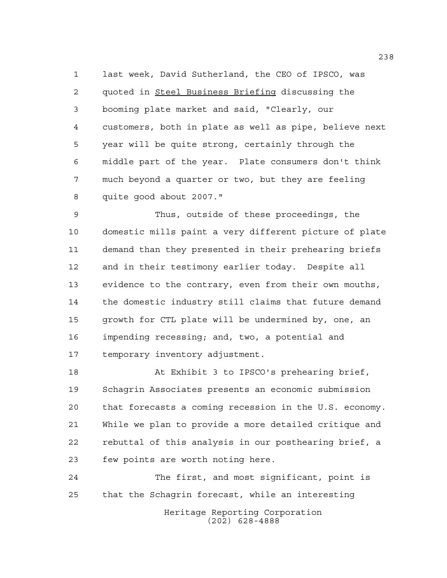last week, David Sutherland, the CEO of IPSCO, was quoted in Steel Business Briefing discussing the booming plate market and said, "Clearly, our customers, both in plate as well as pipe, believe next year will be quite strong, certainly through the middle part of the year. Plate consumers don't think much beyond a quarter or two, but they are feeling quite good about 2007."

 Thus, outside of these proceedings, the domestic mills paint a very different picture of plate demand than they presented in their prehearing briefs and in their testimony earlier today. Despite all evidence to the contrary, even from their own mouths, the domestic industry still claims that future demand growth for CTL plate will be undermined by, one, an impending recessing; and, two, a potential and temporary inventory adjustment.

 At Exhibit 3 to IPSCO's prehearing brief, Schagrin Associates presents an economic submission that forecasts a coming recession in the U.S. economy. While we plan to provide a more detailed critique and rebuttal of this analysis in our posthearing brief, a few points are worth noting here.

Heritage Reporting Corporation (202) 628-4888 The first, and most significant, point is that the Schagrin forecast, while an interesting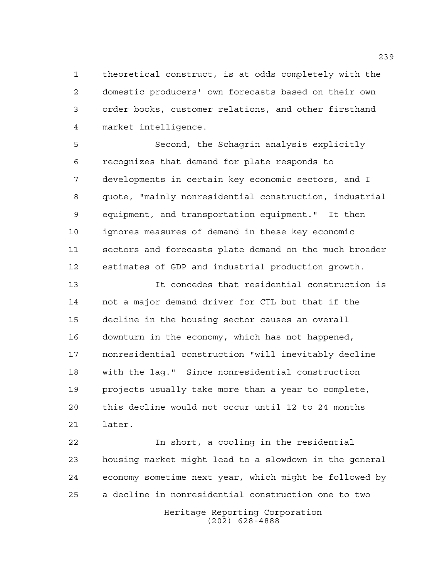theoretical construct, is at odds completely with the domestic producers' own forecasts based on their own order books, customer relations, and other firsthand market intelligence.

 Second, the Schagrin analysis explicitly recognizes that demand for plate responds to developments in certain key economic sectors, and I quote, "mainly nonresidential construction, industrial equipment, and transportation equipment." It then ignores measures of demand in these key economic sectors and forecasts plate demand on the much broader estimates of GDP and industrial production growth.

 It concedes that residential construction is not a major demand driver for CTL but that if the decline in the housing sector causes an overall downturn in the economy, which has not happened, nonresidential construction "will inevitably decline with the lag." Since nonresidential construction projects usually take more than a year to complete, this decline would not occur until 12 to 24 months later.

 In short, a cooling in the residential housing market might lead to a slowdown in the general economy sometime next year, which might be followed by a decline in nonresidential construction one to two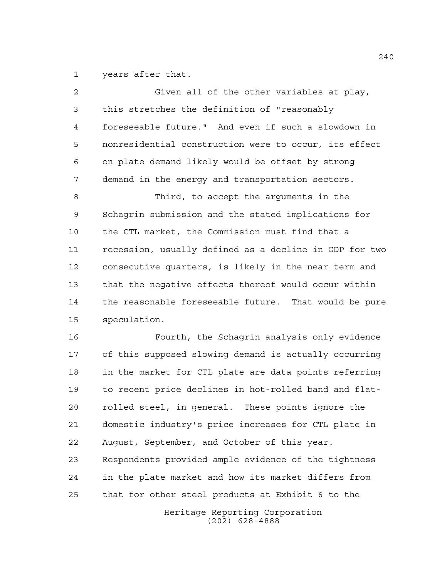years after that.

| 2  | Given all of the other variables at play,              |
|----|--------------------------------------------------------|
| 3  | this stretches the definition of "reasonably           |
| 4  | foreseeable future." And even if such a slowdown in    |
| 5  | nonresidential construction were to occur, its effect  |
| 6  | on plate demand likely would be offset by strong       |
| 7  | demand in the energy and transportation sectors.       |
| 8  | Third, to accept the arguments in the                  |
| 9  | Schagrin submission and the stated implications for    |
| 10 | the CTL market, the Commission must find that a        |
| 11 | recession, usually defined as a decline in GDP for two |
| 12 | consecutive quarters, is likely in the near term and   |
| 13 | that the negative effects thereof would occur within   |
| 14 | the reasonable foreseeable future. That would be pure  |
| 15 | speculation.                                           |
| 16 | Fourth, the Schagrin analysis only evidence            |
| 17 | of this supposed slowing demand is actually occurring  |
| 18 | in the market for CTL plate are data points referring  |
| 19 | to recent price declines in hot-rolled band and flat-  |
| 20 | rolled steel, in general. These points ignore the      |
| 21 | domestic industry's price increases for CTL plate in   |
| 22 | August, September, and October of this year.           |
| 23 | Respondents provided ample evidence of the tightness   |
| 24 | in the plate market and how its market differs from    |
| 25 | that for other steel products at Exhibit 6 to the      |
|    | Heritage Reporting Corporation                         |

(202) 628-4888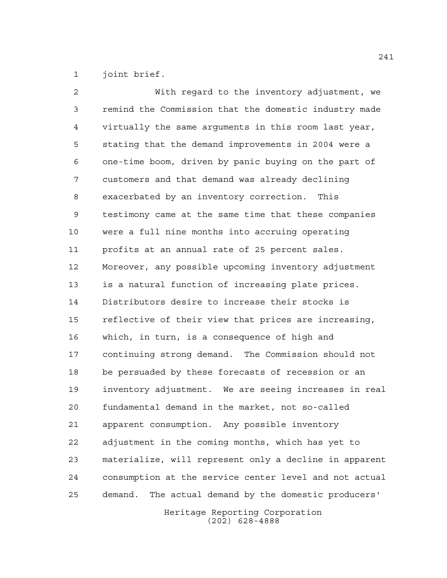joint brief.

 With regard to the inventory adjustment, we remind the Commission that the domestic industry made virtually the same arguments in this room last year, stating that the demand improvements in 2004 were a one-time boom, driven by panic buying on the part of customers and that demand was already declining exacerbated by an inventory correction. This testimony came at the same time that these companies were a full nine months into accruing operating profits at an annual rate of 25 percent sales. Moreover, any possible upcoming inventory adjustment is a natural function of increasing plate prices. Distributors desire to increase their stocks is reflective of their view that prices are increasing, which, in turn, is a consequence of high and continuing strong demand. The Commission should not be persuaded by these forecasts of recession or an inventory adjustment. We are seeing increases in real fundamental demand in the market, not so-called apparent consumption. Any possible inventory adjustment in the coming months, which has yet to materialize, will represent only a decline in apparent consumption at the service center level and not actual demand. The actual demand by the domestic producers'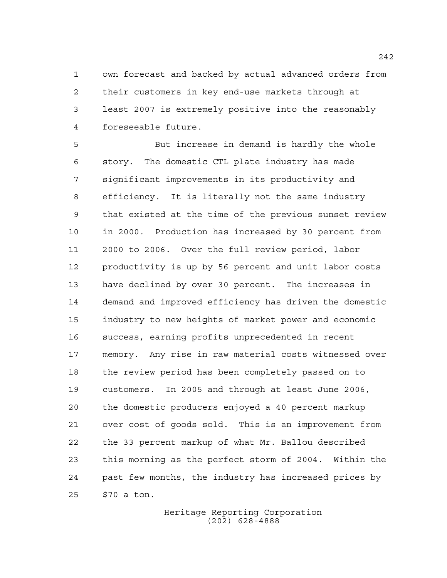own forecast and backed by actual advanced orders from their customers in key end-use markets through at least 2007 is extremely positive into the reasonably foreseeable future.

 But increase in demand is hardly the whole story. The domestic CTL plate industry has made significant improvements in its productivity and efficiency. It is literally not the same industry that existed at the time of the previous sunset review in 2000. Production has increased by 30 percent from 2000 to 2006. Over the full review period, labor productivity is up by 56 percent and unit labor costs have declined by over 30 percent. The increases in demand and improved efficiency has driven the domestic industry to new heights of market power and economic success, earning profits unprecedented in recent memory. Any rise in raw material costs witnessed over the review period has been completely passed on to customers. In 2005 and through at least June 2006, the domestic producers enjoyed a 40 percent markup over cost of goods sold. This is an improvement from the 33 percent markup of what Mr. Ballou described this morning as the perfect storm of 2004. Within the past few months, the industry has increased prices by \$70 a ton.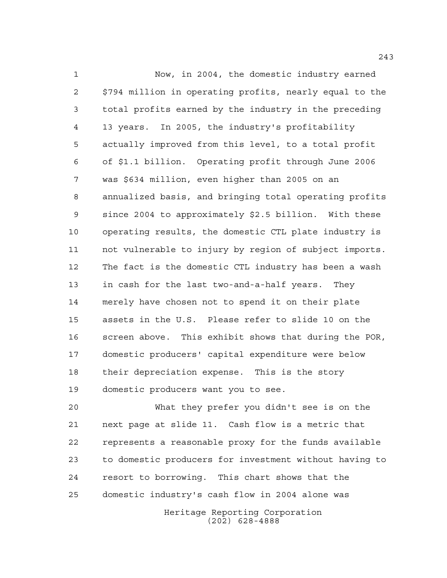Now, in 2004, the domestic industry earned \$794 million in operating profits, nearly equal to the total profits earned by the industry in the preceding 13 years. In 2005, the industry's profitability actually improved from this level, to a total profit of \$1.1 billion. Operating profit through June 2006 was \$634 million, even higher than 2005 on an annualized basis, and bringing total operating profits since 2004 to approximately \$2.5 billion. With these operating results, the domestic CTL plate industry is not vulnerable to injury by region of subject imports. The fact is the domestic CTL industry has been a wash in cash for the last two-and-a-half years. They merely have chosen not to spend it on their plate assets in the U.S. Please refer to slide 10 on the screen above. This exhibit shows that during the POR, domestic producers' capital expenditure were below their depreciation expense. This is the story domestic producers want you to see.

 What they prefer you didn't see is on the next page at slide 11. Cash flow is a metric that represents a reasonable proxy for the funds available to domestic producers for investment without having to resort to borrowing. This chart shows that the domestic industry's cash flow in 2004 alone was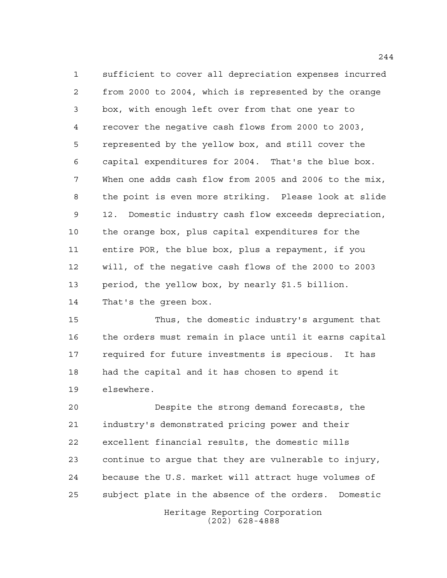sufficient to cover all depreciation expenses incurred from 2000 to 2004, which is represented by the orange box, with enough left over from that one year to recover the negative cash flows from 2000 to 2003, represented by the yellow box, and still cover the capital expenditures for 2004. That's the blue box. When one adds cash flow from 2005 and 2006 to the mix, the point is even more striking. Please look at slide 12. Domestic industry cash flow exceeds depreciation, the orange box, plus capital expenditures for the entire POR, the blue box, plus a repayment, if you will, of the negative cash flows of the 2000 to 2003 period, the yellow box, by nearly \$1.5 billion. That's the green box.

 Thus, the domestic industry's argument that the orders must remain in place until it earns capital required for future investments is specious. It has had the capital and it has chosen to spend it elsewhere.

 Despite the strong demand forecasts, the industry's demonstrated pricing power and their excellent financial results, the domestic mills continue to argue that they are vulnerable to injury, because the U.S. market will attract huge volumes of subject plate in the absence of the orders. Domestic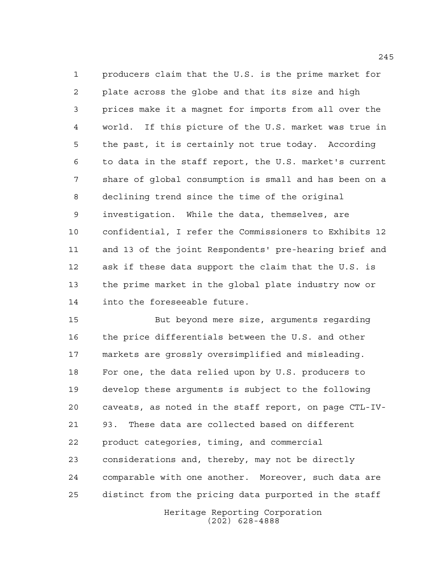producers claim that the U.S. is the prime market for plate across the globe and that its size and high prices make it a magnet for imports from all over the world. If this picture of the U.S. market was true in the past, it is certainly not true today. According to data in the staff report, the U.S. market's current share of global consumption is small and has been on a declining trend since the time of the original investigation. While the data, themselves, are confidential, I refer the Commissioners to Exhibits 12 and 13 of the joint Respondents' pre-hearing brief and ask if these data support the claim that the U.S. is the prime market in the global plate industry now or into the foreseeable future.

 But beyond mere size, arguments regarding the price differentials between the U.S. and other markets are grossly oversimplified and misleading. For one, the data relied upon by U.S. producers to develop these arguments is subject to the following caveats, as noted in the staff report, on page CTL-IV- 93. These data are collected based on different product categories, timing, and commercial considerations and, thereby, may not be directly comparable with one another. Moreover, such data are distinct from the pricing data purported in the staff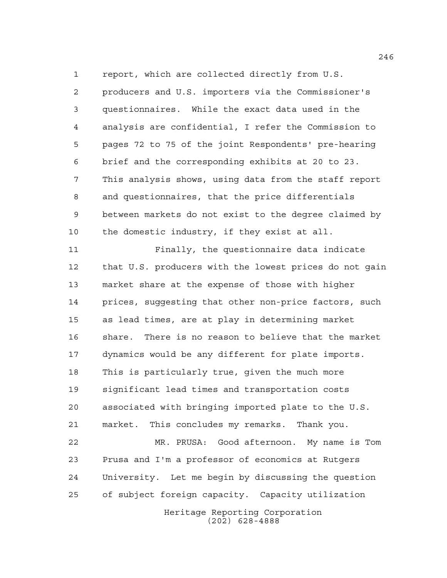report, which are collected directly from U.S.

 producers and U.S. importers via the Commissioner's questionnaires. While the exact data used in the analysis are confidential, I refer the Commission to pages 72 to 75 of the joint Respondents' pre-hearing brief and the corresponding exhibits at 20 to 23. This analysis shows, using data from the staff report and questionnaires, that the price differentials between markets do not exist to the degree claimed by the domestic industry, if they exist at all.

 Finally, the questionnaire data indicate that U.S. producers with the lowest prices do not gain market share at the expense of those with higher prices, suggesting that other non-price factors, such as lead times, are at play in determining market share. There is no reason to believe that the market dynamics would be any different for plate imports. This is particularly true, given the much more significant lead times and transportation costs associated with bringing imported plate to the U.S. market. This concludes my remarks. Thank you. MR. PRUSA: Good afternoon. My name is Tom Prusa and I'm a professor of economics at Rutgers University. Let me begin by discussing the question of subject foreign capacity. Capacity utilization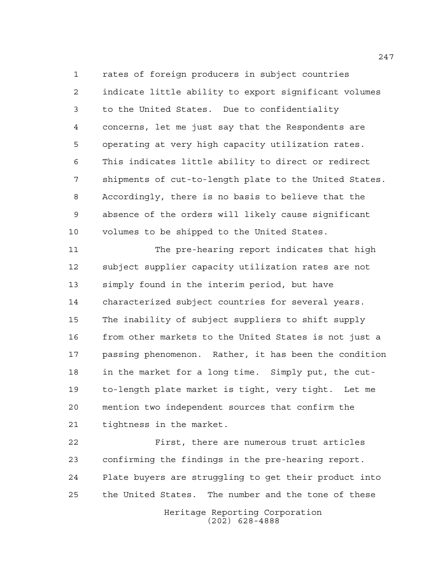rates of foreign producers in subject countries indicate little ability to export significant volumes to the United States. Due to confidentiality concerns, let me just say that the Respondents are operating at very high capacity utilization rates. This indicates little ability to direct or redirect shipments of cut-to-length plate to the United States. Accordingly, there is no basis to believe that the absence of the orders will likely cause significant volumes to be shipped to the United States.

 The pre-hearing report indicates that high subject supplier capacity utilization rates are not simply found in the interim period, but have characterized subject countries for several years. The inability of subject suppliers to shift supply from other markets to the United States is not just a passing phenomenon. Rather, it has been the condition in the market for a long time. Simply put, the cut- to-length plate market is tight, very tight. Let me mention two independent sources that confirm the tightness in the market.

 First, there are numerous trust articles confirming the findings in the pre-hearing report. Plate buyers are struggling to get their product into the United States. The number and the tone of these

Heritage Reporting Corporation (202) 628-4888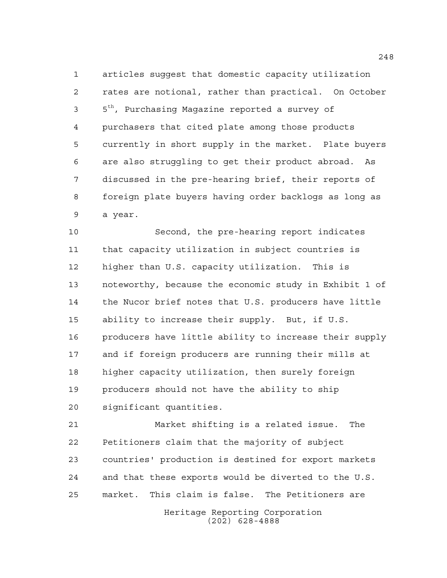articles suggest that domestic capacity utilization rates are notional, rather than practical. On October  $5<sup>th</sup>$ , Purchasing Magazine reported a survey of purchasers that cited plate among those products currently in short supply in the market. Plate buyers are also struggling to get their product abroad. As discussed in the pre-hearing brief, their reports of foreign plate buyers having order backlogs as long as a year.

 Second, the pre-hearing report indicates that capacity utilization in subject countries is higher than U.S. capacity utilization. This is noteworthy, because the economic study in Exhibit 1 of the Nucor brief notes that U.S. producers have little ability to increase their supply. But, if U.S. producers have little ability to increase their supply and if foreign producers are running their mills at higher capacity utilization, then surely foreign producers should not have the ability to ship significant quantities.

 Market shifting is a related issue. The Petitioners claim that the majority of subject countries' production is destined for export markets and that these exports would be diverted to the U.S. market. This claim is false. The Petitioners are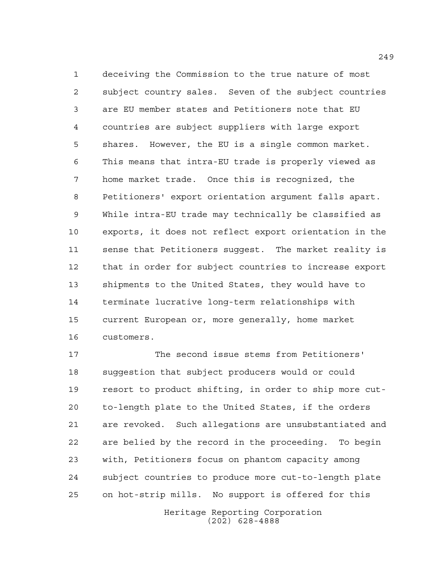deceiving the Commission to the true nature of most subject country sales. Seven of the subject countries are EU member states and Petitioners note that EU countries are subject suppliers with large export shares. However, the EU is a single common market. This means that intra-EU trade is properly viewed as home market trade. Once this is recognized, the Petitioners' export orientation argument falls apart. While intra-EU trade may technically be classified as exports, it does not reflect export orientation in the sense that Petitioners suggest. The market reality is that in order for subject countries to increase export shipments to the United States, they would have to terminate lucrative long-term relationships with current European or, more generally, home market customers.

 The second issue stems from Petitioners' suggestion that subject producers would or could resort to product shifting, in order to ship more cut- to-length plate to the United States, if the orders are revoked. Such allegations are unsubstantiated and are belied by the record in the proceeding. To begin with, Petitioners focus on phantom capacity among subject countries to produce more cut-to-length plate on hot-strip mills. No support is offered for this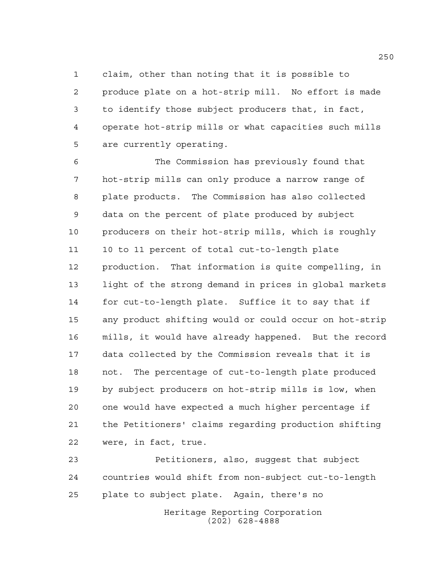claim, other than noting that it is possible to produce plate on a hot-strip mill. No effort is made to identify those subject producers that, in fact, operate hot-strip mills or what capacities such mills are currently operating.

 The Commission has previously found that hot-strip mills can only produce a narrow range of plate products. The Commission has also collected data on the percent of plate produced by subject producers on their hot-strip mills, which is roughly 10 to 11 percent of total cut-to-length plate production. That information is quite compelling, in light of the strong demand in prices in global markets for cut-to-length plate. Suffice it to say that if any product shifting would or could occur on hot-strip mills, it would have already happened. But the record data collected by the Commission reveals that it is not. The percentage of cut-to-length plate produced by subject producers on hot-strip mills is low, when one would have expected a much higher percentage if the Petitioners' claims regarding production shifting were, in fact, true.

Heritage Reporting Corporation (202) 628-4888 Petitioners, also, suggest that subject countries would shift from non-subject cut-to-length plate to subject plate. Again, there's no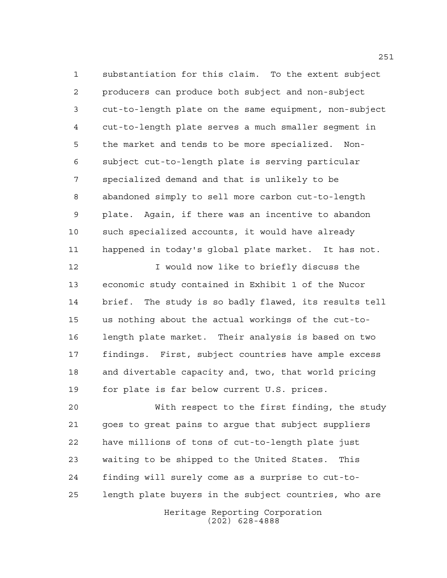substantiation for this claim. To the extent subject producers can produce both subject and non-subject cut-to-length plate on the same equipment, non-subject cut-to-length plate serves a much smaller segment in the market and tends to be more specialized. Non- subject cut-to-length plate is serving particular specialized demand and that is unlikely to be abandoned simply to sell more carbon cut-to-length plate. Again, if there was an incentive to abandon such specialized accounts, it would have already happened in today's global plate market. It has not.

12 12 I would now like to briefly discuss the economic study contained in Exhibit 1 of the Nucor brief. The study is so badly flawed, its results tell us nothing about the actual workings of the cut-to- length plate market. Their analysis is based on two findings. First, subject countries have ample excess and divertable capacity and, two, that world pricing for plate is far below current U.S. prices.

 With respect to the first finding, the study goes to great pains to argue that subject suppliers have millions of tons of cut-to-length plate just waiting to be shipped to the United States. This finding will surely come as a surprise to cut-to-length plate buyers in the subject countries, who are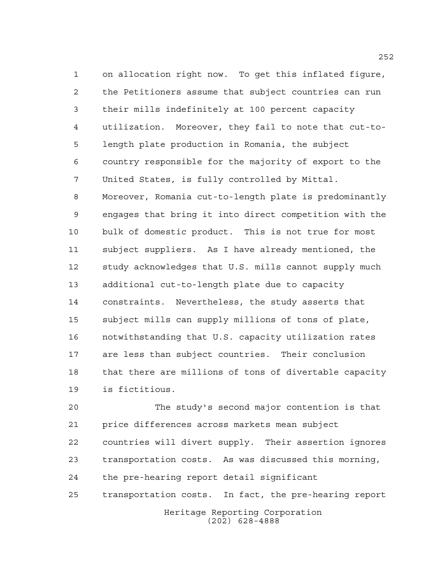on allocation right now. To get this inflated figure, the Petitioners assume that subject countries can run their mills indefinitely at 100 percent capacity utilization. Moreover, they fail to note that cut-to- length plate production in Romania, the subject country responsible for the majority of export to the United States, is fully controlled by Mittal. Moreover, Romania cut-to-length plate is predominantly engages that bring it into direct competition with the bulk of domestic product. This is not true for most subject suppliers. As I have already mentioned, the study acknowledges that U.S. mills cannot supply much additional cut-to-length plate due to capacity constraints. Nevertheless, the study asserts that subject mills can supply millions of tons of plate, notwithstanding that U.S. capacity utilization rates are less than subject countries. Their conclusion that there are millions of tons of divertable capacity

is fictitious.

Heritage Reporting Corporation The study's second major contention is that price differences across markets mean subject countries will divert supply. Their assertion ignores transportation costs. As was discussed this morning, the pre-hearing report detail significant transportation costs. In fact, the pre-hearing report

(202) 628-4888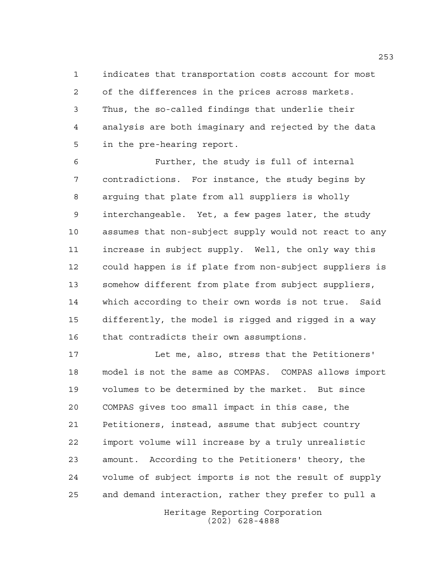indicates that transportation costs account for most of the differences in the prices across markets. Thus, the so-called findings that underlie their analysis are both imaginary and rejected by the data in the pre-hearing report.

 Further, the study is full of internal contradictions. For instance, the study begins by arguing that plate from all suppliers is wholly interchangeable. Yet, a few pages later, the study assumes that non-subject supply would not react to any increase in subject supply. Well, the only way this could happen is if plate from non-subject suppliers is somehow different from plate from subject suppliers, which according to their own words is not true. Said differently, the model is rigged and rigged in a way that contradicts their own assumptions.

 Let me, also, stress that the Petitioners' model is not the same as COMPAS. COMPAS allows import volumes to be determined by the market. But since COMPAS gives too small impact in this case, the Petitioners, instead, assume that subject country import volume will increase by a truly unrealistic amount. According to the Petitioners' theory, the volume of subject imports is not the result of supply and demand interaction, rather they prefer to pull a

> Heritage Reporting Corporation (202) 628-4888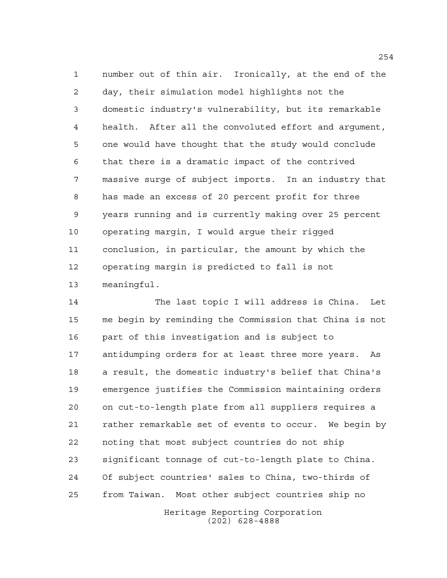number out of thin air. Ironically, at the end of the day, their simulation model highlights not the domestic industry's vulnerability, but its remarkable health. After all the convoluted effort and argument, one would have thought that the study would conclude that there is a dramatic impact of the contrived massive surge of subject imports. In an industry that has made an excess of 20 percent profit for three years running and is currently making over 25 percent operating margin, I would argue their rigged conclusion, in particular, the amount by which the operating margin is predicted to fall is not meaningful.

 The last topic I will address is China. Let me begin by reminding the Commission that China is not part of this investigation and is subject to antidumping orders for at least three more years. As a result, the domestic industry's belief that China's emergence justifies the Commission maintaining orders on cut-to-length plate from all suppliers requires a rather remarkable set of events to occur. We begin by noting that most subject countries do not ship significant tonnage of cut-to-length plate to China. Of subject countries' sales to China, two-thirds of from Taiwan. Most other subject countries ship no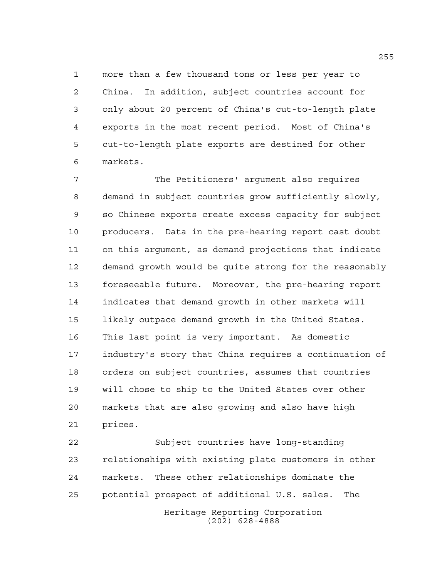more than a few thousand tons or less per year to 2 China. In addition, subject countries account for only about 20 percent of China's cut-to-length plate exports in the most recent period. Most of China's cut-to-length plate exports are destined for other markets.

 The Petitioners' argument also requires demand in subject countries grow sufficiently slowly, so Chinese exports create excess capacity for subject producers. Data in the pre-hearing report cast doubt on this argument, as demand projections that indicate demand growth would be quite strong for the reasonably foreseeable future. Moreover, the pre-hearing report indicates that demand growth in other markets will likely outpace demand growth in the United States. This last point is very important. As domestic industry's story that China requires a continuation of orders on subject countries, assumes that countries will chose to ship to the United States over other markets that are also growing and also have high prices.

Heritage Reporting Corporation Subject countries have long-standing relationships with existing plate customers in other markets. These other relationships dominate the potential prospect of additional U.S. sales. The

(202) 628-4888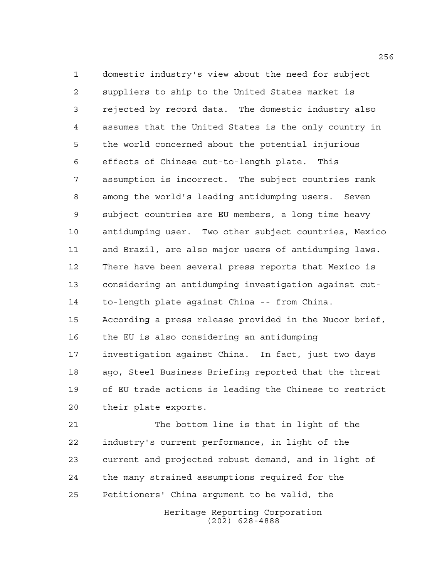domestic industry's view about the need for subject suppliers to ship to the United States market is rejected by record data. The domestic industry also assumes that the United States is the only country in the world concerned about the potential injurious effects of Chinese cut-to-length plate. This assumption is incorrect. The subject countries rank among the world's leading antidumping users. Seven subject countries are EU members, a long time heavy antidumping user. Two other subject countries, Mexico and Brazil, are also major users of antidumping laws. There have been several press reports that Mexico is considering an antidumping investigation against cut- to-length plate against China -- from China. According a press release provided in the Nucor brief, the EU is also considering an antidumping investigation against China. In fact, just two days ago, Steel Business Briefing reported that the threat of EU trade actions is leading the Chinese to restrict their plate exports.

 The bottom line is that in light of the industry's current performance, in light of the current and projected robust demand, and in light of the many strained assumptions required for the Petitioners' China argument to be valid, the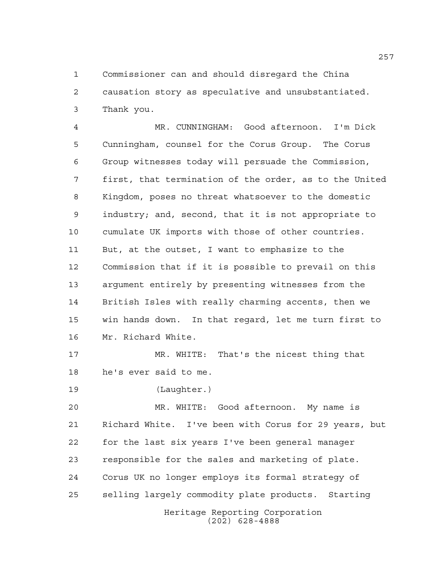Commissioner can and should disregard the China causation story as speculative and unsubstantiated. Thank you.

 MR. CUNNINGHAM: Good afternoon. I'm Dick Cunningham, counsel for the Corus Group. The Corus Group witnesses today will persuade the Commission, first, that termination of the order, as to the United Kingdom, poses no threat whatsoever to the domestic industry; and, second, that it is not appropriate to cumulate UK imports with those of other countries. But, at the outset, I want to emphasize to the Commission that if it is possible to prevail on this argument entirely by presenting witnesses from the British Isles with really charming accents, then we win hands down. In that regard, let me turn first to Mr. Richard White.

 MR. WHITE: That's the nicest thing that he's ever said to me.

(Laughter.)

Heritage Reporting Corporation (202) 628-4888 MR. WHITE: Good afternoon. My name is Richard White. I've been with Corus for 29 years, but for the last six years I've been general manager responsible for the sales and marketing of plate. Corus UK no longer employs its formal strategy of selling largely commodity plate products. Starting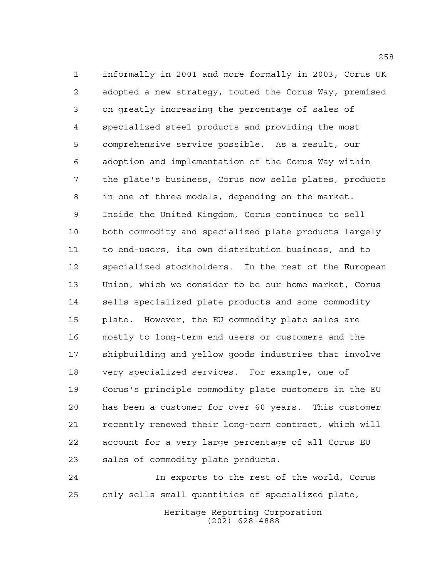informally in 2001 and more formally in 2003, Corus UK adopted a new strategy, touted the Corus Way, premised on greatly increasing the percentage of sales of specialized steel products and providing the most comprehensive service possible. As a result, our adoption and implementation of the Corus Way within the plate's business, Corus now sells plates, products in one of three models, depending on the market. Inside the United Kingdom, Corus continues to sell both commodity and specialized plate products largely to end-users, its own distribution business, and to specialized stockholders. In the rest of the European Union, which we consider to be our home market, Corus sells specialized plate products and some commodity plate. However, the EU commodity plate sales are mostly to long-term end users or customers and the shipbuilding and yellow goods industries that involve very specialized services. For example, one of Corus's principle commodity plate customers in the EU has been a customer for over 60 years. This customer recently renewed their long-term contract, which will account for a very large percentage of all Corus EU sales of commodity plate products.

 In exports to the rest of the world, Corus only sells small quantities of specialized plate,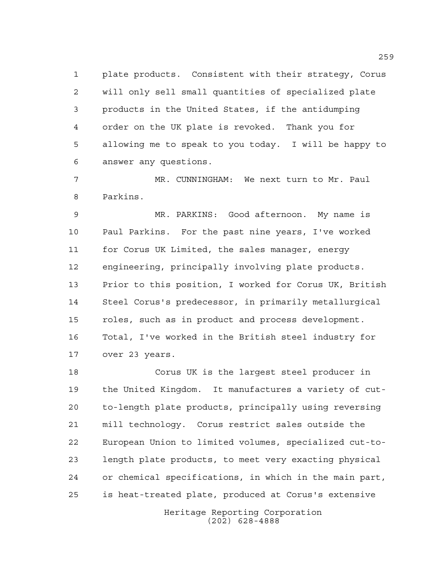plate products. Consistent with their strategy, Corus will only sell small quantities of specialized plate products in the United States, if the antidumping order on the UK plate is revoked. Thank you for allowing me to speak to you today. I will be happy to answer any questions.

 MR. CUNNINGHAM: We next turn to Mr. Paul Parkins.

 MR. PARKINS: Good afternoon. My name is Paul Parkins. For the past nine years, I've worked for Corus UK Limited, the sales manager, energy engineering, principally involving plate products. Prior to this position, I worked for Corus UK, British Steel Corus's predecessor, in primarily metallurgical roles, such as in product and process development. Total, I've worked in the British steel industry for over 23 years.

 Corus UK is the largest steel producer in the United Kingdom. It manufactures a variety of cut- to-length plate products, principally using reversing mill technology. Corus restrict sales outside the European Union to limited volumes, specialized cut-to- length plate products, to meet very exacting physical or chemical specifications, in which in the main part, is heat-treated plate, produced at Corus's extensive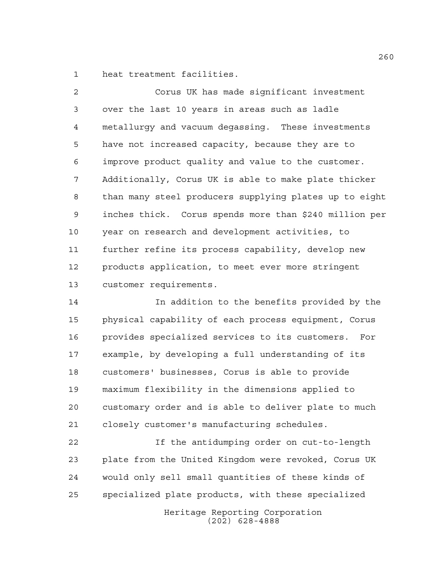heat treatment facilities.

 Corus UK has made significant investment over the last 10 years in areas such as ladle metallurgy and vacuum degassing. These investments have not increased capacity, because they are to improve product quality and value to the customer. Additionally, Corus UK is able to make plate thicker than many steel producers supplying plates up to eight inches thick. Corus spends more than \$240 million per year on research and development activities, to further refine its process capability, develop new products application, to meet ever more stringent customer requirements.

 In addition to the benefits provided by the physical capability of each process equipment, Corus provides specialized services to its customers. For example, by developing a full understanding of its customers' businesses, Corus is able to provide maximum flexibility in the dimensions applied to customary order and is able to deliver plate to much closely customer's manufacturing schedules.

 If the antidumping order on cut-to-length plate from the United Kingdom were revoked, Corus UK would only sell small quantities of these kinds of specialized plate products, with these specialized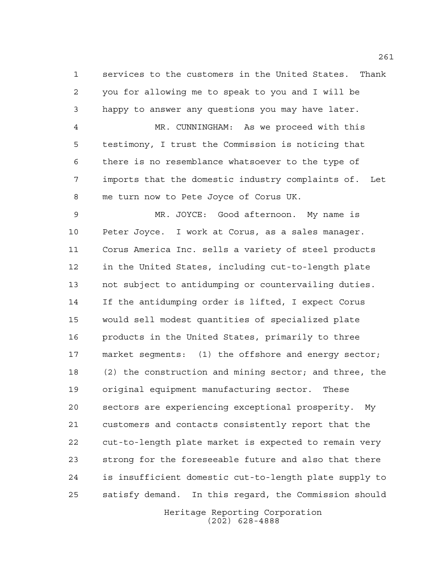services to the customers in the United States. Thank you for allowing me to speak to you and I will be happy to answer any questions you may have later. MR. CUNNINGHAM: As we proceed with this testimony, I trust the Commission is noticing that there is no resemblance whatsoever to the type of imports that the domestic industry complaints of. Let

me turn now to Pete Joyce of Corus UK.

 MR. JOYCE: Good afternoon. My name is Peter Joyce. I work at Corus, as a sales manager. Corus America Inc. sells a variety of steel products in the United States, including cut-to-length plate not subject to antidumping or countervailing duties. If the antidumping order is lifted, I expect Corus would sell modest quantities of specialized plate products in the United States, primarily to three market segments: (1) the offshore and energy sector; (2) the construction and mining sector; and three, the original equipment manufacturing sector. These sectors are experiencing exceptional prosperity. My customers and contacts consistently report that the cut-to-length plate market is expected to remain very strong for the foreseeable future and also that there is insufficient domestic cut-to-length plate supply to satisfy demand. In this regard, the Commission should

> Heritage Reporting Corporation (202) 628-4888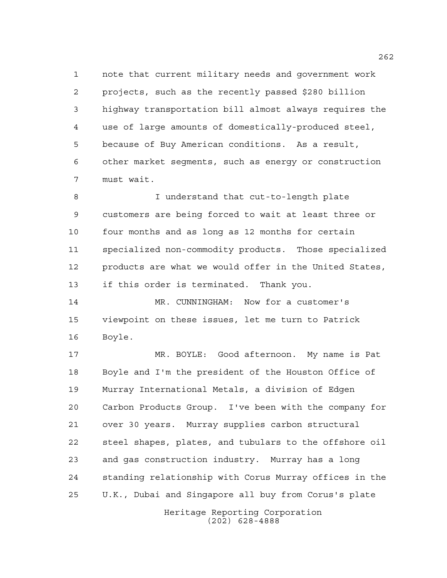note that current military needs and government work projects, such as the recently passed \$280 billion highway transportation bill almost always requires the use of large amounts of domestically-produced steel, because of Buy American conditions. As a result, other market segments, such as energy or construction must wait.

 I understand that cut-to-length plate customers are being forced to wait at least three or four months and as long as 12 months for certain specialized non-commodity products. Those specialized products are what we would offer in the United States, if this order is terminated. Thank you.

 MR. CUNNINGHAM: Now for a customer's viewpoint on these issues, let me turn to Patrick Boyle.

 MR. BOYLE: Good afternoon. My name is Pat Boyle and I'm the president of the Houston Office of Murray International Metals, a division of Edgen Carbon Products Group. I've been with the company for over 30 years. Murray supplies carbon structural steel shapes, plates, and tubulars to the offshore oil and gas construction industry. Murray has a long standing relationship with Corus Murray offices in the U.K., Dubai and Singapore all buy from Corus's plate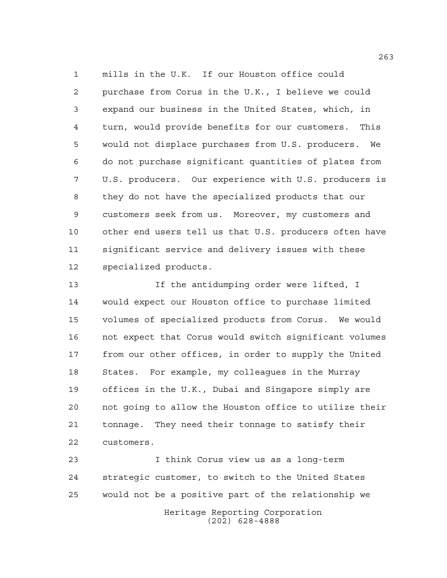mills in the U.K. If our Houston office could purchase from Corus in the U.K., I believe we could expand our business in the United States, which, in turn, would provide benefits for our customers. This would not displace purchases from U.S. producers. We do not purchase significant quantities of plates from U.S. producers. Our experience with U.S. producers is they do not have the specialized products that our customers seek from us. Moreover, my customers and other end users tell us that U.S. producers often have significant service and delivery issues with these specialized products.

13 13 If the antidumping order were lifted, I would expect our Houston office to purchase limited volumes of specialized products from Corus. We would not expect that Corus would switch significant volumes from our other offices, in order to supply the United States. For example, my colleagues in the Murray offices in the U.K., Dubai and Singapore simply are not going to allow the Houston office to utilize their tonnage. They need their tonnage to satisfy their customers.

Heritage Reporting Corporation I think Corus view us as a long-term strategic customer, to switch to the United States would not be a positive part of the relationship we

(202) 628-4888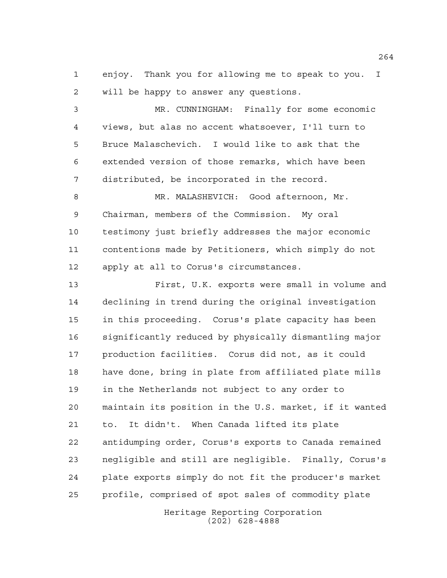enjoy. Thank you for allowing me to speak to you. I will be happy to answer any questions.

 MR. CUNNINGHAM: Finally for some economic views, but alas no accent whatsoever, I'll turn to Bruce Malaschevich. I would like to ask that the extended version of those remarks, which have been distributed, be incorporated in the record.

 MR. MALASHEVICH: Good afternoon, Mr. Chairman, members of the Commission. My oral testimony just briefly addresses the major economic contentions made by Petitioners, which simply do not apply at all to Corus's circumstances.

 First, U.K. exports were small in volume and declining in trend during the original investigation in this proceeding. Corus's plate capacity has been significantly reduced by physically dismantling major production facilities. Corus did not, as it could have done, bring in plate from affiliated plate mills in the Netherlands not subject to any order to maintain its position in the U.S. market, if it wanted to. It didn't. When Canada lifted its plate antidumping order, Corus's exports to Canada remained negligible and still are negligible. Finally, Corus's plate exports simply do not fit the producer's market profile, comprised of spot sales of commodity plate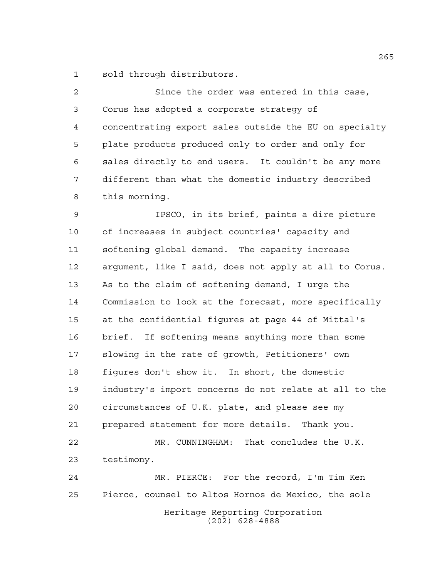sold through distributors.

 Since the order was entered in this case, Corus has adopted a corporate strategy of concentrating export sales outside the EU on specialty plate products produced only to order and only for sales directly to end users. It couldn't be any more different than what the domestic industry described this morning.

 IPSCO, in its brief, paints a dire picture of increases in subject countries' capacity and softening global demand. The capacity increase argument, like I said, does not apply at all to Corus. As to the claim of softening demand, I urge the Commission to look at the forecast, more specifically at the confidential figures at page 44 of Mittal's brief. If softening means anything more than some slowing in the rate of growth, Petitioners' own figures don't show it. In short, the domestic industry's import concerns do not relate at all to the circumstances of U.K. plate, and please see my prepared statement for more details. Thank you. MR. CUNNINGHAM: That concludes the U.K. testimony. MR. PIERCE: For the record, I'm Tim Ken Pierce, counsel to Altos Hornos de Mexico, the sole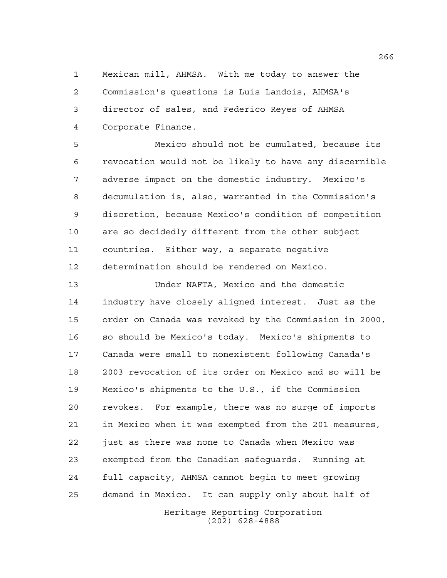Mexican mill, AHMSA. With me today to answer the Commission's questions is Luis Landois, AHMSA's director of sales, and Federico Reyes of AHMSA Corporate Finance.

 Mexico should not be cumulated, because its revocation would not be likely to have any discernible adverse impact on the domestic industry. Mexico's decumulation is, also, warranted in the Commission's discretion, because Mexico's condition of competition are so decidedly different from the other subject countries. Either way, a separate negative determination should be rendered on Mexico.

 Under NAFTA, Mexico and the domestic industry have closely aligned interest. Just as the order on Canada was revoked by the Commission in 2000, so should be Mexico's today. Mexico's shipments to Canada were small to nonexistent following Canada's 2003 revocation of its order on Mexico and so will be Mexico's shipments to the U.S., if the Commission revokes. For example, there was no surge of imports in Mexico when it was exempted from the 201 measures, just as there was none to Canada when Mexico was exempted from the Canadian safeguards. Running at full capacity, AHMSA cannot begin to meet growing demand in Mexico. It can supply only about half of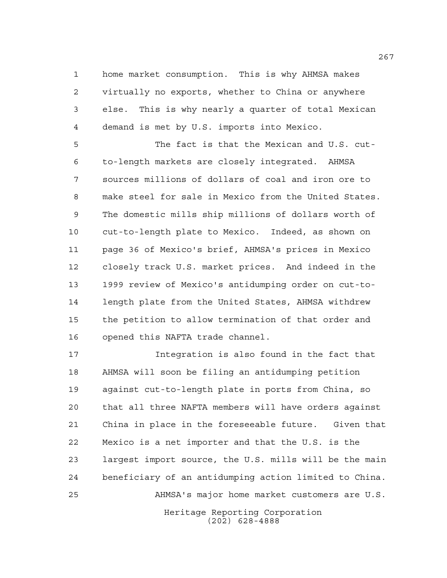home market consumption. This is why AHMSA makes virtually no exports, whether to China or anywhere else. This is why nearly a quarter of total Mexican demand is met by U.S. imports into Mexico.

 The fact is that the Mexican and U.S. cut- to-length markets are closely integrated. AHMSA sources millions of dollars of coal and iron ore to make steel for sale in Mexico from the United States. The domestic mills ship millions of dollars worth of cut-to-length plate to Mexico. Indeed, as shown on page 36 of Mexico's brief, AHMSA's prices in Mexico closely track U.S. market prices. And indeed in the 1999 review of Mexico's antidumping order on cut-to- length plate from the United States, AHMSA withdrew the petition to allow termination of that order and opened this NAFTA trade channel.

 Integration is also found in the fact that AHMSA will soon be filing an antidumping petition against cut-to-length plate in ports from China, so that all three NAFTA members will have orders against China in place in the foreseeable future. Given that Mexico is a net importer and that the U.S. is the largest import source, the U.S. mills will be the main beneficiary of an antidumping action limited to China. AHMSA's major home market customers are U.S.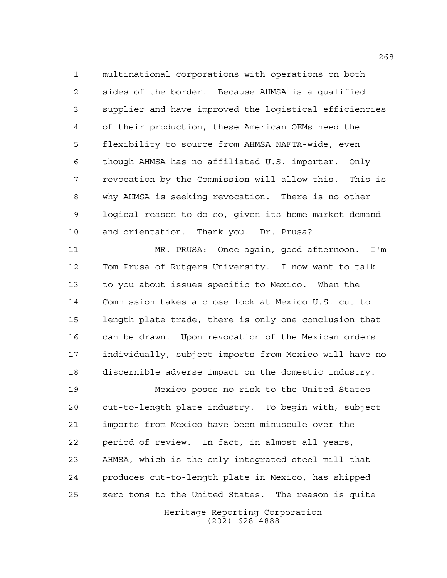multinational corporations with operations on both sides of the border. Because AHMSA is a qualified supplier and have improved the logistical efficiencies of their production, these American OEMs need the flexibility to source from AHMSA NAFTA-wide, even though AHMSA has no affiliated U.S. importer. Only revocation by the Commission will allow this. This is why AHMSA is seeking revocation. There is no other logical reason to do so, given its home market demand and orientation. Thank you. Dr. Prusa?

 MR. PRUSA: Once again, good afternoon. I'm Tom Prusa of Rutgers University. I now want to talk to you about issues specific to Mexico. When the Commission takes a close look at Mexico-U.S. cut-to- length plate trade, there is only one conclusion that can be drawn. Upon revocation of the Mexican orders individually, subject imports from Mexico will have no discernible adverse impact on the domestic industry.

 Mexico poses no risk to the United States cut-to-length plate industry. To begin with, subject imports from Mexico have been minuscule over the period of review. In fact, in almost all years, AHMSA, which is the only integrated steel mill that produces cut-to-length plate in Mexico, has shipped zero tons to the United States. The reason is quite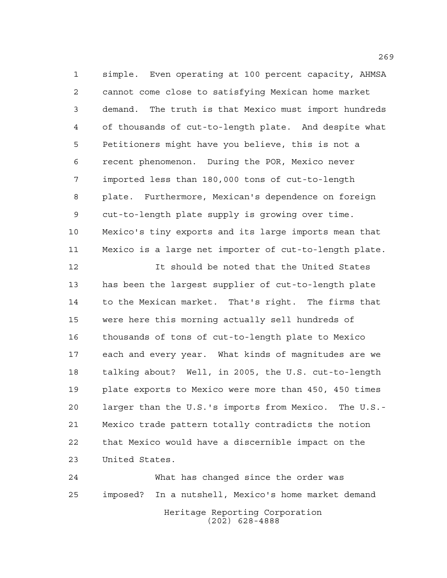simple. Even operating at 100 percent capacity, AHMSA cannot come close to satisfying Mexican home market demand. The truth is that Mexico must import hundreds of thousands of cut-to-length plate. And despite what Petitioners might have you believe, this is not a recent phenomenon. During the POR, Mexico never imported less than 180,000 tons of cut-to-length plate. Furthermore, Mexican's dependence on foreign cut-to-length plate supply is growing over time. Mexico's tiny exports and its large imports mean that Mexico is a large net importer of cut-to-length plate.

 It should be noted that the United States has been the largest supplier of cut-to-length plate to the Mexican market. That's right. The firms that were here this morning actually sell hundreds of thousands of tons of cut-to-length plate to Mexico each and every year. What kinds of magnitudes are we talking about? Well, in 2005, the U.S. cut-to-length plate exports to Mexico were more than 450, 450 times larger than the U.S.'s imports from Mexico. The U.S.- Mexico trade pattern totally contradicts the notion that Mexico would have a discernible impact on the United States.

Heritage Reporting Corporation (202) 628-4888 What has changed since the order was imposed? In a nutshell, Mexico's home market demand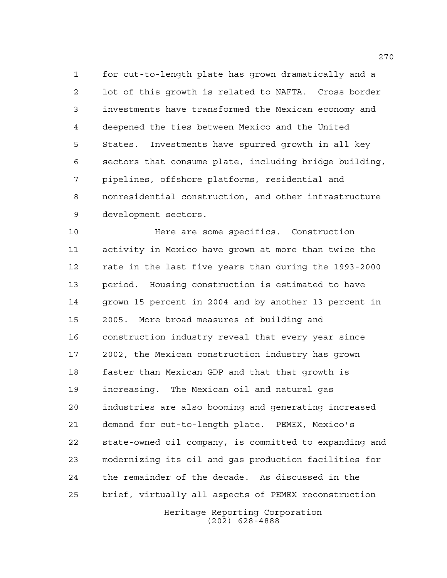for cut-to-length plate has grown dramatically and a lot of this growth is related to NAFTA. Cross border investments have transformed the Mexican economy and deepened the ties between Mexico and the United States. Investments have spurred growth in all key sectors that consume plate, including bridge building, pipelines, offshore platforms, residential and nonresidential construction, and other infrastructure development sectors.

 Here are some specifics. Construction activity in Mexico have grown at more than twice the rate in the last five years than during the 1993-2000 period. Housing construction is estimated to have grown 15 percent in 2004 and by another 13 percent in 2005. More broad measures of building and construction industry reveal that every year since 2002, the Mexican construction industry has grown faster than Mexican GDP and that that growth is increasing. The Mexican oil and natural gas industries are also booming and generating increased demand for cut-to-length plate. PEMEX, Mexico's state-owned oil company, is committed to expanding and modernizing its oil and gas production facilities for the remainder of the decade. As discussed in the brief, virtually all aspects of PEMEX reconstruction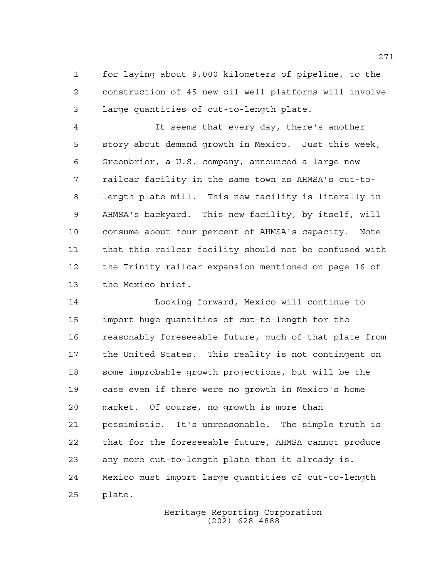for laying about 9,000 kilometers of pipeline, to the construction of 45 new oil well platforms will involve large quantities of cut-to-length plate.

 It seems that every day, there's another story about demand growth in Mexico. Just this week, Greenbrier, a U.S. company, announced a large new railcar facility in the same town as AHMSA's cut-to- length plate mill. This new facility is literally in AHMSA's backyard. This new facility, by itself, will consume about four percent of AHMSA's capacity. Note that this railcar facility should not be confused with the Trinity railcar expansion mentioned on page 16 of the Mexico brief.

 Looking forward, Mexico will continue to import huge quantities of cut-to-length for the reasonably foreseeable future, much of that plate from the United States. This reality is not contingent on some improbable growth projections, but will be the case even if there were no growth in Mexico's home market. Of course, no growth is more than pessimistic. It's unreasonable. The simple truth is that for the foreseeable future, AHMSA cannot produce any more cut-to-length plate than it already is. Mexico must import large quantities of cut-to-length plate.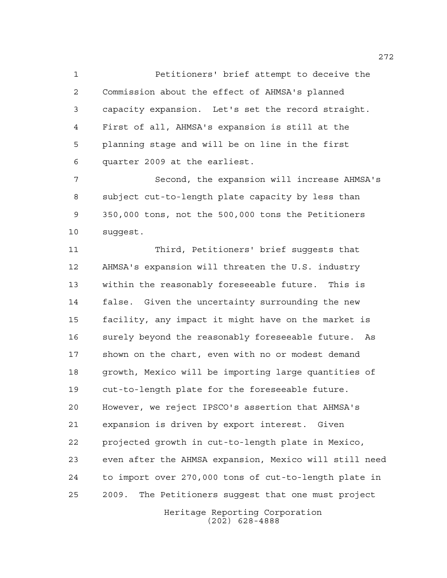Petitioners' brief attempt to deceive the Commission about the effect of AHMSA's planned capacity expansion. Let's set the record straight. First of all, AHMSA's expansion is still at the planning stage and will be on line in the first quarter 2009 at the earliest.

 Second, the expansion will increase AHMSA's subject cut-to-length plate capacity by less than 350,000 tons, not the 500,000 tons the Petitioners suggest.

 Third, Petitioners' brief suggests that AHMSA's expansion will threaten the U.S. industry within the reasonably foreseeable future. This is false. Given the uncertainty surrounding the new facility, any impact it might have on the market is surely beyond the reasonably foreseeable future. As shown on the chart, even with no or modest demand growth, Mexico will be importing large quantities of cut-to-length plate for the foreseeable future. However, we reject IPSCO's assertion that AHMSA's expansion is driven by export interest. Given projected growth in cut-to-length plate in Mexico, even after the AHMSA expansion, Mexico will still need to import over 270,000 tons of cut-to-length plate in 2009. The Petitioners suggest that one must project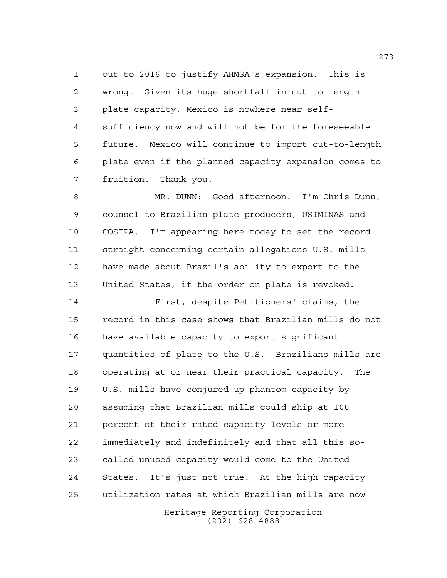out to 2016 to justify AHMSA's expansion. This is wrong. Given its huge shortfall in cut-to-length plate capacity, Mexico is nowhere near self- sufficiency now and will not be for the foreseeable future. Mexico will continue to import cut-to-length plate even if the planned capacity expansion comes to fruition. Thank you.

 MR. DUNN: Good afternoon. I'm Chris Dunn, counsel to Brazilian plate producers, USIMINAS and COSIPA. I'm appearing here today to set the record straight concerning certain allegations U.S. mills have made about Brazil's ability to export to the United States, if the order on plate is revoked.

 First, despite Petitioners' claims, the record in this case shows that Brazilian mills do not have available capacity to export significant quantities of plate to the U.S. Brazilians mills are operating at or near their practical capacity. The U.S. mills have conjured up phantom capacity by assuming that Brazilian mills could ship at 100 percent of their rated capacity levels or more immediately and indefinitely and that all this so- called unused capacity would come to the United States. It's just not true. At the high capacity utilization rates at which Brazilian mills are now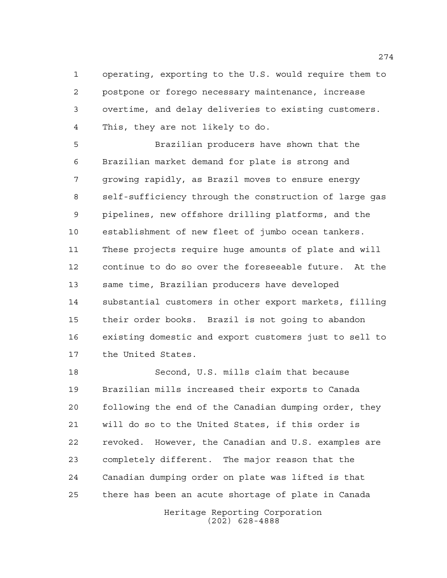operating, exporting to the U.S. would require them to postpone or forego necessary maintenance, increase overtime, and delay deliveries to existing customers. This, they are not likely to do.

 Brazilian producers have shown that the Brazilian market demand for plate is strong and growing rapidly, as Brazil moves to ensure energy self-sufficiency through the construction of large gas pipelines, new offshore drilling platforms, and the establishment of new fleet of jumbo ocean tankers. These projects require huge amounts of plate and will continue to do so over the foreseeable future. At the same time, Brazilian producers have developed substantial customers in other export markets, filling their order books. Brazil is not going to abandon existing domestic and export customers just to sell to the United States.

 Second, U.S. mills claim that because Brazilian mills increased their exports to Canada following the end of the Canadian dumping order, they will do so to the United States, if this order is revoked. However, the Canadian and U.S. examples are completely different. The major reason that the Canadian dumping order on plate was lifted is that there has been an acute shortage of plate in Canada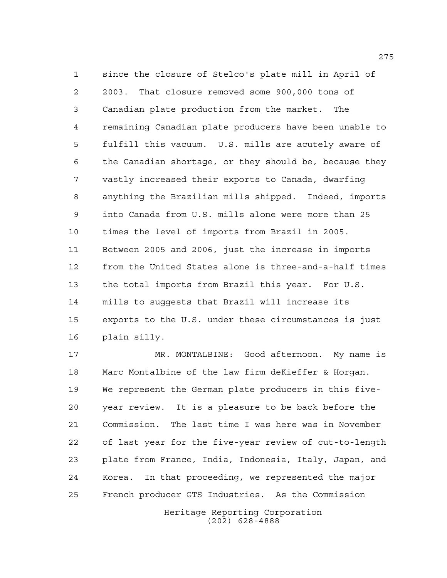since the closure of Stelco's plate mill in April of 2003. That closure removed some 900,000 tons of Canadian plate production from the market. The remaining Canadian plate producers have been unable to fulfill this vacuum. U.S. mills are acutely aware of the Canadian shortage, or they should be, because they vastly increased their exports to Canada, dwarfing anything the Brazilian mills shipped. Indeed, imports into Canada from U.S. mills alone were more than 25 times the level of imports from Brazil in 2005. Between 2005 and 2006, just the increase in imports from the United States alone is three-and-a-half times the total imports from Brazil this year. For U.S. mills to suggests that Brazil will increase its exports to the U.S. under these circumstances is just plain silly.

 MR. MONTALBINE: Good afternoon. My name is Marc Montalbine of the law firm deKieffer & Horgan. We represent the German plate producers in this five- year review. It is a pleasure to be back before the Commission. The last time I was here was in November of last year for the five-year review of cut-to-length plate from France, India, Indonesia, Italy, Japan, and Korea. In that proceeding, we represented the major French producer GTS Industries. As the Commission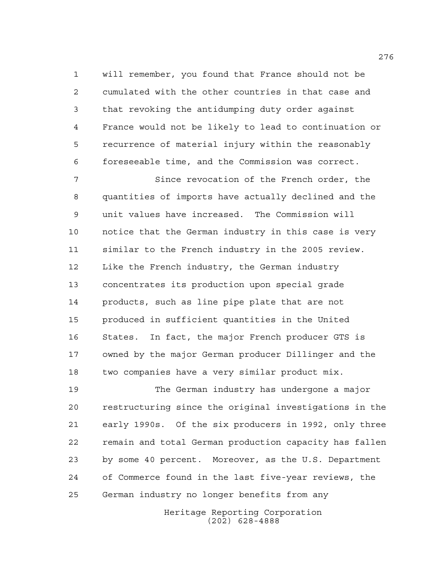will remember, you found that France should not be cumulated with the other countries in that case and that revoking the antidumping duty order against France would not be likely to lead to continuation or recurrence of material injury within the reasonably foreseeable time, and the Commission was correct.

 Since revocation of the French order, the quantities of imports have actually declined and the unit values have increased. The Commission will notice that the German industry in this case is very similar to the French industry in the 2005 review. Like the French industry, the German industry concentrates its production upon special grade products, such as line pipe plate that are not produced in sufficient quantities in the United States. In fact, the major French producer GTS is owned by the major German producer Dillinger and the two companies have a very similar product mix.

 The German industry has undergone a major restructuring since the original investigations in the early 1990s. Of the six producers in 1992, only three remain and total German production capacity has fallen by some 40 percent. Moreover, as the U.S. Department of Commerce found in the last five-year reviews, the German industry no longer benefits from any

> Heritage Reporting Corporation (202) 628-4888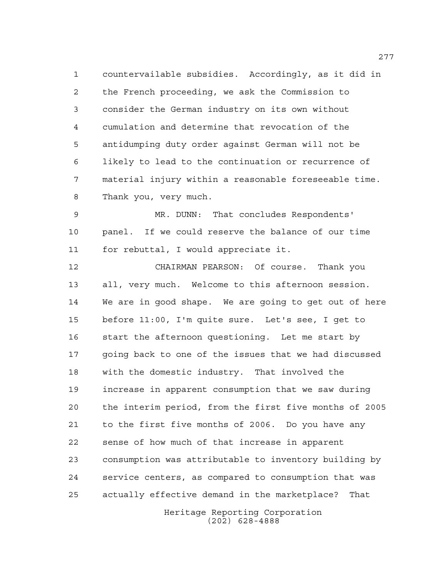countervailable subsidies. Accordingly, as it did in the French proceeding, we ask the Commission to consider the German industry on its own without cumulation and determine that revocation of the antidumping duty order against German will not be likely to lead to the continuation or recurrence of material injury within a reasonable foreseeable time. Thank you, very much.

 MR. DUNN: That concludes Respondents' panel. If we could reserve the balance of our time for rebuttal, I would appreciate it.

 CHAIRMAN PEARSON: Of course. Thank you all, very much. Welcome to this afternoon session. We are in good shape. We are going to get out of here before 11:00, I'm quite sure. Let's see, I get to start the afternoon questioning. Let me start by going back to one of the issues that we had discussed with the domestic industry. That involved the increase in apparent consumption that we saw during the interim period, from the first five months of 2005 to the first five months of 2006. Do you have any sense of how much of that increase in apparent consumption was attributable to inventory building by service centers, as compared to consumption that was actually effective demand in the marketplace? That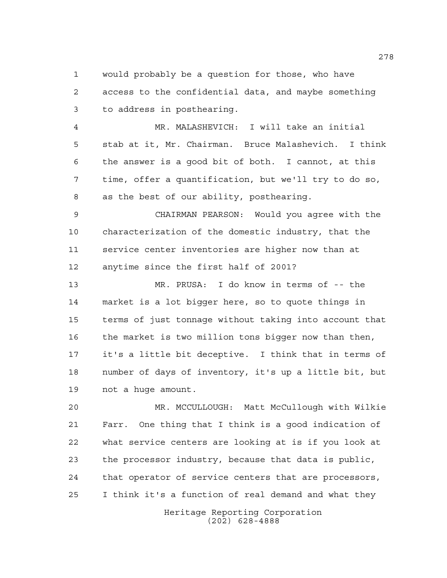would probably be a question for those, who have access to the confidential data, and maybe something to address in posthearing.

 MR. MALASHEVICH: I will take an initial stab at it, Mr. Chairman. Bruce Malashevich. I think the answer is a good bit of both. I cannot, at this time, offer a quantification, but we'll try to do so, as the best of our ability, posthearing.

 CHAIRMAN PEARSON: Would you agree with the characterization of the domestic industry, that the service center inventories are higher now than at anytime since the first half of 2001?

 MR. PRUSA: I do know in terms of -- the market is a lot bigger here, so to quote things in terms of just tonnage without taking into account that the market is two million tons bigger now than then, it's a little bit deceptive. I think that in terms of number of days of inventory, it's up a little bit, but not a huge amount.

 MR. MCCULLOUGH: Matt McCullough with Wilkie Farr. One thing that I think is a good indication of what service centers are looking at is if you look at the processor industry, because that data is public, that operator of service centers that are processors, I think it's a function of real demand and what they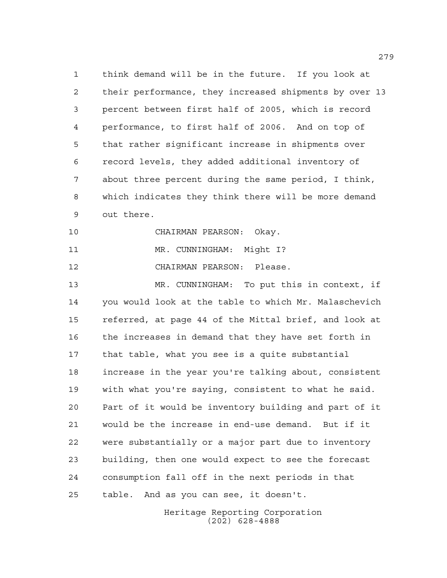think demand will be in the future. If you look at their performance, they increased shipments by over 13 percent between first half of 2005, which is record performance, to first half of 2006. And on top of that rather significant increase in shipments over record levels, they added additional inventory of about three percent during the same period, I think, which indicates they think there will be more demand out there.

CHAIRMAN PEARSON: Okay.

11 MR. CUNNINGHAM: Might I?

CHAIRMAN PEARSON: Please.

 MR. CUNNINGHAM: To put this in context, if you would look at the table to which Mr. Malaschevich referred, at page 44 of the Mittal brief, and look at the increases in demand that they have set forth in that table, what you see is a quite substantial increase in the year you're talking about, consistent with what you're saying, consistent to what he said. Part of it would be inventory building and part of it would be the increase in end-use demand. But if it were substantially or a major part due to inventory building, then one would expect to see the forecast consumption fall off in the next periods in that table. And as you can see, it doesn't.

> Heritage Reporting Corporation (202) 628-4888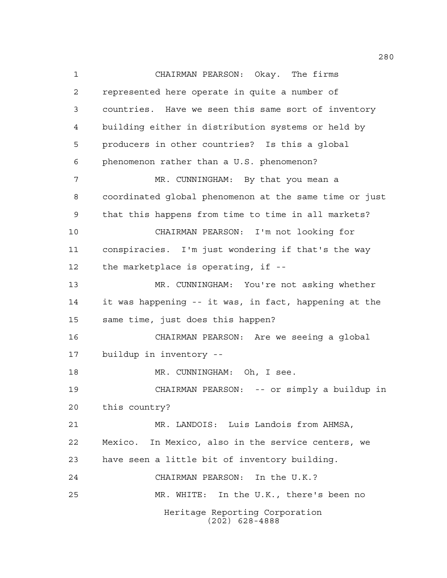Heritage Reporting Corporation (202) 628-4888 CHAIRMAN PEARSON: Okay. The firms represented here operate in quite a number of countries. Have we seen this same sort of inventory building either in distribution systems or held by producers in other countries? Is this a global phenomenon rather than a U.S. phenomenon? 7 MR. CUNNINGHAM: By that you mean a coordinated global phenomenon at the same time or just that this happens from time to time in all markets? CHAIRMAN PEARSON: I'm not looking for conspiracies. I'm just wondering if that's the way the marketplace is operating, if -- MR. CUNNINGHAM: You're not asking whether it was happening -- it was, in fact, happening at the same time, just does this happen? CHAIRMAN PEARSON: Are we seeing a global buildup in inventory -- 18 MR. CUNNINGHAM: Oh, I see. CHAIRMAN PEARSON: -- or simply a buildup in this country? MR. LANDOIS: Luis Landois from AHMSA, Mexico. In Mexico, also in the service centers, we have seen a little bit of inventory building. CHAIRMAN PEARSON: In the U.K.? MR. WHITE: In the U.K., there's been no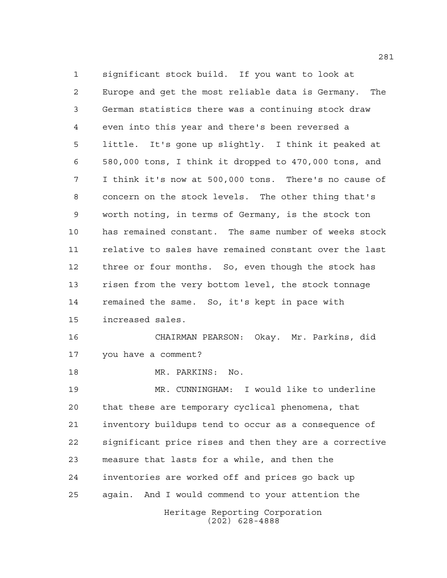Heritage Reporting Corporation significant stock build. If you want to look at Europe and get the most reliable data is Germany. The German statistics there was a continuing stock draw even into this year and there's been reversed a little. It's gone up slightly. I think it peaked at 580,000 tons, I think it dropped to 470,000 tons, and I think it's now at 500,000 tons. There's no cause of concern on the stock levels. The other thing that's worth noting, in terms of Germany, is the stock ton has remained constant. The same number of weeks stock relative to sales have remained constant over the last three or four months. So, even though the stock has risen from the very bottom level, the stock tonnage remained the same. So, it's kept in pace with increased sales. CHAIRMAN PEARSON: Okay. Mr. Parkins, did you have a comment? MR. PARKINS: No. MR. CUNNINGHAM: I would like to underline that these are temporary cyclical phenomena, that inventory buildups tend to occur as a consequence of significant price rises and then they are a corrective measure that lasts for a while, and then the inventories are worked off and prices go back up again. And I would commend to your attention the

(202) 628-4888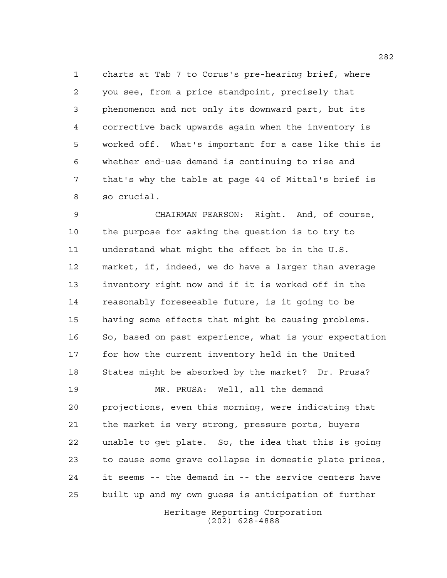charts at Tab 7 to Corus's pre-hearing brief, where you see, from a price standpoint, precisely that phenomenon and not only its downward part, but its corrective back upwards again when the inventory is worked off. What's important for a case like this is whether end-use demand is continuing to rise and that's why the table at page 44 of Mittal's brief is so crucial.

 CHAIRMAN PEARSON: Right. And, of course, the purpose for asking the question is to try to understand what might the effect be in the U.S. market, if, indeed, we do have a larger than average inventory right now and if it is worked off in the reasonably foreseeable future, is it going to be having some effects that might be causing problems. So, based on past experience, what is your expectation for how the current inventory held in the United States might be absorbed by the market? Dr. Prusa? MR. PRUSA: Well, all the demand

 projections, even this morning, were indicating that the market is very strong, pressure ports, buyers unable to get plate. So, the idea that this is going to cause some grave collapse in domestic plate prices, it seems -- the demand in -- the service centers have built up and my own guess is anticipation of further

> Heritage Reporting Corporation (202) 628-4888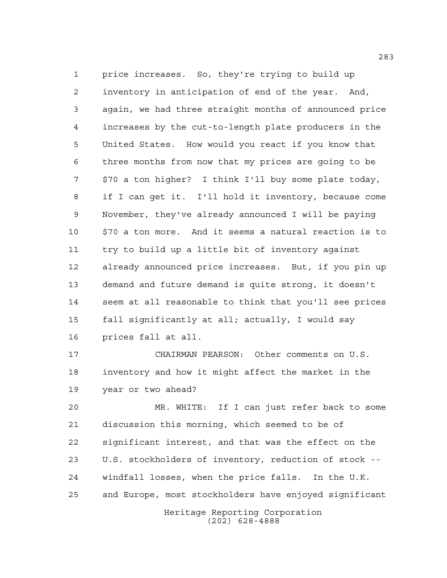price increases. So, they're trying to build up inventory in anticipation of end of the year. And, again, we had three straight months of announced price increases by the cut-to-length plate producers in the United States. How would you react if you know that three months from now that my prices are going to be \$70 a ton higher? I think I'll buy some plate today, if I can get it. I'll hold it inventory, because come November, they've already announced I will be paying \$70 a ton more. And it seems a natural reaction is to try to build up a little bit of inventory against already announced price increases. But, if you pin up demand and future demand is quite strong, it doesn't seem at all reasonable to think that you'll see prices fall significantly at all; actually, I would say prices fall at all.

 CHAIRMAN PEARSON: Other comments on U.S. inventory and how it might affect the market in the year or two ahead?

 MR. WHITE: If I can just refer back to some discussion this morning, which seemed to be of significant interest, and that was the effect on the U.S. stockholders of inventory, reduction of stock -- windfall losses, when the price falls. In the U.K. and Europe, most stockholders have enjoyed significant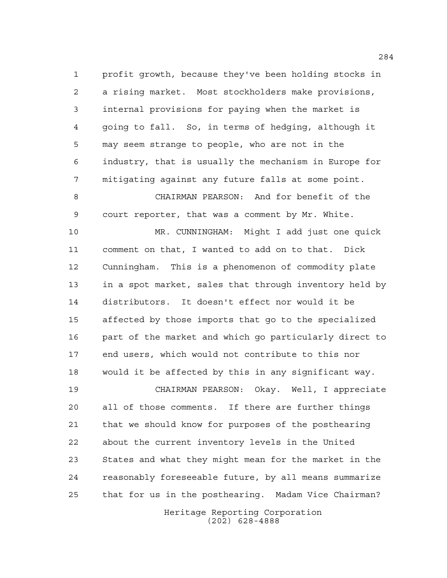profit growth, because they've been holding stocks in a rising market. Most stockholders make provisions, internal provisions for paying when the market is going to fall. So, in terms of hedging, although it may seem strange to people, who are not in the industry, that is usually the mechanism in Europe for mitigating against any future falls at some point.

 CHAIRMAN PEARSON: And for benefit of the court reporter, that was a comment by Mr. White.

 MR. CUNNINGHAM: Might I add just one quick comment on that, I wanted to add on to that. Dick Cunningham. This is a phenomenon of commodity plate in a spot market, sales that through inventory held by distributors. It doesn't effect nor would it be affected by those imports that go to the specialized part of the market and which go particularly direct to end users, which would not contribute to this nor would it be affected by this in any significant way.

 CHAIRMAN PEARSON: Okay. Well, I appreciate all of those comments. If there are further things that we should know for purposes of the posthearing about the current inventory levels in the United States and what they might mean for the market in the reasonably foreseeable future, by all means summarize that for us in the posthearing. Madam Vice Chairman?

> Heritage Reporting Corporation (202) 628-4888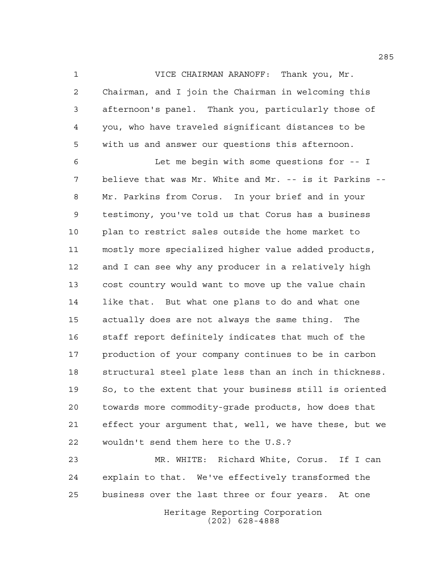VICE CHAIRMAN ARANOFF: Thank you, Mr. Chairman, and I join the Chairman in welcoming this afternoon's panel. Thank you, particularly those of you, who have traveled significant distances to be with us and answer our questions this afternoon.

 Let me begin with some questions for -- I believe that was Mr. White and Mr. -- is it Parkins -- Mr. Parkins from Corus. In your brief and in your testimony, you've told us that Corus has a business plan to restrict sales outside the home market to mostly more specialized higher value added products, and I can see why any producer in a relatively high cost country would want to move up the value chain like that. But what one plans to do and what one actually does are not always the same thing. The staff report definitely indicates that much of the production of your company continues to be in carbon structural steel plate less than an inch in thickness. So, to the extent that your business still is oriented towards more commodity-grade products, how does that effect your argument that, well, we have these, but we wouldn't send them here to the U.S.?

 MR. WHITE: Richard White, Corus. If I can explain to that. We've effectively transformed the business over the last three or four years. At one

Heritage Reporting Corporation (202) 628-4888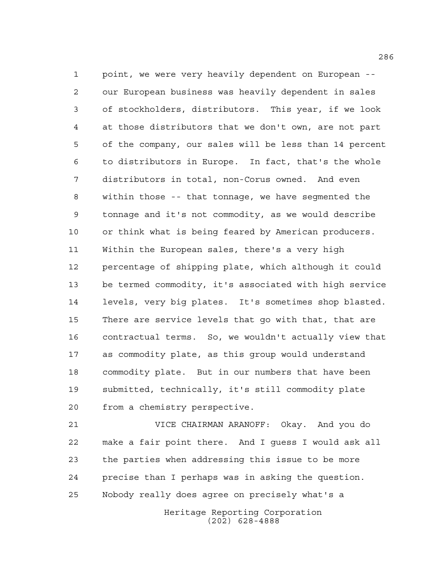point, we were very heavily dependent on European -- our European business was heavily dependent in sales of stockholders, distributors. This year, if we look at those distributors that we don't own, are not part of the company, our sales will be less than 14 percent to distributors in Europe. In fact, that's the whole distributors in total, non-Corus owned. And even within those -- that tonnage, we have segmented the tonnage and it's not commodity, as we would describe or think what is being feared by American producers. Within the European sales, there's a very high percentage of shipping plate, which although it could be termed commodity, it's associated with high service levels, very big plates. It's sometimes shop blasted. There are service levels that go with that, that are contractual terms. So, we wouldn't actually view that as commodity plate, as this group would understand commodity plate. But in our numbers that have been submitted, technically, it's still commodity plate from a chemistry perspective.

 VICE CHAIRMAN ARANOFF: Okay. And you do make a fair point there. And I guess I would ask all the parties when addressing this issue to be more precise than I perhaps was in asking the question. Nobody really does agree on precisely what's a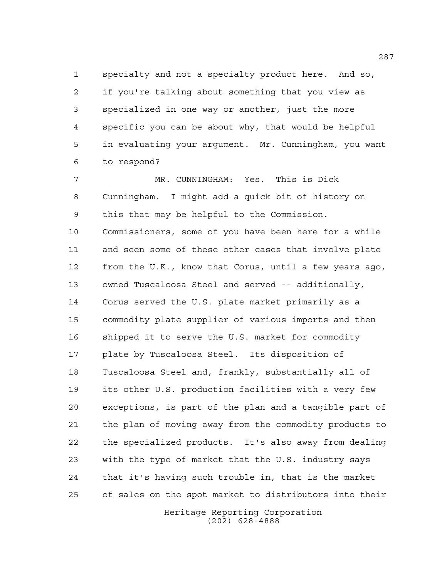specialty and not a specialty product here. And so, if you're talking about something that you view as specialized in one way or another, just the more specific you can be about why, that would be helpful in evaluating your argument. Mr. Cunningham, you want to respond?

 MR. CUNNINGHAM: Yes. This is Dick Cunningham. I might add a quick bit of history on this that may be helpful to the Commission. Commissioners, some of you have been here for a while and seen some of these other cases that involve plate from the U.K., know that Corus, until a few years ago, owned Tuscaloosa Steel and served -- additionally, Corus served the U.S. plate market primarily as a commodity plate supplier of various imports and then shipped it to serve the U.S. market for commodity plate by Tuscaloosa Steel. Its disposition of Tuscaloosa Steel and, frankly, substantially all of its other U.S. production facilities with a very few exceptions, is part of the plan and a tangible part of the plan of moving away from the commodity products to the specialized products. It's also away from dealing with the type of market that the U.S. industry says that it's having such trouble in, that is the market of sales on the spot market to distributors into their

> Heritage Reporting Corporation (202) 628-4888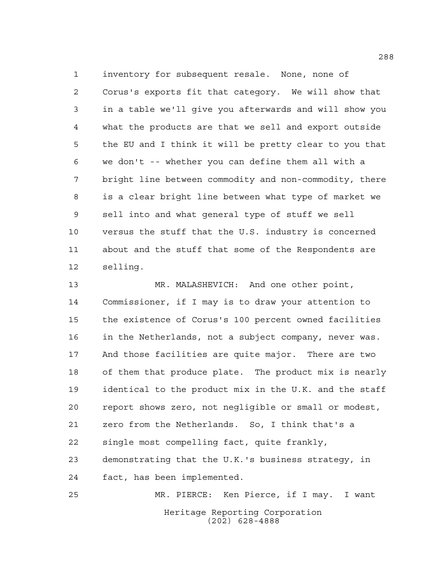inventory for subsequent resale. None, none of Corus's exports fit that category. We will show that in a table we'll give you afterwards and will show you what the products are that we sell and export outside the EU and I think it will be pretty clear to you that we don't -- whether you can define them all with a bright line between commodity and non-commodity, there is a clear bright line between what type of market we sell into and what general type of stuff we sell versus the stuff that the U.S. industry is concerned about and the stuff that some of the Respondents are selling.

 MR. MALASHEVICH: And one other point, Commissioner, if I may is to draw your attention to the existence of Corus's 100 percent owned facilities in the Netherlands, not a subject company, never was. And those facilities are quite major. There are two of them that produce plate. The product mix is nearly identical to the product mix in the U.K. and the staff report shows zero, not negligible or small or modest, zero from the Netherlands. So, I think that's a single most compelling fact, quite frankly, demonstrating that the U.K.'s business strategy, in fact, has been implemented. MR. PIERCE: Ken Pierce, if I may. I want

> Heritage Reporting Corporation (202) 628-4888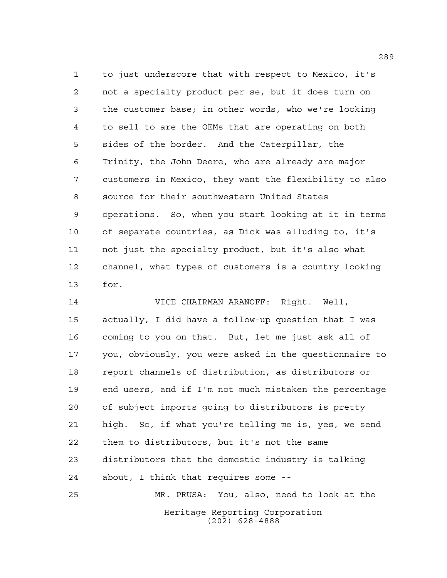to just underscore that with respect to Mexico, it's not a specialty product per se, but it does turn on the customer base; in other words, who we're looking to sell to are the OEMs that are operating on both sides of the border. And the Caterpillar, the Trinity, the John Deere, who are already are major customers in Mexico, they want the flexibility to also source for their southwestern United States operations. So, when you start looking at it in terms of separate countries, as Dick was alluding to, it's not just the specialty product, but it's also what channel, what types of customers is a country looking for.

 VICE CHAIRMAN ARANOFF: Right. Well, actually, I did have a follow-up question that I was coming to you on that. But, let me just ask all of you, obviously, you were asked in the questionnaire to report channels of distribution, as distributors or end users, and if I'm not much mistaken the percentage of subject imports going to distributors is pretty high. So, if what you're telling me is, yes, we send them to distributors, but it's not the same distributors that the domestic industry is talking about, I think that requires some -- MR. PRUSA: You, also, need to look at the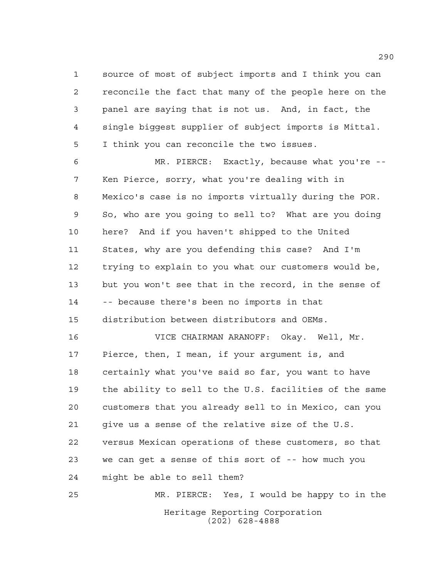source of most of subject imports and I think you can reconcile the fact that many of the people here on the panel are saying that is not us. And, in fact, the single biggest supplier of subject imports is Mittal. I think you can reconcile the two issues.

 MR. PIERCE: Exactly, because what you're -- Ken Pierce, sorry, what you're dealing with in Mexico's case is no imports virtually during the POR. So, who are you going to sell to? What are you doing here? And if you haven't shipped to the United States, why are you defending this case? And I'm trying to explain to you what our customers would be, but you won't see that in the record, in the sense of -- because there's been no imports in that distribution between distributors and OEMs.

 VICE CHAIRMAN ARANOFF: Okay. Well, Mr. Pierce, then, I mean, if your argument is, and certainly what you've said so far, you want to have the ability to sell to the U.S. facilities of the same customers that you already sell to in Mexico, can you give us a sense of the relative size of the U.S. versus Mexican operations of these customers, so that we can get a sense of this sort of -- how much you might be able to sell them?

Heritage Reporting Corporation (202) 628-4888 MR. PIERCE: Yes, I would be happy to in the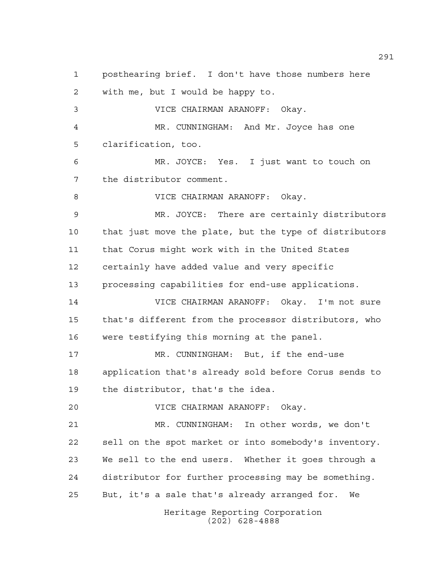Heritage Reporting Corporation (202) 628-4888 posthearing brief. I don't have those numbers here with me, but I would be happy to. VICE CHAIRMAN ARANOFF: Okay. MR. CUNNINGHAM: And Mr. Joyce has one clarification, too. MR. JOYCE: Yes. I just want to touch on the distributor comment. VICE CHAIRMAN ARANOFF: Okay. MR. JOYCE: There are certainly distributors that just move the plate, but the type of distributors that Corus might work with in the United States certainly have added value and very specific processing capabilities for end-use applications. VICE CHAIRMAN ARANOFF: Okay. I'm not sure that's different from the processor distributors, who were testifying this morning at the panel. MR. CUNNINGHAM: But, if the end-use application that's already sold before Corus sends to the distributor, that's the idea. VICE CHAIRMAN ARANOFF: Okay. MR. CUNNINGHAM: In other words, we don't sell on the spot market or into somebody's inventory. We sell to the end users. Whether it goes through a distributor for further processing may be something. But, it's a sale that's already arranged for. We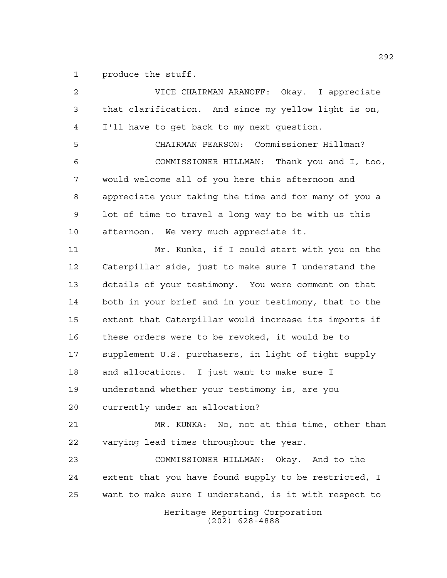produce the stuff.

Heritage Reporting Corporation (202) 628-4888 VICE CHAIRMAN ARANOFF: Okay. I appreciate that clarification. And since my yellow light is on, I'll have to get back to my next question. CHAIRMAN PEARSON: Commissioner Hillman? COMMISSIONER HILLMAN: Thank you and I, too, would welcome all of you here this afternoon and appreciate your taking the time and for many of you a lot of time to travel a long way to be with us this afternoon. We very much appreciate it. Mr. Kunka, if I could start with you on the Caterpillar side, just to make sure I understand the details of your testimony. You were comment on that both in your brief and in your testimony, that to the extent that Caterpillar would increase its imports if these orders were to be revoked, it would be to supplement U.S. purchasers, in light of tight supply and allocations. I just want to make sure I understand whether your testimony is, are you currently under an allocation? MR. KUNKA: No, not at this time, other than varying lead times throughout the year. COMMISSIONER HILLMAN: Okay. And to the extent that you have found supply to be restricted, I want to make sure I understand, is it with respect to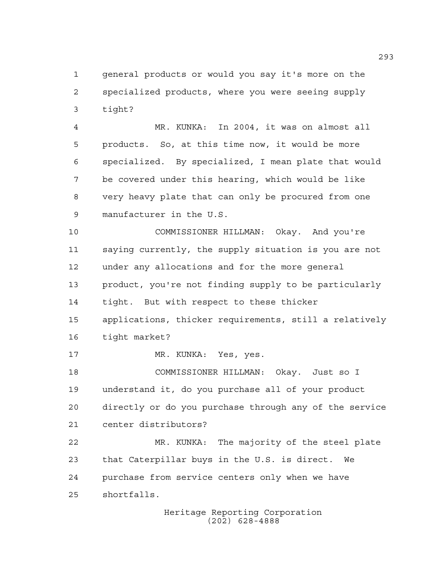general products or would you say it's more on the specialized products, where you were seeing supply tight?

 MR. KUNKA: In 2004, it was on almost all products. So, at this time now, it would be more specialized. By specialized, I mean plate that would be covered under this hearing, which would be like very heavy plate that can only be procured from one manufacturer in the U.S.

 COMMISSIONER HILLMAN: Okay. And you're saying currently, the supply situation is you are not under any allocations and for the more general product, you're not finding supply to be particularly tight. But with respect to these thicker applications, thicker requirements, still a relatively tight market?

MR. KUNKA: Yes, yes.

 COMMISSIONER HILLMAN: Okay. Just so I understand it, do you purchase all of your product directly or do you purchase through any of the service center distributors?

 MR. KUNKA: The majority of the steel plate that Caterpillar buys in the U.S. is direct. We purchase from service centers only when we have shortfalls.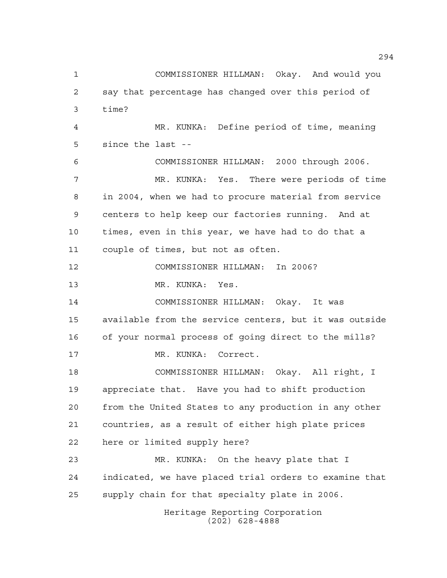Heritage Reporting Corporation (202) 628-4888 COMMISSIONER HILLMAN: Okay. And would you say that percentage has changed over this period of time? MR. KUNKA: Define period of time, meaning since the last -- COMMISSIONER HILLMAN: 2000 through 2006. MR. KUNKA: Yes. There were periods of time in 2004, when we had to procure material from service centers to help keep our factories running. And at times, even in this year, we have had to do that a couple of times, but not as often. COMMISSIONER HILLMAN: In 2006? MR. KUNKA: Yes. COMMISSIONER HILLMAN: Okay. It was available from the service centers, but it was outside of your normal process of going direct to the mills? MR. KUNKA: Correct. COMMISSIONER HILLMAN: Okay. All right, I appreciate that. Have you had to shift production from the United States to any production in any other countries, as a result of either high plate prices here or limited supply here? MR. KUNKA: On the heavy plate that I indicated, we have placed trial orders to examine that supply chain for that specialty plate in 2006.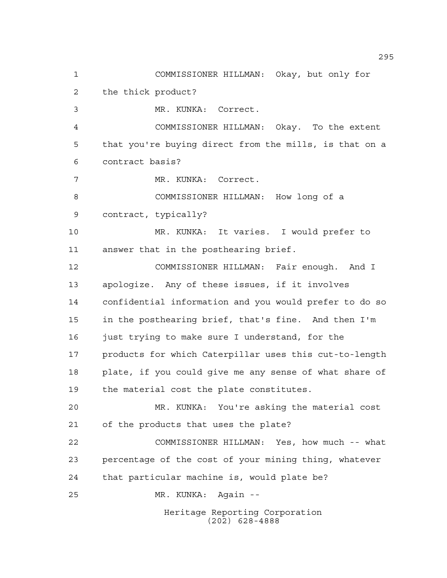Heritage Reporting Corporation (202) 628-4888 COMMISSIONER HILLMAN: Okay, but only for the thick product? MR. KUNKA: Correct. COMMISSIONER HILLMAN: Okay. To the extent that you're buying direct from the mills, is that on a contract basis? MR. KUNKA: Correct. COMMISSIONER HILLMAN: How long of a contract, typically? MR. KUNKA: It varies. I would prefer to answer that in the posthearing brief. COMMISSIONER HILLMAN: Fair enough. And I apologize. Any of these issues, if it involves confidential information and you would prefer to do so in the posthearing brief, that's fine. And then I'm just trying to make sure I understand, for the products for which Caterpillar uses this cut-to-length plate, if you could give me any sense of what share of the material cost the plate constitutes. MR. KUNKA: You're asking the material cost of the products that uses the plate? COMMISSIONER HILLMAN: Yes, how much -- what percentage of the cost of your mining thing, whatever that particular machine is, would plate be? MR. KUNKA: Again --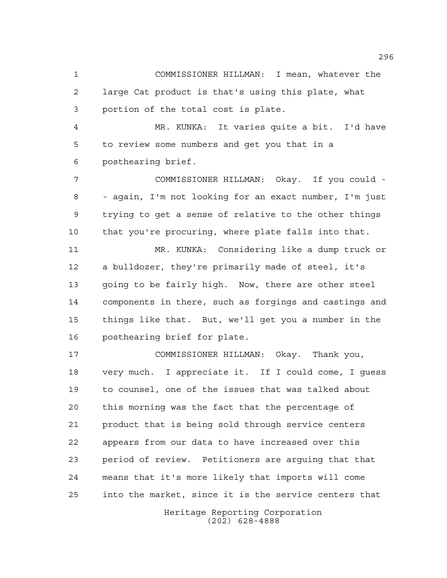COMMISSIONER HILLMAN: I mean, whatever the large Cat product is that's using this plate, what portion of the total cost is plate.

 MR. KUNKA: It varies quite a bit. I'd have to review some numbers and get you that in a posthearing brief.

 COMMISSIONER HILLMAN: Okay. If you could - - again, I'm not looking for an exact number, I'm just trying to get a sense of relative to the other things that you're procuring, where plate falls into that.

 MR. KUNKA: Considering like a dump truck or a bulldozer, they're primarily made of steel, it's going to be fairly high. Now, there are other steel components in there, such as forgings and castings and things like that. But, we'll get you a number in the posthearing brief for plate.

 COMMISSIONER HILLMAN: Okay. Thank you, very much. I appreciate it. If I could come, I guess to counsel, one of the issues that was talked about this morning was the fact that the percentage of product that is being sold through service centers appears from our data to have increased over this period of review. Petitioners are arguing that that means that it's more likely that imports will come into the market, since it is the service centers that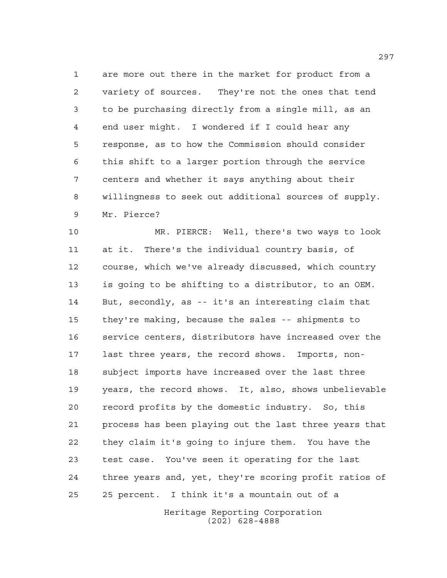are more out there in the market for product from a variety of sources. They're not the ones that tend to be purchasing directly from a single mill, as an end user might. I wondered if I could hear any response, as to how the Commission should consider this shift to a larger portion through the service centers and whether it says anything about their willingness to seek out additional sources of supply. Mr. Pierce?

 MR. PIERCE: Well, there's two ways to look at it. There's the individual country basis, of course, which we've already discussed, which country is going to be shifting to a distributor, to an OEM. But, secondly, as -- it's an interesting claim that they're making, because the sales -- shipments to service centers, distributors have increased over the last three years, the record shows. Imports, non- subject imports have increased over the last three years, the record shows. It, also, shows unbelievable record profits by the domestic industry. So, this process has been playing out the last three years that they claim it's going to injure them. You have the test case. You've seen it operating for the last three years and, yet, they're scoring profit ratios of 25 percent. I think it's a mountain out of a

> Heritage Reporting Corporation (202) 628-4888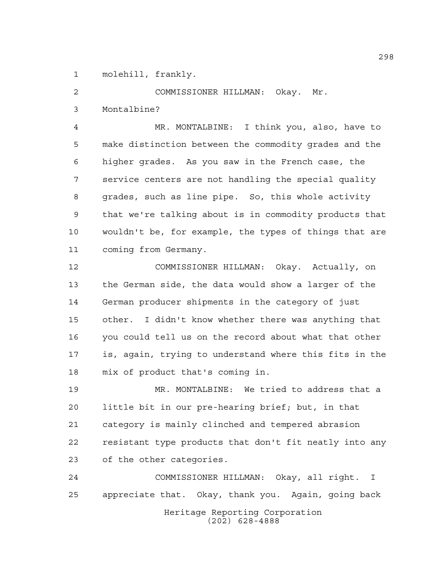molehill, frankly.

COMMISSIONER HILLMAN: Okay. Mr.

Montalbine?

 MR. MONTALBINE: I think you, also, have to make distinction between the commodity grades and the higher grades. As you saw in the French case, the service centers are not handling the special quality grades, such as line pipe. So, this whole activity that we're talking about is in commodity products that wouldn't be, for example, the types of things that are coming from Germany.

 COMMISSIONER HILLMAN: Okay. Actually, on the German side, the data would show a larger of the German producer shipments in the category of just other. I didn't know whether there was anything that you could tell us on the record about what that other is, again, trying to understand where this fits in the mix of product that's coming in.

 MR. MONTALBINE: We tried to address that a little bit in our pre-hearing brief; but, in that category is mainly clinched and tempered abrasion resistant type products that don't fit neatly into any of the other categories.

Heritage Reporting Corporation (202) 628-4888 COMMISSIONER HILLMAN: Okay, all right. I appreciate that. Okay, thank you. Again, going back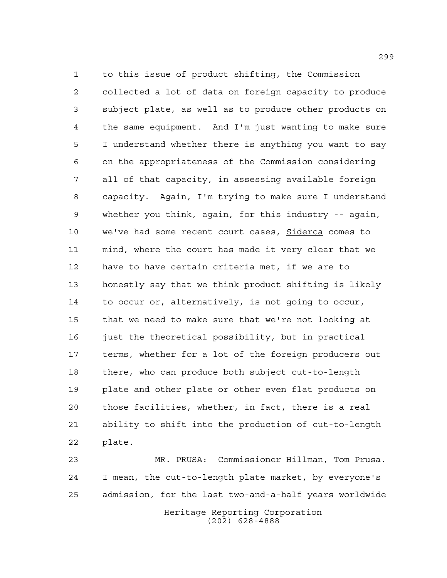to this issue of product shifting, the Commission collected a lot of data on foreign capacity to produce subject plate, as well as to produce other products on the same equipment. And I'm just wanting to make sure I understand whether there is anything you want to say on the appropriateness of the Commission considering all of that capacity, in assessing available foreign capacity. Again, I'm trying to make sure I understand whether you think, again, for this industry -- again, we've had some recent court cases, Siderca comes to mind, where the court has made it very clear that we have to have certain criteria met, if we are to honestly say that we think product shifting is likely to occur or, alternatively, is not going to occur, that we need to make sure that we're not looking at just the theoretical possibility, but in practical terms, whether for a lot of the foreign producers out there, who can produce both subject cut-to-length plate and other plate or other even flat products on those facilities, whether, in fact, there is a real ability to shift into the production of cut-to-length plate.

 MR. PRUSA: Commissioner Hillman, Tom Prusa. I mean, the cut-to-length plate market, by everyone's admission, for the last two-and-a-half years worldwide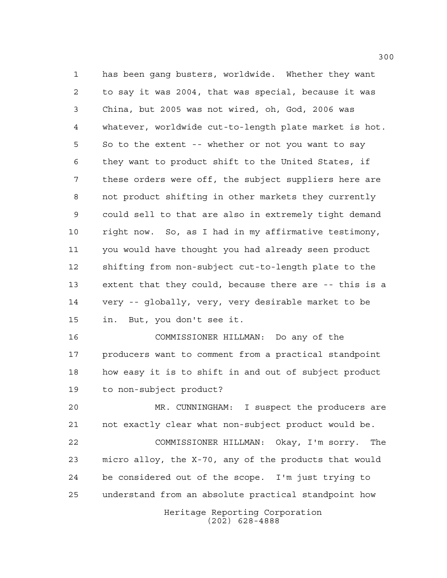has been gang busters, worldwide. Whether they want to say it was 2004, that was special, because it was China, but 2005 was not wired, oh, God, 2006 was whatever, worldwide cut-to-length plate market is hot. So to the extent -- whether or not you want to say they want to product shift to the United States, if these orders were off, the subject suppliers here are not product shifting in other markets they currently could sell to that are also in extremely tight demand right now. So, as I had in my affirmative testimony, you would have thought you had already seen product shifting from non-subject cut-to-length plate to the extent that they could, because there are -- this is a very -- globally, very, very desirable market to be in. But, you don't see it.

 COMMISSIONER HILLMAN: Do any of the producers want to comment from a practical standpoint how easy it is to shift in and out of subject product to non-subject product?

 MR. CUNNINGHAM: I suspect the producers are not exactly clear what non-subject product would be. COMMISSIONER HILLMAN: Okay, I'm sorry. The micro alloy, the X-70, any of the products that would be considered out of the scope. I'm just trying to understand from an absolute practical standpoint how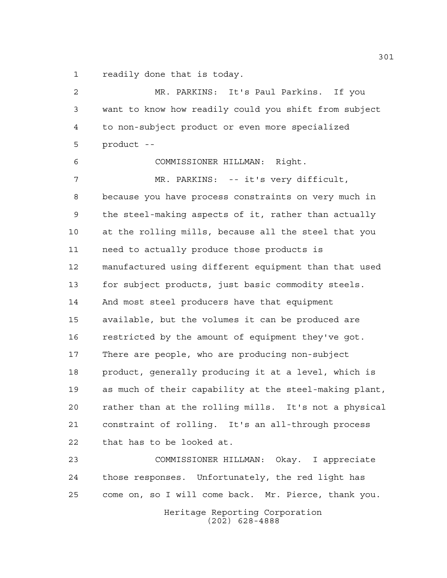readily done that is today.

 MR. PARKINS: It's Paul Parkins. If you want to know how readily could you shift from subject to non-subject product or even more specialized product -- COMMISSIONER HILLMAN: Right. MR. PARKINS: -- it's very difficult, because you have process constraints on very much in the steel-making aspects of it, rather than actually at the rolling mills, because all the steel that you need to actually produce those products is manufactured using different equipment than that used for subject products, just basic commodity steels. And most steel producers have that equipment available, but the volumes it can be produced are restricted by the amount of equipment they've got. There are people, who are producing non-subject product, generally producing it at a level, which is as much of their capability at the steel-making plant, rather than at the rolling mills. It's not a physical constraint of rolling. It's an all-through process that has to be looked at. COMMISSIONER HILLMAN: Okay. I appreciate those responses. Unfortunately, the red light has come on, so I will come back. Mr. Pierce, thank you.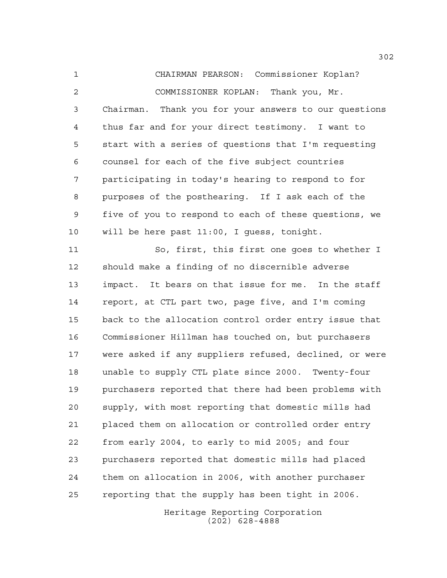CHAIRMAN PEARSON: Commissioner Koplan? COMMISSIONER KOPLAN: Thank you, Mr. Chairman. Thank you for your answers to our questions thus far and for your direct testimony. I want to start with a series of questions that I'm requesting counsel for each of the five subject countries participating in today's hearing to respond to for purposes of the posthearing. If I ask each of the five of you to respond to each of these questions, we will be here past 11:00, I guess, tonight.

 So, first, this first one goes to whether I should make a finding of no discernible adverse impact. It bears on that issue for me. In the staff report, at CTL part two, page five, and I'm coming back to the allocation control order entry issue that Commissioner Hillman has touched on, but purchasers were asked if any suppliers refused, declined, or were unable to supply CTL plate since 2000. Twenty-four purchasers reported that there had been problems with supply, with most reporting that domestic mills had placed them on allocation or controlled order entry from early 2004, to early to mid 2005; and four purchasers reported that domestic mills had placed them on allocation in 2006, with another purchaser reporting that the supply has been tight in 2006.

> Heritage Reporting Corporation (202) 628-4888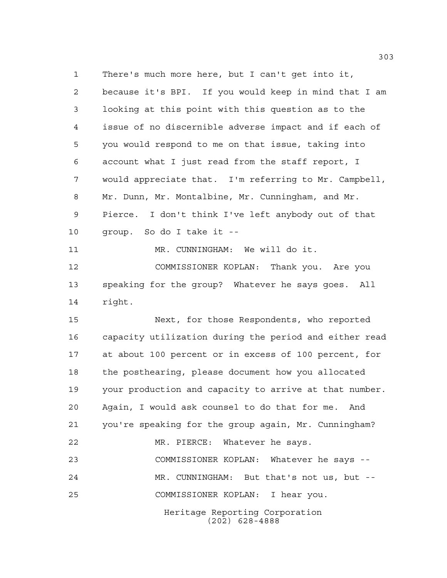Heritage Reporting Corporation (202) 628-4888 There's much more here, but I can't get into it, because it's BPI. If you would keep in mind that I am looking at this point with this question as to the issue of no discernible adverse impact and if each of you would respond to me on that issue, taking into account what I just read from the staff report, I would appreciate that. I'm referring to Mr. Campbell, Mr. Dunn, Mr. Montalbine, Mr. Cunningham, and Mr. Pierce. I don't think I've left anybody out of that group. So do I take it -- MR. CUNNINGHAM: We will do it. COMMISSIONER KOPLAN: Thank you. Are you speaking for the group? Whatever he says goes. All right. Next, for those Respondents, who reported capacity utilization during the period and either read at about 100 percent or in excess of 100 percent, for the posthearing, please document how you allocated your production and capacity to arrive at that number. Again, I would ask counsel to do that for me. And you're speaking for the group again, Mr. Cunningham? MR. PIERCE: Whatever he says. COMMISSIONER KOPLAN: Whatever he says -- MR. CUNNINGHAM: But that's not us, but -- COMMISSIONER KOPLAN: I hear you.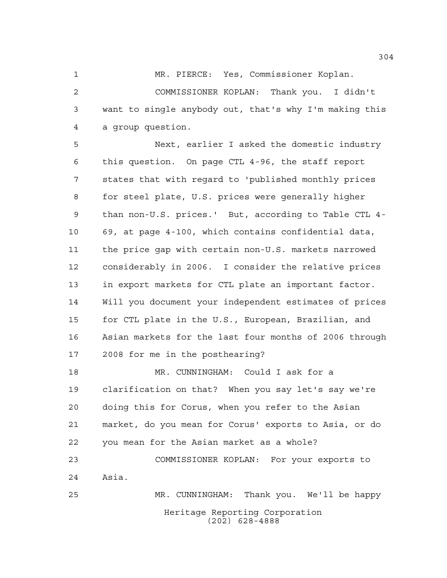MR. PIERCE: Yes, Commissioner Koplan.

 COMMISSIONER KOPLAN: Thank you. I didn't want to single anybody out, that's why I'm making this a group question.

 Next, earlier I asked the domestic industry this question. On page CTL 4-96, the staff report states that with regard to 'published monthly prices for steel plate, U.S. prices were generally higher than non-U.S. prices.' But, according to Table CTL 4- 69, at page 4-100, which contains confidential data, the price gap with certain non-U.S. markets narrowed considerably in 2006. I consider the relative prices in export markets for CTL plate an important factor. Will you document your independent estimates of prices for CTL plate in the U.S., European, Brazilian, and Asian markets for the last four months of 2006 through 2008 for me in the posthearing?

 MR. CUNNINGHAM: Could I ask for a clarification on that? When you say let's say we're doing this for Corus, when you refer to the Asian market, do you mean for Corus' exports to Asia, or do you mean for the Asian market as a whole?

 COMMISSIONER KOPLAN: For your exports to Asia. MR. CUNNINGHAM: Thank you. We'll be happy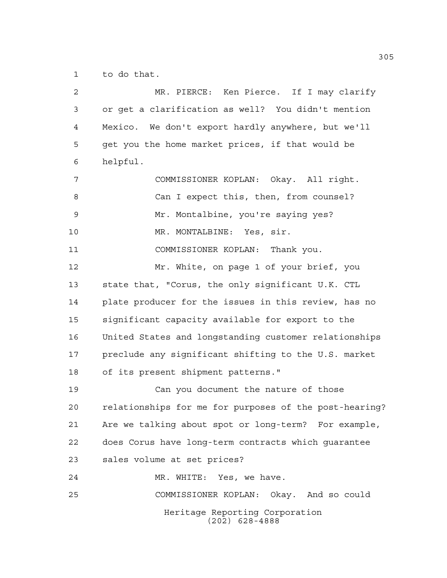to do that.

| $\overline{2}$ | MR. PIERCE: Ken Pierce. If I may clarify               |
|----------------|--------------------------------------------------------|
| 3              | or get a clarification as well? You didn't mention     |
| 4              | Mexico. We don't export hardly anywhere, but we'll     |
| 5              | get you the home market prices, if that would be       |
| 6              | helpful.                                               |
| 7              | COMMISSIONER KOPLAN: Okay. All right.                  |
| 8              | Can I expect this, then, from counsel?                 |
| 9              | Mr. Montalbine, you're saying yes?                     |
| 10             | MR. MONTALBINE: Yes, sir.                              |
| 11             | COMMISSIONER KOPLAN: Thank you.                        |
| 12             | Mr. White, on page 1 of your brief, you                |
| 13             | state that, "Corus, the only significant U.K. CTL      |
| 14             | plate producer for the issues in this review, has no   |
| 15             | significant capacity available for export to the       |
| 16             | United States and longstanding customer relationships  |
| 17             | preclude any significant shifting to the U.S. market   |
| 18             | of its present shipment patterns."                     |
| 19             | Can you document the nature of those                   |
| 20             | relationships for me for purposes of the post-hearing? |
| 21             | Are we talking about spot or long-term? For example,   |
| 22             | does Corus have long-term contracts which quarantee    |
| 23             | sales volume at set prices?                            |
| 24             | MR. WHITE: Yes, we have.                               |
| 25             | COMMISSIONER KOPLAN: Okay. And so could                |
|                | Heritage Reporting Corporation<br>$(202)$ 628-4888     |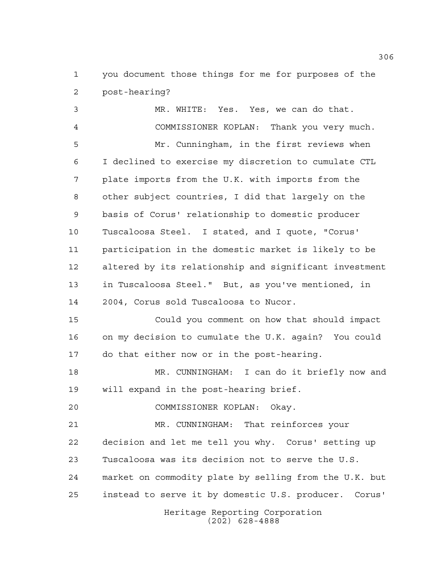you document those things for me for purposes of the post-hearing?

Heritage Reporting Corporation MR. WHITE: Yes. Yes, we can do that. COMMISSIONER KOPLAN: Thank you very much. Mr. Cunningham, in the first reviews when I declined to exercise my discretion to cumulate CTL plate imports from the U.K. with imports from the other subject countries, I did that largely on the basis of Corus' relationship to domestic producer Tuscaloosa Steel. I stated, and I quote, "Corus' participation in the domestic market is likely to be altered by its relationship and significant investment in Tuscaloosa Steel." But, as you've mentioned, in 2004, Corus sold Tuscaloosa to Nucor. Could you comment on how that should impact on my decision to cumulate the U.K. again? You could do that either now or in the post-hearing. MR. CUNNINGHAM: I can do it briefly now and will expand in the post-hearing brief. COMMISSIONER KOPLAN: Okay. MR. CUNNINGHAM: That reinforces your decision and let me tell you why. Corus' setting up Tuscaloosa was its decision not to serve the U.S. market on commodity plate by selling from the U.K. but instead to serve it by domestic U.S. producer. Corus'

(202) 628-4888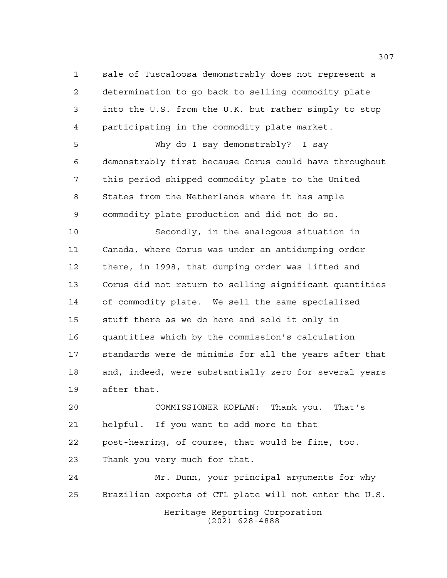sale of Tuscaloosa demonstrably does not represent a determination to go back to selling commodity plate into the U.S. from the U.K. but rather simply to stop participating in the commodity plate market.

 Why do I say demonstrably? I say demonstrably first because Corus could have throughout this period shipped commodity plate to the United States from the Netherlands where it has ample commodity plate production and did not do so.

 Secondly, in the analogous situation in Canada, where Corus was under an antidumping order there, in 1998, that dumping order was lifted and Corus did not return to selling significant quantities of commodity plate. We sell the same specialized stuff there as we do here and sold it only in quantities which by the commission's calculation standards were de minimis for all the years after that and, indeed, were substantially zero for several years after that.

 COMMISSIONER KOPLAN: Thank you. That's helpful. If you want to add more to that post-hearing, of course, that would be fine, too. Thank you very much for that.

 Mr. Dunn, your principal arguments for why Brazilian exports of CTL plate will not enter the U.S.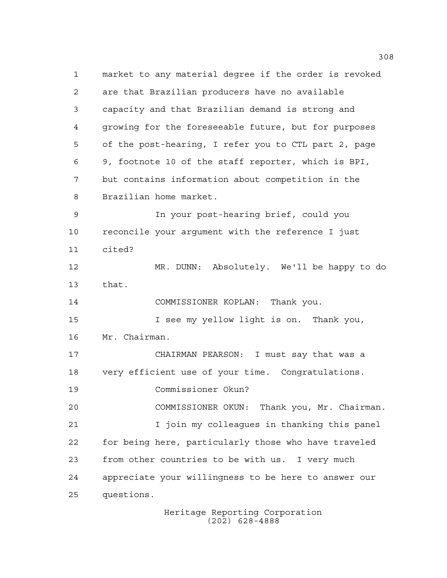market to any material degree if the order is revoked are that Brazilian producers have no available capacity and that Brazilian demand is strong and growing for the foreseeable future, but for purposes of the post-hearing, I refer you to CTL part 2, page 9, footnote 10 of the staff reporter, which is BPI, but contains information about competition in the Brazilian home market. In your post-hearing brief, could you reconcile your argument with the reference I just cited? MR. DUNN: Absolutely. We'll be happy to do that. COMMISSIONER KOPLAN: Thank you. I see my yellow light is on. Thank you, Mr. Chairman. CHAIRMAN PEARSON: I must say that was a very efficient use of your time. Congratulations. Commissioner Okun? COMMISSIONER OKUN: Thank you, Mr. Chairman. I join my colleagues in thanking this panel for being here, particularly those who have traveled from other countries to be with us. I very much appreciate your willingness to be here to answer our questions.

> Heritage Reporting Corporation (202) 628-4888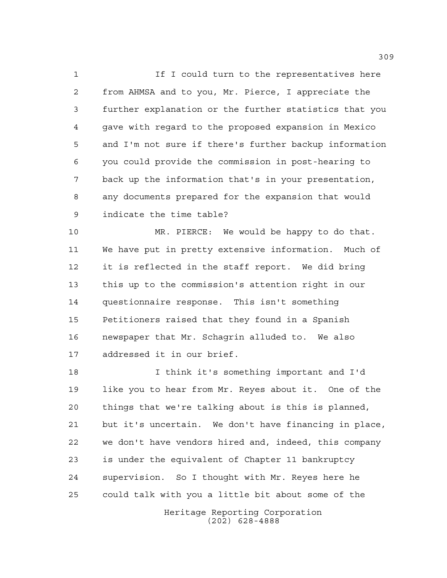1 1 If I could turn to the representatives here from AHMSA and to you, Mr. Pierce, I appreciate the further explanation or the further statistics that you gave with regard to the proposed expansion in Mexico and I'm not sure if there's further backup information you could provide the commission in post-hearing to back up the information that's in your presentation, any documents prepared for the expansion that would indicate the time table?

 MR. PIERCE: We would be happy to do that. We have put in pretty extensive information. Much of it is reflected in the staff report. We did bring this up to the commission's attention right in our questionnaire response. This isn't something Petitioners raised that they found in a Spanish newspaper that Mr. Schagrin alluded to. We also addressed it in our brief.

 I think it's something important and I'd like you to hear from Mr. Reyes about it. One of the things that we're talking about is this is planned, but it's uncertain. We don't have financing in place, we don't have vendors hired and, indeed, this company is under the equivalent of Chapter 11 bankruptcy supervision. So I thought with Mr. Reyes here he could talk with you a little bit about some of the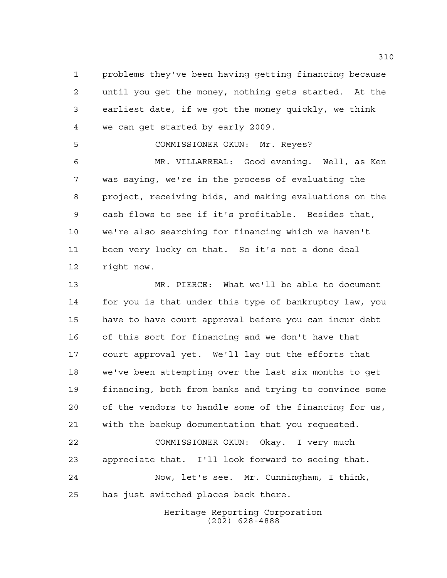problems they've been having getting financing because until you get the money, nothing gets started. At the earliest date, if we got the money quickly, we think we can get started by early 2009.

COMMISSIONER OKUN: Mr. Reyes?

 MR. VILLARREAL: Good evening. Well, as Ken was saying, we're in the process of evaluating the project, receiving bids, and making evaluations on the cash flows to see if it's profitable. Besides that, we're also searching for financing which we haven't been very lucky on that. So it's not a done deal right now.

 MR. PIERCE: What we'll be able to document for you is that under this type of bankruptcy law, you have to have court approval before you can incur debt of this sort for financing and we don't have that court approval yet. We'll lay out the efforts that we've been attempting over the last six months to get financing, both from banks and trying to convince some of the vendors to handle some of the financing for us, with the backup documentation that you requested. COMMISSIONER OKUN: Okay. I very much appreciate that. I'll look forward to seeing that. Now, let's see. Mr. Cunningham, I think,

has just switched places back there.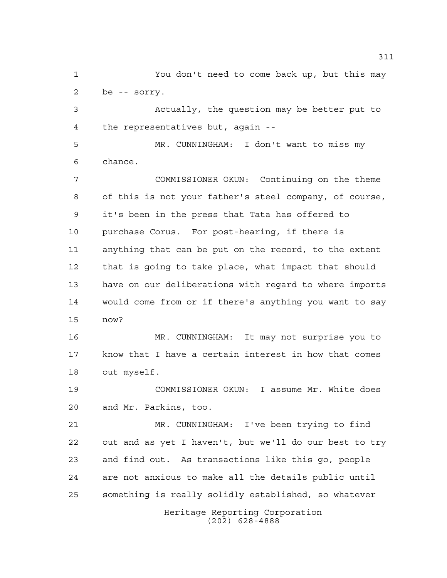You don't need to come back up, but this may be -- sorry.

 Actually, the question may be better put to the representatives but, again --

 MR. CUNNINGHAM: I don't want to miss my chance.

 COMMISSIONER OKUN: Continuing on the theme of this is not your father's steel company, of course, it's been in the press that Tata has offered to purchase Corus. For post-hearing, if there is anything that can be put on the record, to the extent that is going to take place, what impact that should have on our deliberations with regard to where imports would come from or if there's anything you want to say now?

 MR. CUNNINGHAM: It may not surprise you to know that I have a certain interest in how that comes out myself.

 COMMISSIONER OKUN: I assume Mr. White does and Mr. Parkins, too.

 MR. CUNNINGHAM: I've been trying to find out and as yet I haven't, but we'll do our best to try and find out. As transactions like this go, people are not anxious to make all the details public until something is really solidly established, so whatever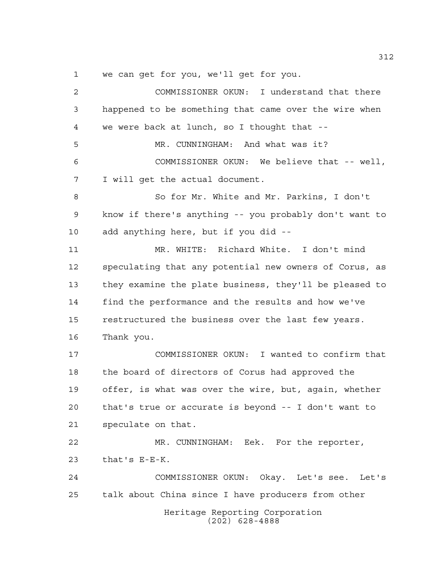we can get for you, we'll get for you.

Heritage Reporting Corporation (202) 628-4888 COMMISSIONER OKUN: I understand that there happened to be something that came over the wire when we were back at lunch, so I thought that -- MR. CUNNINGHAM: And what was it? COMMISSIONER OKUN: We believe that -- well, I will get the actual document. So for Mr. White and Mr. Parkins, I don't know if there's anything -- you probably don't want to add anything here, but if you did -- MR. WHITE: Richard White. I don't mind speculating that any potential new owners of Corus, as they examine the plate business, they'll be pleased to find the performance and the results and how we've restructured the business over the last few years. Thank you. COMMISSIONER OKUN: I wanted to confirm that the board of directors of Corus had approved the offer, is what was over the wire, but, again, whether that's true or accurate is beyond -- I don't want to speculate on that. MR. CUNNINGHAM: Eek. For the reporter, that's E-E-K. COMMISSIONER OKUN: Okay. Let's see. Let's talk about China since I have producers from other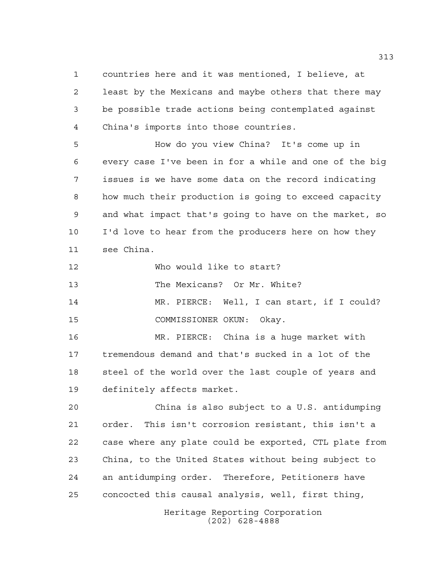countries here and it was mentioned, I believe, at least by the Mexicans and maybe others that there may be possible trade actions being contemplated against China's imports into those countries.

 How do you view China? It's come up in every case I've been in for a while and one of the big issues is we have some data on the record indicating how much their production is going to exceed capacity and what impact that's going to have on the market, so I'd love to hear from the producers here on how they see China.

Who would like to start?

The Mexicans? Or Mr. White?

 MR. PIERCE: Well, I can start, if I could? COMMISSIONER OKUN: Okay.

 MR. PIERCE: China is a huge market with tremendous demand and that's sucked in a lot of the 18 steel of the world over the last couple of years and definitely affects market.

 China is also subject to a U.S. antidumping order. This isn't corrosion resistant, this isn't a case where any plate could be exported, CTL plate from China, to the United States without being subject to an antidumping order. Therefore, Petitioners have concocted this causal analysis, well, first thing,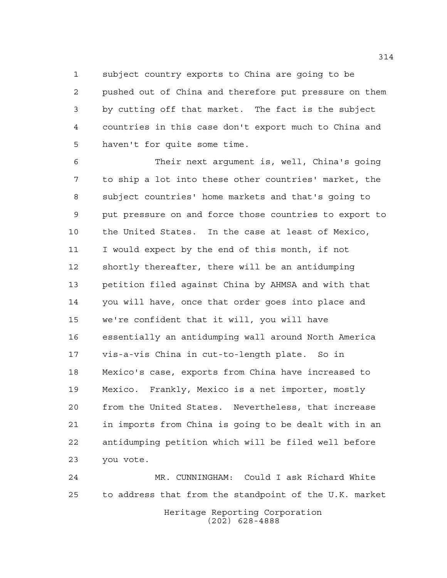subject country exports to China are going to be

 pushed out of China and therefore put pressure on them by cutting off that market. The fact is the subject countries in this case don't export much to China and haven't for quite some time.

 Their next argument is, well, China's going to ship a lot into these other countries' market, the subject countries' home markets and that's going to put pressure on and force those countries to export to the United States. In the case at least of Mexico, I would expect by the end of this month, if not shortly thereafter, there will be an antidumping petition filed against China by AHMSA and with that you will have, once that order goes into place and we're confident that it will, you will have essentially an antidumping wall around North America vis-a-vis China in cut-to-length plate. So in Mexico's case, exports from China have increased to Mexico. Frankly, Mexico is a net importer, mostly from the United States. Nevertheless, that increase in imports from China is going to be dealt with in an antidumping petition which will be filed well before you vote.

Heritage Reporting Corporation (202) 628-4888 MR. CUNNINGHAM: Could I ask Richard White to address that from the standpoint of the U.K. market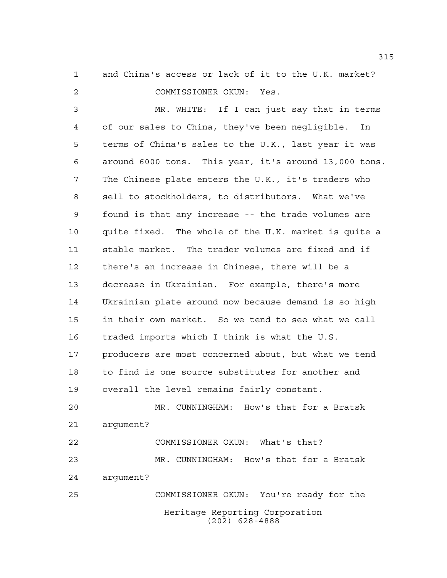and China's access or lack of it to the U.K. market? COMMISSIONER OKUN: Yes.

 MR. WHITE: If I can just say that in terms of our sales to China, they've been negligible. In terms of China's sales to the U.K., last year it was around 6000 tons. This year, it's around 13,000 tons. The Chinese plate enters the U.K., it's traders who sell to stockholders, to distributors. What we've found is that any increase -- the trade volumes are quite fixed. The whole of the U.K. market is quite a stable market. The trader volumes are fixed and if there's an increase in Chinese, there will be a decrease in Ukrainian. For example, there's more Ukrainian plate around now because demand is so high in their own market. So we tend to see what we call traded imports which I think is what the U.S. 17 producers are most concerned about, but what we tend to find is one source substitutes for another and overall the level remains fairly constant. MR. CUNNINGHAM: How's that for a Bratsk

 argument? COMMISSIONER OKUN: What's that?

 MR. CUNNINGHAM: How's that for a Bratsk argument?

Heritage Reporting Corporation (202) 628-4888 COMMISSIONER OKUN: You're ready for the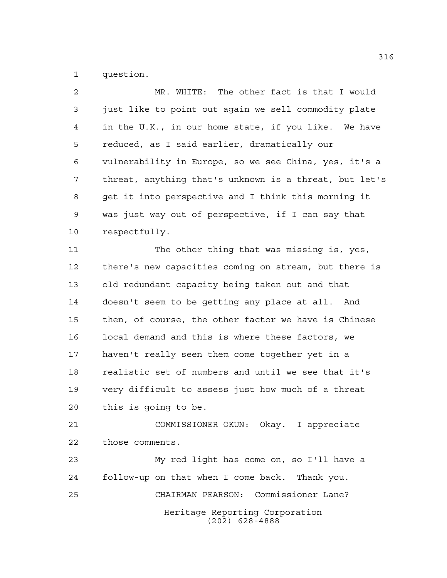question.

 MR. WHITE: The other fact is that I would just like to point out again we sell commodity plate in the U.K., in our home state, if you like. We have reduced, as I said earlier, dramatically our vulnerability in Europe, so we see China, yes, it's a threat, anything that's unknown is a threat, but let's get it into perspective and I think this morning it was just way out of perspective, if I can say that respectfully. The other thing that was missing is, yes, there's new capacities coming on stream, but there is old redundant capacity being taken out and that doesn't seem to be getting any place at all. And then, of course, the other factor we have is Chinese local demand and this is where these factors, we haven't really seen them come together yet in a realistic set of numbers and until we see that it's very difficult to assess just how much of a threat this is going to be. COMMISSIONER OKUN: Okay. I appreciate those comments. My red light has come on, so I'll have a follow-up on that when I come back. Thank you. CHAIRMAN PEARSON: Commissioner Lane?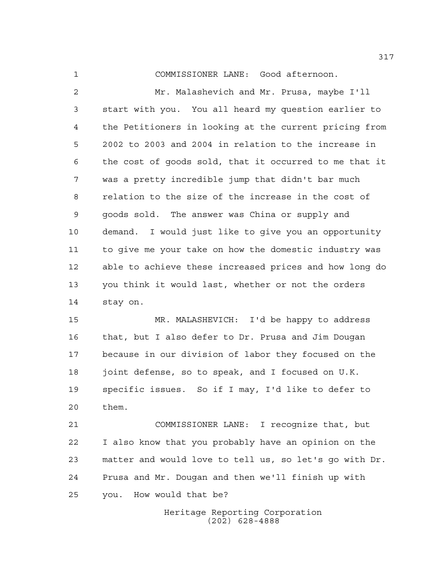COMMISSIONER LANE: Good afternoon.

 Mr. Malashevich and Mr. Prusa, maybe I'll start with you. You all heard my question earlier to the Petitioners in looking at the current pricing from 2002 to 2003 and 2004 in relation to the increase in the cost of goods sold, that it occurred to me that it was a pretty incredible jump that didn't bar much relation to the size of the increase in the cost of goods sold. The answer was China or supply and demand. I would just like to give you an opportunity to give me your take on how the domestic industry was able to achieve these increased prices and how long do you think it would last, whether or not the orders stay on.

 MR. MALASHEVICH: I'd be happy to address that, but I also defer to Dr. Prusa and Jim Dougan because in our division of labor they focused on the joint defense, so to speak, and I focused on U.K. specific issues. So if I may, I'd like to defer to them.

 COMMISSIONER LANE: I recognize that, but I also know that you probably have an opinion on the matter and would love to tell us, so let's go with Dr. Prusa and Mr. Dougan and then we'll finish up with you. How would that be?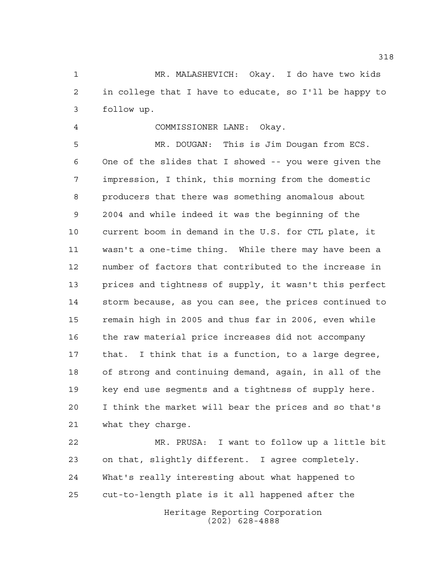MR. MALASHEVICH: Okay. I do have two kids in college that I have to educate, so I'll be happy to follow up.

COMMISSIONER LANE: Okay.

 MR. DOUGAN: This is Jim Dougan from ECS. One of the slides that I showed -- you were given the impression, I think, this morning from the domestic producers that there was something anomalous about 2004 and while indeed it was the beginning of the current boom in demand in the U.S. for CTL plate, it wasn't a one-time thing. While there may have been a number of factors that contributed to the increase in prices and tightness of supply, it wasn't this perfect storm because, as you can see, the prices continued to remain high in 2005 and thus far in 2006, even while the raw material price increases did not accompany that. I think that is a function, to a large degree, of strong and continuing demand, again, in all of the key end use segments and a tightness of supply here. I think the market will bear the prices and so that's what they charge.

Heritage Reporting Corporation (202) 628-4888 MR. PRUSA: I want to follow up a little bit on that, slightly different. I agree completely. What's really interesting about what happened to cut-to-length plate is it all happened after the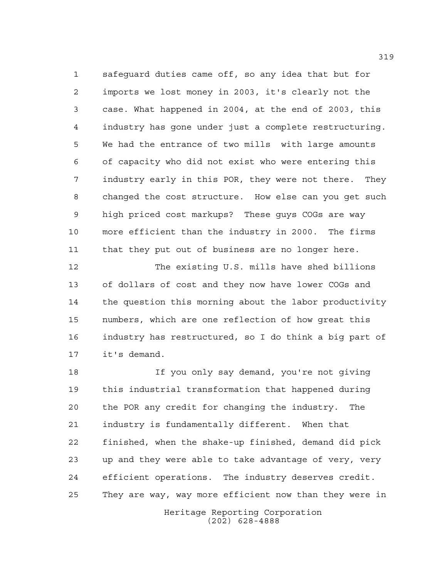safeguard duties came off, so any idea that but for imports we lost money in 2003, it's clearly not the case. What happened in 2004, at the end of 2003, this industry has gone under just a complete restructuring. We had the entrance of two mills with large amounts of capacity who did not exist who were entering this industry early in this POR, they were not there. They changed the cost structure. How else can you get such high priced cost markups? These guys COGs are way more efficient than the industry in 2000. The firms that they put out of business are no longer here.

 The existing U.S. mills have shed billions of dollars of cost and they now have lower COGs and the question this morning about the labor productivity numbers, which are one reflection of how great this industry has restructured, so I do think a big part of it's demand.

 If you only say demand, you're not giving this industrial transformation that happened during the POR any credit for changing the industry. The industry is fundamentally different. When that finished, when the shake-up finished, demand did pick up and they were able to take advantage of very, very efficient operations. The industry deserves credit. They are way, way more efficient now than they were in

> Heritage Reporting Corporation (202) 628-4888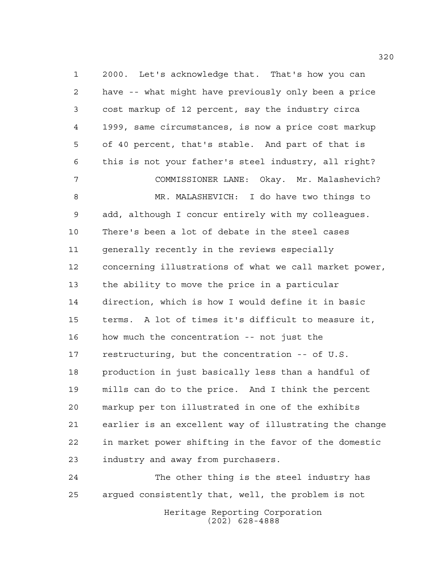2000. Let's acknowledge that. That's how you can have -- what might have previously only been a price cost markup of 12 percent, say the industry circa 1999, same circumstances, is now a price cost markup of 40 percent, that's stable. And part of that is this is not your father's steel industry, all right? COMMISSIONER LANE: Okay. Mr. Malashevich? MR. MALASHEVICH: I do have two things to add, although I concur entirely with my colleagues. There's been a lot of debate in the steel cases generally recently in the reviews especially concerning illustrations of what we call market power, the ability to move the price in a particular direction, which is how I would define it in basic terms. A lot of times it's difficult to measure it, how much the concentration -- not just the restructuring, but the concentration -- of U.S. production in just basically less than a handful of mills can do to the price. And I think the percent markup per ton illustrated in one of the exhibits earlier is an excellent way of illustrating the change in market power shifting in the favor of the domestic industry and away from purchasers.

Heritage Reporting Corporation (202) 628-4888 The other thing is the steel industry has argued consistently that, well, the problem is not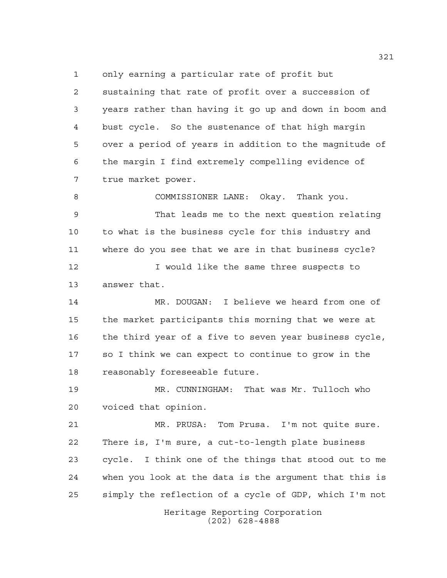only earning a particular rate of profit but

 sustaining that rate of profit over a succession of years rather than having it go up and down in boom and bust cycle. So the sustenance of that high margin over a period of years in addition to the magnitude of the margin I find extremely compelling evidence of true market power.

 COMMISSIONER LANE: Okay. Thank you. That leads me to the next question relating to what is the business cycle for this industry and where do you see that we are in that business cycle?

**I** would like the same three suspects to answer that.

 MR. DOUGAN: I believe we heard from one of the market participants this morning that we were at the third year of a five to seven year business cycle, so I think we can expect to continue to grow in the reasonably foreseeable future.

 MR. CUNNINGHAM: That was Mr. Tulloch who voiced that opinion.

 MR. PRUSA: Tom Prusa. I'm not quite sure. There is, I'm sure, a cut-to-length plate business cycle. I think one of the things that stood out to me when you look at the data is the argument that this is simply the reflection of a cycle of GDP, which I'm not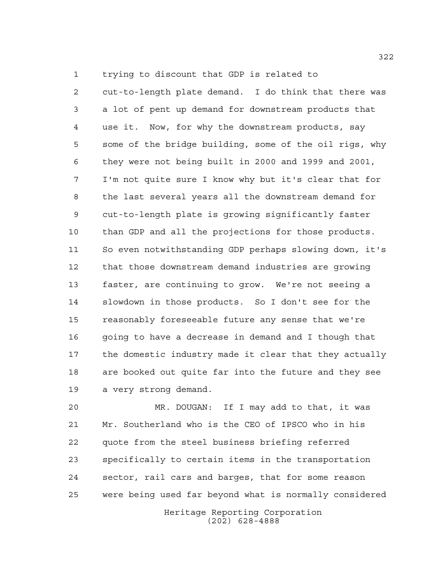trying to discount that GDP is related to

 cut-to-length plate demand. I do think that there was a lot of pent up demand for downstream products that use it. Now, for why the downstream products, say some of the bridge building, some of the oil rigs, why they were not being built in 2000 and 1999 and 2001, I'm not quite sure I know why but it's clear that for the last several years all the downstream demand for cut-to-length plate is growing significantly faster than GDP and all the projections for those products. So even notwithstanding GDP perhaps slowing down, it's that those downstream demand industries are growing faster, are continuing to grow. We're not seeing a slowdown in those products. So I don't see for the reasonably foreseeable future any sense that we're 16 going to have a decrease in demand and I though that the domestic industry made it clear that they actually are booked out quite far into the future and they see a very strong demand.

 MR. DOUGAN: If I may add to that, it was Mr. Southerland who is the CEO of IPSCO who in his quote from the steel business briefing referred specifically to certain items in the transportation sector, rail cars and barges, that for some reason were being used far beyond what is normally considered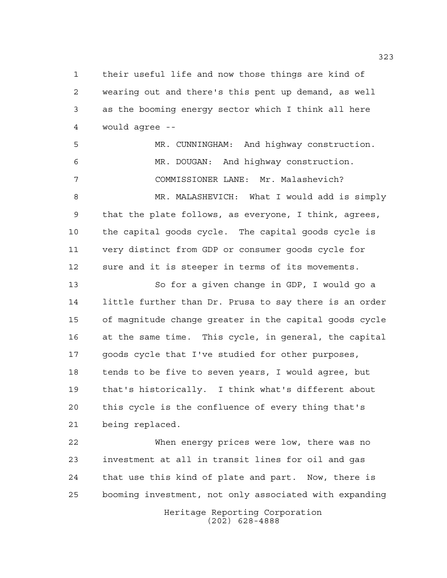their useful life and now those things are kind of wearing out and there's this pent up demand, as well as the booming energy sector which I think all here would agree --

 MR. CUNNINGHAM: And highway construction. MR. DOUGAN: And highway construction. COMMISSIONER LANE: Mr. Malashevich?

 MR. MALASHEVICH: What I would add is simply that the plate follows, as everyone, I think, agrees, the capital goods cycle. The capital goods cycle is very distinct from GDP or consumer goods cycle for sure and it is steeper in terms of its movements.

 So for a given change in GDP, I would go a little further than Dr. Prusa to say there is an order of magnitude change greater in the capital goods cycle at the same time. This cycle, in general, the capital goods cycle that I've studied for other purposes, tends to be five to seven years, I would agree, but that's historically. I think what's different about this cycle is the confluence of every thing that's being replaced.

 When energy prices were low, there was no investment at all in transit lines for oil and gas that use this kind of plate and part. Now, there is booming investment, not only associated with expanding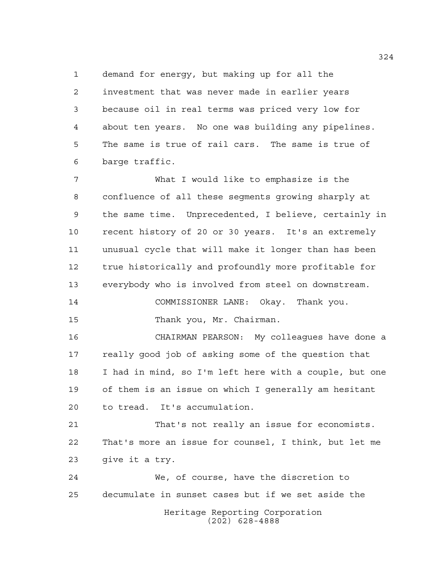demand for energy, but making up for all the investment that was never made in earlier years because oil in real terms was priced very low for about ten years. No one was building any pipelines. The same is true of rail cars. The same is true of barge traffic.

 What I would like to emphasize is the confluence of all these segments growing sharply at the same time. Unprecedented, I believe, certainly in recent history of 20 or 30 years. It's an extremely unusual cycle that will make it longer than has been true historically and profoundly more profitable for everybody who is involved from steel on downstream. COMMISSIONER LANE: Okay. Thank you. Thank you, Mr. Chairman.

 CHAIRMAN PEARSON: My colleagues have done a really good job of asking some of the question that I had in mind, so I'm left here with a couple, but one of them is an issue on which I generally am hesitant to tread. It's accumulation.

 That's not really an issue for economists. That's more an issue for counsel, I think, but let me give it a try.

Heritage Reporting Corporation (202) 628-4888 We, of course, have the discretion to decumulate in sunset cases but if we set aside the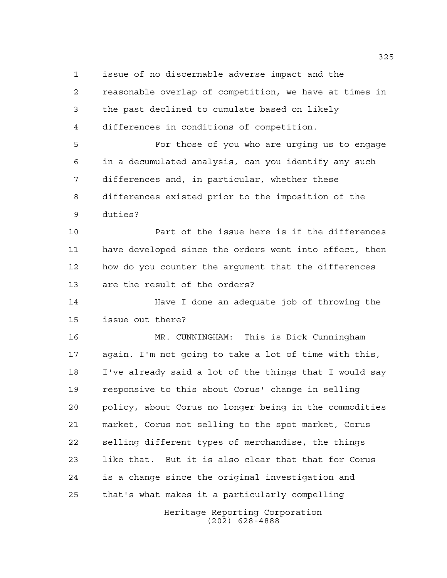issue of no discernable adverse impact and the

 reasonable overlap of competition, we have at times in the past declined to cumulate based on likely differences in conditions of competition.

 For those of you who are urging us to engage in a decumulated analysis, can you identify any such differences and, in particular, whether these differences existed prior to the imposition of the duties?

 Part of the issue here is if the differences have developed since the orders went into effect, then how do you counter the argument that the differences are the result of the orders?

 Have I done an adequate job of throwing the issue out there?

 MR. CUNNINGHAM: This is Dick Cunningham again. I'm not going to take a lot of time with this, I've already said a lot of the things that I would say responsive to this about Corus' change in selling policy, about Corus no longer being in the commodities market, Corus not selling to the spot market, Corus selling different types of merchandise, the things like that. But it is also clear that that for Corus is a change since the original investigation and that's what makes it a particularly compelling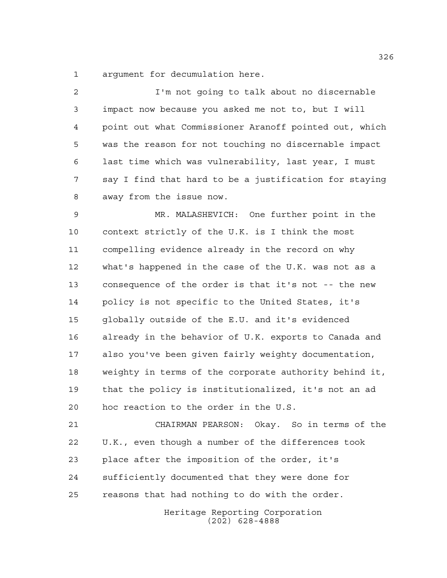argument for decumulation here.

 I'm not going to talk about no discernable impact now because you asked me not to, but I will point out what Commissioner Aranoff pointed out, which was the reason for not touching no discernable impact last time which was vulnerability, last year, I must say I find that hard to be a justification for staying away from the issue now.

 MR. MALASHEVICH: One further point in the context strictly of the U.K. is I think the most compelling evidence already in the record on why what's happened in the case of the U.K. was not as a consequence of the order is that it's not -- the new policy is not specific to the United States, it's globally outside of the E.U. and it's evidenced already in the behavior of U.K. exports to Canada and also you've been given fairly weighty documentation, weighty in terms of the corporate authority behind it, that the policy is institutionalized, it's not an ad hoc reaction to the order in the U.S.

 CHAIRMAN PEARSON: Okay. So in terms of the U.K., even though a number of the differences took place after the imposition of the order, it's sufficiently documented that they were done for reasons that had nothing to do with the order.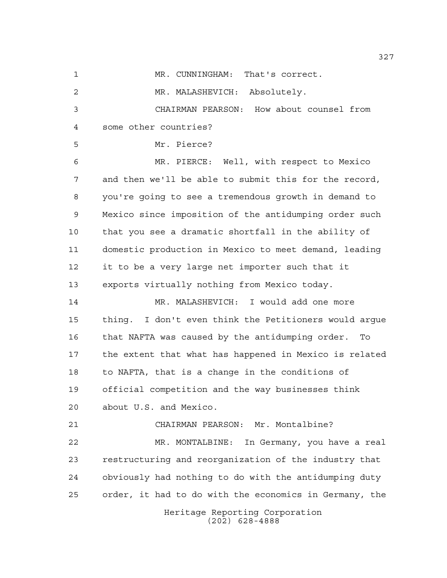Heritage Reporting Corporation MR. CUNNINGHAM: That's correct. MR. MALASHEVICH: Absolutely. CHAIRMAN PEARSON: How about counsel from some other countries? Mr. Pierce? MR. PIERCE: Well, with respect to Mexico and then we'll be able to submit this for the record, you're going to see a tremendous growth in demand to Mexico since imposition of the antidumping order such that you see a dramatic shortfall in the ability of domestic production in Mexico to meet demand, leading it to be a very large net importer such that it exports virtually nothing from Mexico today. MR. MALASHEVICH: I would add one more thing. I don't even think the Petitioners would argue that NAFTA was caused by the antidumping order. To the extent that what has happened in Mexico is related to NAFTA, that is a change in the conditions of official competition and the way businesses think about U.S. and Mexico. CHAIRMAN PEARSON: Mr. Montalbine? MR. MONTALBINE: In Germany, you have a real restructuring and reorganization of the industry that obviously had nothing to do with the antidumping duty order, it had to do with the economics in Germany, the

(202) 628-4888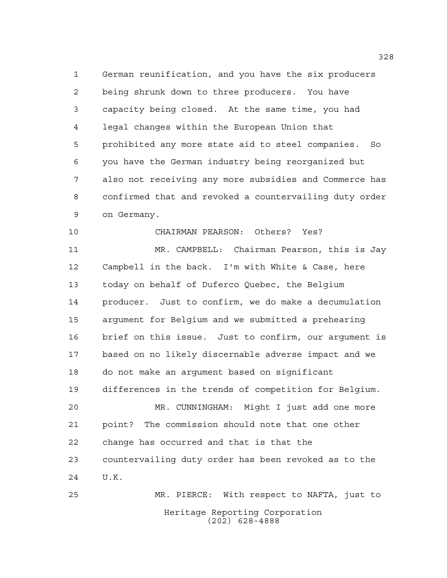German reunification, and you have the six producers being shrunk down to three producers. You have capacity being closed. At the same time, you had legal changes within the European Union that prohibited any more state aid to steel companies. So you have the German industry being reorganized but also not receiving any more subsidies and Commerce has confirmed that and revoked a countervailing duty order on Germany.

 CHAIRMAN PEARSON: Others? Yes? MR. CAMPBELL: Chairman Pearson, this is Jay Campbell in the back. I'm with White & Case, here today on behalf of Duferco Quebec, the Belgium producer. Just to confirm, we do make a decumulation argument for Belgium and we submitted a prehearing brief on this issue. Just to confirm, our argument is based on no likely discernable adverse impact and we do not make an argument based on significant differences in the trends of competition for Belgium. MR. CUNNINGHAM: Might I just add one more point? The commission should note that one other change has occurred and that is that the countervailing duty order has been revoked as to the U.K. MR. PIERCE: With respect to NAFTA, just to

Heritage Reporting Corporation (202) 628-4888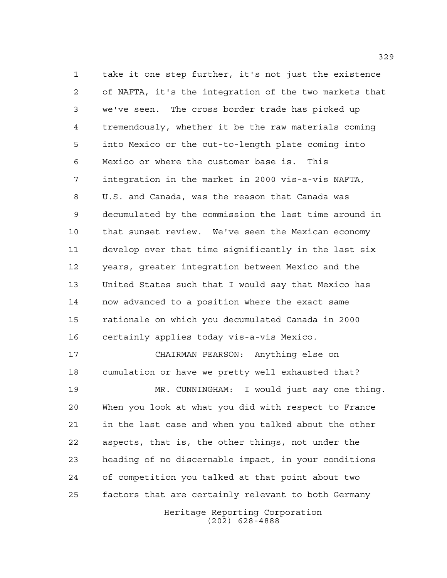take it one step further, it's not just the existence of NAFTA, it's the integration of the two markets that we've seen. The cross border trade has picked up tremendously, whether it be the raw materials coming into Mexico or the cut-to-length plate coming into Mexico or where the customer base is. This integration in the market in 2000 vis-a-vis NAFTA, U.S. and Canada, was the reason that Canada was decumulated by the commission the last time around in that sunset review. We've seen the Mexican economy develop over that time significantly in the last six years, greater integration between Mexico and the United States such that I would say that Mexico has now advanced to a position where the exact same rationale on which you decumulated Canada in 2000 certainly applies today vis-a-vis Mexico.

 CHAIRMAN PEARSON: Anything else on cumulation or have we pretty well exhausted that? MR. CUNNINGHAM: I would just say one thing. When you look at what you did with respect to France in the last case and when you talked about the other aspects, that is, the other things, not under the heading of no discernable impact, in your conditions of competition you talked at that point about two factors that are certainly relevant to both Germany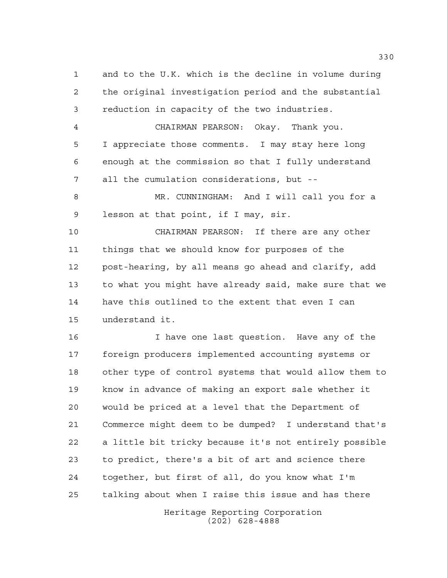and to the U.K. which is the decline in volume during the original investigation period and the substantial reduction in capacity of the two industries. CHAIRMAN PEARSON: Okay. Thank you. I appreciate those comments. I may stay here long

 enough at the commission so that I fully understand all the cumulation considerations, but --

 MR. CUNNINGHAM: And I will call you for a lesson at that point, if I may, sir.

 CHAIRMAN PEARSON: If there are any other things that we should know for purposes of the post-hearing, by all means go ahead and clarify, add to what you might have already said, make sure that we have this outlined to the extent that even I can understand it.

 I have one last question. Have any of the foreign producers implemented accounting systems or other type of control systems that would allow them to know in advance of making an export sale whether it would be priced at a level that the Department of Commerce might deem to be dumped? I understand that's a little bit tricky because it's not entirely possible to predict, there's a bit of art and science there together, but first of all, do you know what I'm talking about when I raise this issue and has there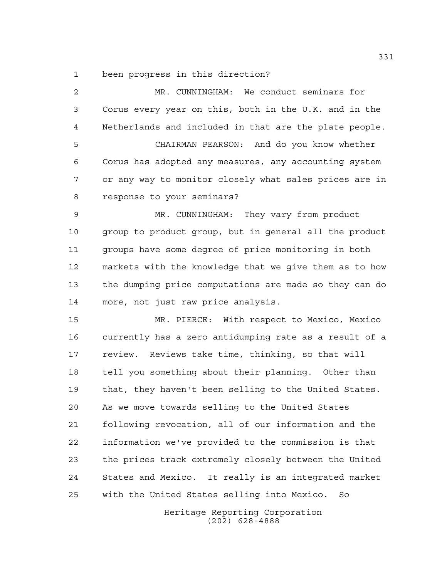been progress in this direction?

 MR. CUNNINGHAM: We conduct seminars for Corus every year on this, both in the U.K. and in the Netherlands and included in that are the plate people. CHAIRMAN PEARSON: And do you know whether Corus has adopted any measures, any accounting system or any way to monitor closely what sales prices are in response to your seminars? MR. CUNNINGHAM: They vary from product group to product group, but in general all the product groups have some degree of price monitoring in both markets with the knowledge that we give them as to how the dumping price computations are made so they can do more, not just raw price analysis. MR. PIERCE: With respect to Mexico, Mexico currently has a zero antidumping rate as a result of a review. Reviews take time, thinking, so that will tell you something about their planning. Other than that, they haven't been selling to the United States. As we move towards selling to the United States following revocation, all of our information and the information we've provided to the commission is that the prices track extremely closely between the United States and Mexico. It really is an integrated market with the United States selling into Mexico. So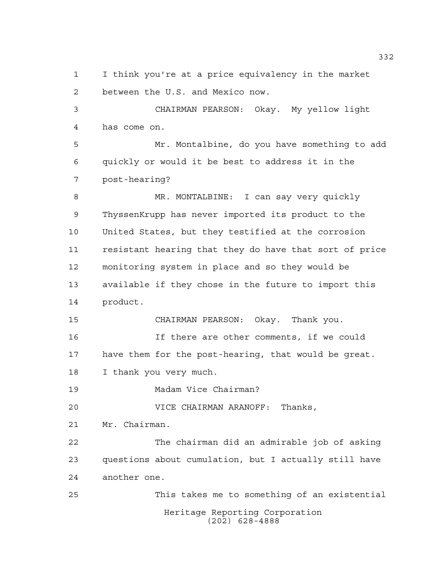I think you're at a price equivalency in the market between the U.S. and Mexico now.

 CHAIRMAN PEARSON: Okay. My yellow light has come on.

 Mr. Montalbine, do you have something to add quickly or would it be best to address it in the post-hearing?

 MR. MONTALBINE: I can say very quickly ThyssenKrupp has never imported its product to the United States, but they testified at the corrosion resistant hearing that they do have that sort of price monitoring system in place and so they would be available if they chose in the future to import this product.

CHAIRMAN PEARSON: Okay. Thank you.

 If there are other comments, if we could have them for the post-hearing, that would be great. I thank you very much.

Madam Vice Chairman?

VICE CHAIRMAN ARANOFF: Thanks,

Mr. Chairman.

 The chairman did an admirable job of asking questions about cumulation, but I actually still have another one.

Heritage Reporting Corporation (202) 628-4888 This takes me to something of an existential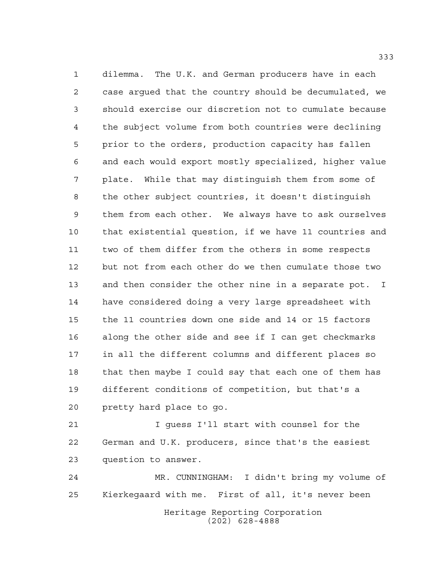dilemma. The U.K. and German producers have in each case argued that the country should be decumulated, we should exercise our discretion not to cumulate because the subject volume from both countries were declining prior to the orders, production capacity has fallen and each would export mostly specialized, higher value plate. While that may distinguish them from some of the other subject countries, it doesn't distinguish them from each other. We always have to ask ourselves that existential question, if we have 11 countries and two of them differ from the others in some respects but not from each other do we then cumulate those two and then consider the other nine in a separate pot. I have considered doing a very large spreadsheet with the 11 countries down one side and 14 or 15 factors along the other side and see if I can get checkmarks in all the different columns and different places so that then maybe I could say that each one of them has different conditions of competition, but that's a pretty hard place to go.

 I guess I'll start with counsel for the German and U.K. producers, since that's the easiest question to answer.

Heritage Reporting Corporation (202) 628-4888 MR. CUNNINGHAM: I didn't bring my volume of Kierkegaard with me. First of all, it's never been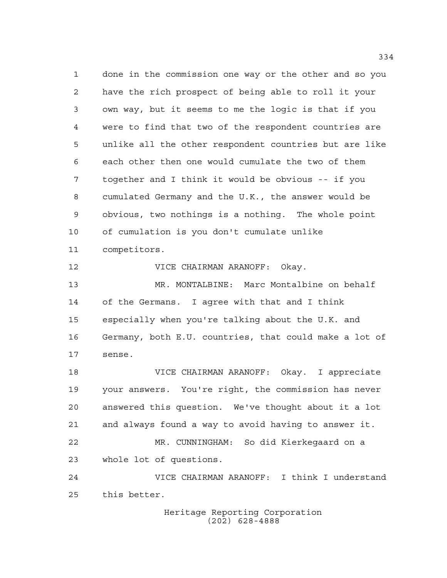done in the commission one way or the other and so you have the rich prospect of being able to roll it your own way, but it seems to me the logic is that if you were to find that two of the respondent countries are unlike all the other respondent countries but are like each other then one would cumulate the two of them together and I think it would be obvious -- if you cumulated Germany and the U.K., the answer would be obvious, two nothings is a nothing. The whole point of cumulation is you don't cumulate unlike competitors. VICE CHAIRMAN ARANOFF: Okay. MR. MONTALBINE: Marc Montalbine on behalf

 of the Germans. I agree with that and I think especially when you're talking about the U.K. and Germany, both E.U. countries, that could make a lot of sense.

 VICE CHAIRMAN ARANOFF: Okay. I appreciate your answers. You're right, the commission has never answered this question. We've thought about it a lot and always found a way to avoid having to answer it. MR. CUNNINGHAM: So did Kierkegaard on a whole lot of questions.

 VICE CHAIRMAN ARANOFF: I think I understand this better.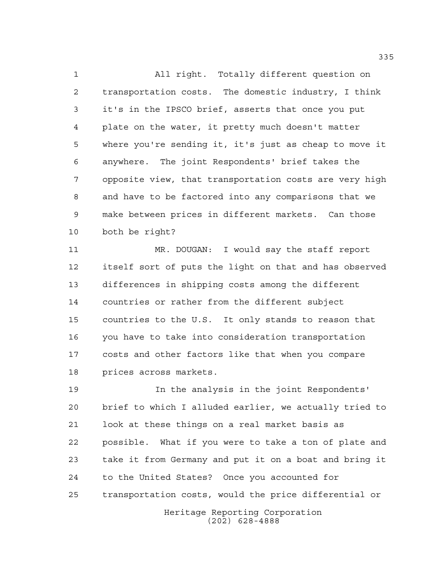All right. Totally different question on transportation costs. The domestic industry, I think it's in the IPSCO brief, asserts that once you put plate on the water, it pretty much doesn't matter where you're sending it, it's just as cheap to move it anywhere. The joint Respondents' brief takes the opposite view, that transportation costs are very high and have to be factored into any comparisons that we make between prices in different markets. Can those both be right?

 MR. DOUGAN: I would say the staff report itself sort of puts the light on that and has observed differences in shipping costs among the different countries or rather from the different subject countries to the U.S. It only stands to reason that you have to take into consideration transportation costs and other factors like that when you compare prices across markets.

 In the analysis in the joint Respondents' brief to which I alluded earlier, we actually tried to look at these things on a real market basis as possible. What if you were to take a ton of plate and take it from Germany and put it on a boat and bring it to the United States? Once you accounted for transportation costs, would the price differential or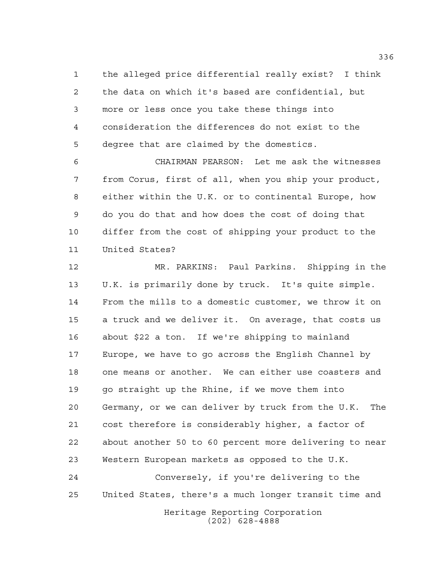the alleged price differential really exist? I think the data on which it's based are confidential, but more or less once you take these things into consideration the differences do not exist to the degree that are claimed by the domestics.

 CHAIRMAN PEARSON: Let me ask the witnesses from Corus, first of all, when you ship your product, either within the U.K. or to continental Europe, how do you do that and how does the cost of doing that differ from the cost of shipping your product to the United States?

 MR. PARKINS: Paul Parkins. Shipping in the U.K. is primarily done by truck. It's quite simple. From the mills to a domestic customer, we throw it on a truck and we deliver it. On average, that costs us about \$22 a ton. If we're shipping to mainland Europe, we have to go across the English Channel by one means or another. We can either use coasters and go straight up the Rhine, if we move them into Germany, or we can deliver by truck from the U.K. The cost therefore is considerably higher, a factor of about another 50 to 60 percent more delivering to near Western European markets as opposed to the U.K.

 Conversely, if you're delivering to the United States, there's a much longer transit time and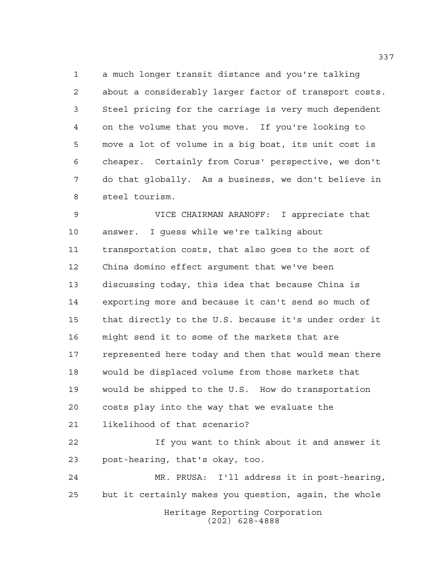a much longer transit distance and you're talking about a considerably larger factor of transport costs. Steel pricing for the carriage is very much dependent on the volume that you move. If you're looking to move a lot of volume in a big boat, its unit cost is cheaper. Certainly from Corus' perspective, we don't do that globally. As a business, we don't believe in steel tourism.

 VICE CHAIRMAN ARANOFF: I appreciate that answer. I guess while we're talking about transportation costs, that also goes to the sort of China domino effect argument that we've been discussing today, this idea that because China is exporting more and because it can't send so much of that directly to the U.S. because it's under order it might send it to some of the markets that are represented here today and then that would mean there would be displaced volume from those markets that would be shipped to the U.S. How do transportation costs play into the way that we evaluate the likelihood of that scenario? If you want to think about it and answer it post-hearing, that's okay, too. MR. PRUSA: I'll address it in post-hearing, but it certainly makes you question, again, the whole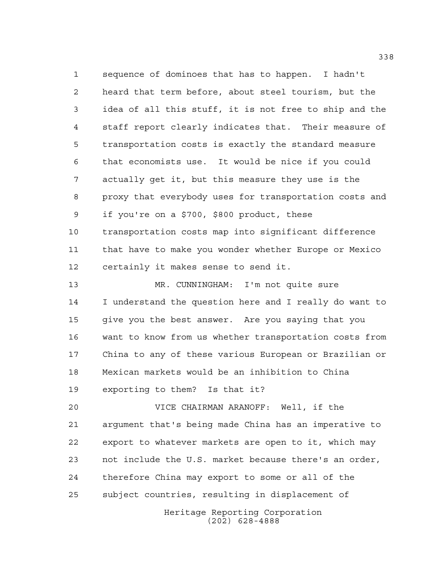sequence of dominoes that has to happen. I hadn't heard that term before, about steel tourism, but the idea of all this stuff, it is not free to ship and the staff report clearly indicates that. Their measure of transportation costs is exactly the standard measure that economists use. It would be nice if you could actually get it, but this measure they use is the proxy that everybody uses for transportation costs and if you're on a \$700, \$800 product, these transportation costs map into significant difference that have to make you wonder whether Europe or Mexico certainly it makes sense to send it.

 MR. CUNNINGHAM: I'm not quite sure I understand the question here and I really do want to give you the best answer. Are you saying that you want to know from us whether transportation costs from China to any of these various European or Brazilian or Mexican markets would be an inhibition to China exporting to them? Is that it?

 VICE CHAIRMAN ARANOFF: Well, if the argument that's being made China has an imperative to export to whatever markets are open to it, which may not include the U.S. market because there's an order, therefore China may export to some or all of the subject countries, resulting in displacement of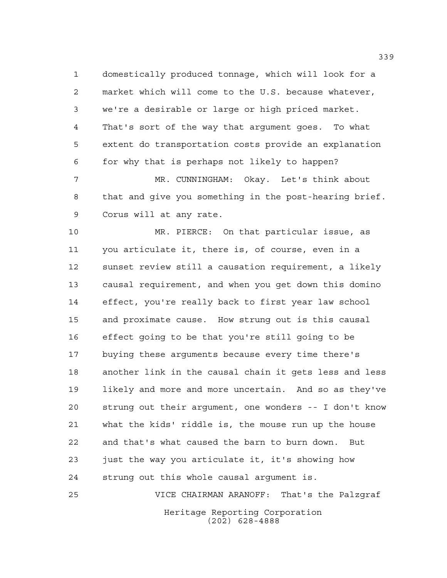domestically produced tonnage, which will look for a market which will come to the U.S. because whatever, we're a desirable or large or high priced market. That's sort of the way that argument goes. To what extent do transportation costs provide an explanation for why that is perhaps not likely to happen?

 MR. CUNNINGHAM: Okay. Let's think about that and give you something in the post-hearing brief. Corus will at any rate.

 MR. PIERCE: On that particular issue, as you articulate it, there is, of course, even in a sunset review still a causation requirement, a likely causal requirement, and when you get down this domino effect, you're really back to first year law school and proximate cause. How strung out is this causal effect going to be that you're still going to be buying these arguments because every time there's another link in the causal chain it gets less and less likely and more and more uncertain. And so as they've strung out their argument, one wonders -- I don't know what the kids' riddle is, the mouse run up the house and that's what caused the barn to burn down. But just the way you articulate it, it's showing how strung out this whole causal argument is.

Heritage Reporting Corporation (202) 628-4888 VICE CHAIRMAN ARANOFF: That's the Palzgraf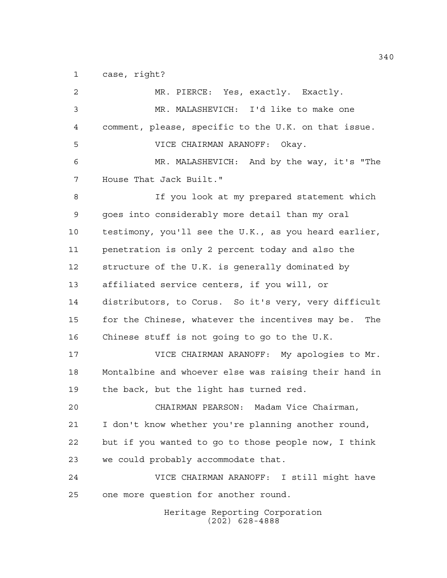case, right?

| 2  | MR. PIERCE: Yes, exactly. Exactly.                    |
|----|-------------------------------------------------------|
| 3  | MR. MALASHEVICH: I'd like to make one                 |
| 4  | comment, please, specific to the U.K. on that issue.  |
| 5  | VICE CHAIRMAN ARANOFF: Okay.                          |
| 6  | MR. MALASHEVICH: And by the way, it's "The            |
| 7  | House That Jack Built."                               |
| 8  | If you look at my prepared statement which            |
| 9  | goes into considerably more detail than my oral       |
| 10 | testimony, you'll see the U.K., as you heard earlier, |
| 11 | penetration is only 2 percent today and also the      |
| 12 | structure of the U.K. is generally dominated by       |
| 13 | affiliated service centers, if you will, or           |
| 14 | distributors, to Corus. So it's very, very difficult  |
| 15 | for the Chinese, whatever the incentives may be. The  |
| 16 | Chinese stuff is not going to go to the U.K.          |
| 17 | VICE CHAIRMAN ARANOFF: My apologies to Mr.            |
| 18 | Montalbine and whoever else was raising their hand in |
| 19 | the back, but the light has turned red.               |
| 20 | CHAIRMAN PEARSON: Madam Vice Chairman,                |
| 21 | I don't know whether you're planning another round,   |
| 22 | but if you wanted to go to those people now, I think  |
| 23 | we could probably accommodate that.                   |
| 24 | VICE CHAIRMAN ARANOFF: I still might have             |
| 25 | one more question for another round.                  |
|    | Heritage Reporting Corporation<br>$(202)$ 628-4888    |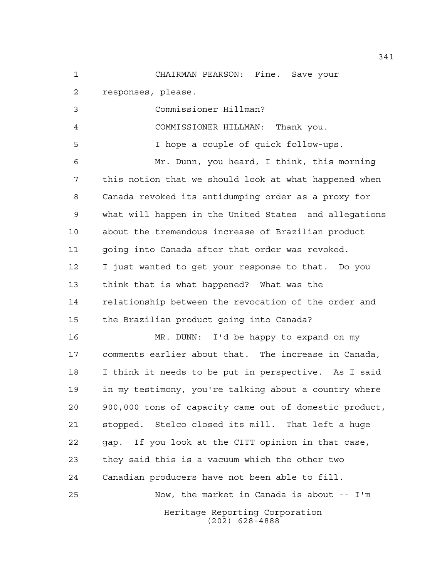CHAIRMAN PEARSON: Fine. Save your

responses, please.

Commissioner Hillman?

COMMISSIONER HILLMAN: Thank you.

I hope a couple of quick follow-ups.

 Mr. Dunn, you heard, I think, this morning this notion that we should look at what happened when Canada revoked its antidumping order as a proxy for what will happen in the United States and allegations about the tremendous increase of Brazilian product going into Canada after that order was revoked. I just wanted to get your response to that. Do you think that is what happened? What was the relationship between the revocation of the order and the Brazilian product going into Canada?

 MR. DUNN: I'd be happy to expand on my comments earlier about that. The increase in Canada, I think it needs to be put in perspective. As I said in my testimony, you're talking about a country where 900,000 tons of capacity came out of domestic product, stopped. Stelco closed its mill. That left a huge gap. If you look at the CITT opinion in that case, they said this is a vacuum which the other two Canadian producers have not been able to fill. Now, the market in Canada is about -- I'm

Heritage Reporting Corporation (202) 628-4888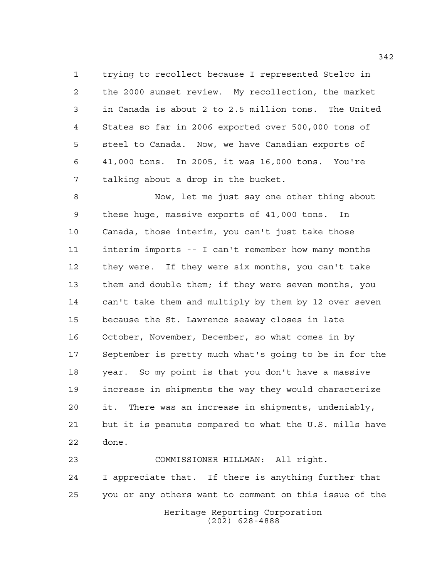trying to recollect because I represented Stelco in the 2000 sunset review. My recollection, the market in Canada is about 2 to 2.5 million tons. The United States so far in 2006 exported over 500,000 tons of steel to Canada. Now, we have Canadian exports of 41,000 tons. In 2005, it was 16,000 tons. You're talking about a drop in the bucket.

 Now, let me just say one other thing about these huge, massive exports of 41,000 tons. In Canada, those interim, you can't just take those interim imports -- I can't remember how many months they were. If they were six months, you can't take them and double them; if they were seven months, you can't take them and multiply by them by 12 over seven because the St. Lawrence seaway closes in late October, November, December, so what comes in by September is pretty much what's going to be in for the year. So my point is that you don't have a massive increase in shipments the way they would characterize it. There was an increase in shipments, undeniably, but it is peanuts compared to what the U.S. mills have done.

Heritage Reporting Corporation (202) 628-4888 COMMISSIONER HILLMAN: All right. I appreciate that. If there is anything further that you or any others want to comment on this issue of the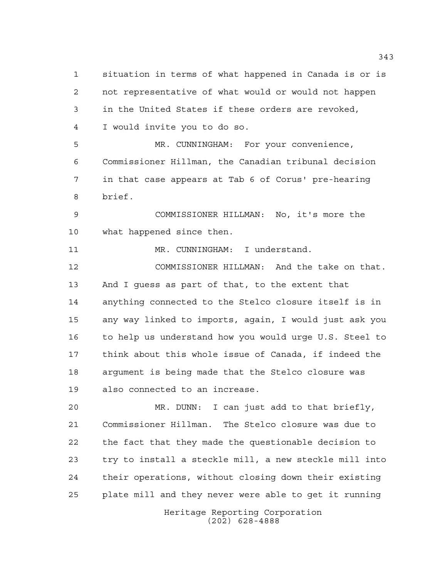situation in terms of what happened in Canada is or is not representative of what would or would not happen in the United States if these orders are revoked, I would invite you to do so.

 MR. CUNNINGHAM: For your convenience, Commissioner Hillman, the Canadian tribunal decision in that case appears at Tab 6 of Corus' pre-hearing brief.

 COMMISSIONER HILLMAN: No, it's more the what happened since then.

11 MR. CUNNINGHAM: I understand.

 COMMISSIONER HILLMAN: And the take on that. And I guess as part of that, to the extent that anything connected to the Stelco closure itself is in any way linked to imports, again, I would just ask you to help us understand how you would urge U.S. Steel to think about this whole issue of Canada, if indeed the argument is being made that the Stelco closure was also connected to an increase.

 MR. DUNN: I can just add to that briefly, Commissioner Hillman. The Stelco closure was due to the fact that they made the questionable decision to try to install a steckle mill, a new steckle mill into their operations, without closing down their existing plate mill and they never were able to get it running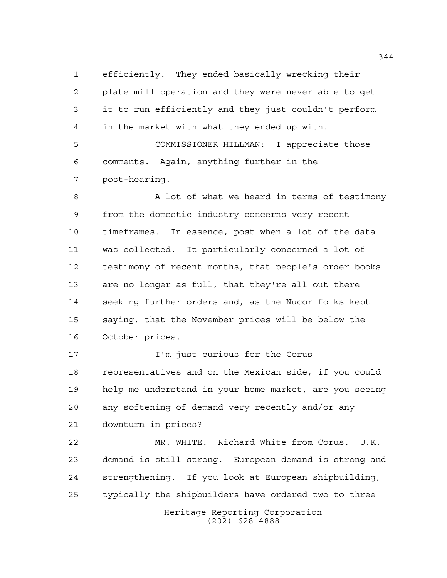efficiently. They ended basically wrecking their plate mill operation and they were never able to get it to run efficiently and they just couldn't perform in the market with what they ended up with. COMMISSIONER HILLMAN: I appreciate those

 comments. Again, anything further in the post-hearing.

8 A lot of what we heard in terms of testimony from the domestic industry concerns very recent timeframes. In essence, post when a lot of the data was collected. It particularly concerned a lot of testimony of recent months, that people's order books are no longer as full, that they're all out there seeking further orders and, as the Nucor folks kept saying, that the November prices will be below the October prices.

 I'm just curious for the Corus representatives and on the Mexican side, if you could help me understand in your home market, are you seeing any softening of demand very recently and/or any downturn in prices?

 MR. WHITE: Richard White from Corus. U.K. demand is still strong. European demand is strong and strengthening. If you look at European shipbuilding, typically the shipbuilders have ordered two to three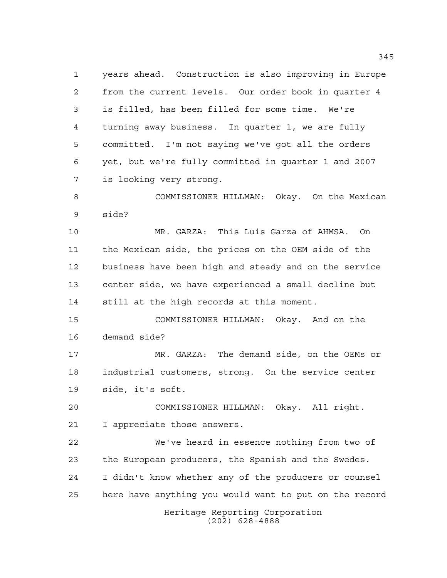years ahead. Construction is also improving in Europe from the current levels. Our order book in quarter 4 is filled, has been filled for some time. We're turning away business. In quarter 1, we are fully committed. I'm not saying we've got all the orders yet, but we're fully committed in quarter 1 and 2007 is looking very strong.

 COMMISSIONER HILLMAN: Okay. On the Mexican side?

 MR. GARZA: This Luis Garza of AHMSA. On the Mexican side, the prices on the OEM side of the business have been high and steady and on the service center side, we have experienced a small decline but still at the high records at this moment.

 COMMISSIONER HILLMAN: Okay. And on the demand side?

 MR. GARZA: The demand side, on the OEMs or industrial customers, strong. On the service center side, it's soft.

 COMMISSIONER HILLMAN: Okay. All right. I appreciate those answers.

 We've heard in essence nothing from two of the European producers, the Spanish and the Swedes. I didn't know whether any of the producers or counsel here have anything you would want to put on the record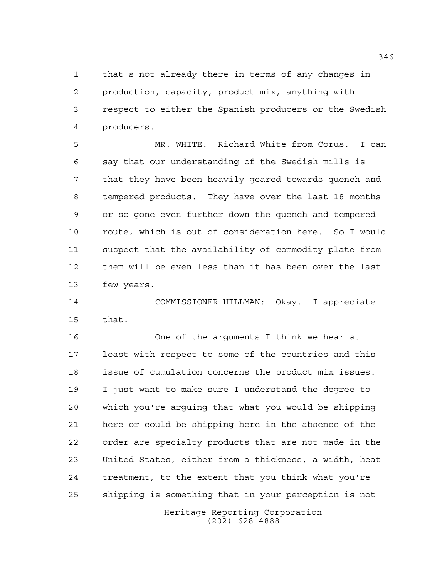that's not already there in terms of any changes in production, capacity, product mix, anything with respect to either the Spanish producers or the Swedish producers.

 MR. WHITE: Richard White from Corus. I can say that our understanding of the Swedish mills is that they have been heavily geared towards quench and tempered products. They have over the last 18 months or so gone even further down the quench and tempered route, which is out of consideration here. So I would suspect that the availability of commodity plate from them will be even less than it has been over the last few years.

 COMMISSIONER HILLMAN: Okay. I appreciate that.

 One of the arguments I think we hear at least with respect to some of the countries and this issue of cumulation concerns the product mix issues. I just want to make sure I understand the degree to which you're arguing that what you would be shipping here or could be shipping here in the absence of the order are specialty products that are not made in the United States, either from a thickness, a width, heat treatment, to the extent that you think what you're shipping is something that in your perception is not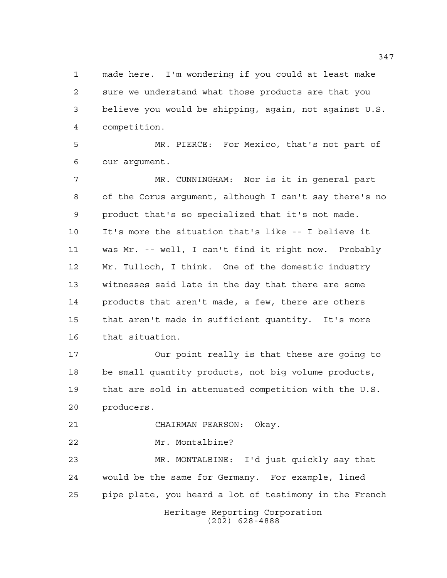made here. I'm wondering if you could at least make sure we understand what those products are that you believe you would be shipping, again, not against U.S. competition.

 MR. PIERCE: For Mexico, that's not part of our argument.

 MR. CUNNINGHAM: Nor is it in general part of the Corus argument, although I can't say there's no product that's so specialized that it's not made. It's more the situation that's like -- I believe it was Mr. -- well, I can't find it right now. Probably Mr. Tulloch, I think. One of the domestic industry witnesses said late in the day that there are some products that aren't made, a few, there are others that aren't made in sufficient quantity. It's more that situation.

 Our point really is that these are going to be small quantity products, not big volume products, that are sold in attenuated competition with the U.S. producers.

CHAIRMAN PEARSON: Okay.

Mr. Montalbine?

 MR. MONTALBINE: I'd just quickly say that would be the same for Germany. For example, lined pipe plate, you heard a lot of testimony in the French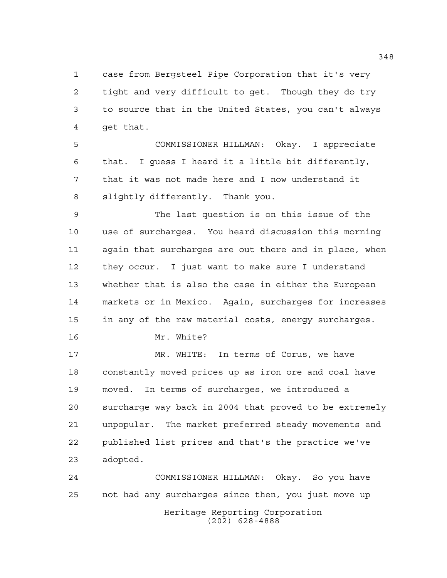case from Bergsteel Pipe Corporation that it's very tight and very difficult to get. Though they do try to source that in the United States, you can't always get that.

 COMMISSIONER HILLMAN: Okay. I appreciate that. I guess I heard it a little bit differently, that it was not made here and I now understand it slightly differently. Thank you.

 The last question is on this issue of the use of surcharges. You heard discussion this morning again that surcharges are out there and in place, when they occur. I just want to make sure I understand whether that is also the case in either the European markets or in Mexico. Again, surcharges for increases in any of the raw material costs, energy surcharges. Mr. White?

 MR. WHITE: In terms of Corus, we have constantly moved prices up as iron ore and coal have moved. In terms of surcharges, we introduced a surcharge way back in 2004 that proved to be extremely unpopular. The market preferred steady movements and published list prices and that's the practice we've adopted.

Heritage Reporting Corporation (202) 628-4888 COMMISSIONER HILLMAN: Okay. So you have not had any surcharges since then, you just move up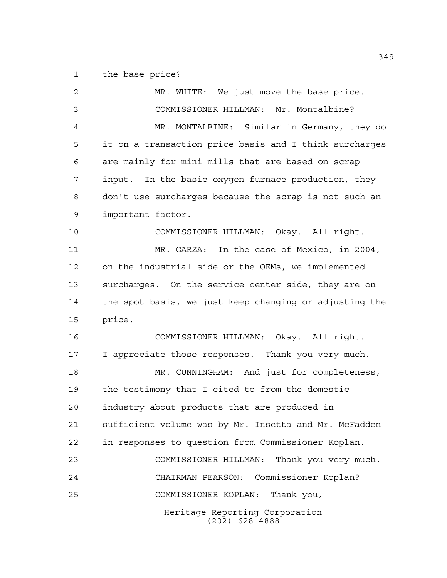the base price?

Heritage Reporting Corporation (202) 628-4888 MR. WHITE: We just move the base price. COMMISSIONER HILLMAN: Mr. Montalbine? MR. MONTALBINE: Similar in Germany, they do it on a transaction price basis and I think surcharges are mainly for mini mills that are based on scrap input. In the basic oxygen furnace production, they don't use surcharges because the scrap is not such an important factor. COMMISSIONER HILLMAN: Okay. All right. MR. GARZA: In the case of Mexico, in 2004, on the industrial side or the OEMs, we implemented surcharges. On the service center side, they are on the spot basis, we just keep changing or adjusting the price. COMMISSIONER HILLMAN: Okay. All right. I appreciate those responses. Thank you very much. MR. CUNNINGHAM: And just for completeness, the testimony that I cited to from the domestic industry about products that are produced in sufficient volume was by Mr. Insetta and Mr. McFadden in responses to question from Commissioner Koplan. COMMISSIONER HILLMAN: Thank you very much. CHAIRMAN PEARSON: Commissioner Koplan? COMMISSIONER KOPLAN: Thank you,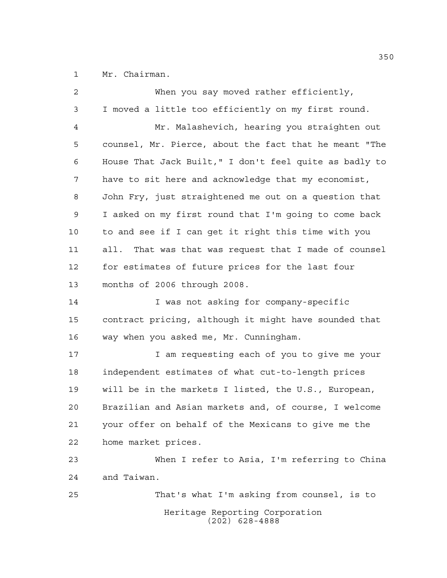Mr. Chairman.

| $\overline{c}$ | When you say moved rather efficiently,                 |
|----------------|--------------------------------------------------------|
| 3              | I moved a little too efficiently on my first round.    |
| 4              | Mr. Malashevich, hearing you straighten out            |
| 5              | counsel, Mr. Pierce, about the fact that he meant "The |
| 6              | House That Jack Built," I don't feel quite as badly to |
| 7              | have to sit here and acknowledge that my economist,    |
| 8              | John Fry, just straightened me out on a question that  |
| 9              | I asked on my first round that I'm going to come back  |
| 10             | to and see if I can get it right this time with you    |
| 11             | all. That was that was request that I made of counsel  |
| 12             | for estimates of future prices for the last four       |
| 13             | months of 2006 through 2008.                           |
| 14             | I was not asking for company-specific                  |
| 15             | contract pricing, although it might have sounded that  |
| 16             | way when you asked me, Mr. Cunningham.                 |
| 17             | I am requesting each of you to give me your            |
| 18             | independent estimates of what cut-to-length prices     |
| 19             | will be in the markets I listed, the U.S., European,   |
| 20             | Brazilian and Asian markets and, of course, I welcome  |
| 21             | your offer on behalf of the Mexicans to give me the    |
| 22             | home market prices.                                    |
| 23             | When I refer to Asia, I'm referring to China           |
| 24             | and Taiwan.                                            |
| 25             | That's what I'm asking from counsel, is to             |
|                | Heritage Reporting Corporation<br>$(202)$ 628-4888     |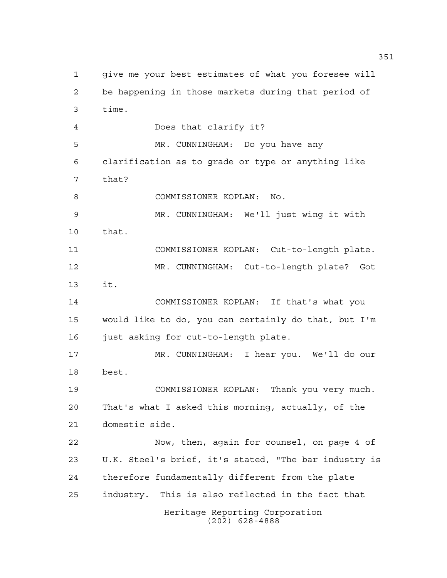Heritage Reporting Corporation (202) 628-4888 give me your best estimates of what you foresee will be happening in those markets during that period of time. Does that clarify it? MR. CUNNINGHAM: Do you have any clarification as to grade or type or anything like that? COMMISSIONER KOPLAN: No. MR. CUNNINGHAM: We'll just wing it with that. COMMISSIONER KOPLAN: Cut-to-length plate. MR. CUNNINGHAM: Cut-to-length plate? Got it. COMMISSIONER KOPLAN: If that's what you would like to do, you can certainly do that, but I'm just asking for cut-to-length plate. MR. CUNNINGHAM: I hear you. We'll do our best. COMMISSIONER KOPLAN: Thank you very much. That's what I asked this morning, actually, of the domestic side. Now, then, again for counsel, on page 4 of U.K. Steel's brief, it's stated, "The bar industry is therefore fundamentally different from the plate industry. This is also reflected in the fact that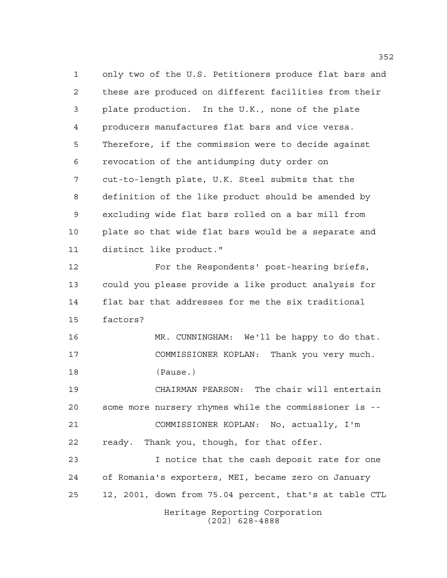Heritage Reporting Corporation (202) 628-4888 only two of the U.S. Petitioners produce flat bars and these are produced on different facilities from their plate production. In the U.K., none of the plate producers manufactures flat bars and vice versa. Therefore, if the commission were to decide against revocation of the antidumping duty order on cut-to-length plate, U.K. Steel submits that the definition of the like product should be amended by excluding wide flat bars rolled on a bar mill from plate so that wide flat bars would be a separate and distinct like product." For the Respondents' post-hearing briefs, could you please provide a like product analysis for flat bar that addresses for me the six traditional factors? MR. CUNNINGHAM: We'll be happy to do that. COMMISSIONER KOPLAN: Thank you very much. (Pause.) CHAIRMAN PEARSON: The chair will entertain some more nursery rhymes while the commissioner is -- COMMISSIONER KOPLAN: No, actually, I'm ready. Thank you, though, for that offer. I notice that the cash deposit rate for one of Romania's exporters, MEI, became zero on January 12, 2001, down from 75.04 percent, that's at table CTL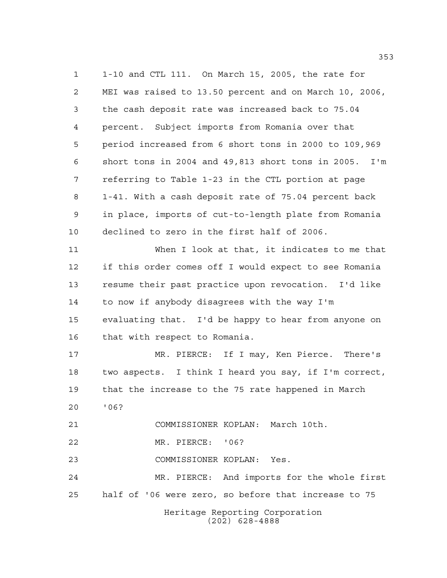Heritage Reporting Corporation (202) 628-4888 1-10 and CTL 111. On March 15, 2005, the rate for MEI was raised to 13.50 percent and on March 10, 2006, the cash deposit rate was increased back to 75.04 percent. Subject imports from Romania over that period increased from 6 short tons in 2000 to 109,969 short tons in 2004 and 49,813 short tons in 2005. I'm referring to Table 1-23 in the CTL portion at page 1-41. With a cash deposit rate of 75.04 percent back in place, imports of cut-to-length plate from Romania declined to zero in the first half of 2006. When I look at that, it indicates to me that if this order comes off I would expect to see Romania resume their past practice upon revocation. I'd like to now if anybody disagrees with the way I'm evaluating that. I'd be happy to hear from anyone on that with respect to Romania. MR. PIERCE: If I may, Ken Pierce. There's two aspects. I think I heard you say, if I'm correct, that the increase to the 75 rate happened in March '06? COMMISSIONER KOPLAN: March 10th. MR. PIERCE: '06? COMMISSIONER KOPLAN: Yes. MR. PIERCE: And imports for the whole first half of '06 were zero, so before that increase to 75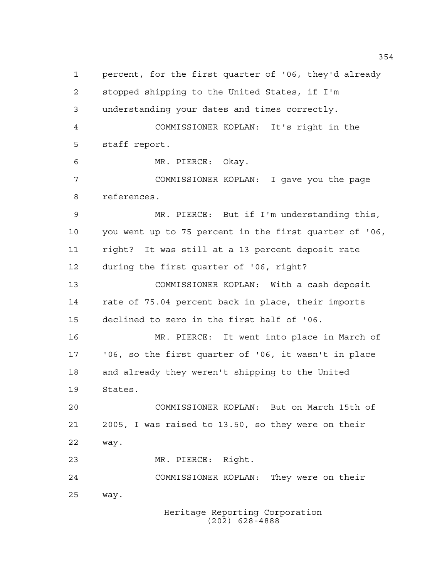percent, for the first quarter of '06, they'd already stopped shipping to the United States, if I'm understanding your dates and times correctly. COMMISSIONER KOPLAN: It's right in the staff report. MR. PIERCE: Okay. COMMISSIONER KOPLAN: I gave you the page references. MR. PIERCE: But if I'm understanding this, you went up to 75 percent in the first quarter of '06, right? It was still at a 13 percent deposit rate during the first quarter of '06, right? COMMISSIONER KOPLAN: With a cash deposit rate of 75.04 percent back in place, their imports declined to zero in the first half of '06. MR. PIERCE: It went into place in March of '06, so the first quarter of '06, it wasn't in place and already they weren't shipping to the United States. COMMISSIONER KOPLAN: But on March 15th of 2005, I was raised to 13.50, so they were on their way. MR. PIERCE: Right. COMMISSIONER KOPLAN: They were on their way.

Heritage Reporting Corporation (202) 628-4888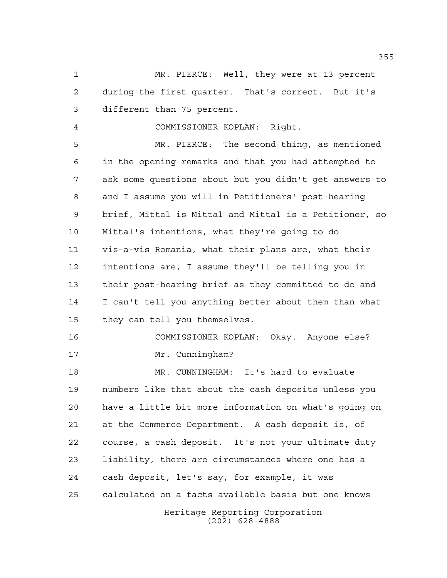MR. PIERCE: Well, they were at 13 percent during the first quarter. That's correct. But it's different than 75 percent.

COMMISSIONER KOPLAN: Right.

 MR. PIERCE: The second thing, as mentioned in the opening remarks and that you had attempted to ask some questions about but you didn't get answers to and I assume you will in Petitioners' post-hearing brief, Mittal is Mittal and Mittal is a Petitioner, so Mittal's intentions, what they're going to do vis-a-vis Romania, what their plans are, what their intentions are, I assume they'll be telling you in their post-hearing brief as they committed to do and I can't tell you anything better about them than what they can tell you themselves.

 COMMISSIONER KOPLAN: Okay. Anyone else? 17 Mr. Cunningham?

Heritage Reporting Corporation MR. CUNNINGHAM: It's hard to evaluate numbers like that about the cash deposits unless you have a little bit more information on what's going on at the Commerce Department. A cash deposit is, of course, a cash deposit. It's not your ultimate duty liability, there are circumstances where one has a cash deposit, let's say, for example, it was calculated on a facts available basis but one knows

(202) 628-4888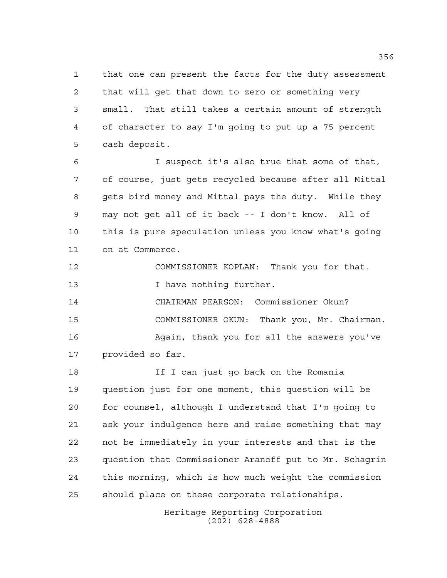that one can present the facts for the duty assessment that will get that down to zero or something very small. That still takes a certain amount of strength of character to say I'm going to put up a 75 percent cash deposit.

 I suspect it's also true that some of that, of course, just gets recycled because after all Mittal gets bird money and Mittal pays the duty. While they may not get all of it back -- I don't know. All of this is pure speculation unless you know what's going on at Commerce.

COMMISSIONER KOPLAN: Thank you for that.

13 I have nothing further.

 CHAIRMAN PEARSON: Commissioner Okun? COMMISSIONER OKUN: Thank you, Mr. Chairman.

16 Again, thank you for all the answers you've provided so far.

 If I can just go back on the Romania question just for one moment, this question will be for counsel, although I understand that I'm going to ask your indulgence here and raise something that may not be immediately in your interests and that is the question that Commissioner Aranoff put to Mr. Schagrin this morning, which is how much weight the commission should place on these corporate relationships.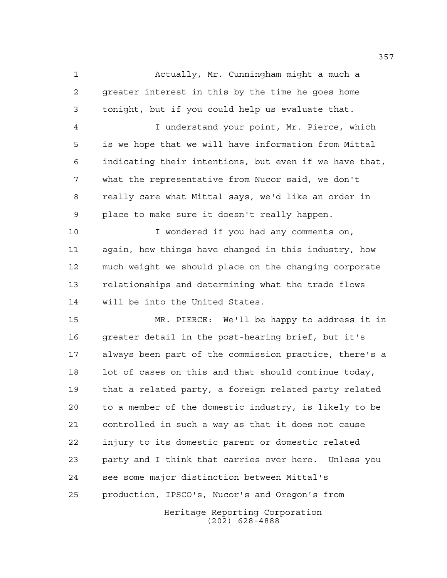Actually, Mr. Cunningham might a much a greater interest in this by the time he goes home tonight, but if you could help us evaluate that.

 I understand your point, Mr. Pierce, which is we hope that we will have information from Mittal indicating their intentions, but even if we have that, what the representative from Nucor said, we don't really care what Mittal says, we'd like an order in place to make sure it doesn't really happen.

 I wondered if you had any comments on, again, how things have changed in this industry, how much weight we should place on the changing corporate relationships and determining what the trade flows will be into the United States.

 MR. PIERCE: We'll be happy to address it in greater detail in the post-hearing brief, but it's always been part of the commission practice, there's a 18 lot of cases on this and that should continue today, that a related party, a foreign related party related to a member of the domestic industry, is likely to be controlled in such a way as that it does not cause injury to its domestic parent or domestic related party and I think that carries over here. Unless you see some major distinction between Mittal's production, IPSCO's, Nucor's and Oregon's from

> Heritage Reporting Corporation (202) 628-4888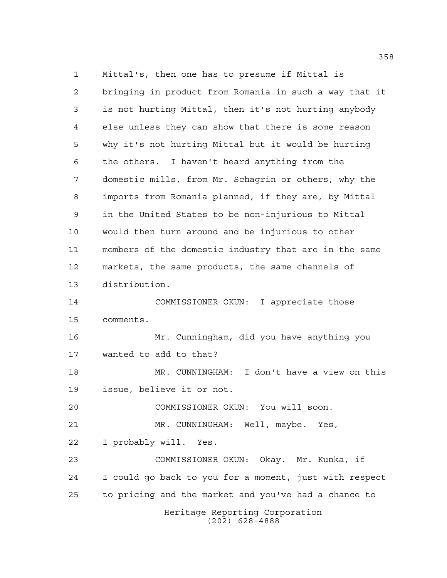Heritage Reporting Corporation (202) 628-4888 Mittal's, then one has to presume if Mittal is bringing in product from Romania in such a way that it is not hurting Mittal, then it's not hurting anybody else unless they can show that there is some reason why it's not hurting Mittal but it would be hurting the others. I haven't heard anything from the domestic mills, from Mr. Schagrin or others, why the imports from Romania planned, if they are, by Mittal in the United States to be non-injurious to Mittal would then turn around and be injurious to other members of the domestic industry that are in the same markets, the same products, the same channels of distribution. COMMISSIONER OKUN: I appreciate those comments. Mr. Cunningham, did you have anything you wanted to add to that? MR. CUNNINGHAM: I don't have a view on this issue, believe it or not. COMMISSIONER OKUN: You will soon. MR. CUNNINGHAM: Well, maybe. Yes, I probably will. Yes. COMMISSIONER OKUN: Okay. Mr. Kunka, if I could go back to you for a moment, just with respect to pricing and the market and you've had a chance to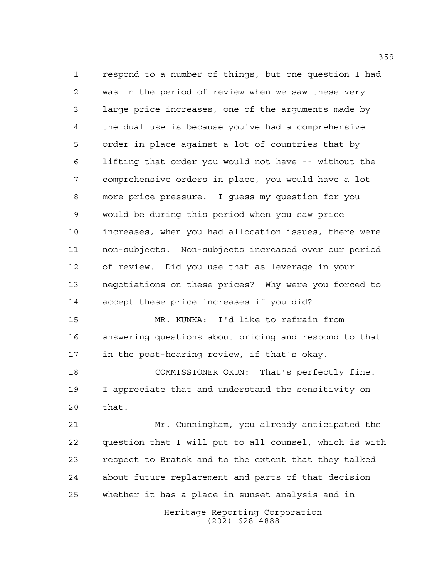respond to a number of things, but one question I had was in the period of review when we saw these very large price increases, one of the arguments made by the dual use is because you've had a comprehensive order in place against a lot of countries that by lifting that order you would not have -- without the comprehensive orders in place, you would have a lot more price pressure. I guess my question for you would be during this period when you saw price increases, when you had allocation issues, there were non-subjects. Non-subjects increased over our period of review. Did you use that as leverage in your negotiations on these prices? Why were you forced to accept these price increases if you did? MR. KUNKA: I'd like to refrain from

 answering questions about pricing and respond to that in the post-hearing review, if that's okay.

 COMMISSIONER OKUN: That's perfectly fine. I appreciate that and understand the sensitivity on that.

 Mr. Cunningham, you already anticipated the question that I will put to all counsel, which is with respect to Bratsk and to the extent that they talked about future replacement and parts of that decision whether it has a place in sunset analysis and in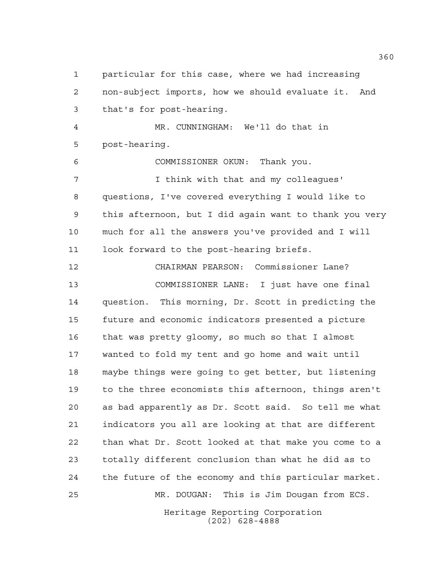particular for this case, where we had increasing non-subject imports, how we should evaluate it. And that's for post-hearing. MR. CUNNINGHAM: We'll do that in post-hearing. COMMISSIONER OKUN: Thank you. **I** think with that and my colleagues' questions, I've covered everything I would like to this afternoon, but I did again want to thank you very much for all the answers you've provided and I will look forward to the post-hearing briefs. CHAIRMAN PEARSON: Commissioner Lane? COMMISSIONER LANE: I just have one final question. This morning, Dr. Scott in predicting the future and economic indicators presented a picture that was pretty gloomy, so much so that I almost wanted to fold my tent and go home and wait until maybe things were going to get better, but listening to the three economists this afternoon, things aren't as bad apparently as Dr. Scott said. So tell me what indicators you all are looking at that are different than what Dr. Scott looked at that make you come to a totally different conclusion than what he did as to the future of the economy and this particular market. MR. DOUGAN: This is Jim Dougan from ECS.

> Heritage Reporting Corporation (202) 628-4888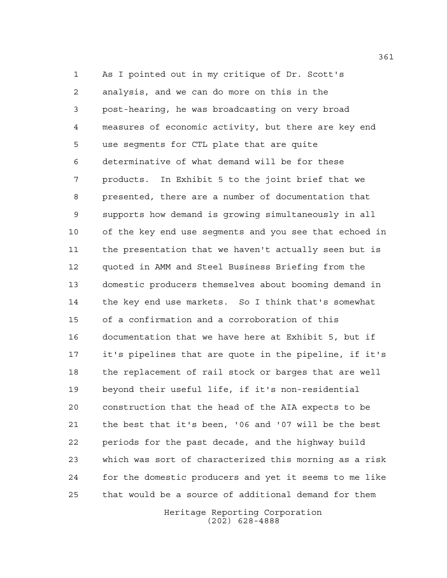As I pointed out in my critique of Dr. Scott's analysis, and we can do more on this in the post-hearing, he was broadcasting on very broad measures of economic activity, but there are key end use segments for CTL plate that are quite determinative of what demand will be for these products. In Exhibit 5 to the joint brief that we presented, there are a number of documentation that supports how demand is growing simultaneously in all of the key end use segments and you see that echoed in the presentation that we haven't actually seen but is quoted in AMM and Steel Business Briefing from the domestic producers themselves about booming demand in the key end use markets. So I think that's somewhat of a confirmation and a corroboration of this documentation that we have here at Exhibit 5, but if it's pipelines that are quote in the pipeline, if it's the replacement of rail stock or barges that are well beyond their useful life, if it's non-residential construction that the head of the AIA expects to be the best that it's been, '06 and '07 will be the best periods for the past decade, and the highway build which was sort of characterized this morning as a risk for the domestic producers and yet it seems to me like that would be a source of additional demand for them

> Heritage Reporting Corporation (202) 628-4888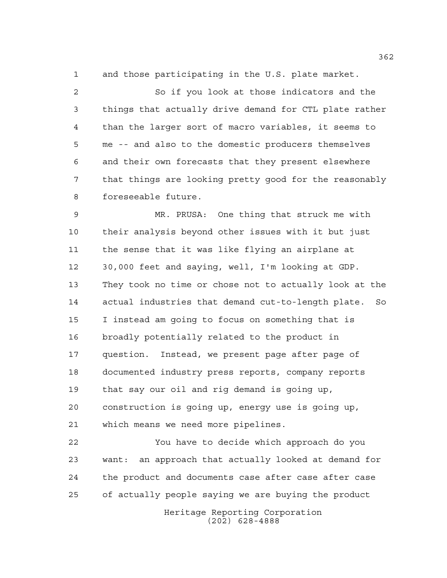and those participating in the U.S. plate market.

 So if you look at those indicators and the things that actually drive demand for CTL plate rather than the larger sort of macro variables, it seems to me -- and also to the domestic producers themselves and their own forecasts that they present elsewhere that things are looking pretty good for the reasonably foreseeable future.

 MR. PRUSA: One thing that struck me with their analysis beyond other issues with it but just the sense that it was like flying an airplane at 30,000 feet and saying, well, I'm looking at GDP. They took no time or chose not to actually look at the actual industries that demand cut-to-length plate. So I instead am going to focus on something that is broadly potentially related to the product in question. Instead, we present page after page of documented industry press reports, company reports that say our oil and rig demand is going up, construction is going up, energy use is going up, which means we need more pipelines.

 You have to decide which approach do you want: an approach that actually looked at demand for the product and documents case after case after case of actually people saying we are buying the product

> Heritage Reporting Corporation (202) 628-4888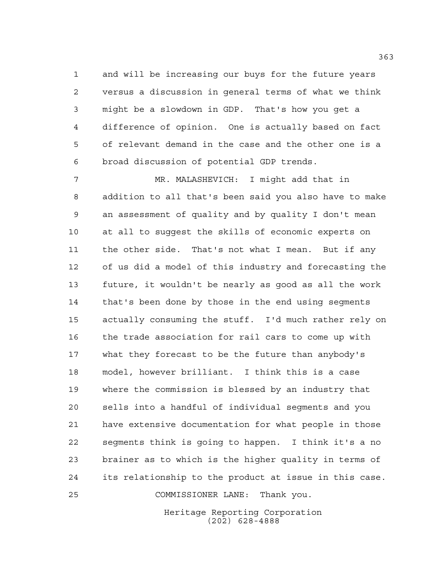and will be increasing our buys for the future years versus a discussion in general terms of what we think might be a slowdown in GDP. That's how you get a difference of opinion. One is actually based on fact of relevant demand in the case and the other one is a broad discussion of potential GDP trends.

 MR. MALASHEVICH: I might add that in addition to all that's been said you also have to make an assessment of quality and by quality I don't mean at all to suggest the skills of economic experts on the other side. That's not what I mean. But if any of us did a model of this industry and forecasting the future, it wouldn't be nearly as good as all the work that's been done by those in the end using segments actually consuming the stuff. I'd much rather rely on the trade association for rail cars to come up with what they forecast to be the future than anybody's model, however brilliant. I think this is a case where the commission is blessed by an industry that sells into a handful of individual segments and you have extensive documentation for what people in those segments think is going to happen. I think it's a no brainer as to which is the higher quality in terms of its relationship to the product at issue in this case.

COMMISSIONER LANE: Thank you.

Heritage Reporting Corporation (202) 628-4888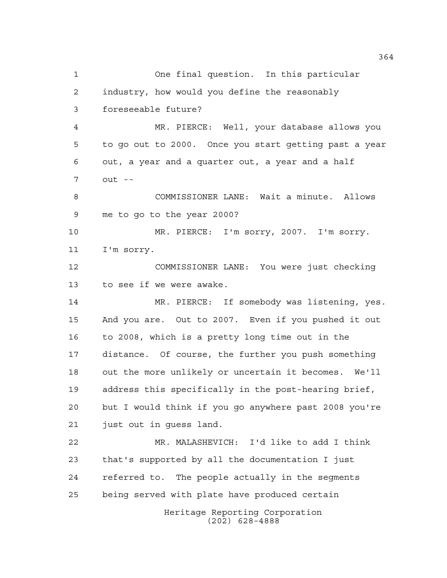Heritage Reporting Corporation (202) 628-4888 One final question. In this particular industry, how would you define the reasonably foreseeable future? MR. PIERCE: Well, your database allows you to go out to 2000. Once you start getting past a year out, a year and a quarter out, a year and a half out -- COMMISSIONER LANE: Wait a minute. Allows me to go to the year 2000? MR. PIERCE: I'm sorry, 2007. I'm sorry. I'm sorry. COMMISSIONER LANE: You were just checking to see if we were awake. MR. PIERCE: If somebody was listening, yes. And you are. Out to 2007. Even if you pushed it out to 2008, which is a pretty long time out in the distance. Of course, the further you push something out the more unlikely or uncertain it becomes. We'll address this specifically in the post-hearing brief, but I would think if you go anywhere past 2008 you're just out in guess land. MR. MALASHEVICH: I'd like to add I think that's supported by all the documentation I just referred to. The people actually in the segments being served with plate have produced certain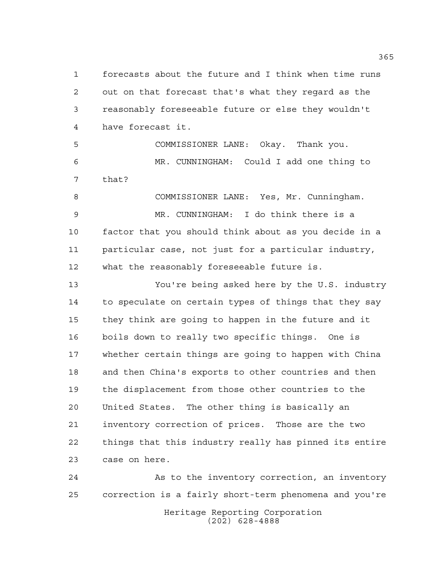forecasts about the future and I think when time runs out on that forecast that's what they regard as the reasonably foreseeable future or else they wouldn't have forecast it.

 COMMISSIONER LANE: Okay. Thank you. MR. CUNNINGHAM: Could I add one thing to that?

 COMMISSIONER LANE: Yes, Mr. Cunningham. MR. CUNNINGHAM: I do think there is a factor that you should think about as you decide in a particular case, not just for a particular industry, what the reasonably foreseeable future is.

 You're being asked here by the U.S. industry 14 to speculate on certain types of things that they say they think are going to happen in the future and it boils down to really two specific things. One is whether certain things are going to happen with China and then China's exports to other countries and then the displacement from those other countries to the United States. The other thing is basically an inventory correction of prices. Those are the two things that this industry really has pinned its entire case on here.

Heritage Reporting Corporation (202) 628-4888 As to the inventory correction, an inventory correction is a fairly short-term phenomena and you're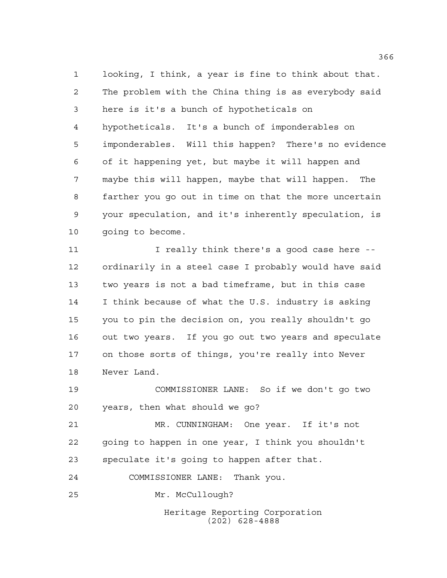looking, I think, a year is fine to think about that. The problem with the China thing is as everybody said here is it's a bunch of hypotheticals on hypotheticals. It's a bunch of imponderables on imponderables. Will this happen? There's no evidence of it happening yet, but maybe it will happen and maybe this will happen, maybe that will happen. The farther you go out in time on that the more uncertain your speculation, and it's inherently speculation, is going to become.

11 1 I really think there's a good case here -- ordinarily in a steel case I probably would have said two years is not a bad timeframe, but in this case I think because of what the U.S. industry is asking you to pin the decision on, you really shouldn't go out two years. If you go out two years and speculate on those sorts of things, you're really into Never Never Land.

 COMMISSIONER LANE: So if we don't go two years, then what should we go?

 MR. CUNNINGHAM: One year. If it's not going to happen in one year, I think you shouldn't speculate it's going to happen after that.

COMMISSIONER LANE: Thank you.

Mr. McCullough?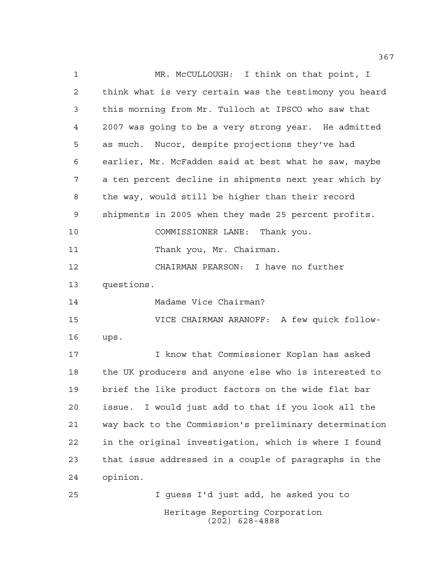Heritage Reporting Corporation MR. McCULLOUGH: I think on that point, I think what is very certain was the testimony you heard this morning from Mr. Tulloch at IPSCO who saw that 2007 was going to be a very strong year. He admitted as much. Nucor, despite projections they've had earlier, Mr. McFadden said at best what he saw, maybe a ten percent decline in shipments next year which by the way, would still be higher than their record shipments in 2005 when they made 25 percent profits. COMMISSIONER LANE: Thank you. 11 Thank you, Mr. Chairman. CHAIRMAN PEARSON: I have no further questions. Madame Vice Chairman? VICE CHAIRMAN ARANOFF: A few quick follow- ups. I know that Commissioner Koplan has asked the UK producers and anyone else who is interested to brief the like product factors on the wide flat bar issue. I would just add to that if you look all the way back to the Commission's preliminary determination in the original investigation, which is where I found that issue addressed in a couple of paragraphs in the opinion. I guess I'd just add, he asked you to

(202) 628-4888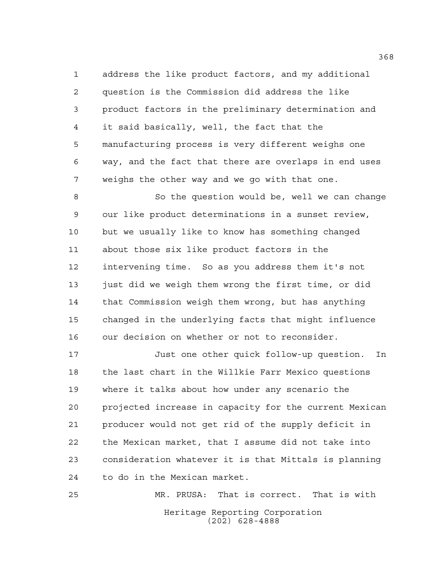address the like product factors, and my additional question is the Commission did address the like product factors in the preliminary determination and it said basically, well, the fact that the manufacturing process is very different weighs one way, and the fact that there are overlaps in end uses weighs the other way and we go with that one.

8 So the question would be, well we can change our like product determinations in a sunset review, but we usually like to know has something changed about those six like product factors in the intervening time. So as you address them it's not just did we weigh them wrong the first time, or did that Commission weigh them wrong, but has anything changed in the underlying facts that might influence our decision on whether or not to reconsider.

 Just one other quick follow-up question. In the last chart in the Willkie Farr Mexico questions where it talks about how under any scenario the projected increase in capacity for the current Mexican producer would not get rid of the supply deficit in the Mexican market, that I assume did not take into consideration whatever it is that Mittals is planning to do in the Mexican market.

Heritage Reporting Corporation (202) 628-4888 MR. PRUSA: That is correct. That is with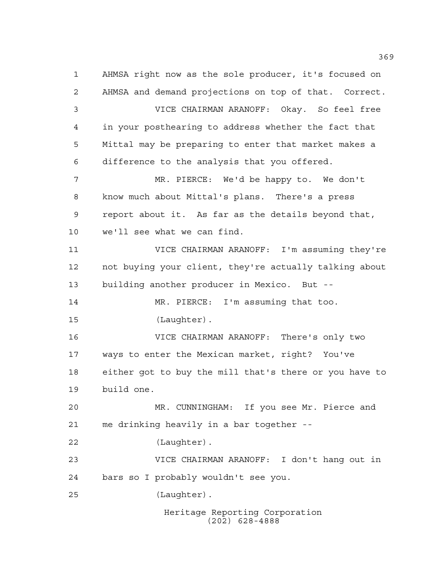Heritage Reporting Corporation (202) 628-4888 AHMSA right now as the sole producer, it's focused on AHMSA and demand projections on top of that. Correct. VICE CHAIRMAN ARANOFF: Okay. So feel free in your posthearing to address whether the fact that Mittal may be preparing to enter that market makes a difference to the analysis that you offered. MR. PIERCE: We'd be happy to. We don't know much about Mittal's plans. There's a press report about it. As far as the details beyond that, we'll see what we can find. VICE CHAIRMAN ARANOFF: I'm assuming they're not buying your client, they're actually talking about building another producer in Mexico. But -- MR. PIERCE: I'm assuming that too. (Laughter). VICE CHAIRMAN ARANOFF: There's only two ways to enter the Mexican market, right? You've either got to buy the mill that's there or you have to build one. MR. CUNNINGHAM: If you see Mr. Pierce and me drinking heavily in a bar together -- (Laughter). VICE CHAIRMAN ARANOFF: I don't hang out in bars so I probably wouldn't see you. (Laughter).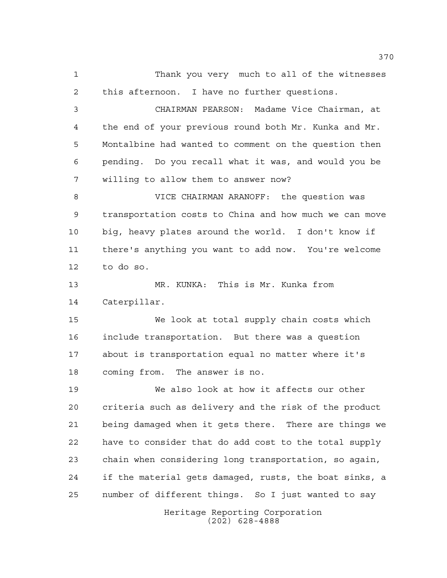Heritage Reporting Corporation (202) 628-4888 Thank you very much to all of the witnesses this afternoon. I have no further questions. CHAIRMAN PEARSON: Madame Vice Chairman, at the end of your previous round both Mr. Kunka and Mr. Montalbine had wanted to comment on the question then pending. Do you recall what it was, and would you be willing to allow them to answer now? VICE CHAIRMAN ARANOFF: the question was transportation costs to China and how much we can move big, heavy plates around the world. I don't know if there's anything you want to add now. You're welcome to do so. MR. KUNKA: This is Mr. Kunka from Caterpillar. We look at total supply chain costs which include transportation. But there was a question about is transportation equal no matter where it's coming from. The answer is no. We also look at how it affects our other criteria such as delivery and the risk of the product being damaged when it gets there. There are things we have to consider that do add cost to the total supply chain when considering long transportation, so again, if the material gets damaged, rusts, the boat sinks, a number of different things. So I just wanted to say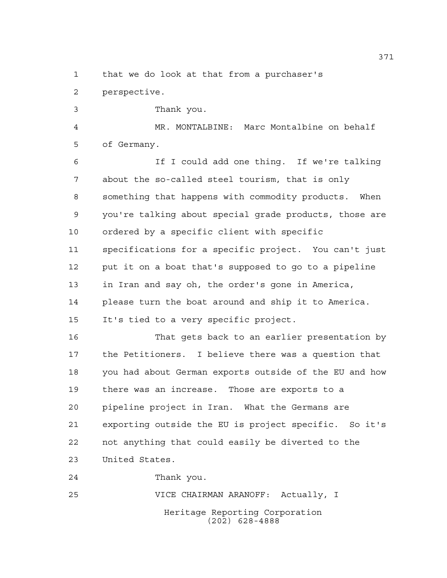## that we do look at that from a purchaser's

perspective.

Thank you.

 MR. MONTALBINE: Marc Montalbine on behalf of Germany.

 If I could add one thing. If we're talking about the so-called steel tourism, that is only something that happens with commodity products. When you're talking about special grade products, those are ordered by a specific client with specific specifications for a specific project. You can't just put it on a boat that's supposed to go to a pipeline in Iran and say oh, the order's gone in America, please turn the boat around and ship it to America. It's tied to a very specific project.

 That gets back to an earlier presentation by the Petitioners. I believe there was a question that you had about German exports outside of the EU and how there was an increase. Those are exports to a pipeline project in Iran. What the Germans are exporting outside the EU is project specific. So it's not anything that could easily be diverted to the United States.

Thank you.

Heritage Reporting Corporation (202) 628-4888 VICE CHAIRMAN ARANOFF: Actually, I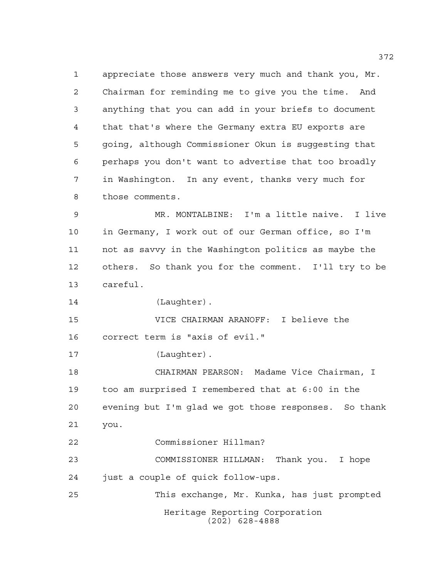appreciate those answers very much and thank you, Mr. Chairman for reminding me to give you the time. And anything that you can add in your briefs to document that that's where the Germany extra EU exports are going, although Commissioner Okun is suggesting that perhaps you don't want to advertise that too broadly in Washington. In any event, thanks very much for those comments.

 MR. MONTALBINE: I'm a little naive. I live in Germany, I work out of our German office, so I'm not as savvy in the Washington politics as maybe the others. So thank you for the comment. I'll try to be careful.

14 (Laughter).

 VICE CHAIRMAN ARANOFF: I believe the correct term is "axis of evil."

17 (Laughter).

 CHAIRMAN PEARSON: Madame Vice Chairman, I too am surprised I remembered that at 6:00 in the evening but I'm glad we got those responses. So thank you.

Commissioner Hillman?

 COMMISSIONER HILLMAN: Thank you. I hope just a couple of quick follow-ups.

Heritage Reporting Corporation (202) 628-4888 This exchange, Mr. Kunka, has just prompted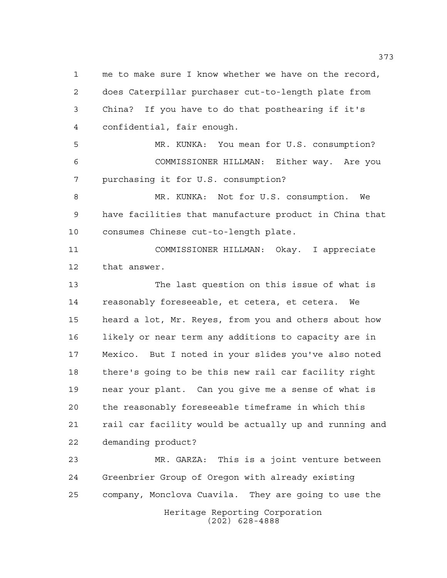me to make sure I know whether we have on the record, does Caterpillar purchaser cut-to-length plate from China? If you have to do that posthearing if it's confidential, fair enough. MR. KUNKA: You mean for U.S. consumption? COMMISSIONER HILLMAN: Either way. Are you

purchasing it for U.S. consumption?

 MR. KUNKA: Not for U.S. consumption. We have facilities that manufacture product in China that consumes Chinese cut-to-length plate.

 COMMISSIONER HILLMAN: Okay. I appreciate that answer.

 The last question on this issue of what is reasonably foreseeable, et cetera, et cetera. We heard a lot, Mr. Reyes, from you and others about how likely or near term any additions to capacity are in Mexico. But I noted in your slides you've also noted there's going to be this new rail car facility right near your plant. Can you give me a sense of what is the reasonably foreseeable timeframe in which this rail car facility would be actually up and running and demanding product?

Heritage Reporting Corporation (202) 628-4888 MR. GARZA: This is a joint venture between Greenbrier Group of Oregon with already existing company, Monclova Cuavila. They are going to use the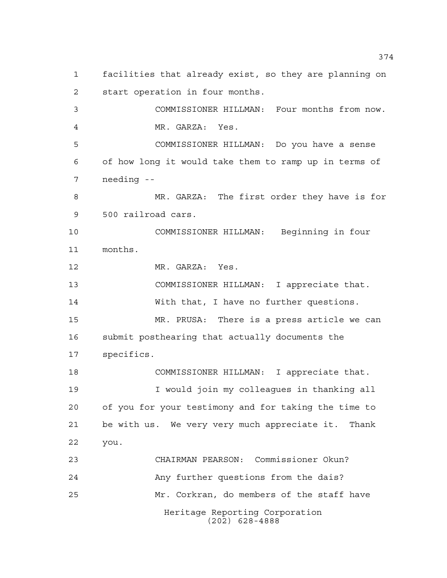Heritage Reporting Corporation (202) 628-4888 facilities that already exist, so they are planning on start operation in four months. COMMISSIONER HILLMAN: Four months from now. MR. GARZA: Yes. COMMISSIONER HILLMAN: Do you have a sense of how long it would take them to ramp up in terms of needing -- MR. GARZA: The first order they have is for 500 railroad cars. COMMISSIONER HILLMAN: Beginning in four months. 12 MR. GARZA: Yes. COMMISSIONER HILLMAN: I appreciate that. With that, I have no further questions. MR. PRUSA: There is a press article we can submit posthearing that actually documents the specifics. COMMISSIONER HILLMAN: I appreciate that. I would join my colleagues in thanking all of you for your testimony and for taking the time to be with us. We very very much appreciate it. Thank you. CHAIRMAN PEARSON: Commissioner Okun? Any further questions from the dais? Mr. Corkran, do members of the staff have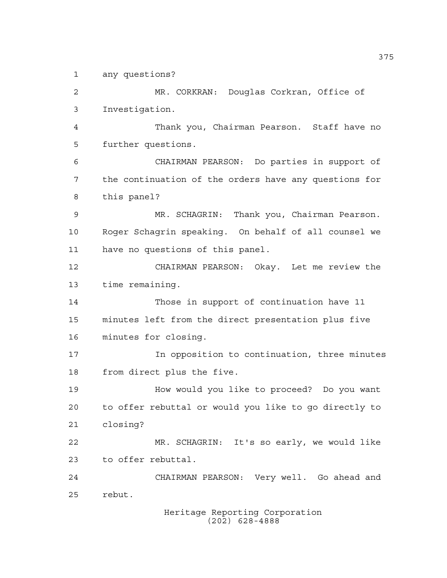any questions?

 MR. CORKRAN: Douglas Corkran, Office of Investigation. Thank you, Chairman Pearson. Staff have no further questions. CHAIRMAN PEARSON: Do parties in support of the continuation of the orders have any questions for this panel? MR. SCHAGRIN: Thank you, Chairman Pearson. Roger Schagrin speaking. On behalf of all counsel we have no questions of this panel. CHAIRMAN PEARSON: Okay. Let me review the time remaining. Those in support of continuation have 11 minutes left from the direct presentation plus five minutes for closing. In opposition to continuation, three minutes from direct plus the five. How would you like to proceed? Do you want to offer rebuttal or would you like to go directly to closing? MR. SCHAGRIN: It's so early, we would like to offer rebuttal. CHAIRMAN PEARSON: Very well. Go ahead and rebut.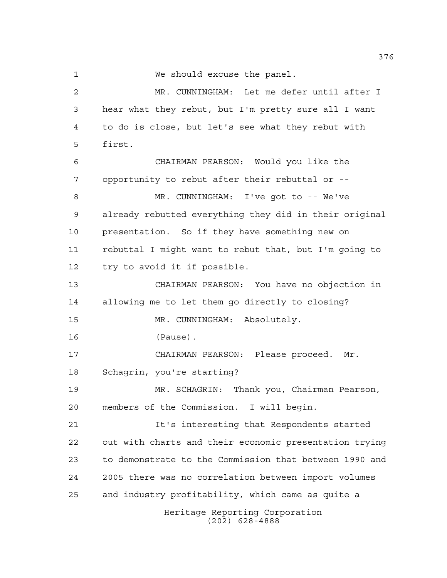We should excuse the panel.

Heritage Reporting Corporation (202) 628-4888 MR. CUNNINGHAM: Let me defer until after I hear what they rebut, but I'm pretty sure all I want to do is close, but let's see what they rebut with first. CHAIRMAN PEARSON: Would you like the opportunity to rebut after their rebuttal or -- MR. CUNNINGHAM: I've got to -- We've already rebutted everything they did in their original presentation. So if they have something new on rebuttal I might want to rebut that, but I'm going to try to avoid it if possible. CHAIRMAN PEARSON: You have no objection in allowing me to let them go directly to closing? MR. CUNNINGHAM: Absolutely. (Pause). CHAIRMAN PEARSON: Please proceed. Mr. Schagrin, you're starting? MR. SCHAGRIN: Thank you, Chairman Pearson, members of the Commission. I will begin. It's interesting that Respondents started out with charts and their economic presentation trying to demonstrate to the Commission that between 1990 and 2005 there was no correlation between import volumes and industry profitability, which came as quite a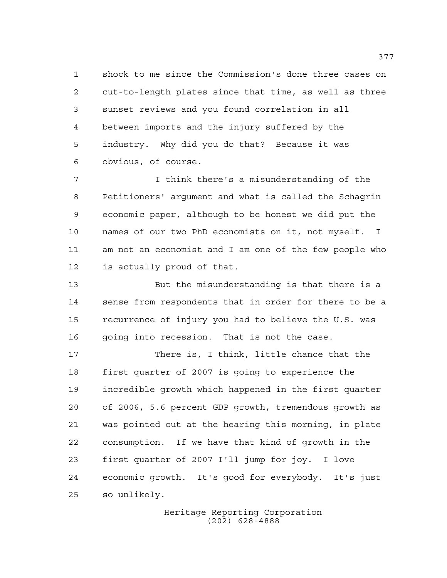shock to me since the Commission's done three cases on cut-to-length plates since that time, as well as three sunset reviews and you found correlation in all between imports and the injury suffered by the industry. Why did you do that? Because it was obvious, of course.

 I think there's a misunderstanding of the Petitioners' argument and what is called the Schagrin economic paper, although to be honest we did put the names of our two PhD economists on it, not myself. I am not an economist and I am one of the few people who is actually proud of that.

 But the misunderstanding is that there is a sense from respondents that in order for there to be a recurrence of injury you had to believe the U.S. was going into recession. That is not the case.

 There is, I think, little chance that the first quarter of 2007 is going to experience the incredible growth which happened in the first quarter of 2006, 5.6 percent GDP growth, tremendous growth as was pointed out at the hearing this morning, in plate consumption. If we have that kind of growth in the first quarter of 2007 I'll jump for joy. I love economic growth. It's good for everybody. It's just so unlikely.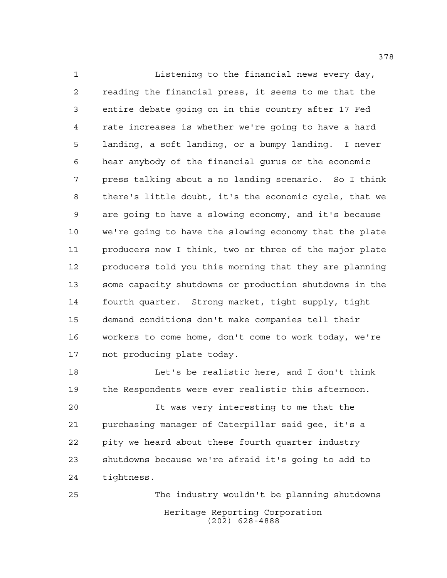Listening to the financial news every day, reading the financial press, it seems to me that the entire debate going on in this country after 17 Fed rate increases is whether we're going to have a hard landing, a soft landing, or a bumpy landing. I never hear anybody of the financial gurus or the economic press talking about a no landing scenario. So I think there's little doubt, it's the economic cycle, that we are going to have a slowing economy, and it's because we're going to have the slowing economy that the plate producers now I think, two or three of the major plate producers told you this morning that they are planning some capacity shutdowns or production shutdowns in the fourth quarter. Strong market, tight supply, tight demand conditions don't make companies tell their workers to come home, don't come to work today, we're not producing plate today.

 Let's be realistic here, and I don't think the Respondents were ever realistic this afternoon.

 It was very interesting to me that the purchasing manager of Caterpillar said gee, it's a pity we heard about these fourth quarter industry shutdowns because we're afraid it's going to add to tightness.

Heritage Reporting Corporation (202) 628-4888 The industry wouldn't be planning shutdowns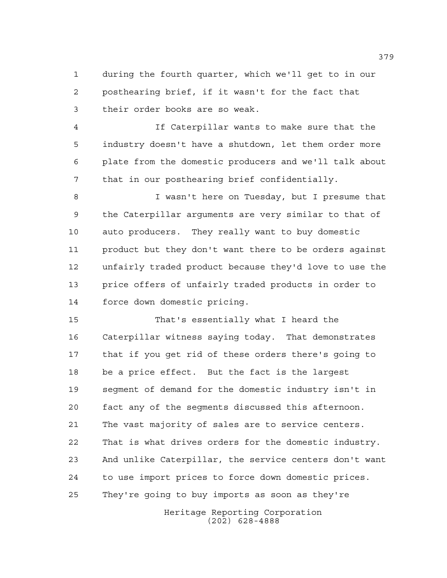during the fourth quarter, which we'll get to in our posthearing brief, if it wasn't for the fact that their order books are so weak.

 If Caterpillar wants to make sure that the industry doesn't have a shutdown, let them order more plate from the domestic producers and we'll talk about that in our posthearing brief confidentially.

 I wasn't here on Tuesday, but I presume that the Caterpillar arguments are very similar to that of auto producers. They really want to buy domestic product but they don't want there to be orders against unfairly traded product because they'd love to use the price offers of unfairly traded products in order to force down domestic pricing.

 That's essentially what I heard the Caterpillar witness saying today. That demonstrates that if you get rid of these orders there's going to be a price effect. But the fact is the largest segment of demand for the domestic industry isn't in fact any of the segments discussed this afternoon. The vast majority of sales are to service centers. That is what drives orders for the domestic industry. And unlike Caterpillar, the service centers don't want to use import prices to force down domestic prices. They're going to buy imports as soon as they're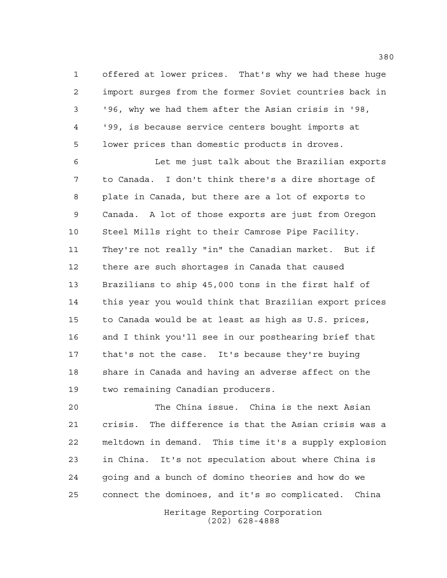offered at lower prices. That's why we had these huge import surges from the former Soviet countries back in '96, why we had them after the Asian crisis in '98, '99, is because service centers bought imports at lower prices than domestic products in droves.

 Let me just talk about the Brazilian exports to Canada. I don't think there's a dire shortage of plate in Canada, but there are a lot of exports to Canada. A lot of those exports are just from Oregon Steel Mills right to their Camrose Pipe Facility. They're not really "in" the Canadian market. But if there are such shortages in Canada that caused Brazilians to ship 45,000 tons in the first half of this year you would think that Brazilian export prices to Canada would be at least as high as U.S. prices, and I think you'll see in our posthearing brief that that's not the case. It's because they're buying share in Canada and having an adverse affect on the two remaining Canadian producers.

 The China issue. China is the next Asian crisis. The difference is that the Asian crisis was a meltdown in demand. This time it's a supply explosion in China. It's not speculation about where China is going and a bunch of domino theories and how do we connect the dominoes, and it's so complicated. China

> Heritage Reporting Corporation (202) 628-4888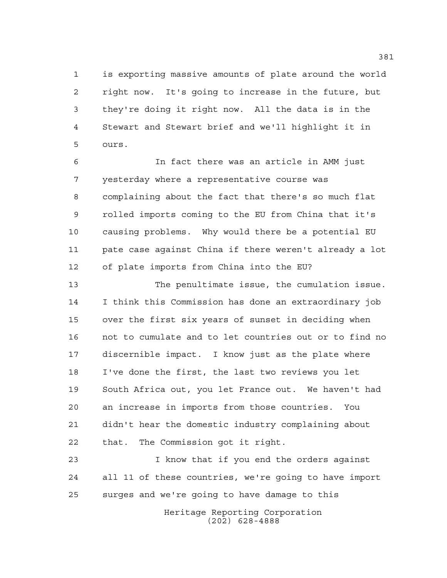is exporting massive amounts of plate around the world right now. It's going to increase in the future, but they're doing it right now. All the data is in the Stewart and Stewart brief and we'll highlight it in ours.

 In fact there was an article in AMM just yesterday where a representative course was complaining about the fact that there's so much flat rolled imports coming to the EU from China that it's causing problems. Why would there be a potential EU pate case against China if there weren't already a lot of plate imports from China into the EU?

 The penultimate issue, the cumulation issue. I think this Commission has done an extraordinary job over the first six years of sunset in deciding when not to cumulate and to let countries out or to find no discernible impact. I know just as the plate where I've done the first, the last two reviews you let South Africa out, you let France out. We haven't had an increase in imports from those countries. You didn't hear the domestic industry complaining about that. The Commission got it right.

 I know that if you end the orders against all 11 of these countries, we're going to have import surges and we're going to have damage to this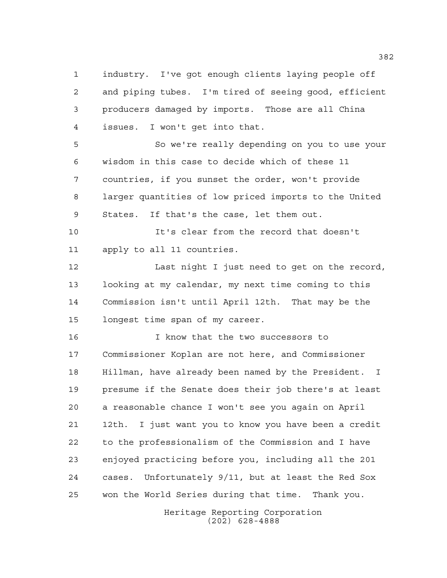industry. I've got enough clients laying people off and piping tubes. I'm tired of seeing good, efficient producers damaged by imports. Those are all China issues. I won't get into that.

 So we're really depending on you to use your wisdom in this case to decide which of these 11 countries, if you sunset the order, won't provide larger quantities of low priced imports to the United States. If that's the case, let them out.

 It's clear from the record that doesn't apply to all 11 countries.

12 Last night I just need to get on the record, looking at my calendar, my next time coming to this Commission isn't until April 12th. That may be the longest time span of my career.

 I know that the two successors to Commissioner Koplan are not here, and Commissioner Hillman, have already been named by the President. I presume if the Senate does their job there's at least a reasonable chance I won't see you again on April 12th. I just want you to know you have been a credit to the professionalism of the Commission and I have enjoyed practicing before you, including all the 201 cases. Unfortunately 9/11, but at least the Red Sox won the World Series during that time. Thank you.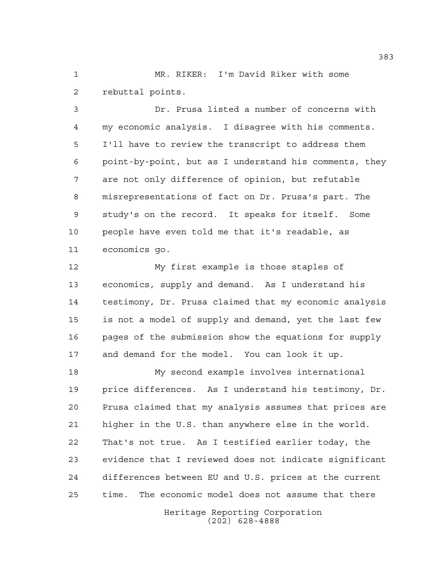MR. RIKER: I'm David Riker with some rebuttal points.

 Dr. Prusa listed a number of concerns with my economic analysis. I disagree with his comments. I'll have to review the transcript to address them point-by-point, but as I understand his comments, they are not only difference of opinion, but refutable misrepresentations of fact on Dr. Prusa's part. The study's on the record. It speaks for itself. Some people have even told me that it's readable, as economics go.

 My first example is those staples of economics, supply and demand. As I understand his testimony, Dr. Prusa claimed that my economic analysis is not a model of supply and demand, yet the last few pages of the submission show the equations for supply and demand for the model. You can look it up.

 My second example involves international price differences. As I understand his testimony, Dr. Prusa claimed that my analysis assumes that prices are higher in the U.S. than anywhere else in the world. That's not true. As I testified earlier today, the evidence that I reviewed does not indicate significant differences between EU and U.S. prices at the current time. The economic model does not assume that there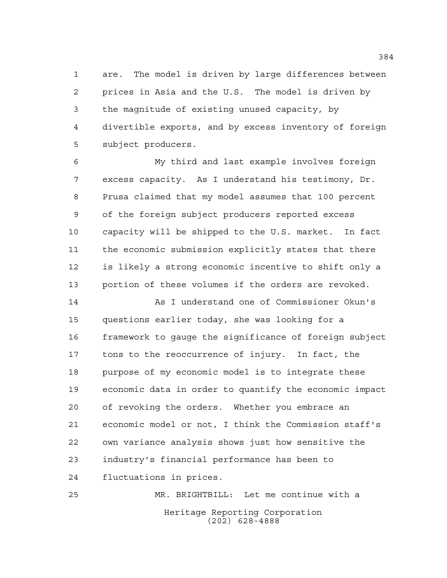are. The model is driven by large differences between prices in Asia and the U.S. The model is driven by the magnitude of existing unused capacity, by divertible exports, and by excess inventory of foreign subject producers.

 My third and last example involves foreign excess capacity. As I understand his testimony, Dr. Prusa claimed that my model assumes that 100 percent of the foreign subject producers reported excess capacity will be shipped to the U.S. market. In fact the economic submission explicitly states that there is likely a strong economic incentive to shift only a portion of these volumes if the orders are revoked.

 As I understand one of Commissioner Okun's questions earlier today, she was looking for a framework to gauge the significance of foreign subject tons to the reoccurrence of injury. In fact, the purpose of my economic model is to integrate these economic data in order to quantify the economic impact of revoking the orders. Whether you embrace an economic model or not, I think the Commission staff's own variance analysis shows just how sensitive the industry's financial performance has been to fluctuations in prices.

Heritage Reporting Corporation (202) 628-4888 MR. BRIGHTBILL: Let me continue with a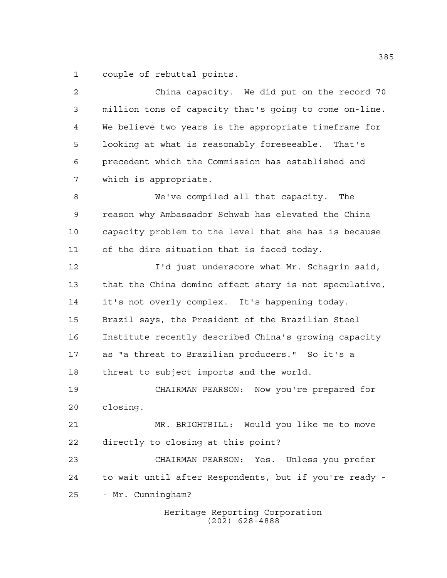couple of rebuttal points.

Heritage Reporting Corporation (202) 628-4888 China capacity. We did put on the record 70 million tons of capacity that's going to come on-line. We believe two years is the appropriate timeframe for looking at what is reasonably foreseeable. That's precedent which the Commission has established and which is appropriate. We've compiled all that capacity. The reason why Ambassador Schwab has elevated the China capacity problem to the level that she has is because of the dire situation that is faced today. I'd just underscore what Mr. Schagrin said, that the China domino effect story is not speculative, it's not overly complex. It's happening today. Brazil says, the President of the Brazilian Steel Institute recently described China's growing capacity as "a threat to Brazilian producers." So it's a threat to subject imports and the world. CHAIRMAN PEARSON: Now you're prepared for closing. MR. BRIGHTBILL: Would you like me to move directly to closing at this point? CHAIRMAN PEARSON: Yes. Unless you prefer to wait until after Respondents, but if you're ready - - Mr. Cunningham?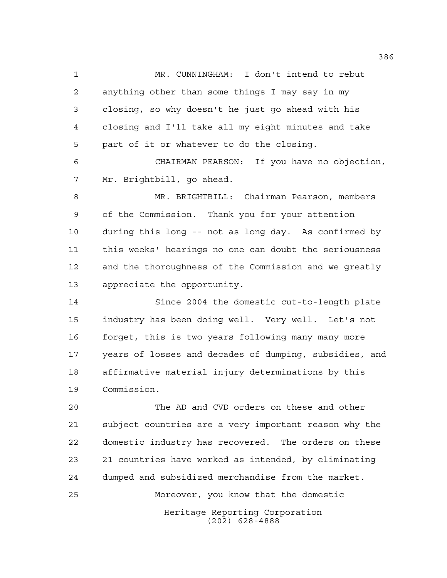MR. CUNNINGHAM: I don't intend to rebut anything other than some things I may say in my closing, so why doesn't he just go ahead with his closing and I'll take all my eight minutes and take part of it or whatever to do the closing. CHAIRMAN PEARSON: If you have no objection, Mr. Brightbill, go ahead. MR. BRIGHTBILL: Chairman Pearson, members of the Commission. Thank you for your attention during this long -- not as long day. As confirmed by this weeks' hearings no one can doubt the seriousness

 and the thoroughness of the Commission and we greatly appreciate the opportunity. Since 2004 the domestic cut-to-length plate industry has been doing well. Very well. Let's not forget, this is two years following many many more years of losses and decades of dumping, subsidies, and

 affirmative material injury determinations by this Commission.

 The AD and CVD orders on these and other subject countries are a very important reason why the domestic industry has recovered. The orders on these 21 countries have worked as intended, by eliminating dumped and subsidized merchandise from the market. Moreover, you know that the domestic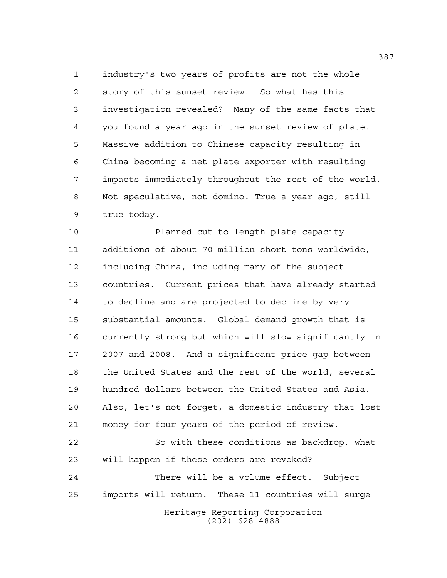industry's two years of profits are not the whole story of this sunset review. So what has this investigation revealed? Many of the same facts that you found a year ago in the sunset review of plate. Massive addition to Chinese capacity resulting in China becoming a net plate exporter with resulting impacts immediately throughout the rest of the world. Not speculative, not domino. True a year ago, still true today.

 Planned cut-to-length plate capacity additions of about 70 million short tons worldwide, including China, including many of the subject countries. Current prices that have already started to decline and are projected to decline by very substantial amounts. Global demand growth that is currently strong but which will slow significantly in 2007 and 2008. And a significant price gap between the United States and the rest of the world, several hundred dollars between the United States and Asia. Also, let's not forget, a domestic industry that lost money for four years of the period of review. So with these conditions as backdrop, what will happen if these orders are revoked? There will be a volume effect. Subject imports will return. These 11 countries will surge

Heritage Reporting Corporation (202) 628-4888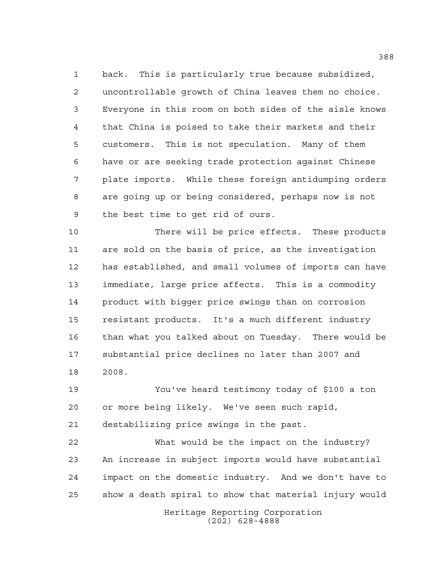back. This is particularly true because subsidized, uncontrollable growth of China leaves them no choice. Everyone in this room on both sides of the aisle knows that China is poised to take their markets and their customers. This is not speculation. Many of them have or are seeking trade protection against Chinese plate imports. While these foreign antidumping orders are going up or being considered, perhaps now is not the best time to get rid of ours.

 There will be price effects. These products are sold on the basis of price, as the investigation has established, and small volumes of imports can have immediate, large price affects. This is a commodity product with bigger price swings than on corrosion resistant products. It's a much different industry than what you talked about on Tuesday. There would be substantial price declines no later than 2007 and 2008.

 You've heard testimony today of \$100 a ton or more being likely. We've seen such rapid, destabilizing price swings in the past.

 What would be the impact on the industry? An increase in subject imports would have substantial impact on the domestic industry. And we don't have to show a death spiral to show that material injury would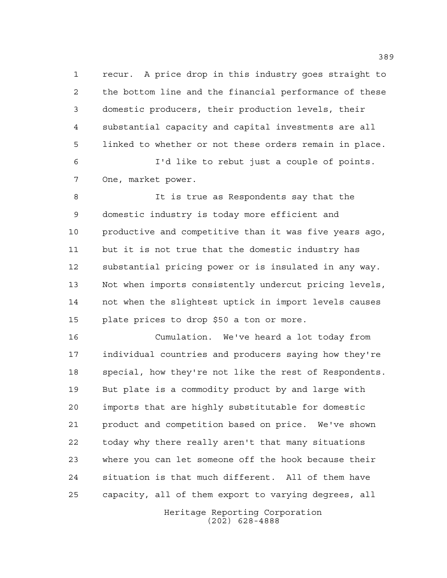recur. A price drop in this industry goes straight to the bottom line and the financial performance of these domestic producers, their production levels, their substantial capacity and capital investments are all linked to whether or not these orders remain in place.

 I'd like to rebut just a couple of points. One, market power.

 It is true as Respondents say that the domestic industry is today more efficient and productive and competitive than it was five years ago, but it is not true that the domestic industry has substantial pricing power or is insulated in any way. Not when imports consistently undercut pricing levels, not when the slightest uptick in import levels causes plate prices to drop \$50 a ton or more.

 Cumulation. We've heard a lot today from individual countries and producers saying how they're special, how they're not like the rest of Respondents. But plate is a commodity product by and large with imports that are highly substitutable for domestic product and competition based on price. We've shown today why there really aren't that many situations where you can let someone off the hook because their situation is that much different. All of them have capacity, all of them export to varying degrees, all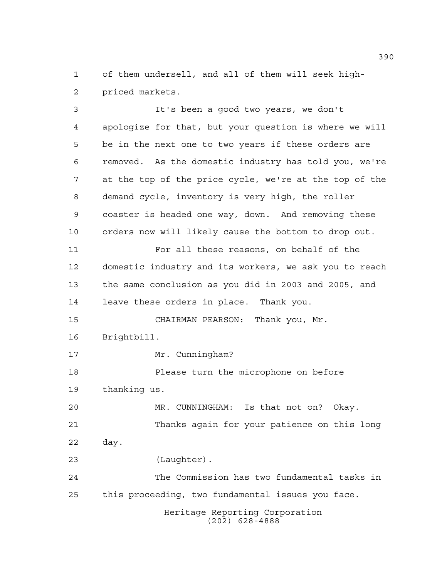of them undersell, and all of them will seek high-priced markets.

Heritage Reporting Corporation (202) 628-4888 It's been a good two years, we don't apologize for that, but your question is where we will be in the next one to two years if these orders are removed. As the domestic industry has told you, we're at the top of the price cycle, we're at the top of the demand cycle, inventory is very high, the roller coaster is headed one way, down. And removing these orders now will likely cause the bottom to drop out. For all these reasons, on behalf of the domestic industry and its workers, we ask you to reach the same conclusion as you did in 2003 and 2005, and leave these orders in place. Thank you. CHAIRMAN PEARSON: Thank you, Mr. Brightbill. 17 Mr. Cunningham? Please turn the microphone on before thanking us. MR. CUNNINGHAM: Is that not on? Okay. Thanks again for your patience on this long day. (Laughter). The Commission has two fundamental tasks in this proceeding, two fundamental issues you face.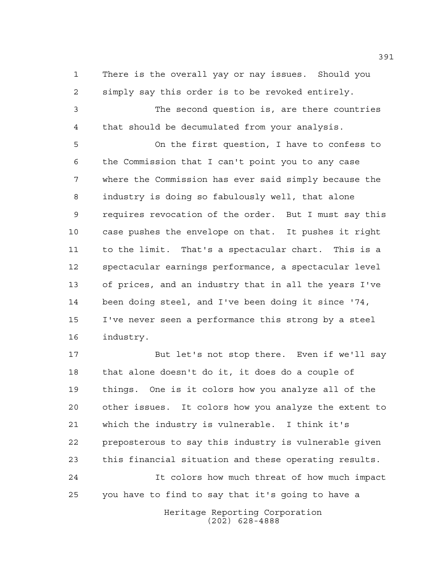There is the overall yay or nay issues. Should you simply say this order is to be revoked entirely.

 The second question is, are there countries that should be decumulated from your analysis.

 On the first question, I have to confess to the Commission that I can't point you to any case where the Commission has ever said simply because the industry is doing so fabulously well, that alone requires revocation of the order. But I must say this case pushes the envelope on that. It pushes it right to the limit. That's a spectacular chart. This is a spectacular earnings performance, a spectacular level of prices, and an industry that in all the years I've been doing steel, and I've been doing it since '74, I've never seen a performance this strong by a steel industry.

 But let's not stop there. Even if we'll say that alone doesn't do it, it does do a couple of things. One is it colors how you analyze all of the other issues. It colors how you analyze the extent to which the industry is vulnerable. I think it's preposterous to say this industry is vulnerable given this financial situation and these operating results.

 It colors how much threat of how much impact you have to find to say that it's going to have a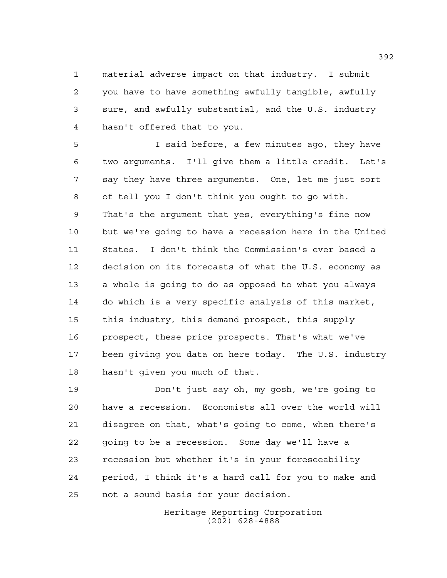material adverse impact on that industry. I submit you have to have something awfully tangible, awfully sure, and awfully substantial, and the U.S. industry hasn't offered that to you.

 I said before, a few minutes ago, they have two arguments. I'll give them a little credit. Let's say they have three arguments. One, let me just sort of tell you I don't think you ought to go with. That's the argument that yes, everything's fine now but we're going to have a recession here in the United States. I don't think the Commission's ever based a decision on its forecasts of what the U.S. economy as a whole is going to do as opposed to what you always do which is a very specific analysis of this market, this industry, this demand prospect, this supply prospect, these price prospects. That's what we've been giving you data on here today. The U.S. industry hasn't given you much of that.

 Don't just say oh, my gosh, we're going to have a recession. Economists all over the world will disagree on that, what's going to come, when there's going to be a recession. Some day we'll have a recession but whether it's in your foreseeability period, I think it's a hard call for you to make and not a sound basis for your decision.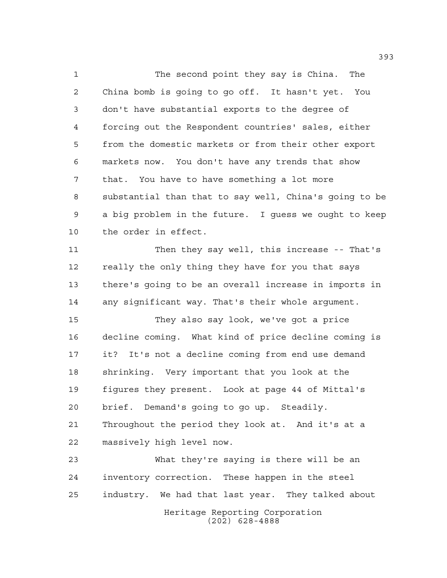The second point they say is China. The China bomb is going to go off. It hasn't yet. You don't have substantial exports to the degree of forcing out the Respondent countries' sales, either from the domestic markets or from their other export markets now. You don't have any trends that show that. You have to have something a lot more substantial than that to say well, China's going to be a big problem in the future. I guess we ought to keep the order in effect.

 Then they say well, this increase -- That's really the only thing they have for you that says there's going to be an overall increase in imports in any significant way. That's their whole argument.

 They also say look, we've got a price decline coming. What kind of price decline coming is it? It's not a decline coming from end use demand shrinking. Very important that you look at the figures they present. Look at page 44 of Mittal's brief. Demand's going to go up. Steadily. Throughout the period they look at. And it's at a massively high level now.

Heritage Reporting Corporation (202) 628-4888 What they're saying is there will be an inventory correction. These happen in the steel industry. We had that last year. They talked about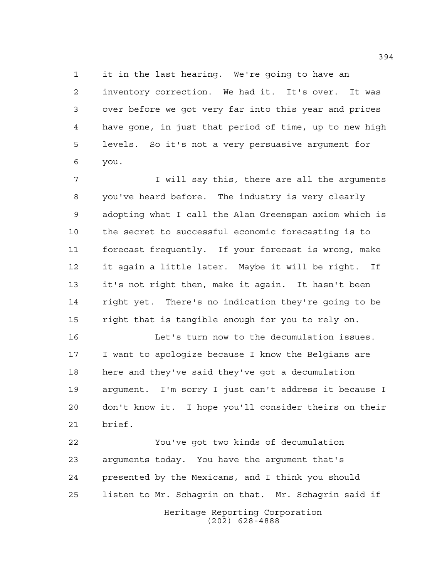it in the last hearing. We're going to have an inventory correction. We had it. It's over. It was over before we got very far into this year and prices have gone, in just that period of time, up to new high levels. So it's not a very persuasive argument for you.

 I will say this, there are all the arguments you've heard before. The industry is very clearly adopting what I call the Alan Greenspan axiom which is the secret to successful economic forecasting is to forecast frequently. If your forecast is wrong, make it again a little later. Maybe it will be right. If it's not right then, make it again. It hasn't been right yet. There's no indication they're going to be right that is tangible enough for you to rely on.

 Let's turn now to the decumulation issues. I want to apologize because I know the Belgians are here and they've said they've got a decumulation argument. I'm sorry I just can't address it because I don't know it. I hope you'll consider theirs on their brief.

Heritage Reporting Corporation You've got two kinds of decumulation arguments today. You have the argument that's presented by the Mexicans, and I think you should listen to Mr. Schagrin on that. Mr. Schagrin said if

(202) 628-4888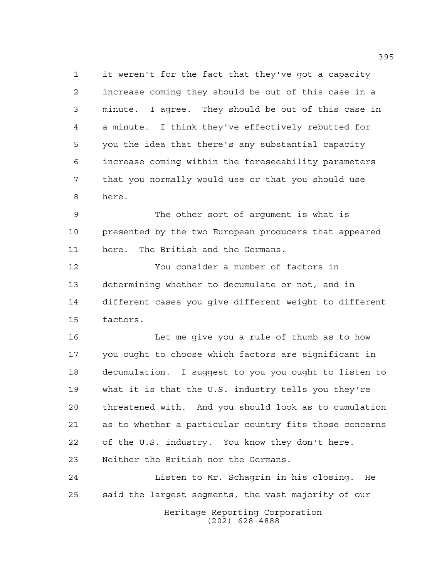it weren't for the fact that they've got a capacity increase coming they should be out of this case in a minute. I agree. They should be out of this case in a minute. I think they've effectively rebutted for you the idea that there's any substantial capacity increase coming within the foreseeability parameters that you normally would use or that you should use here.

 The other sort of argument is what is presented by the two European producers that appeared here. The British and the Germans.

 You consider a number of factors in determining whether to decumulate or not, and in different cases you give different weight to different factors.

 Let me give you a rule of thumb as to how you ought to choose which factors are significant in decumulation. I suggest to you you ought to listen to what it is that the U.S. industry tells you they're threatened with. And you should look as to cumulation as to whether a particular country fits those concerns of the U.S. industry. You know they don't here. Neither the British nor the Germans.

Heritage Reporting Corporation Listen to Mr. Schagrin in his closing. He said the largest segments, the vast majority of our

(202) 628-4888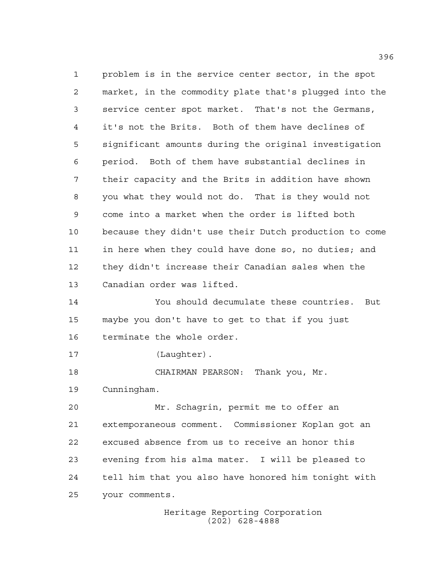problem is in the service center sector, in the spot market, in the commodity plate that's plugged into the service center spot market. That's not the Germans, it's not the Brits. Both of them have declines of significant amounts during the original investigation period. Both of them have substantial declines in their capacity and the Brits in addition have shown you what they would not do. That is they would not come into a market when the order is lifted both because they didn't use their Dutch production to come in here when they could have done so, no duties; and they didn't increase their Canadian sales when the Canadian order was lifted. You should decumulate these countries. But maybe you don't have to get to that if you just terminate the whole order. 17 (Laughter). CHAIRMAN PEARSON: Thank you, Mr. Cunningham. Mr. Schagrin, permit me to offer an extemporaneous comment. Commissioner Koplan got an excused absence from us to receive an honor this evening from his alma mater. I will be pleased to tell him that you also have honored him tonight with your comments.

Heritage Reporting Corporation (202) 628-4888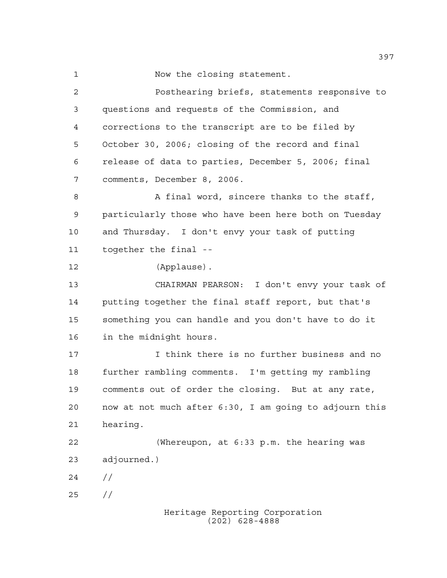Now the closing statement.

 Posthearing briefs, statements responsive to questions and requests of the Commission, and corrections to the transcript are to be filed by October 30, 2006; closing of the record and final release of data to parties, December 5, 2006; final comments, December 8, 2006. 8 A final word, sincere thanks to the staff, particularly those who have been here both on Tuesday and Thursday. I don't envy your task of putting together the final -- (Applause). CHAIRMAN PEARSON: I don't envy your task of putting together the final staff report, but that's something you can handle and you don't have to do it in the midnight hours. I think there is no further business and no further rambling comments. I'm getting my rambling comments out of order the closing. But at any rate, now at not much after 6:30, I am going to adjourn this hearing. (Whereupon, at 6:33 p.m. the hearing was adjourned.)  $24 /$ //

Heritage Reporting Corporation (202) 628-4888